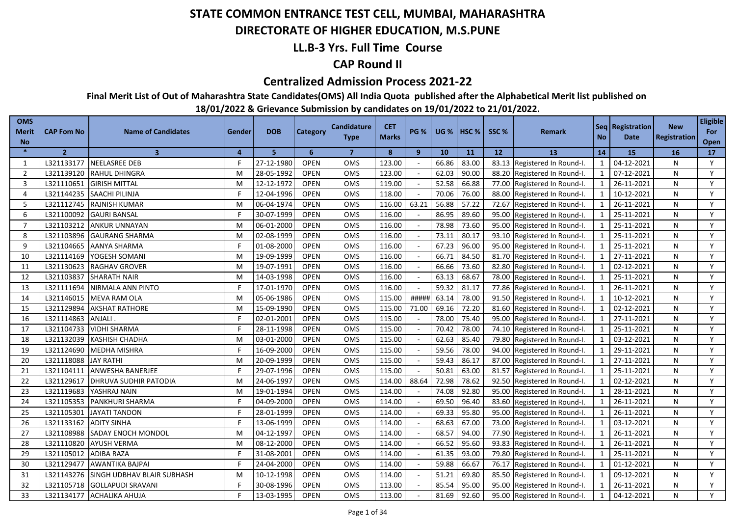### **DIRECTORATE OF HIGHER EDUCATION, M.S.PUNE**

### **LL.B-3 Yrs. Full Time Course**

### **CAP Round II**

#### **Centralized Admission Process 2021-22**

**Final Merit List of Out of Maharashtra State Candidates(OMS) All India Quota published after the Alphabetical Merit list published on** 

| <b>OMS</b><br><b>Merit</b> | <b>CAP Fom No</b> | <b>Name of Candidates</b>  | Gender         | <b>DOB</b> | Category    | <b>Candidature</b><br><b>Type</b> | <b>CET</b><br><b>Marks</b> | <b>PG %</b> |       | $UG %$ HSC % | SSC <sub>%</sub> | <b>Remark</b>                | <b>No</b>    | Seq   Registration  <br><b>Date</b> | <b>New</b><br>Registration | <b>Eligible</b><br>For |
|----------------------------|-------------------|----------------------------|----------------|------------|-------------|-----------------------------------|----------------------------|-------------|-------|--------------|------------------|------------------------------|--------------|-------------------------------------|----------------------------|------------------------|
| <b>No</b><br>$\ast$        | $\overline{2}$    | 3 <sup>1</sup>             | $\overline{a}$ | 5          | 6           | $\overline{7}$                    | 8                          | 9           | 10    | 11           | 12 <sup>2</sup>  | <b>13</b>                    | 14           | 15                                  | 16                         | Open<br>17             |
| 1                          | L321133177        | <b>NEELASREE DEB</b>       |                | 27-12-1980 | <b>OPEN</b> | <b>OMS</b>                        | 123.00                     |             | 66.86 | 83.00        | 83.13            | Registered In Round-I.       | 1            | 04-12-2021                          | N                          | Y                      |
| $\overline{2}$             | L321139120        | <b>RAHUL DHINGRA</b>       | м              | 28-05-1992 | <b>OPEN</b> | OMS                               | 123.00                     |             | 62.03 | 90.00        |                  | 88.20 Registered In Round-I. | 1            | 07-12-2021                          | N                          | Y                      |
| $\overline{3}$             | L321110651        | <b>GIRISH MITTAL</b>       | м              | 12-12-1972 | <b>OPEN</b> | OMS                               | 119.00                     |             | 52.58 | 66.88        |                  | 77.00 Registered In Round-I. | 1            | 26-11-2021                          | N                          | Y                      |
| $\overline{4}$             |                   | L321144235 SAACHI PILINJA  |                | 12-04-1996 | <b>OPEN</b> | <b>OMS</b>                        | 118.00                     |             | 70.06 | 76.00        |                  | 88.00 Registered In Round-I. | 1            | 10-12-2021                          | N                          | Y                      |
| 5                          | L321112745        | <b>RAJNISH KUMAR</b>       | M              | 06-04-1974 | OPEN        | OMS                               | 116.00                     | 63.21       | 56.88 | 57.22        |                  | 72.67 Registered In Round-I. | $\mathbf{1}$ | 26-11-2021                          | N                          | Y                      |
| 6                          | L321100092        | <b>GAURI BANSAL</b>        |                | 30-07-1999 | <b>OPEN</b> | OMS                               | 116.00                     |             | 86.95 | 89.60        |                  | 95.00 Registered In Round-I. | $\mathbf{1}$ | 25-11-2021                          | N                          | Y                      |
| $\overline{7}$             | L321103212        | ANKUR UNNAYAN              | м              | 06-01-2000 | <b>OPEN</b> | <b>OMS</b>                        | 116.00                     |             | 78.98 | 73.60        |                  | 95.00 Registered In Round-I. | $\mathbf{1}$ | 25-11-2021                          | N                          | Y                      |
| 8                          | L321103896        | <b>GAURANG SHARMA</b>      | м              | 02-08-1999 | <b>OPEN</b> | OMS                               | 116.00                     |             | 73.11 | 80.17        |                  | 93.10 Registered In Round-I. | 1            | 25-11-2021                          | N                          | Y                      |
| 9                          | L321104665        | <b>AANYA SHARMA</b>        |                | 01-08-2000 | <b>OPEN</b> | <b>OMS</b>                        | 116.00                     |             | 67.23 | 96.00        |                  | 95.00 Registered In Round-I. | $\mathbf{1}$ | 25-11-2021                          | N                          | Y                      |
| 10                         | L321114169        | YOGESH SOMANI              | м              | 19-09-1999 | <b>OPEN</b> | <b>OMS</b>                        | 116.00                     |             | 66.71 | 84.50        |                  | 81.70 Registered In Round-I. | $\mathbf{1}$ | 27-11-2021                          | N                          | Y                      |
| 11                         | L321130623        | RAGHAV GROVER              | м              | 19-07-1991 | <b>OPEN</b> | OMS                               | 116.00                     |             | 66.66 | 73.60        |                  | 82.80 Registered In Round-I. | $\mathbf{1}$ | 02-12-2021                          | N                          | Y                      |
| 12                         | L321103837        | <b>SHARATH NAIR</b>        | м              | 14-03-1998 | <b>OPEN</b> | OMS                               | 116.00                     |             | 63.13 | 68.67        | 78.00            | Registered In Round-I.       | $\mathbf{1}$ | 25-11-2021                          | N                          | Y                      |
| 13                         | L321111694        | NIRMALA ANN PINTO          |                | 17-01-1970 | <b>OPEN</b> | OMS                               | 116.00                     |             | 59.32 | 81.17        | 77.86            | Registered In Round-I.       | $\mathbf{1}$ | 26-11-2021                          | N                          | Y                      |
| 14                         | L321146015        | MEVA RAM OLA               | м              | 05-06-1986 | <b>OPEN</b> | OMS                               | 115.00                     | ####        | 63.14 | 78.00        | 91.50            | Registered In Round-I.       |              | 10-12-2021                          | N                          | Y                      |
| 15                         | L321129894        | <b>AKSHAT RATHORE</b>      | M              | 15-09-1990 | <b>OPEN</b> | OMS                               | 115.00                     | 71.00       | 69.16 | 72.20        | 81.60            | Registered In Round-I.       | $\mathbf{1}$ | 02-12-2021                          | N                          | Y                      |
| 16                         | L321114863        | ANJALI.                    |                | 02-01-2001 | <b>OPEN</b> | <b>OMS</b>                        | 115.00                     |             | 78.00 | 75.40        | 95.00            | Registered In Round-I.       | $\mathbf{1}$ | 27-11-2021                          | N                          | Y                      |
| 17                         | L321104733        | <b>VIDHI SHARMA</b>        |                | 28-11-1998 | <b>OPEN</b> | OMS                               | 115.00                     |             | 70.42 | 78.00        | 74.10            | Registered In Round-I.       | $\mathbf{1}$ | 25-11-2021                          | N                          | Y                      |
| 18                         | L321132039        | KASHISH CHADHA             | м              | 03-01-2000 | <b>OPEN</b> | OMS                               | 115.00                     |             | 62.63 | 85.40        | 79.80            | Registered In Round-I.       | $\mathbf{1}$ | 03-12-2021                          | N                          | Y                      |
| 19                         | L321124690        | MEDHA MISHRA               |                | 16-09-2000 | <b>OPEN</b> | OMS                               | 115.00                     |             | 59.56 | 78.00        | 94.00            | Registered In Round-I.       | $\mathbf{1}$ | 29-11-2021                          | N                          | Y                      |
| 20                         | L321118088        | <b>JAY RATHI</b>           | м              | 20-09-1999 | <b>OPEN</b> | OMS                               | 115.00                     |             | 59.43 | 86.17        | 87.00            | Registered In Round-I.       | $\mathbf{1}$ | 27-11-2021                          | N                          | Y                      |
| 21                         | L321104111        | ANWESHA BANERJEE           |                | 29-07-1996 | <b>OPEN</b> | <b>OMS</b>                        | 115.00                     |             | 50.81 | 63.00        | 81.57            | Registered In Round-I.       | $\mathbf{1}$ | 25-11-2021                          | N                          | Y                      |
| 22                         | L321129617        | DHRUVA SUDHIR PATODIA      | м              | 24-06-1997 | <b>OPEN</b> | OMS                               | 114.00                     | 88.64       | 72.98 | 78.62        | 92.50            | Registered In Round-I.       | $\mathbf{1}$ | 02-12-2021                          | N                          | Y                      |
| 23                         | L321119683        | YASHRAJ NAIN               | м              | 19-01-1994 | <b>OPEN</b> | OMS                               | 114.00                     |             | 74.08 | 92.80        | 95.00            | Registered In Round-I.       | 1            | 28-11-2021                          | N                          | Y                      |
| 24                         | L321105353        | PANKHURI SHARMA            |                | 04-09-2000 | <b>OPEN</b> | OMS                               | 114.00                     |             | 69.50 | 96.40        | 83.60            | Registered In Round-I.       | $\mathbf{1}$ | 26-11-2021                          | N                          | Y                      |
| 25                         | L321105301        | <b>JAYATI TANDON</b>       |                | 28-01-1999 | <b>OPEN</b> | OMS                               | 114.00                     |             | 69.33 | 95.80        | 95.00            | Registered In Round-I.       | $\mathbf{1}$ | 26-11-2021                          | N                          | Y                      |
| 26                         | L321133162        | <b>ADITY SINHA</b>         |                | 13-06-1999 | <b>OPEN</b> | OMS                               | 114.00                     |             | 68.63 | 67.00        | 73.00            | Registered In Round-I.       | $\mathbf{1}$ | 03-12-2021                          | N                          | Y                      |
| 27                         | L321108988        | <b>SADAY ENOCH MONDOL</b>  | м              | 04-12-1997 | <b>OPEN</b> | OMS                               | 114.00                     |             | 68.57 | 94.00        | 77.90            | Registered In Round-I.       | $\mathbf{1}$ | 26-11-2021                          | N                          | Y                      |
| 28                         | L321110820        | <b>AYUSH VERMA</b>         | м              | 08-12-2000 | <b>OPEN</b> | <b>OMS</b>                        | 114.00                     |             | 66.52 | 95.60        | 93.83            | Registered In Round-I.       | $\mathbf{1}$ | 26-11-2021                          | N                          | Y                      |
| 29                         | L321105012        | ADIBA RAZA                 |                | 31-08-2001 | <b>OPEN</b> | OMS                               | 114.00                     |             | 61.35 | 93.00        | 79.80            | Registered In Round-I.       | $\mathbf{1}$ | 25-11-2021                          | N                          | Y                      |
| 30                         | L321129477        | <b>AWANTIKA BAJPAI</b>     |                | 24-04-2000 | <b>OPEN</b> | OMS                               | 114.00                     |             | 59.88 | 66.67        | 76.17            | Registered In Round-I.       |              | 01-12-2021                          | N                          | Y                      |
| 31                         | L321143276        | SINGH UDBHAV BLAIR SUBHASH | м              | 10-12-1998 | <b>OPEN</b> | <b>OMS</b>                        | 114.00                     |             | 51.21 | 69.80        | 85.50            | Registered In Round-I.       | $\mathbf{1}$ | 09-12-2021                          | N                          | Y                      |
| 32                         | L321105718        | <b>GOLLAPUDI SRAVANI</b>   |                | 30-08-1996 | <b>OPEN</b> | OMS                               | 113.00                     |             | 85.54 | 95.00        | 95.00            | Registered In Round-I.       | 1            | 26-11-2021                          | N                          | Y                      |
| 33                         | L321134177        | <b>ACHALIKA AHUJA</b>      |                | 13-03-1995 | <b>OPEN</b> | OMS                               | 113.00                     |             | 81.69 | 92.60        |                  | 95.00 Registered In Round-I. |              | 04-12-2021                          | N                          | Y                      |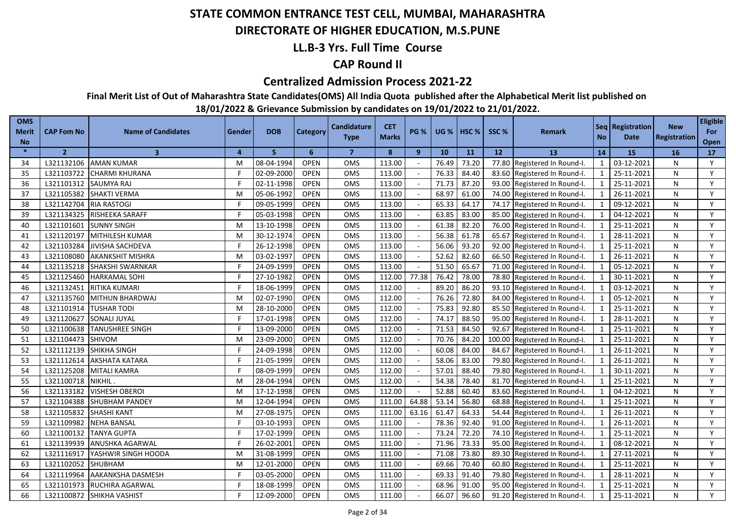#### **DIRECTORATE OF HIGHER EDUCATION, M.S.PUNE**

### **LL.B-3 Yrs. Full Time Course**

### **CAP Round II**

#### **Centralized Admission Process 2021-22**

**Final Merit List of Out of Maharashtra State Candidates(OMS) All India Quota published after the Alphabetical Merit list published on** 

| <b>OMS</b><br><b>Merit</b><br><b>No</b> | <b>CAP Fom No</b> | <b>Name of Candidates</b> | Gender                  | <b>DOB</b> | Category    | <b>Candidature</b><br><b>Type</b> | <b>CET</b><br><b>Marks</b> | <b>PG %</b>    |       | <b>UG %   HSC %</b> | SSC%   | Remark                       | <b>No</b>      | Seq   Registration  <br><b>Date</b> | <b>New</b><br>Registration | <b>Eligible</b><br>For<br>Open |
|-----------------------------------------|-------------------|---------------------------|-------------------------|------------|-------------|-----------------------------------|----------------------------|----------------|-------|---------------------|--------|------------------------------|----------------|-------------------------------------|----------------------------|--------------------------------|
| $\mathbf{x}$                            | $\overline{2}$    | $\overline{\mathbf{3}}$   | $\overline{\mathbf{4}}$ | 5          | 6           | $\overline{7}$                    | 8                          | $\overline{9}$ | 10    | 11                  | 12     | 13                           | 14             | 15                                  | 16                         | 17                             |
| 34                                      | L321132106        | <b>AMAN KUMAR</b>         | м                       | 08-04-1994 | <b>OPEN</b> | <b>OMS</b>                        | 113.00                     |                | 76.49 | 73.20               |        | 77.80 Registered In Round-I. | 1              | 03-12-2021                          | N                          | Y                              |
| 35                                      | L321103722        | <b>CHARMI KHURANA</b>     | F                       | 02-09-2000 | <b>OPEN</b> | OMS                               | 113.00                     |                | 76.33 | 84.40               |        | 83.60 Registered In Round-I. | 1              | 25-11-2021                          | N                          | Y                              |
| 36                                      | L321101312        | <b>SAUMYA RAJ</b>         | F                       | 02-11-1998 | <b>OPEN</b> | OMS                               | 113.00                     |                | 71.73 | 87.20               |        | 93.00 Registered In Round-I. | 1              | 25-11-2021                          | N                          | Y                              |
| 37                                      | L321105382        | <b>SHAKTI VERMA</b>       | м                       | 05-06-1992 | <b>OPEN</b> | <b>OMS</b>                        | 113.00                     |                | 68.97 | 61.00               |        | 74.00 Registered In Round-I. | 1              | 26-11-2021                          | N                          | Y                              |
| 38                                      | L321142704        | <b>RIA RASTOGI</b>        | F                       | 09-05-1999 | <b>OPEN</b> | OMS                               | 113.00                     |                | 65.33 | 64.17               |        | 74.17 Registered In Round-I. | 1              | 09-12-2021                          | N                          | Y                              |
| 39                                      | L321134325        | RISHEEKA SARAFF           | F                       | 05-03-1998 | <b>OPEN</b> | OMS                               | 113.00                     |                | 63.85 | 83.00               |        | 85.00 Registered In Round-I. | $\mathbf{1}$   | 04-12-2021                          | N                          | Y                              |
| 40                                      | L321101601        | <b>SUNNY SINGH</b>        | M                       | 13-10-1998 | <b>OPEN</b> | <b>OMS</b>                        | 113.00                     |                | 61.38 | 82.20               |        | 76.00 Registered In Round-I. | $\mathbf{1}$   | 25-11-2021                          | N                          | Y                              |
| 41                                      | L321120197        | MITHILESH KUMAR           | M                       | 30-12-1974 | <b>OPEN</b> | OMS                               | 113.00                     |                | 56.38 | 61.78               |        | 65.67 Registered In Round-I. | 1              | 28-11-2021                          | N                          | Y                              |
| 42                                      | L321103284        | <b>JIVISHA SACHDEVA</b>   |                         | 26-12-1998 | <b>OPEN</b> | OMS                               | 113.00                     |                | 56.06 | 93.20               |        | 92.00 Registered In Round-I. | $\overline{1}$ | 25-11-2021                          | N                          | Y                              |
| 43                                      | L321108080        | <b>AKANKSHIT MISHRA</b>   | M                       | 03-02-1997 | <b>OPEN</b> | OMS                               | 113.00                     |                | 52.62 | 82.60               |        | 66.50 Registered In Round-I. | $\overline{1}$ | 26-11-2021                          | N                          | Y                              |
| 44                                      | L321135218        | SHAKSHI SWARNKAR          |                         | 24-09-1999 | <b>OPEN</b> | OMS                               | 113.00                     |                | 51.50 | 65.67               |        | 71.00 Registered In Round-I. | $\mathbf{1}$   | 05-12-2021                          | N                          | Y                              |
| 45                                      | L321125460        | <b>HARKAMAL SOHI</b>      |                         | 27-10-1982 | OPEN        | OMS                               | 112.00                     | 77.38          | 76.42 | 78.00               |        | 78.80 Registered In Round-I. | $\mathbf{1}$   | 30-11-2021                          | N                          | Y                              |
| 46                                      | L321132451        | RITIKA KUMARI             |                         | 18-06-1999 | <b>OPEN</b> | OMS                               | 112.00                     |                | 89.20 | 86.20               |        | 93.10 Registered In Round-I. |                | 03-12-2021                          | N                          | Y                              |
| 47                                      | L321135760        | MITHUN BHARDWAJ           | м                       | 02-07-1990 | <b>OPEN</b> | OMS                               | 112.00                     |                | 76.26 | 72.80               | 84.00  | Registered In Round-I.       |                | 05-12-2021                          | N                          | Y                              |
| 48                                      | L321101914        | <b>TUSHAR TODI</b>        | M                       | 28-10-2000 | OPEN        | OMS                               | 112.00                     |                | 75.83 | 92.80               |        | 85.50 Registered In Round-I. |                | 25-11-2021                          | N                          | Y                              |
| 49                                      | L321120627        | <b>SONALI JUYAL</b>       |                         | 17-01-1998 | <b>OPEN</b> | <b>OMS</b>                        | 112.00                     |                | 74.17 | 88.50               | 95.00  | Registered In Round-I.       |                | 28-11-2021                          | N                          | Y                              |
| 50                                      | L321100638        | <b>TANUSHREE SINGH</b>    |                         | 13-09-2000 | <b>OPEN</b> | OMS                               | 112.00                     |                | 71.53 | 84.50               | 92.67  | Registered In Round-I.       |                | 25-11-2021                          | N                          | Y                              |
| 51                                      | L321104473        | <b>SHIVOM</b>             | м                       | 23-09-2000 | <b>OPEN</b> | <b>OMS</b>                        | 112.00                     |                | 70.76 | 84.20               | 100.00 | Registered In Round-I.       |                | 25-11-2021                          | N                          | Y                              |
| 52                                      | L321112139        | <b>SHIKHA SINGH</b>       |                         | 24-09-1998 | <b>OPEN</b> | OMS                               | 112.00                     |                | 60.08 | 84.00               | 84.67  | Registered In Round-I.       |                | 26-11-2021                          | N                          | Y                              |
| 53                                      | L321112614        | AKSHATA KATARA            |                         | 21-05-1999 | <b>OPEN</b> | OMS                               | 112.00                     |                | 58.06 | 83.00               | 79.80  | Registered In Round-I.       |                | 26-11-2021                          | N                          | Y                              |
| 54                                      | L321125208        | <b>MITALI KAMRA</b>       |                         | 08-09-1999 | <b>OPEN</b> | OMS                               | 112.00                     |                | 57.01 | 88.40               | 79.80  | Registered In Round-I.       | $\mathbf{1}$   | 30-11-2021                          | N                          | Y                              |
| 55                                      | L321100718        | NIKHIL.                   | м                       | 28-04-1994 | <b>OPEN</b> | OMS                               | 112.00                     |                | 54.38 | 78.40               | 81.70  | Registered In Round-I.       | $\mathbf{1}$   | 25-11-2021                          | N                          | Y                              |
| 56                                      | L321133182        | <b>VISHESH OBEROI</b>     | M                       | 17-12-1998 | <b>OPEN</b> | OMS                               | 112.00                     |                | 52.88 | 60.40               | 83.60  | Registered In Round-I.       | $\mathbf{1}$   | 04-12-2021                          | N                          | Y                              |
| 57                                      | L321104388        | SHUBHAM PANDEY            | M                       | 12-04-1994 | <b>OPEN</b> | OMS                               | 111.00                     | 64.88          | 53.14 | 56.80               | 68.88  | Registered In Round-I.       |                | 25-11-2021                          | N                          | Y                              |
| 58                                      | L321105832        | <b>SHASHI KANT</b>        | м                       | 27-08-1975 | <b>OPEN</b> | OMS                               | 111.00                     | 63.16          | 61.47 | 64.33               | 54.44  | Registered In Round-I.       | $\mathbf{1}$   | 26-11-2021                          | N                          | Y                              |
| 59                                      | L321109982        | <b>NEHA BANSAL</b>        | F                       | 03-10-1993 | <b>OPEN</b> | OMS                               | 111.00                     |                | 78.36 | 92.40               | 91.00  | Registered In Round-I.       | $\mathbf{1}$   | 26-11-2021                          | N                          | Y                              |
| 60                                      | L321100132        | <b>TANYA GUPTA</b>        |                         | 17-02-1999 | <b>OPEN</b> | OMS                               | 111.00                     |                | 73.24 | 72.20               | 74.10  | Registered In Round-I.       | $\mathbf{1}$   | 25-11-2021                          | N                          | Y                              |
| 61                                      | L321139939        | <b>ANUSHKA AGARWAL</b>    |                         | 26-02-2001 | <b>OPEN</b> | <b>OMS</b>                        | 111.00                     |                | 71.96 | 73.33               | 95.00  | Registered In Round-I.       | $\mathbf{1}$   | 08-12-2021                          | N                          | Y                              |
| 62                                      | L321116917        | YASHWIR SINGH HOODA       | м                       | 31-08-1999 | <b>OPEN</b> | OMS                               | 111.00                     |                | 71.08 | 73.80               | 89.30  | Registered In Round-I.       | $\mathbf{1}$   | 27-11-2021                          | N                          | Y                              |
| 63                                      | L321102052        | SHUBHAM                   | м                       | 12-01-2000 | <b>OPEN</b> | OMS                               | 111.00                     |                | 69.66 | 70.40               | 60.80  | Registered In Round-I.       |                | 25-11-2021                          | N                          | Y                              |
| 64                                      | L321119964        | AAKANKSHA DASMESH         |                         | 03-05-2000 | <b>OPEN</b> | OMS                               | 111.00                     |                | 69.33 | 91.40               | 79.80  | Registered In Round-I.       | $\mathbf{1}$   | 28-11-2021                          | N                          | Y                              |
| 65                                      | L321101973        | <b>RUCHIRA AGARWAL</b>    |                         | 18-08-1999 | <b>OPEN</b> | OMS                               | 111.00                     |                | 68.96 | 91.00               | 95.00  | Registered In Round-I.       |                | 25-11-2021                          | N                          | Y                              |
| 66                                      |                   | L321100872 SHIKHA VASHIST |                         | 12-09-2000 | <b>OPEN</b> | OMS                               | 111.00                     |                | 66.07 | 96.60               |        | 91.20 Registered In Round-I. |                | 25-11-2021                          | N                          | Y                              |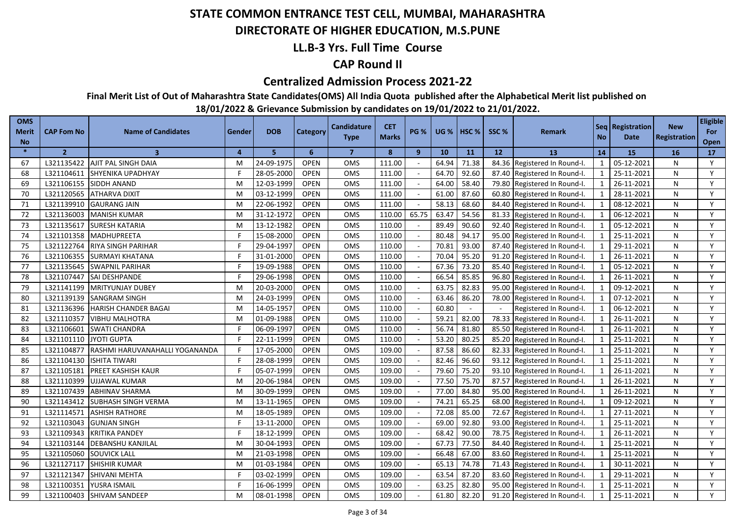#### **DIRECTORATE OF HIGHER EDUCATION, M.S.PUNE**

### **LL.B-3 Yrs. Full Time Course**

### **CAP Round II**

#### **Centralized Admission Process 2021-22**

**Final Merit List of Out of Maharashtra State Candidates(OMS) All India Quota published after the Alphabetical Merit list published on** 

| <b>OMS</b><br><b>Merit</b><br><b>No</b> | <b>CAP Fom No</b> | <b>Name of Candidates</b>      | Gender   | <b>DOB</b> | Category    | <b>Candidature</b><br><b>Type</b> | <b>CET</b><br><b>Marks</b> | <b>PG %</b>  | <b>UG %</b> | HSC <sub>%</sub> | SSC%  | <b>Remark</b>                | <b>No</b>      | Seq   Registration  <br><b>Date</b> | <b>New</b><br><b>Registration</b> | <b>Eligible</b><br>For<br>Open |
|-----------------------------------------|-------------------|--------------------------------|----------|------------|-------------|-----------------------------------|----------------------------|--------------|-------------|------------------|-------|------------------------------|----------------|-------------------------------------|-----------------------------------|--------------------------------|
| $\ast$                                  | $\overline{2}$    | $\overline{\mathbf{3}}$        | $\Delta$ | 5.         | 6           | $\overline{7}$                    | 8                          | $\mathbf{9}$ | 10          | 11               | 12    | <b>13</b>                    | 14             | 15                                  | 16                                | 17                             |
| 67                                      | L321135422        | AJIT PAL SINGH DAIA            | M        | 24-09-1975 | <b>OPEN</b> | OMS                               | 111.00                     |              | 64.94       | 71.38            |       | 84.36 Registered In Round-I. | 1              | 05-12-2021                          | N                                 | Y                              |
| 68                                      | L321104611        | SHYENIKA UPADHYAY              |          | 28-05-2000 | <b>OPEN</b> | OMS                               | 111.00                     |              | 64.70       | 92.60            |       | 87.40 Registered In Round-I. | 1              | 25-11-2021                          | N                                 | Y                              |
| 69                                      | L321106155        | <b>SIDDH ANAND</b>             | M        | 12-03-1999 | <b>OPEN</b> | <b>OMS</b>                        | 111.00                     |              | 64.00       | 58.40            |       | 79.80 Registered In Round-I. | 1              | 26-11-2021                          | N                                 | Y                              |
| 70                                      | L321120565        | <b>ATHARVA DIXIT</b>           | M        | 03-12-1999 | <b>OPEN</b> | OMS                               | 111.00                     |              | 61.00       | 87.60            |       | 60.80 Registered In Round-I. | $\mathbf{1}$   | 28-11-2021                          | N                                 | Y                              |
| 71                                      | L321139910        | <b>GAURANG JAIN</b>            | M        | 22-06-1992 | <b>OPEN</b> | <b>OMS</b>                        | 111.00                     |              | 58.13       | 68.60            |       | 84.40 Registered In Round-I. | $\mathbf{1}$   | 08-12-2021                          | N                                 | Y                              |
| 72                                      | L321136003        | <b>MANISH KUMAR</b>            | M        | 31-12-1972 | <b>OPEN</b> | OMS                               | 110.00                     | 65.75        | 63.47       | 54.56            |       | 81.33 Registered In Round-I. | 1              | 06-12-2021                          | N                                 | Y                              |
| 73                                      | L321135617        | <b>SURESH KATARIA</b>          | M        | 13-12-1982 | <b>OPEN</b> | OMS                               | 110.00                     |              | 89.49       | 90.60            |       | 92.40 Registered In Round-I. | $\mathbf{1}$   | 05-12-2021                          | N                                 | Y                              |
| 74                                      | L321101358        | <b>MADHUPREETA</b>             |          | 15-08-2000 | <b>OPEN</b> | <b>OMS</b>                        | 110.00                     |              | 80.48       | 94.17            |       | 95.00 Registered In Round-I. | $\mathbf{1}$   | 25-11-2021                          | N                                 | Y                              |
| 75                                      | L321122764        | RIYA SINGH PARIHAR             |          | 29-04-1997 | <b>OPEN</b> | OMS                               | 110.00                     |              | 70.81       | 93.00            |       | 87.40 Registered In Round-I. | $\mathbf{1}$   | 29-11-2021                          | N                                 | Y                              |
| 76                                      | L321106355        | <b>SURMAYI KHATANA</b>         |          | 31-01-2000 | <b>OPEN</b> | OMS                               | 110.00                     |              | 70.04       | 95.20            | 91.20 | Registered In Round-I.       | $\mathbf{1}$   | 26-11-2021                          | N                                 | Y                              |
| 77                                      | L321135645        | <b>SWAPNIL PARIHAR</b>         |          | 19-09-1988 | <b>OPEN</b> | <b>OMS</b>                        | 110.00                     |              | 67.36       | 73.20            | 85.40 | Registered In Round-I.       |                | 05-12-2021                          | N                                 | Y                              |
| 78                                      | L321107447        | SAI DESHPANDE                  |          | 29-06-1998 | <b>OPEN</b> | OMS                               | 110.00                     |              | 66.54       | 85.85            | 96.80 | Registered In Round-I.       | $\mathbf{1}$   | 26-11-2021                          | N                                 | Y                              |
| 79                                      | L321141199        | MRITYUNJAY DUBEY               | M        | 20-03-2000 | <b>OPEN</b> | OMS                               | 110.00                     |              | 63.75       | 82.83            | 95.00 | Registered In Round-I.       | $\overline{1}$ | 09-12-2021                          | N                                 | Y                              |
| 80                                      | L321139139        | SANGRAM SINGH                  | M        | 24-03-1999 | <b>OPEN</b> | OMS                               | 110.00                     |              | 63.46       | 86.20            | 78.00 | Registered In Round-I.       | $\mathbf{1}$   | 07-12-2021                          | N                                 | Y                              |
| 81                                      | L321136396        | <b>HARISH CHANDER BAGAI</b>    | M        | 14-05-1957 | <b>OPEN</b> | OMS                               | 110.00                     |              | 60.80       | $\sim$           |       | Registered In Round-I.       | $\mathbf{1}$   | 06-12-2021                          | N                                 | Y                              |
| 82                                      | L321110357        | <b>VIBHU MALHOTRA</b>          | м        | 01-09-1988 | <b>OPEN</b> | OMS                               | 110.00                     |              | 59.21       | 82.00            | 78.33 | Registered In Round-I.       | $\overline{1}$ | 26-11-2021                          | N                                 | Y                              |
| 83                                      | L321106601        | <b>SWATI CHANDRA</b>           |          | 06-09-1997 | <b>OPEN</b> | OMS                               | 110.00                     |              | 56.74       | 81.80            | 85.50 | Registered In Round-I.       | $\mathbf{1}$   | 26-11-2021                          | N                                 | Y                              |
| 84                                      | L321101110        | <b>JYOTI GUPTA</b>             |          | 22-11-1999 | <b>OPEN</b> | <b>OMS</b>                        | 110.00                     |              | 53.20       | 80.25            | 85.20 | Registered In Round-I.       | $\mathbf{1}$   | 25-11-2021                          | N                                 | Y                              |
| 85                                      | L321104877        | RASHMI HARUVANAHALLI YOGANANDA |          | 17-05-2000 | <b>OPEN</b> | OMS                               | 109.00                     |              | 87.58       | 86.60            | 82.33 | Registered In Round-I.       | 1              | 25-11-2021                          | N                                 | Y                              |
| 86                                      | L321104130        | <b>ISHITA TIWARI</b>           |          | 28-08-1999 | <b>OPEN</b> | OMS                               | 109.00                     |              | 82.46       | 96.60            | 93.12 | Registered In Round-I.       | $\mathbf{1}$   | 25-11-2021                          | N                                 | Y                              |
| 87                                      | L321105181        | PREET KASHISH KAUR             |          | 05-07-1999 | <b>OPEN</b> | OMS                               | 109.00                     |              | 79.60       | 75.20            | 93.10 | Registered In Round-I.       | $\mathbf{1}$   | 26-11-2021                          | N                                 | Y                              |
| 88                                      | L321110399        | <b>UJJAWAL KUMAR</b>           | M        | 20-06-1984 | <b>OPEN</b> | OMS                               | 109.00                     |              | 77.50       | 75.70            | 87.57 | Registered In Round-I.       | $\mathbf{1}$   | 26-11-2021                          | N                                 | Y                              |
| 89                                      | L321107439        | <b>ABHINAV SHARMA</b>          | M        | 30-09-1999 | <b>OPEN</b> | OMS                               | 109.00                     |              | 77.00       | 84.80            | 95.00 | Registered In Round-I.       | $\mathbf{1}$   | 26-11-2021                          | N                                 | Y                              |
| 90                                      | L321143412        | SUBHASH SINGH VERMA            | M        | 13-11-1965 | <b>OPEN</b> | <b>OMS</b>                        | 109.00                     |              | 74.21       | 65.25            | 68.00 | Registered In Round-I.       |                | 09-12-2021                          | N                                 | Y                              |
| 91                                      | L321114571        | <b>ASHISH RATHORE</b>          | M        | 18-05-1989 | <b>OPEN</b> | OMS                               | 109.00                     |              | 72.08       | 85.00            | 72.67 | Registered In Round-I.       | $\mathbf{1}$   | 27-11-2021                          | N                                 | Y                              |
| 92                                      | L321103043        | <b>GUNJAN SINGH</b>            |          | 13-11-2000 | <b>OPEN</b> | OMS                               | 109.00                     |              | 69.00       | 92.80            | 93.00 | Registered In Round-I.       | $\mathbf{1}$   | 25-11-2021                          | N                                 | Y                              |
| 93                                      | L321109343        | <b>KRITIKA PANDEY</b>          |          | 18-12-1999 | <b>OPEN</b> | <b>OMS</b>                        | 109.00                     |              | 68.42       | 90.00            | 78.75 | Registered In Round-I.       | $\mathbf{1}$   | 26-11-2021                          | N                                 | Y                              |
| 94                                      | L321103144        | DEBANSHU KANJILAL              | M        | 30-04-1993 | <b>OPEN</b> | OMS                               | 109.00                     |              | 67.73       | 77.50            | 84.40 | Registered In Round-I.       | $\mathbf{1}$   | 25-11-2021                          | N                                 | Y                              |
| 95                                      | L321105060        | <b>SOUVICK LALL</b>            | M        | 21-03-1998 | <b>OPEN</b> | <b>OMS</b>                        | 109.00                     |              | 66.48       | 67.00            | 83.60 | Registered In Round-I.       | $\mathbf{1}$   | 25-11-2021                          | N                                 | Y                              |
| 96                                      | L321127117        | SHISHIR KUMAR                  | м        | 01-03-1984 | <b>OPEN</b> | OMS                               | 109.00                     |              | 65.13       | 74.78            | 71.43 | Registered In Round-I.       | $\mathbf 1$    | 30-11-2021                          | N                                 | Y                              |
| 97                                      | L321121347        | SHIVANI MEHTA                  |          | 03-02-1999 | <b>OPEN</b> | OMS                               | 109.00                     |              | 63.54       | 87.20            | 83.60 | Registered In Round-I.       | $\mathbf{1}$   | 29-11-2021                          | N                                 | Y                              |
| 98                                      | L321100351        | YUSRA ISMAIL                   |          | 16-06-1999 | <b>OPEN</b> | OMS                               | 109.00                     |              | 63.25       | 82.80            | 95.00 | Registered In Round-I.       | $\mathbf{1}$   | 25-11-2021                          | N                                 | Y                              |
| 99                                      | L321100403        | <b>SHIVAM SANDEEP</b>          | М        | 08-01-1998 | <b>OPEN</b> | OMS                               | 109.00                     |              | 61.80       | 82.20            |       | 91.20 Registered In Round-I. |                | 25-11-2021                          | N                                 | Y                              |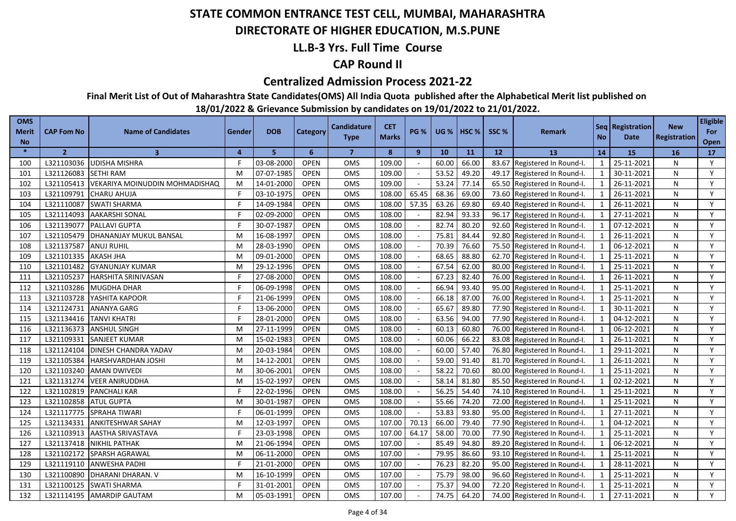### **DIRECTORATE OF HIGHER EDUCATION, M.S.PUNE**

### **LL.B-3 Yrs. Full Time Course**

### **CAP Round II**

#### **Centralized Admission Process 2021-22**

**Final Merit List of Out of Maharashtra State Candidates(OMS) All India Quota published after the Alphabetical Merit list published on** 

| <b>OMS</b><br><b>Merit</b><br><b>No</b> | <b>CAP Fom No</b> | <b>Name of Candidates</b>      | Gender | <b>DOB</b> | Category    | <b>Candidature</b><br><b>Type</b> | <b>CET</b><br><b>Marks</b> | <b>PG %</b> | <b>UG %</b> | <b>HSC</b> % | SSC%  | <b>Remark</b>                | <b>No</b>    | Seq   Registration  <br><b>Date</b> | <b>New</b><br>Registration | <b>Eligible</b><br>For<br>Open |
|-----------------------------------------|-------------------|--------------------------------|--------|------------|-------------|-----------------------------------|----------------------------|-------------|-------------|--------------|-------|------------------------------|--------------|-------------------------------------|----------------------------|--------------------------------|
| $\ast$                                  | $\overline{2}$    | $\overline{3}$                 | 4      | 5          | 6           | $\overline{7}$                    | 8                          | 9           | 10          | 11           | 12    | <b>13</b>                    | 14           | 15                                  | <b>16</b>                  | 17                             |
| 100                                     | L321103036        | <b>UDISHA MISHRA</b>           |        | 03-08-2000 | <b>OPEN</b> | OMS                               | 109.00                     |             | 60.00       | 66.00        | 83.67 | Registered In Round-I.       | 1            | 25-11-2021                          | N                          | Y                              |
| 101                                     | L321126083        | <b>SETHI RAM</b>               | M      | 07-07-1985 | OPEN        | <b>OMS</b>                        | 109.00                     |             | 53.52       | 49.20        |       | 49.17 Registered In Round-I. | 1            | 30-11-2021                          | N                          | Y                              |
| 102                                     | L321105413        | VEKARIYA MOINUDDIN MOHMADISHAQ | M      | 14-01-2000 | <b>OPEN</b> | <b>OMS</b>                        | 109.00                     | $\sim$      | 53.24       | 77.14        |       | 65.50 Registered In Round-I. | 1            | 26-11-2021                          | N                          | Y                              |
| 103                                     | L321109791        | <b>CHARU AHUJA</b>             | F      | 03-10-1975 | <b>OPEN</b> | OMS                               | 108.00                     | 65.45       | 68.36       | 69.00        |       | 73.60 Registered In Round-I. | $\mathbf{1}$ | 26-11-2021                          | N                          | Y                              |
| 104                                     | L321110087        | <b>SWATI SHARMA</b>            |        | 14-09-1984 | <b>OPEN</b> | <b>OMS</b>                        | 108.00                     | 57.35       | 63.26       | 69.80        |       | 69.40 Registered In Round-I. | 1            | 26-11-2021                          | N                          | Y                              |
| 105                                     | L321114093        | <b>AAKARSHI SONAL</b>          |        | 02-09-2000 | <b>OPEN</b> | OMS                               | 108.00                     |             | 82.94       | 93.33        |       | 96.17 Registered In Round-I. | 1            | 27-11-2021                          | N                          | Y                              |
| 106                                     | L321139077        | <b>PALLAVI GUPTA</b>           |        | 30-07-1987 | <b>OPEN</b> | OMS                               | 108.00                     |             | 82.74       | 80.20        |       | 92.60 Registered In Round-I. | 1            | 07-12-2021                          | N                          | Y                              |
| 107                                     | L321105479        | DHANANJAY MUKUL BANSAL         | M      | 16-08-1997 | <b>OPEN</b> | <b>OMS</b>                        | 108.00                     |             | 75.81       | 84.44        |       | 92.80 Registered In Round-I. | 1            | 26-11-2021                          | N                          | Y                              |
| 108                                     | L321137587        | <b>ANUJ RUHIL</b>              | M      | 28-03-1990 | <b>OPEN</b> | OMS                               | 108.00                     |             | 70.39       | 76.60        |       | 75.50 Registered In Round-I. | $\mathbf{1}$ | 06-12-2021                          | N                          | Y                              |
| 109                                     | L321101335        | <b>AKASH JHA</b>               | M      | 09-01-2000 | <b>OPEN</b> | OMS                               | 108.00                     |             | 68.65       | 88.80        | 62.70 | Registered In Round-I.       | $\mathbf{1}$ | 25-11-2021                          | N                          | Y                              |
| 110                                     | L321101482        | <b>GYANUNJAY KUMAR</b>         | M      | 29-12-1996 | <b>OPEN</b> | <b>OMS</b>                        | 108.00                     |             | 67.54       | 62.00        | 80.00 | Registered In Round-I.       | $\mathbf{1}$ | 25-11-2021                          | N                          | Y                              |
| 111                                     | L321105237        | <b>HARSHITA SRINIVASAN</b>     |        | 27-08-2000 | <b>OPEN</b> | OMS                               | 108.00                     |             | 67.23       | 82.40        | 76.00 | Registered In Round-I.       | $\mathbf{1}$ | 26-11-2021                          | N                          | Y                              |
| 112                                     | L321103286        | <b>MUGDHA DHAR</b>             |        | 06-09-1998 | <b>OPEN</b> | <b>OMS</b>                        | 108.00                     |             | 66.94       | 93.40        | 95.00 | Registered In Round-I.       | $\mathbf{1}$ | 25-11-2021                          | N                          | Y                              |
| 113                                     | L321103728        | YASHITA KAPOOR                 |        | 21-06-1999 | <b>OPEN</b> | OMS                               | 108.00                     |             | 66.18       | 87.00        | 76.00 | Registered In Round-I.       | 1            | 25-11-2021                          | N                          | Y                              |
| 114                                     | L321124731        | <b>ANANYA GARG</b>             |        | 13-06-2000 | <b>OPEN</b> | OMS                               | 108.00                     |             | 65.67       | 89.80        | 77.90 | Registered In Round-I.       | $\mathbf{1}$ | 30-11-2021                          | N                          | Y                              |
| 115                                     | L321134416        | <b>TANVI KHATRI</b>            |        | 28-01-2000 | <b>OPEN</b> | <b>OMS</b>                        | 108.00                     |             | 63.56       | 94.00        | 77.90 | Registered In Round-I.       | $\mathbf{1}$ | 04-12-2021                          | N                          | Y                              |
| 116                                     | L321136373        | <b>ANSHUL SINGH</b>            | M      | 27-11-1999 | <b>OPEN</b> | OMS                               | 108.00                     |             | 60.13       | 60.80        | 76.00 | Registered In Round-I.       | $\mathbf{1}$ | 06-12-2021                          | N                          | Y                              |
| 117                                     | L321109331        | <b>SANJEET KUMAR</b>           | M      | 15-02-1983 | <b>OPEN</b> | OMS                               | 108.00                     |             | 60.06       | 66.22        |       | 83.08 Registered In Round-I. | $\mathbf{1}$ | 26-11-2021                          | N                          | Y                              |
| 118                                     | L321124104        | DINESH CHANDRA YADAV           | M      | 20-03-1984 | <b>OPEN</b> | <b>OMS</b>                        | 108.00                     |             | 60.00       | 57.40        | 76.80 | Registered In Round-I.       | $\mathbf{1}$ | 29-11-2021                          | N                          | Y                              |
| 119                                     | L321105384        | HARSHVARDHAN JOSHI             | M      | 14-12-2001 | <b>OPEN</b> | OMS                               | 108.00                     |             | 59.00       | 91.40        | 81.70 | Registered In Round-I.       | $\mathbf{1}$ | 26-11-2021                          | N                          | Y                              |
| 120                                     | L321103240        | <b>AMAN DWIVEDI</b>            | M      | 30-06-2001 | <b>OPEN</b> | OMS                               | 108.00                     |             | 58.22       | 70.60        | 80.00 | Registered In Round-I.       | 1            | 25-11-2021                          | N                          | Y                              |
| 121                                     | L321131274        | <b>VEER ANIRUDDHA</b>          | M      | 15-02-1997 | <b>OPEN</b> | OMS                               | 108.00                     |             | 58.14       | 81.80        | 85.50 | Registered In Round-I.       | 1            | 02-12-2021                          | N                          | Y                              |
| 122                                     | L321102819        | <b>PANCHALI KAR</b>            |        | 22-02-1996 | <b>OPEN</b> | OMS                               | 108.00                     |             | 56.25       | 54.40        | 74.10 | Registered In Round-I.       | $\mathbf{1}$ | 25-11-2021                          | N                          | Y                              |
| 123                                     | L321102858        | <b>ATUL GUPTA</b>              | M      | 30-01-1987 | <b>OPEN</b> | <b>OMS</b>                        | 108.00                     | $\sim$      | 55.66       | 74.20        | 72.00 | Registered In Round-I.       | 1            | 25-11-2021                          | N                          | Y                              |
| 124                                     | L321117775        | SPRAHA TIWARI                  |        | 06-01-1999 | <b>OPEN</b> | OMS                               | 108.00                     |             | 53.83       | 93.80        | 95.00 | Registered In Round-I.       | $\mathbf{1}$ | 27-11-2021                          | N                          | Y                              |
| 125                                     | L321134331        | <b>ANKITESHWAR SAHAY</b>       | M      | 12-03-1997 | <b>OPEN</b> | OMS                               | 107.00                     | 70.13       | 66.00       | 79.40        | 77.90 | Registered In Round-I.       | $\mathbf{1}$ | 04-12-2021                          | N                          | Y                              |
| 126                                     | L321103913        | <b>AASTHA SRIVASTAVA</b>       |        | 23-03-1998 | <b>OPEN</b> | <b>OMS</b>                        | 107.00                     | 64.17       | 58.00       | 70.00        | 77.90 | Registered In Round-I.       | $\mathbf{1}$ | 25-11-2021                          | N                          | Y                              |
| 127                                     | L321137418        | <b>NIKHIL PATHAK</b>           | M      | 21-06-1994 | <b>OPEN</b> | OMS                               | 107.00                     |             | 85.49       | 94.80        | 89.20 | Registered In Round-I.       | $\mathbf{1}$ | 06-12-2021                          | N                          | Y                              |
| 128                                     | L321102172        | SPARSH AGRAWAL                 | M      | 06-11-2000 | <b>OPEN</b> | <b>OMS</b>                        | 107.00                     |             | 79.95       | 86.60        | 93.10 | Registered In Round-I.       | 1            | 25-11-2021                          | N                          | Y                              |
| 129                                     | L321119110        | <b>ANWESHA PADHI</b>           |        | 21-01-2000 | <b>OPEN</b> | OMS                               | 107.00                     |             | 76.23       | 82.20        | 95.00 | Registered In Round-I.       | $\mathbf{1}$ | 28-11-2021                          | N                          | Y                              |
| 130                                     | L321100890        | DHARANI DHARAN. V              | M      | 16-10-1999 | <b>OPEN</b> | OMS                               | 107.00                     |             | 75.79       | 98.00        | 96.60 | Registered In Round-I.       | 1            | 25-11-2021                          | N                          | Y                              |
| 131                                     | L321100125        | <b>SWATI SHARMA</b>            |        | 31-01-2001 | <b>OPEN</b> | OMS                               | 107.00                     |             | 75.37       | 94.00        | 72.20 | Registered In Round-I.       | 1            | 25-11-2021                          | N                          | Y                              |
| 132                                     | L321114195        | <b>AMARDIP GAUTAM</b>          | м      | 05-03-1991 | <b>OPEN</b> | OMS                               | 107.00                     |             | 74.75       | 64.20        |       | 74.00 Registered In Round-I. | 1            | 27-11-2021                          | N                          | Y                              |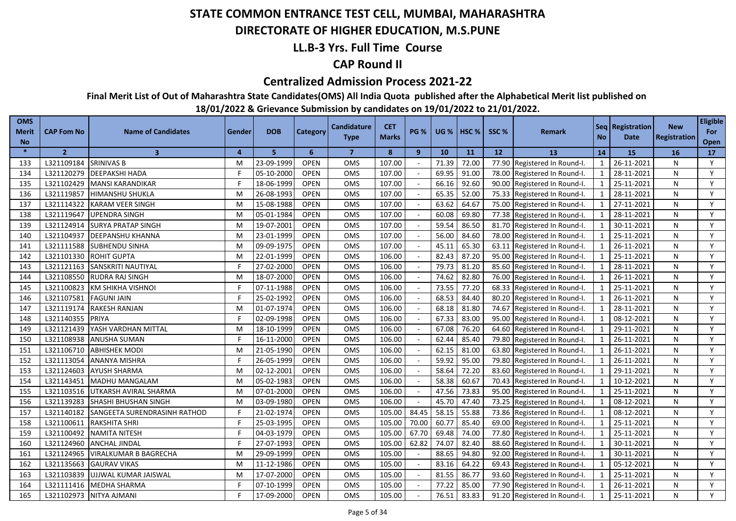### **DIRECTORATE OF HIGHER EDUCATION, M.S.PUNE**

### **LL.B-3 Yrs. Full Time Course**

### **CAP Round II**

#### **Centralized Admission Process 2021-22**

**Final Merit List of Out of Maharashtra State Candidates(OMS) All India Quota published after the Alphabetical Merit list published on** 

| <b>OMS</b><br><b>Merit</b><br><b>No</b> | <b>CAP Fom No</b> | <b>Name of Candidates</b>    | Gender | <b>DOB</b> | Category    | <b>Candidature</b><br><b>Type</b> | <b>CET</b><br><b>Marks</b> | <b>PG %</b> | <b>UG %</b> | $ $ HSC % | SSC%  | <b>Remark</b>          | <b>No</b>               | Seq   Registration<br>Date | <b>New</b><br><b>Registration</b> | <b>Eligible</b><br>For<br>Open |
|-----------------------------------------|-------------------|------------------------------|--------|------------|-------------|-----------------------------------|----------------------------|-------------|-------------|-----------|-------|------------------------|-------------------------|----------------------------|-----------------------------------|--------------------------------|
| $\frac{1}{2}$                           | $\overline{2}$    | $\overline{\mathbf{3}}$      | 4      | 5          | 6           | $\overline{7}$                    | 8                          | 9           | 10          | 11        | 12    | 13                     | 14                      | 15                         | 16                                | 17                             |
| 133                                     | L321109184        | <b>SRINIVAS B</b>            | M      | 23-09-1999 | <b>OPEN</b> | <b>OMS</b>                        | 107.00                     |             | 71.39       | 72.00     | 77.90 | Registered In Round-I. | $\mathbf{1}$            | 26-11-2021                 | N                                 | Y                              |
| 134                                     | L321120279        | <b>DEEPAKSHI HADA</b>        | F      | 05-10-2000 | <b>OPEN</b> | <b>OMS</b>                        | 107.00                     |             | 69.95       | 91.00     | 78.00 | Registered In Round-I. | 1                       | 28-11-2021                 | N                                 | Y                              |
| 135                                     | L321102429        | <b>MANSI KARANDIKAR</b>      | F      | 18-06-1999 | <b>OPEN</b> | OMS                               | 107.00                     |             | 66.16       | 92.60     | 90.00 | Registered In Round-I. | 1                       | 25-11-2021                 | N                                 | Y                              |
| 136                                     | L321119857        | <b>HIMANSHU SHUKLA</b>       | M      | 26-08-1993 | <b>OPEN</b> | <b>OMS</b>                        | 107.00                     |             | 65.35       | 52.00     | 75.33 | Registered In Round-I. | $\mathbf{1}$            | 28-11-2021                 | N                                 | Y                              |
| 137                                     | L321114322        | <b>KARAM VEER SINGH</b>      | M      | 15-08-1988 | <b>OPEN</b> | <b>OMS</b>                        | 107.00                     |             | 63.62       | 64.67     | 75.00 | Registered In Round-I. | 1                       | 27-11-2021                 | N                                 | Y                              |
| 138                                     | L321119647        | UPENDRA SINGH                | M      | 05-01-1984 | <b>OPEN</b> | <b>OMS</b>                        | 107.00                     |             | 60.08       | 69.80     | 77.38 | Registered In Round-I. | $\mathbf{1}$            | 28-11-2021                 | N                                 | Y                              |
| 139                                     | L321124914        | <b>SURYA PRATAP SINGH</b>    | M      | 19-07-2001 | <b>OPEN</b> | <b>OMS</b>                        | 107.00                     |             | 59.54       | 86.50     | 81.70 | Registered In Round-I. | $\mathbf{1}$            | 30-11-2021                 | N                                 | Y                              |
| 140                                     | L321104937        | <b>DEEPANSHU KHANNA</b>      | M      | 23-01-1999 | <b>OPEN</b> | <b>OMS</b>                        | 107.00                     |             | 56.00       | 84.60     | 78.00 | Registered In Round-I. | $\mathbf{1}$            | 25-11-2021                 | N                                 | Y                              |
| 141                                     | L321111588        | <b>SUBHENDU SINHA</b>        | M      | 09-09-1975 | <b>OPEN</b> | <b>OMS</b>                        | 107.00                     |             | 45.11       | 65.30     | 63.11 | Registered In Round-I. | $\mathbf{1}$            | 26-11-2021                 | N                                 | Y                              |
| 142                                     | L321101330        | <b>ROHIT GUPTA</b>           | M      | 22-01-1999 | <b>OPEN</b> | OMS                               | 106.00                     |             | 82.43       | 87.20     | 95.00 | Registered In Round-I. | $\mathbf{1}$            | 25-11-2021                 | N                                 | Y                              |
| 143                                     | L321121163        | SANSKRITI NAUTIYAL           |        | 27-02-2000 | <b>OPEN</b> | OMS                               | 106.00                     |             | 79.73       | 81.20     | 85.60 | Registered In Round-I. | $\overline{1}$          | 28-11-2021                 | N                                 | Y                              |
| 144                                     | L321108550        | <b>RUDRA RAJ SINGH</b>       | M      | 18-07-2000 | <b>OPEN</b> | <b>OMS</b>                        | 106.00                     |             | 74.62       | 82.80     | 76.00 | Registered In Round-I. | $\overline{1}$          | 26-11-2021                 | N                                 | Y                              |
| 145                                     | L321100823        | <b>KM SHIKHA VISHNOI</b>     |        | 07-11-1988 | <b>OPEN</b> | <b>OMS</b>                        | 106.00                     |             | 73.55       | 77.20     | 68.33 | Registered In Round-I. | $\overline{\mathbf{1}}$ | 25-11-2021                 | N                                 | Y                              |
| 146                                     | L321107581        | <b>FAGUNI JAIN</b>           |        | 25-02-1992 | <b>OPEN</b> | OMS                               | 106.00                     |             | 68.53       | 84.40     | 80.20 | Registered In Round-I. | $\overline{1}$          | 26-11-2021                 | N                                 | Y                              |
| 147                                     | L321119174        | <b>RAKESH RANJAN</b>         | M      | 01-07-1974 | <b>OPEN</b> | <b>OMS</b>                        | 106.00                     |             | 68.18       | 81.80     | 74.67 | Registered In Round-I. | $\overline{1}$          | 28-11-2021                 | N                                 | Y                              |
| 148                                     | L321140355        | PRIYA                        |        | 02-09-1998 | <b>OPEN</b> | <b>OMS</b>                        | 106.00                     |             | 67.33       | 83.00     | 95.00 | Registered In Round-I. | $\overline{1}$          | 08-12-2021                 | N                                 | Y                              |
| 149                                     | L321121439        | YASH VARDHAN MITTAL          | м      | 18-10-1999 | <b>OPEN</b> | <b>OMS</b>                        | 106.00                     |             | 67.08       | 76.20     | 64.60 | Registered In Round-I. | $\overline{1}$          | 29-11-2021                 | N                                 | Y                              |
| 150                                     | L321108938        | ANUSHA SUMAN                 | F.     | 16-11-2000 | <b>OPEN</b> | OMS                               | 106.00                     |             | 62.44       | 85.40     | 79.80 | Registered In Round-I. | $\mathbf{1}$            | 26-11-2021                 | N                                 | Y                              |
| 151                                     | L321106710        | <b>ABHISHEK MODI</b>         | M      | 21-05-1990 | <b>OPEN</b> | OMS                               | 106.00                     |             | 62.15       | 81.00     | 63.80 | Registered In Round-I. | $\mathbf{1}$            | 26-11-2021                 | N                                 | Y                              |
| 152                                     | L321113054        | ANANYA MISHRA                |        | 26-05-1999 | <b>OPEN</b> | OMS                               | 106.00                     |             | 59.92       | 95.00     | 79.80 | Registered In Round-I. | $\overline{1}$          | 26-11-2021                 | N                                 | Y                              |
| 153                                     | L321124603        | <b>AYUSH SHARMA</b>          | M      | 02-12-2001 | <b>OPEN</b> | OMS                               | 106.00                     |             | 58.64       | 72.20     | 83.60 | Registered In Round-I. | $\mathbf{1}$            | 29-11-2021                 | N                                 | Y                              |
| 154                                     | L321143451        | MADHU MANGALAM               | M      | 05-02-1983 | <b>OPEN</b> | OMS                               | 106.00                     |             | 58.38       | 60.67     | 70.43 | Registered In Round-I. | $\mathbf{1}$            | 10-12-2021                 | N                                 | Y                              |
| 155                                     | L321103516        | UTKARSH AVIRAL SHARMA        | M      | 07-01-2000 | <b>OPEN</b> | <b>OMS</b>                        | 106.00                     |             | 47.56       | 73.83     | 95.00 | Registered In Round-I. | $\mathbf{1}$            | 25-11-2021                 | N                                 | Y                              |
| 156                                     | L321139283        | SHASHI BHUSHAN SINGH         | M      | 03-09-1980 | <b>OPEN</b> | <b>OMS</b>                        | 106.00                     |             | 45.70       | 47.40     | 73.25 | Registered In Round-I. | $\overline{1}$          | 08-12-2021                 | N                                 | Y                              |
| 157                                     | L321140182        | SANGEETA SURENDRASINH RATHOD |        | 21-02-1974 | <b>OPEN</b> | OMS                               | 105.00                     | 84.45       | 58.15       | 55.88     | 73.86 | Registered In Round-I. | $\mathbf{1}$            | 08-12-2021                 | N                                 | Y                              |
| 158                                     | L321100611        | <b>RAKSHITA SHRI</b>         | Е      | 25-03-1995 | <b>OPEN</b> | <b>OMS</b>                        | 105.00                     | 70.00       | 60.77       | 85.40     | 69.00 | Registered In Round-I. | $\overline{1}$          | 25-11-2021                 | N                                 | Y                              |
| 159                                     | L321100492        | NAMITA NITESH                |        | 04-03-1979 | <b>OPEN</b> | <b>OMS</b>                        | 105.00                     | 67.70       | 69.48       | 74.00     | 77.80 | Registered In Round-I. | $\overline{1}$          | 25-11-2021                 | N                                 | Y                              |
| 160                                     | L321124960        | <b>ANCHAL JINDAL</b>         |        | 27-07-1993 | <b>OPEN</b> | <b>OMS</b>                        | 105.00                     | 62.82       | 74.07       | 82.40     | 88.60 | Registered In Round-I. | $\overline{\mathbf{1}}$ | 30-11-2021                 | N                                 | Y                              |
| 161                                     | L321124965        | VIRALKUMAR B BAGRECHA        | M      | 29-09-1999 | <b>OPEN</b> | OMS                               | 105.00                     |             | 88.65       | 94.80     | 92.00 | Registered In Round-I. | $\overline{1}$          | 30-11-2021                 | N                                 | Y                              |
| 162                                     | L321135663        | <b>GAURAV VIKAS</b>          | M      | 11-12-1986 | <b>OPEN</b> | OMS                               | 105.00                     |             | 83.16       | 64.22     | 69.43 | Registered In Round-I. | $\overline{1}$          | 05-12-2021                 | N                                 | Y                              |
| 163                                     | L321103839        | UJJWAL KUMAR JAISWAL         | м      | 17-07-2000 | <b>OPEN</b> | OMS                               | 105.00                     |             | 81.55       | 86.77     | 93.60 | Registered In Round-I. | $\overline{1}$          | 25-11-2021                 | N                                 | Y                              |
| 164                                     | L321111416        | <b>MEDHA SHARMA</b>          |        | 07-10-1999 | <b>OPEN</b> | OMS                               | 105.00                     |             | 77.22       | 85.00     | 77.90 | Registered In Round-I. | $\overline{\mathbf{1}}$ | 26-11-2021                 | N                                 | Y                              |
| 165                                     |                   | L321102973 NITYA AJMANI      |        | 17-09-2000 | <b>OPEN</b> | <b>OMS</b>                        | 105.00                     |             | 76.51       | 83.83     | 91.20 | Registered In Round-I. | $\overline{1}$          | 25-11-2021                 | N                                 | Y                              |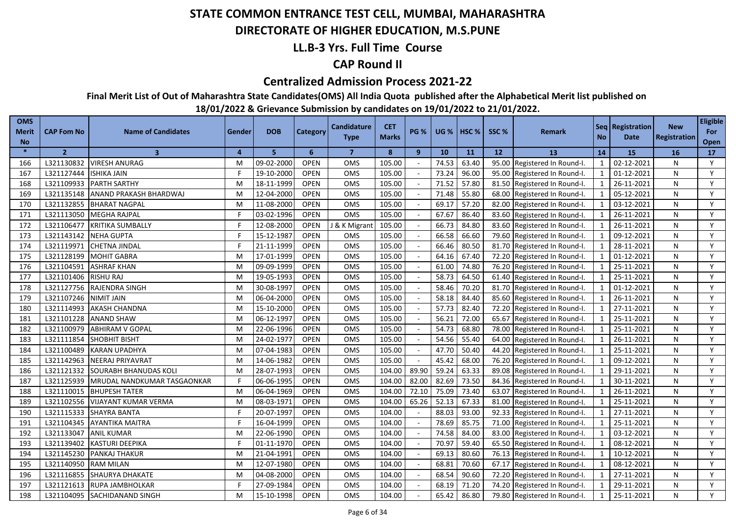### **DIRECTORATE OF HIGHER EDUCATION, M.S.PUNE**

### **LL.B-3 Yrs. Full Time Course**

### **CAP Round II**

#### **Centralized Admission Process 2021-22**

**Final Merit List of Out of Maharashtra State Candidates(OMS) All India Quota published after the Alphabetical Merit list published on** 

| <b>OMS</b><br><b>Merit</b><br><b>No</b> | <b>CAP Fom No</b> | <b>Name of Candidates</b>   | Gender | <b>DOB</b> | Category    | <b>Candidature</b><br><b>Type</b> | <b>CET</b><br><b>Marks</b> | <b>PG %</b> | <b>UG %</b> | $ $ HSC % | SSC % | <b>Remark</b>          | <b>No</b>                | Seq   Registration<br>Date | <b>New</b><br><b>Registration</b> | <b>Eligible</b><br>For<br>Open |
|-----------------------------------------|-------------------|-----------------------------|--------|------------|-------------|-----------------------------------|----------------------------|-------------|-------------|-----------|-------|------------------------|--------------------------|----------------------------|-----------------------------------|--------------------------------|
| $\frac{1}{2}$                           | $\overline{2}$    | $\overline{\mathbf{3}}$     | 4      | 5          | 6           | $\overline{7}$                    | 8                          | 9           | 10          | 11        | 12    | 13                     | 14                       | 15                         | 16                                | 17                             |
| 166                                     | L321130832        | VIRESH ANURAG               | M      | 09-02-2000 | <b>OPEN</b> | <b>OMS</b>                        | 105.00                     |             | 74.53       | 63.40     | 95.00 | Registered In Round-I. | $\mathbf{1}$             | 02-12-2021                 | N                                 | Y                              |
| 167                                     | L321127444        | <b>ISHIKA JAIN</b>          | F.     | 19-10-2000 | <b>OPEN</b> | <b>OMS</b>                        | 105.00                     |             | 73.24       | 96.00     | 95.00 | Registered In Round-I. | 1                        | 01-12-2021                 | N                                 | Y                              |
| 168                                     | L321109933        | <b>PARTH SARTHY</b>         | M      | 18-11-1999 | <b>OPEN</b> | OMS                               | 105.00                     |             | 71.52       | 57.80     | 81.50 | Registered In Round-I. | 1                        | 26-11-2021                 | N                                 | Y                              |
| 169                                     | L321135148        | ANAND PRAKASH BHARDWAJ      | M      | 12-04-2000 | <b>OPEN</b> | OMS                               | 105.00                     |             | 71.48       | 55.80     | 68.00 | Registered In Round-I. | $\mathbf{1}$             | 05-12-2021                 | N                                 | Y                              |
| 170                                     | L321132855        | <b>BHARAT NAGPAL</b>        | M      | 11-08-2000 | <b>OPEN</b> | <b>OMS</b>                        | 105.00                     |             | 69.17       | 57.20     | 82.00 | Registered In Round-I. | 1                        | 03-12-2021                 | N                                 | Y                              |
| 171                                     | L321113050        | <b>MEGHA RAJPAL</b>         | F      | 03-02-1996 | <b>OPEN</b> | <b>OMS</b>                        | 105.00                     |             | 67.67       | 86.40     | 83.60 | Registered In Round-I. | $\mathbf{1}$             | 26-11-2021                 | N                                 | Y                              |
| 172                                     | L321106477        | <b>KRITIKA SUMBALLY</b>     | F      | 12-08-2000 | <b>OPEN</b> | J & K Migrant                     | 105.00                     |             | 66.73       | 84.80     | 83.60 | Registered In Round-I. | $\mathbf{1}$             | 26-11-2021                 | N                                 | Y                              |
| 173                                     | L321143142        | <b>NEHA GUPTA</b>           | F      | 15-12-1987 | <b>OPEN</b> | <b>OMS</b>                        | 105.00                     |             | 66.58       | 66.60     | 79.60 | Registered In Round-I. | $\mathbf{1}$             | 09-12-2021                 | N                                 | Y                              |
| 174                                     | L321119971        | <b>CHETNA JINDAL</b>        | F      | 21-11-1999 | <b>OPEN</b> | OMS                               | 105.00                     |             | 66.46       | 80.50     | 81.70 | Registered In Round-I. | $\mathbf{1}$             | 28-11-2021                 | N                                 | Y                              |
| 175                                     | L321128199        | <b>MOHIT GABRA</b>          | M      | 17-01-1999 | <b>OPEN</b> | OMS                               | 105.00                     |             | 64.16       | 67.40     | 72.20 | Registered In Round-I. | $\mathbf{1}$             | 01-12-2021                 | N                                 | Y                              |
| 176                                     | L321104591        | <b>ASHRAF KHAN</b>          | M      | 09-09-1999 | <b>OPEN</b> | OMS                               | 105.00                     |             | 61.00       | 74.80     | 76.20 | Registered In Round-I. | $\overline{1}$           | 25-11-2021                 | N                                 | Y                              |
| 177                                     | L321101406        | <b>RISHU RAJ</b>            | M      | 19-05-1993 | <b>OPEN</b> | <b>OMS</b>                        | 105.00                     |             | 58.73       | 64.50     | 61.40 | Registered In Round-I. | $\overline{1}$           | 25-11-2021                 | N                                 | Y                              |
| 178                                     | L321127756        | <b>RAJENDRA SINGH</b>       | м      | 30-08-1997 | <b>OPEN</b> | <b>OMS</b>                        | 105.00                     |             | 58.46       | 70.20     | 81.70 | Registered In Round-I. | $\overline{\phantom{0}}$ | 01-12-2021                 | N                                 | Y                              |
| 179                                     | L321107246        | <b>NIMIT JAIN</b>           | M      | 06-04-2000 | <b>OPEN</b> | OMS                               | 105.00                     |             | 58.18       | 84.40     | 85.60 | Registered In Round-I. | $\overline{1}$           | 26-11-2021                 | N                                 | Y                              |
| 180                                     | L321114993        | <b>AKASH CHANDNA</b>        | M      | 15-10-2000 | <b>OPEN</b> | OMS                               | 105.00                     |             | 57.73       | 82.40     | 72.20 | Registered In Round-I. | $\overline{1}$           | 27-11-2021                 | N                                 | Y                              |
| 181                                     | L321101228        | <b>ANAND SHAW</b>           | M      | 06-12-1997 | <b>OPEN</b> | <b>OMS</b>                        | 105.00                     |             | 56.21       | 72.00     | 65.67 | Registered In Round-I. | $\overline{1}$           | 25-11-2021                 | N                                 | Y                              |
| 182                                     | L321100979        | <b>ABHIRAM V GOPAL</b>      | м      | 22-06-1996 | <b>OPEN</b> | <b>OMS</b>                        | 105.00                     |             | 54.73       | 68.80     | 78.00 | Registered In Round-I. | $\overline{1}$           | 25-11-2021                 | N                                 | Y                              |
| 183                                     | L321111854        | <b>SHOBHIT BISHT</b>        | M      | 24-02-1977 | <b>OPEN</b> | OMS                               | 105.00                     |             | 54.56       | 55.40     | 64.00 | Registered In Round-I. | $\mathbf{1}$             | 26-11-2021                 | N                                 | Y                              |
| 184                                     | L321100489        | <b>KARAN UPADHYA</b>        | M      | 07-04-1983 | <b>OPEN</b> | OMS                               | 105.00                     |             | 47.70       | 50.40     | 44.20 | Registered In Round-I. | $\mathbf{1}$             | 25-11-2021                 | N                                 | Y                              |
| 185                                     | L321142963        | NEERAJ PRIYAVRAT            | M      | 14-06-1982 | OPEN        | OMS                               | 105.00                     |             | 45.42       | 68.00     | 76.20 | Registered In Round-I. | $\overline{1}$           | 09-12-2021                 | N                                 | Y                              |
| 186                                     | L321121332        | SOURABH BHANUDAS KOLI       | M      | 28-07-1993 | <b>OPEN</b> | OMS                               | 104.00                     | 89.90       | 59.24       | 63.33     | 89.08 | Registered In Round-I. | $\mathbf{1}$             | 29-11-2021                 | N                                 | Y                              |
| 187                                     | L321125939        | MRUDAL NANDKUMAR TASGAONKAR |        | 06-06-1995 | <b>OPEN</b> | OMS                               | 104.00                     | 82.00       | 82.69       | 73.50     | 84.36 | Registered In Round-I. | $\mathbf{1}$             | 30-11-2021                 | N                                 | Y                              |
| 188                                     | L321110015        | <b>BHUPESH TATER</b>        | M      | 06-04-1969 | <b>OPEN</b> | OMS                               | 104.00                     | 72.10       | 75.09       | 73.40     | 63.07 | Registered In Round-I. | $\mathbf{1}$             | 26-11-2021                 | N                                 | Y                              |
| 189                                     | L321102556        | <b>VIJAYANT KUMAR VERMA</b> | M      | 08-03-1971 | <b>OPEN</b> | <b>OMS</b>                        | 104.00                     | 65.26       | 52.13       | 67.33     | 81.00 | Registered In Round-I. | $\overline{1}$           | 25-11-2021                 | N                                 | Y                              |
| 190                                     | L321115333        | <b>SHAYRA BANTA</b>         |        | 20-07-1997 | <b>OPEN</b> | OMS                               | 104.00                     |             | 88.03       | 93.00     | 92.33 | Registered In Round-I. | $\mathbf{1}$             | 27-11-2021                 | N                                 | Y                              |
| 191                                     | L321104345        | <b>AYANTIKA MAITRA</b>      |        | 16-04-1999 | <b>OPEN</b> | <b>OMS</b>                        | 104.00                     |             | 78.69       | 85.75     | 71.00 | Registered In Round-I. | $\overline{1}$           | 25-11-2021                 | N                                 | Y                              |
| 192                                     | L321133047        | <b>ANIL KUMAR</b>           | M      | 22-06-1990 | <b>OPEN</b> | <b>OMS</b>                        | 104.00                     |             | 74.58       | 84.00     | 83.00 | Registered In Round-I. | $\overline{1}$           | 03-12-2021                 | N                                 | Y                              |
| 193                                     | L321139402        | <b>KASTURI DEEPIKA</b>      |        | 01-11-1970 | <b>OPEN</b> | <b>OMS</b>                        | 104.00                     |             | 70.97       | 59.40     | 65.50 | Registered In Round-I. | $\overline{\mathbf{1}}$  | 08-12-2021                 | N                                 | Y                              |
| 194                                     | L321145230        | PANKAJ THAKUR               | M      | 21-04-1991 | <b>OPEN</b> | OMS                               | 104.00                     |             | 69.13       | 80.60     | 76.13 | Registered In Round-I. | $\overline{1}$           | 10-12-2021                 | N                                 | Y                              |
| 195                                     | L321140950        | <b>RAM MILAN</b>            | M      | 12-07-1980 | <b>OPEN</b> | OMS                               | 104.00                     |             | 68.81       | 70.60     | 67.17 | Registered In Round-I. | $\overline{1}$           | 08-12-2021                 | N                                 | Y                              |
| 196                                     | L321116855        | <b>SHAURYA DHAKATE</b>      | м      | 04-08-2000 | <b>OPEN</b> | OMS                               | 104.00                     |             | 68.54       | 90.60     | 72.20 | Registered In Round-I. | $\overline{1}$           | 27-11-2021                 | N                                 | Y                              |
| 197                                     | L321121613        | <b>RUPA JAMBHOLKAR</b>      |        | 27-09-1984 | <b>OPEN</b> | OMS                               | 104.00                     |             | 68.19       | 71.20     | 74.20 | Registered In Round-I. | $\overline{\mathbf{1}}$  | 29-11-2021                 | N                                 | Y                              |
| 198                                     | L321104095        | <b>SACHIDANAND SINGH</b>    | м      | 15-10-1998 | <b>OPEN</b> | OMS                               | 104.00                     |             | 65.42       | 86.80     | 79.80 | Registered In Round-I. | $\overline{1}$           | 25-11-2021                 | N                                 | Y                              |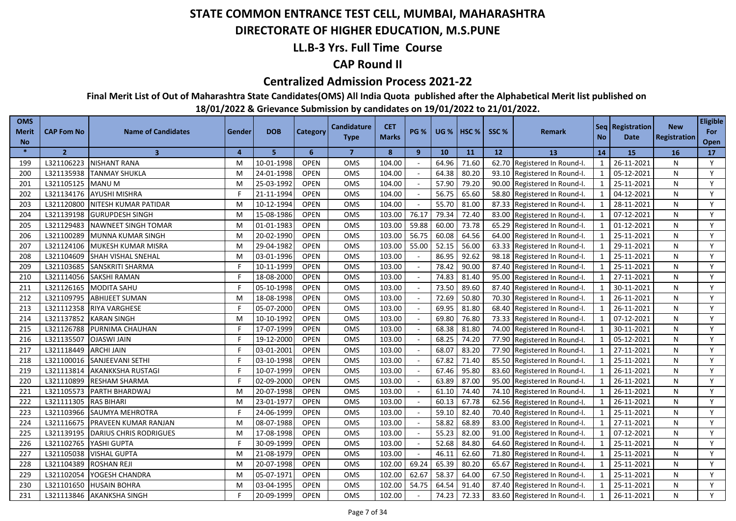### **DIRECTORATE OF HIGHER EDUCATION, M.S.PUNE**

### **LL.B-3 Yrs. Full Time Course**

### **CAP Round II**

#### **Centralized Admission Process 2021-22**

**Final Merit List of Out of Maharashtra State Candidates(OMS) All India Quota published after the Alphabetical Merit list published on** 

| <b>OMS</b><br><b>Merit</b> | CAP Fom No     | <b>Name of Candidates</b>     | Gender | <b>DOB</b> | Category       | <b>Candidature</b> | <b>CET</b>   | <b>PG %</b> |       | <b>UG %   HSC %</b> | SSC%  | Remark                       |              | Seq   Registration | <b>New</b>          | <b>Eligible</b><br>For |
|----------------------------|----------------|-------------------------------|--------|------------|----------------|--------------------|--------------|-------------|-------|---------------------|-------|------------------------------|--------------|--------------------|---------------------|------------------------|
| <b>No</b>                  |                |                               |        |            |                | <b>Type</b>        | <b>Marks</b> |             |       |                     |       |                              | <b>No</b>    | <b>Date</b>        | <b>Registration</b> | Open                   |
| $\ast$                     | $\overline{2}$ | $\overline{3}$                | 4      | 5          | 6 <sup>1</sup> | $\overline{7}$     | 8            | 9           | 10    | 11                  | 12    | 13                           | 14           | <b>15</b>          | 16                  | 17                     |
| 199                        | L321106223     | <b>NISHANT RANA</b>           | M      | 10-01-1998 | <b>OPEN</b>    | OMS                | 104.00       |             | 64.96 | 71.60               |       | 62.70 Registered In Round-I. | 1            | 26-11-2021         | N                   | Y                      |
| 200                        | L321135938     | <b>TANMAY SHUKLA</b>          | M      | 24-01-1998 | <b>OPEN</b>    | <b>OMS</b>         | 104.00       |             | 64.38 | 80.20               |       | 93.10 Registered In Round-I. | 1            | 05-12-2021         | N                   | Y                      |
| 201                        | L321105125     | <b>MANU M</b>                 | M      | 25-03-1992 | <b>OPEN</b>    | <b>OMS</b>         | 104.00       |             | 57.90 | 79.20               |       | 90.00 Registered In Round-I. | $\mathbf{1}$ | 25-11-2021         | N                   | Y                      |
| 202                        | L321134176     | <b>AYUSHI MISHRA</b>          | F      | 21-11-1994 | <b>OPEN</b>    | OMS                | 104.00       |             | 56.75 | 65.60               |       | 58.80 Registered In Round-I. | $\mathbf{1}$ | 04-12-2021         | N                   | Y                      |
| 203                        | L321120800     | NITESH KUMAR PATIDAR          | M      | 10-12-1994 | <b>OPEN</b>    | <b>OMS</b>         | 104.00       |             | 55.70 | 81.00               |       | 87.33 Registered In Round-I. | $\mathbf{1}$ | 28-11-2021         | N                   | Y                      |
| 204                        | L321139198     | <b>GURUPDESH SINGH</b>        | M      | 15-08-1986 | <b>OPEN</b>    | OMS                | 103.00       | 76.17       | 79.34 | 72.40               |       | 83.00 Registered In Round-I. | $\mathbf{1}$ | 07-12-2021         | N                   | Y                      |
| 205                        | L321129483     | <b>NAWNEET SINGH TOMAR</b>    | M      | 01-01-1983 | <b>OPEN</b>    | OMS                | 103.00       | 59.88       | 60.00 | 73.78               | 65.29 | Registered In Round-I.       | $\mathbf{1}$ | 01-12-2021         | N                   | Y                      |
| 206                        | L321100289     | MUNNA KUMAR SINGH             | M      | 20-02-1990 | <b>OPEN</b>    | <b>OMS</b>         | 103.00       | 56.75       | 60.08 | 64.56               |       | 64.00 Registered In Round-I. | $\mathbf{1}$ | 25-11-2021         | N                   | Y                      |
| 207                        | L321124106     | MUKESH KUMAR MISRA            | M      | 29-04-1982 | <b>OPEN</b>    | OMS                | 103.00       | 55.00       | 52.15 | 56.00               |       | 63.33 Registered In Round-I. | $\mathbf{1}$ | 29-11-2021         | N                   | Y                      |
| 208                        | L321104609     | SHAH VISHAL SNEHAL            | M      | 03-01-1996 | <b>OPEN</b>    | OMS                | 103.00       |             | 86.95 | 92.62               |       | 98.18 Registered In Round-I. | $\mathbf{1}$ | 25-11-2021         | N                   | Y                      |
| 209                        | L321103685     | <b>SANSKRITI SHARMA</b>       |        | 10-11-1999 | <b>OPEN</b>    | <b>OMS</b>         | 103.00       |             | 78.42 | 90.00               | 87.40 | Registered In Round-I.       |              | 25-11-2021         | N                   | Y                      |
| 210                        | L321114056     | <b>SAKSHI RAMAN</b>           |        | 18-08-2000 | <b>OPEN</b>    | OMS                | 103.00       |             | 74.83 | 81.40               | 95.00 | Registered In Round-I.       | $\mathbf{1}$ | 27-11-2021         | N                   | Y                      |
| 211                        | L321126165     | <b>MODITA SAHU</b>            |        | 05-10-1998 | <b>OPEN</b>    | OMS                | 103.00       |             | 73.50 | 89.60               | 87.40 | Registered In Round-I.       | $\mathbf{1}$ | 30-11-2021         | N                   | Y                      |
| 212                        | L321109795     | <b>ABHIJEET SUMAN</b>         | M      | 18-08-1998 | <b>OPEN</b>    | OMS                | 103.00       |             | 72.69 | 50.80               | 70.30 | Registered In Round-I.       | $\mathbf{1}$ | 26-11-2021         | N                   | Y                      |
| 213                        | L321112358     | <b>RIYA VARGHESE</b>          |        | 05-07-2000 | <b>OPEN</b>    | <b>OMS</b>         | 103.00       |             | 69.95 | 81.80               | 68.40 | Registered In Round-I.       | $\mathbf{1}$ | 26-11-2021         | N                   | Y                      |
| 214                        | L321137852     | <b>KARAN SINGH</b>            | M      | 10-10-1992 | <b>OPEN</b>    | OMS                | 103.00       |             | 69.80 | 76.80               | 73.33 | Registered In Round-I.       | $\mathbf{1}$ | 07-12-2021         | N                   | Y                      |
| 215                        | L321126788     | PURNIMA CHAUHAN               | F      | 17-07-1999 | <b>OPEN</b>    | OMS                | 103.00       |             | 68.38 | 81.80               | 74.00 | Registered In Round-I.       | $\mathbf{1}$ | 30-11-2021         | N                   | Y                      |
| 216                        | L321135507     | <b>OJASWI JAIN</b>            | F      | 19-12-2000 | <b>OPEN</b>    | <b>OMS</b>         | 103.00       |             | 68.25 | 74.20               | 77.90 | Registered In Round-I.       | $\mathbf{1}$ | 05-12-2021         | N                   | Y                      |
| 217                        | L321118449     | <b>ARCHI JAIN</b>             | F      | 03-01-2001 | <b>OPEN</b>    | OMS                | 103.00       |             | 68.07 | 83.20               | 77.90 | Registered In Round-I.       | $\mathbf{1}$ | 27-11-2021         | N                   | Y                      |
| 218                        | L321100016     | SANJEEVANI SETHI              |        | 03-10-1998 | <b>OPEN</b>    | OMS                | 103.00       |             | 67.82 | 71.40               | 85.50 | Registered In Round-I.       | $\mathbf{1}$ | 25-11-2021         | N                   | Y                      |
| 219                        | L321113814     | <b>AKANKKSHA RUSTAGI</b>      | F      | 10-07-1999 | <b>OPEN</b>    | <b>OMS</b>         | 103.00       |             | 67.46 | 95.80               | 83.60 | Registered In Round-I.       | $\mathbf{1}$ | 26-11-2021         | N                   | Y                      |
| 220                        | L321110899     | <b>RESHAM SHARMA</b>          | F      | 02-09-2000 | <b>OPEN</b>    | OMS                | 103.00       |             | 63.89 | 87.00               | 95.00 | Registered In Round-I.       | $\mathbf{1}$ | 26-11-2021         | N                   | Y                      |
| 221                        | L321105573     | PARTH BHARDWAJ                | M      | 20-07-1998 | <b>OPEN</b>    | OMS                | 103.00       |             | 61.10 | 74.40               | 74.10 | Registered In Round-I.       | $\mathbf{1}$ | 26-11-2021         | N                   | Y                      |
| 222                        | L321111305     | <b>RAS BIHARI</b>             | м      | 23-01-1977 | <b>OPEN</b>    | <b>OMS</b>         | 103.00       |             | 60.13 | 67.78               | 62.56 | Registered In Round-I.       | $\mathbf{1}$ | 26-11-2021         | N                   | Y                      |
| 223                        | L321103966     | SAUMYA MEHROTRA               |        | 24-06-1999 | <b>OPEN</b>    | OMS                | 103.00       |             | 59.10 | 82.40               | 70.40 | Registered In Round-I.       | $\mathbf{1}$ | 25-11-2021         | N                   | Y                      |
| 224                        | L321116675     | PRAVEEN KUMAR RANJAN          | M      | 08-07-1988 | <b>OPEN</b>    | <b>OMS</b>         | 103.00       |             | 58.82 | 68.89               | 83.00 | Registered In Round-I.       | $\mathbf{1}$ | 27-11-2021         | N                   | Y                      |
| 225                        | L321139195     | <b>DARIUS CHRIS RODRIGUES</b> | M      | 17-08-1998 | <b>OPEN</b>    | <b>OMS</b>         | 103.00       |             | 55.23 | 82.00               | 91.00 | Registered In Round-I.       | $\mathbf{1}$ | 07-12-2021         | N                   | Y                      |
| 226                        | L321102765     | YASHI GUPTA                   |        | 30-09-1999 | <b>OPEN</b>    | OMS                | 103.00       |             | 52.68 | 84.80               | 64.60 | Registered In Round-I.       | $\mathbf{1}$ | 25-11-2021         | N                   | Y                      |
| 227                        | L321105038     | <b>VISHAL GUPTA</b>           | M      | 21-08-1979 | <b>OPEN</b>    | <b>OMS</b>         | 103.00       |             | 46.11 | 62.60               | 71.80 | Registered In Round-I.       | $\mathbf{1}$ | 25-11-2021         | N                   | Y                      |
| 228                        | L321104389     | <b>ROSHAN REJI</b>            | M      | 20-07-1998 | <b>OPEN</b>    | OMS                | 102.00       | 69.24       | 65.39 | 80.20               | 65.67 | Registered In Round-I.       |              | 25-11-2021         | N                   | Y                      |
| 229                        | L321102054     | YOGESH CHANDRA                | M      | 05-07-1971 | <b>OPEN</b>    | OMS                | 102.00       | 62.67       | 58.37 | 64.00               | 67.50 | Registered In Round-I.       | $\mathbf{1}$ | 25-11-2021         | N                   | Y                      |
| 230                        | L321101650     | <b>HUSAIN BOHRA</b>           | м      | 03-04-1995 | <b>OPEN</b>    | OMS                | 102.00       | 54.75       | 64.54 | 91.40               | 87.40 | Registered In Round-I.       | $\mathbf{1}$ | 25-11-2021         | N                   | Y                      |
| 231                        | L321113846     | <b>AKANKSHA SINGH</b>         |        | 20-09-1999 | OPEN           | OMS                | 102.00       |             | 74.23 | 72.33               |       | 83.60 Registered In Round-I. |              | 26-11-2021         | N                   | Y                      |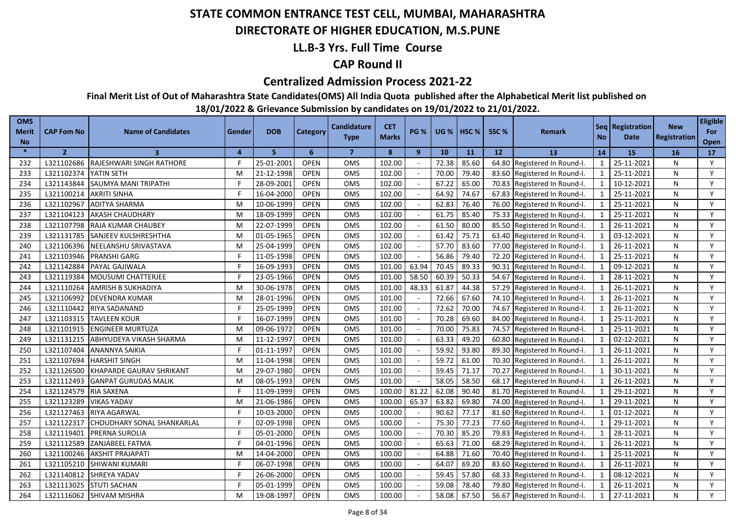### **DIRECTORATE OF HIGHER EDUCATION, M.S.PUNE**

### **LL.B-3 Yrs. Full Time Course**

### **CAP Round II**

#### **Centralized Admission Process 2021-22**

**Final Merit List of Out of Maharashtra State Candidates(OMS) All India Quota published after the Alphabetical Merit list published on** 

| <b>OMS</b><br>Merit<br><b>No</b> | <b>CAP Fom No</b> | <b>Name of Candidates</b>         | Gender | <b>DOB</b> | Category    | <b>Candidature</b><br><b>Type</b> | <b>CET</b><br><b>Marks</b> | <b>PG %</b>    | <b>UG %</b> | <b>I HSC %</b> | SSC <sub>%</sub> | <b>Remark</b>          | <b>No</b>                | Seq   Registration  <br><b>Date</b> | <b>New</b><br><b>Registration</b> | <b>Eligible</b><br>For<br>Open |
|----------------------------------|-------------------|-----------------------------------|--------|------------|-------------|-----------------------------------|----------------------------|----------------|-------------|----------------|------------------|------------------------|--------------------------|-------------------------------------|-----------------------------------|--------------------------------|
| $\ast$                           | $\overline{2}$    | $\overline{\mathbf{3}}$           | 4      | 5          | 6           | $\overline{7}$                    | 8                          | $\overline{9}$ | 10          | 11             | 12               | 13                     | 14                       | <b>15</b>                           | <b>16</b>                         | 17                             |
| 232                              | L321102686        | RAJESHWARI SINGH RATHORE          | F      | 25-01-2001 | <b>OPEN</b> | OMS                               | 102.00                     |                | 72.38       | 85.60          | 64.80            | Registered In Round-I. | $\mathbf{1}$             | 25-11-2021                          | N                                 | Y                              |
| 233                              | L321102374        | YATIN SETH                        | M      | 21-12-1998 | <b>OPEN</b> | <b>OMS</b>                        | 102.00                     |                | 70.00       | 79.40          | 83.60            | Registered In Round-I. | $\mathbf{1}$             | 25-11-2021                          | N                                 | Y                              |
| 234                              | L321143844        | <b>SAUMYA MANI TRIPATHI</b>       | F      | 28-09-2001 | <b>OPEN</b> | <b>OMS</b>                        | 102.00                     |                | 67.22       | 65.00          | 70.83            | Registered In Round-I. | $\mathbf{1}$             | 10-12-2021                          | N                                 | Y                              |
| 235                              | L321100214        | <b>AKRITI SINHA</b>               | F      | 16-04-2000 | <b>OPEN</b> | <b>OMS</b>                        | 102.00                     |                | 64.92       | 74.67          | 67.83            | Registered In Round-I. | $\mathbf{1}$             | 25-11-2021                          | N                                 | Y                              |
| 236                              | L321102967        | <b>ADITYA SHARMA</b>              | M      | 10-06-1999 | <b>OPEN</b> | <b>OMS</b>                        | 102.00                     |                | 62.83       | 76.40          | 76.00            | Registered In Round-I. | $\mathbf{1}$             | 25-11-2021                          | N                                 | Y                              |
| 237                              | L321104123        | <b>AKASH CHAUDHARY</b>            | M      | 18-09-1999 | <b>OPEN</b> | OMS                               | 102.00                     |                | 61.75       | 85.40          | 75.33            | Registered In Round-I. | 1                        | 25-11-2021                          | N                                 | Y                              |
| 238                              | L321107798        | <b>RAJA KUMAR CHAUBEY</b>         | M      | 22-07-1999 | <b>OPEN</b> | OMS                               | 102.00                     |                | 61.50       | 80.00          | 85.50            | Registered In Round-I. | $\mathbf{1}$             | 26-11-2021                          | N                                 | Y                              |
| 239                              | L321131785        | <b>SANJEEV KULSHRESHTHA</b>       | M      | 01-05-1965 | <b>OPEN</b> | <b>OMS</b>                        | 102.00                     |                | 61.42       | 75.71          | 63.40            | Registered In Round-I. | $\mathbf{1}$             | 03-12-2021                          | N                                 | Y                              |
| 240                              | L321106396        | NEELANSHU SRIVASTAVA              | M      | 25-04-1999 | <b>OPEN</b> | OMS                               | 102.00                     |                | 57.70       | 83.60          | 77.00            | Registered In Round-I. | $\mathbf{1}$             | 26-11-2021                          | N                                 | Y                              |
| 241                              | L321103946        | <b>PRANSHI GARG</b>               |        | 11-05-1998 | <b>OPEN</b> | <b>OMS</b>                        | 102.00                     |                | 56.86       | 79.40          | 72.20            | Registered In Round-I. | $\overline{1}$           | 25-11-2021                          | N                                 | Y                              |
| 242                              | L321142884        | PAYAL GAJIWALA                    |        | 16-09-1993 | <b>OPEN</b> | <b>OMS</b>                        | 101.00                     | 63.94          | 70.45       | 89.33          | 90.31            | Registered In Round-I. | $\overline{\phantom{0}}$ | 09-12-2021                          | N                                 | Y                              |
| 243                              | L321119384        | MOUSUMI CHATTERJEE                |        | 23-05-1966 | <b>OPEN</b> | OMS                               | 101.00                     | 58.50          | 60.39       | 50.33          | 54.67            | Registered In Round-I. | $\overline{1}$           | 28-11-2021                          | N                                 | Y                              |
| 244                              | L321110264        | <b>AMRISH B SUKHADIYA</b>         | M      | 30-06-1978 | <b>OPEN</b> | <b>OMS</b>                        | 101.00                     | 48.33          | 61.87       | 44.38          | 57.29            | Registered In Round-I. | $\overline{1}$           | 26-11-2021                          | N                                 | Y                              |
| 245                              | L321106992        | <b>DEVENDRA KUMAR</b>             | M      | 28-01-1996 | <b>OPEN</b> | OMS                               | 101.00                     |                | 72.66       | 67.60          | 74.10            | Registered In Round-I. | $\mathbf{1}$             | 26-11-2021                          | N                                 | Y                              |
| 246                              | L321110442        | <b>RIYA SADANAND</b>              |        | 25-05-1999 | <b>OPEN</b> | OMS                               | 101.00                     |                | 72.62       | 70.00          | 74.67            | Registered In Round-I. | $\overline{1}$           | 26-11-2021                          | N                                 | Y                              |
| 247                              | L321103315        | <b>TAVLEEN KOUR</b>               |        | 16-07-1999 | <b>OPEN</b> | <b>OMS</b>                        | 101.00                     |                | 70.28       | 69.60          | 84.00            | Registered In Round-I. | $\overline{1}$           | 25-11-2021                          | N                                 | Y                              |
| 248                              | L321101915        | <b>ENGINEER MURTUZA</b>           | M      | 09-06-1972 | <b>OPEN</b> | OMS                               | 101.00                     |                | 70.00       | 75.83          | 74.57            | Registered In Round-I. | $\mathbf{1}$             | 25-11-2021                          | N                                 | Y                              |
| 249                              | L321131215        | ABHYUDEYA VIKASH SHARMA           | M      | 11-12-1997 | <b>OPEN</b> | <b>OMS</b>                        | 101.00                     |                | 63.33       | 49.20          | 60.80            | Registered In Round-I. | $\mathbf{1}$             | 02-12-2021                          | N                                 | Y                              |
| 250                              | L321107404        | ANANNYA SAIKIA                    | F      | 01-11-1997 | <b>OPEN</b> | <b>OMS</b>                        | 101.00                     |                | 59.92       | 93.80          | 89.30            | Registered In Round-I. | $\overline{1}$           | 26-11-2021                          | N                                 | Y                              |
| 251                              | L321107694        | <b>HARSHIT SINGH</b>              | M      | 11-04-1998 | <b>OPEN</b> | OMS                               | 101.00                     |                | 59.72       | 61.00          | 70.30            | Registered In Round-I. | $\mathbf{1}$             | 26-11-2021                          | N                                 | Y                              |
| 252                              | L321126500        | KHAPARDE GAURAV SHRIKANT          | M      | 29-07-1980 | <b>OPEN</b> | <b>OMS</b>                        | 101.00                     |                | 59.45       | 71.17          | 70.27            | Registered In Round-I. | $\mathbf{1}$             | 30-11-2021                          | N                                 | Y                              |
| 253                              | L321112493        | <b>GANPAT GURUDAS MALIK</b>       | M      | 08-05-1993 | <b>OPEN</b> | OMS                               | 101.00                     |                | 58.05       | 58.50          | 68.17            | Registered In Round-I. | $\mathbf{1}$             | 26-11-2021                          | N                                 | Y                              |
| 254                              | L321124579        | <b>RIA SAXENA</b>                 | F      | 11-09-1999 | <b>OPEN</b> | OMS                               | 100.00                     | 81.22          | 62.08       | 90.40          | 81.70            | Registered In Round-I. | $\mathbf{1}$             | 29-11-2021                          | N                                 | Y                              |
| 255                              | L321123289        | <b>VIKAS YADAV</b>                | M      | 21-06-1986 | <b>OPEN</b> | <b>OMS</b>                        | 100.00                     | 65.37          | 63.82       | 69.80          | 74.00            | Registered In Round-I. | $\mathbf{1}$             | 29-11-2021                          | N                                 | Y                              |
| 256                              | L321127463        | RIYA AGARWAL                      |        | 10-03-2000 | <b>OPEN</b> | OMS                               | 100.00                     |                | 90.62       | 77.17          | 81.60            | Registered In Round-I. | $\mathbf{1}$             | 01-12-2021                          | N                                 | Y                              |
| 257                              | L321122317        | <b>CHOUDHARY SONAL SHANKARLAL</b> |        | 02-09-1998 | <b>OPEN</b> | <b>OMS</b>                        | 100.00                     |                | 75.30       | 77.23          | 77.60            | Registered In Round-I. | $\mathbf{1}$             | 29-11-2021                          | N                                 | Y                              |
| 258                              | L321119401        | <b>PRERNA SUROLIA</b>             |        | 05-01-2000 | <b>OPEN</b> | <b>OMS</b>                        | 100.00                     |                | 70.30       | 85.20          | 79.83            | Registered In Round-I. | $\mathbf{1}$             | 28-11-2021                          | N                                 | Y                              |
| 259                              | L321112589        | ZANJABEEL FATMA                   |        | 04-01-1996 | <b>OPEN</b> | <b>OMS</b>                        | 100.00                     |                | 65.63       | 71.00          | 68.29            | Registered In Round-I. | $\mathbf{1}$             | 26-11-2021                          | N                                 | Y                              |
| 260                              | L321100246        | <b>AKSHIT PRAJAPATI</b>           | M      | 14-04-2000 | <b>OPEN</b> | <b>OMS</b>                        | 100.00                     |                | 64.88       | 71.60          | 70.40            | Registered In Round-I. | $\mathbf{1}$             | 25-11-2021                          | N                                 | Y                              |
| 261                              | L321105210        | SHIWANI KUMARI                    |        | 06-07-1998 | <b>OPEN</b> | OMS                               | 100.00                     |                | 64.07       | 69.20          | 83.60            | Registered In Round-I. | $\overline{1}$           | 26-11-2021                          | N                                 | Y                              |
| 262                              | L321140812        | SHREYA YADAV                      |        | 26-06-2000 | <b>OPEN</b> | <b>OMS</b>                        | 100.00                     |                | 59.45       | 57.80          | 68.33            | Registered In Round-I. | $\overline{1}$           | 08-12-2021                          | N                                 | Y                              |
| 263                              | L321113025        | <b>STUTI SACHAN</b>               |        | 05-01-1999 | <b>OPEN</b> | <b>OMS</b>                        | 100.00                     |                | 59.08       | 78.40          | 79.80            | Registered In Round-I. | $\overline{\mathbf{1}}$  | 26-11-2021                          | N                                 | Y                              |
| 264                              | L321116062        | SHIVAM MISHRA                     | м      | 19-08-1997 | <b>OPEN</b> | OMS                               | 100.00                     |                | 58.08       | 67.50          | 56.67            | Registered In Round-I. | $\overline{1}$           | 27-11-2021                          | N                                 | Y                              |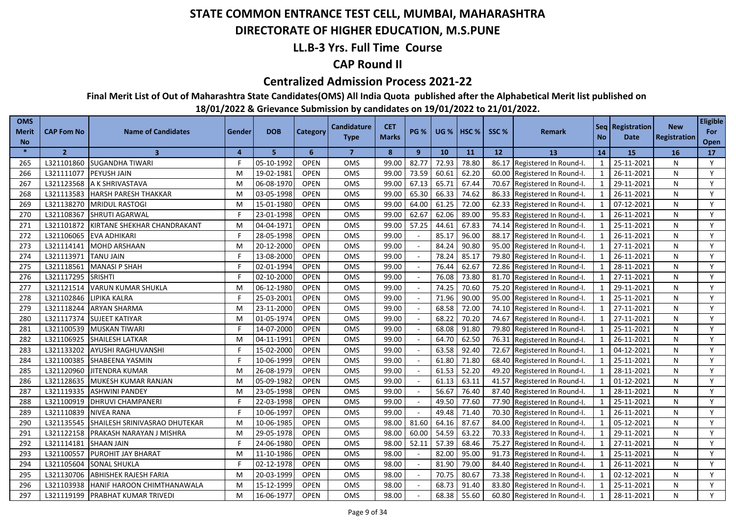### **DIRECTORATE OF HIGHER EDUCATION, M.S.PUNE**

### **LL.B-3 Yrs. Full Time Course**

### **CAP Round II**

#### **Centralized Admission Process 2021-22**

**Final Merit List of Out of Maharashtra State Candidates(OMS) All India Quota published after the Alphabetical Merit list published on** 

| <b>OMS</b><br><b>Merit</b><br><b>No</b> | <b>CAP Fom No</b> | <b>Name of Candidates</b>     | Gender         | <b>DOB</b> | Category    | <b>Candidature</b><br><b>Type</b> | <b>CET</b><br><b>Marks</b> | <b>PG %</b> | <b>UG %</b> | HSC <sub>%</sub> | SSC % | <b>Remark</b>                | <b>No</b>      | Seq Registration<br>Date | <b>New</b><br>Registration | <b>Eligible</b><br>For<br>Open |
|-----------------------------------------|-------------------|-------------------------------|----------------|------------|-------------|-----------------------------------|----------------------------|-------------|-------------|------------------|-------|------------------------------|----------------|--------------------------|----------------------------|--------------------------------|
| $\ast$                                  | $\overline{2}$    | $\overline{\mathbf{3}}$       | $\overline{a}$ | 5.         | 6           | $\overline{7}$                    | 8                          | 9           | 10          | 11               | 12    | 13                           | 14             | 15                       | 16                         | 17                             |
| 265                                     | L321101860        | SUGANDHA TIWARI               |                | 05-10-1992 | <b>OPEN</b> | <b>OMS</b>                        | 99.00                      | 82.77       | 72.93       | 78.80            |       | 86.17 Registered In Round-I. | 1              | 25-11-2021               | N                          | Y                              |
| 266                                     | L321111077        | PEYUSH JAIN                   | M              | 19-02-1981 | <b>OPEN</b> | OMS                               | 99.00                      | 73.59       | 60.61       | 62.20            |       | 60.00 Registered In Round-I. | 1              | 26-11-2021               | N                          | Y                              |
| 267                                     | L321123568        | A K SHRIVASTAVA               | M              | 06-08-1970 | <b>OPEN</b> | OMS                               | 99.00                      | 67.13       | 65.71       | 67.44            |       | 70.67 Registered In Round-I. | 1              | 29-11-2021               | N                          | Y                              |
| 268                                     | L321113583        | <b>HARSH PARESH THAKKAR</b>   | M              | 03-05-1998 | <b>OPEN</b> | <b>OMS</b>                        | 99.00                      | 65.30       | 66.33       | 74.62            |       | 86.33 Registered In Round-I. | 1              | 26-11-2021               | N                          | Y                              |
| 269                                     | L321138270        | <b>MRIDUL RASTOGI</b>         | M              | 15-01-1980 | <b>OPEN</b> | OMS                               | 99.00                      | 64.00       | 61.25       | 72.00            |       | 62.33 Registered In Round-I. | 1              | 07-12-2021               | N                          | Y                              |
| 270                                     | L321108367        | <b>SHRUTI AGARWAL</b>         |                | 23-01-1998 | <b>OPEN</b> | OMS                               | 99.00                      | 62.67       | 62.06       | 89.00            |       | 95.83 Registered In Round-I. | 1              | 26-11-2021               | N                          | Y                              |
| 271                                     | L321101872        | KIRTANE SHEKHAR CHANDRAKANT   | M              | 04-04-1971 | <b>OPEN</b> | <b>OMS</b>                        | 99.00                      | 57.25       | 44.61       | 67.83            |       | 74.14 Registered In Round-I. | 1              | 25-11-2021               | N                          | Y                              |
| 272                                     | L321106065        | <b>EVA ADHIKARI</b>           |                | 28-05-1998 | <b>OPEN</b> | OMS                               | 99.00                      |             | 85.17       | 96.00            |       | 88.17 Registered In Round-I. | 1              | 26-11-2021               | N                          | Y                              |
| 273                                     | L321114141        | MOHD ARSHAAN                  | M              | 20-12-2000 | <b>OPEN</b> | <b>OMS</b>                        | 99.00                      |             | 84.24       | 90.80            |       | 95.00 Registered In Round-I. | 1              | 27-11-2021               | N                          | Y                              |
| 274                                     | L321113971        | <b>TANU JAIN</b>              |                | 13-08-2000 | <b>OPEN</b> | OMS                               | 99.00                      |             | 78.24       | 85.17            |       | 79.80 Registered In Round-I. | 1              | 26-11-2021               | N                          | Y                              |
| 275                                     | L321118561        | <b>MANASI P SHAH</b>          |                | 02-01-1994 | <b>OPEN</b> | OMS                               | 99.00                      |             | 76.44       | 62.67            |       | 72.86 Registered In Round-I. | 1              | 28-11-2021               | N                          | Y                              |
| 276                                     | L321117295        | <b>SRISHTI</b>                |                | 02-10-2000 | <b>OPEN</b> | OMS                               | 99.00                      |             | 76.08       | 73.80            |       | 81.70 Registered In Round-I. | $\mathbf{1}$   | 27-11-2021               | N                          | Y                              |
| 277                                     | L321121514        | <b>VARUN KUMAR SHUKLA</b>     | М              | 06-12-1980 | <b>OPEN</b> | OMS                               | 99.00                      |             | 74.25       | 70.60            | 75.20 | Registered In Round-I.       | $\overline{1}$ | 29-11-2021               | N                          | Y                              |
| 278                                     | L321102846        | LIPIKA KALRA                  |                | 25-03-2001 | <b>OPEN</b> | OMS                               | 99.00                      |             | 71.96       | 90.00            | 95.00 | Registered In Round-I.       |                | 25-11-2021               | N                          | Y                              |
| 279                                     | L321118244        | <b>ARYAN SHARMA</b>           | M              | 23-11-2000 | <b>OPEN</b> | OMS                               | 99.00                      |             | 68.58       | 72.00            | 74.10 | Registered In Round-I.       | $\mathbf{1}$   | 27-11-2021               | N                          | Y                              |
| 280                                     | L321117374        | <b>SUJEET KATIYAR</b>         | M              | 01-05-1974 | <b>OPEN</b> | <b>OMS</b>                        | 99.00                      |             | 68.22       | 70.20            | 74.67 | Registered In Round-I.       | $\overline{1}$ | 27-11-2021               | N                          | Y                              |
| 281                                     | L321100539        | <b>MUSKAN TIWARI</b>          |                | 14-07-2000 | <b>OPEN</b> | OMS                               | 99.00                      |             | 68.08       | 91.80            | 79.80 | Registered In Round-I.       | $\mathbf{1}$   | 25-11-2021               | N                          | Y                              |
| 282                                     | L321106925        | <b>SHAILESH LATKAR</b>        | M              | 04-11-1991 | <b>OPEN</b> | <b>OMS</b>                        | 99.00                      |             | 64.70       | 62.50            | 76.31 | Registered In Round-I.       | $\mathbf{1}$   | 26-11-2021               | N                          | Y                              |
| 283                                     | L321133202        | AYUSHI RAGHUVANSHI            |                | 15-02-2000 | <b>OPEN</b> | OMS                               | 99.00                      |             | 63.58       | 92.40            | 72.67 | Registered In Round-I.       | $\overline{1}$ | 04-12-2021               | N                          | Y                              |
| 284                                     | L321100385        | SHABEENA YASMIN               |                | 10-06-1999 | <b>OPEN</b> | OMS                               | 99.00                      |             | 61.80       | 71.80            | 68.40 | Registered In Round-I.       | $\mathbf{1}$   | 25-11-2021               | N                          | Y                              |
| 285                                     | L321120960        | <b>JITENDRA KUMAR</b>         | M              | 26-08-1979 | <b>OPEN</b> | OMS                               | 99.00                      |             | 61.53       | 52.20            | 49.20 | Registered In Round-I.       | $\mathbf{1}$   | 28-11-2021               | N                          | Y                              |
| 286                                     | L321128635        | MUKESH KUMAR RANJAN           | м              | 05-09-1982 | <b>OPEN</b> | <b>OMS</b>                        | 99.00                      |             | 61.13       | 63.11            | 41.57 | Registered In Round-I.       | $\mathbf{1}$   | 01-12-2021               | N                          | Y                              |
| 287                                     | L321119335        | <b>ASHWINI PANDEY</b>         | м              | 23-05-1998 | <b>OPEN</b> | OMS                               | 99.00                      |             | 56.67       | 76.40            | 87.40 | Registered In Round-I.       | $\mathbf{1}$   | 28-11-2021               | N                          | Y                              |
| 288                                     | L321100919        | DHRUVI CHAMPANERI             |                | 22-03-1998 | <b>OPEN</b> | OMS                               | 99.00                      |             | 49.50       | 77.60            | 77.90 | Registered In Round-I.       | $\overline{1}$ | 25-11-2021               | N                          | Y                              |
| 289                                     | L321110839        | <b>NIVEA RANA</b>             |                | 10-06-1997 | <b>OPEN</b> | OMS                               | 99.00                      |             | 49.48       | 71.40            | 70.30 | Registered In Round-I.       | $\mathbf{1}$   | 26-11-2021               | N                          | Y                              |
| 290                                     | L321135545        | SHAILESH SRINIVASRAO DHUTEKAR | M              | 10-06-1985 | <b>OPEN</b> | OMS                               | 98.00                      | 81.60       | 64.16       | 87.67            | 84.00 | Registered In Round-I.       | $\mathbf{1}$   | 05-12-2021               | N                          | Y                              |
| 291                                     | L321122158        | PRAKASH NARAYAN J MISHRA      | M              | 29-05-1978 | <b>OPEN</b> | OMS                               | 98.00                      | 60.00       | 54.59       | 63.22            | 70.33 | Registered In Round-I.       | $\mathbf{1}$   | 29-11-2021               | N                          | Y                              |
| 292                                     | L321114181        | SHAAN JAIN                    |                | 24-06-1980 | <b>OPEN</b> | <b>OMS</b>                        | 98.00                      | 52.11       | 57.39       | 68.46            | 75.27 | Registered In Round-I.       | $\mathbf{1}$   | 27-11-2021               | N                          | Y                              |
| 293                                     | L321100557        | PUROHIT JAY BHARAT            | M              | 11-10-1986 | <b>OPEN</b> | OMS                               | 98.00                      |             | 82.00       | 95.00            | 91.73 | Registered In Round-I.       | $\mathbf{1}$   | 25-11-2021               | N                          | Y                              |
| 294                                     | L321105604        | <b>SONAL SHUKLA</b>           |                | 02-12-1978 | <b>OPEN</b> | OMS                               | 98.00                      |             | 81.90       | 79.00            | 84.40 | Registered In Round-I.       |                | 26-11-2021               | N                          | Y                              |
| 295                                     | L321130706        | <b>ABHISHEK RAJESH FARIA</b>  | M              | 20-03-1999 | <b>OPEN</b> | OMS                               | 98.00                      | $\sim$      | 70.75       | 80.67            | 73.38 | Registered In Round-I.       | 1              | 02-12-2021               | N                          | Y                              |
| 296                                     | L321103938        | HANIF HAROON CHIMTHANAWALA    | м              | 15-12-1999 | <b>OPEN</b> | OMS                               | 98.00                      |             | 68.73       | 91.40            |       | 83.80 Registered In Round-I. |                | 25-11-2021               | N                          | Y                              |
| 297                                     | L321119199        | PRABHAT KUMAR TRIVEDI         | м              | 16-06-1977 | <b>OPEN</b> | OMS                               | 98.00                      |             | 68.38       | 55.60            |       | 60.80 Registered In Round-I. |                | 28-11-2021               | N                          | Y                              |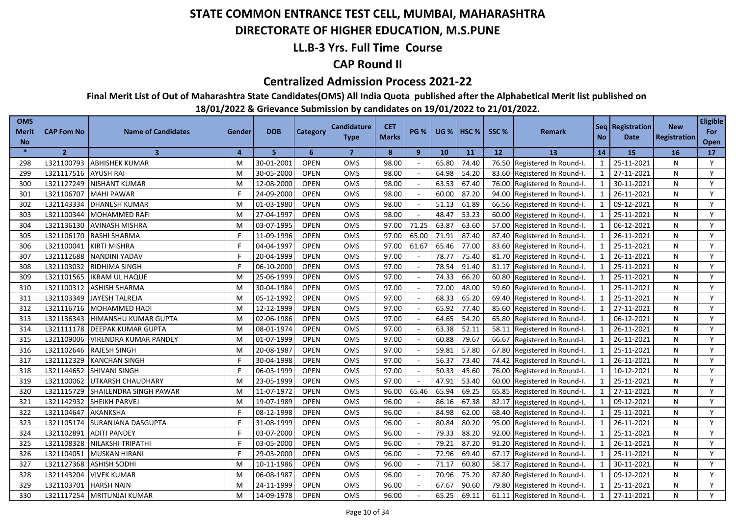### **DIRECTORATE OF HIGHER EDUCATION, M.S.PUNE**

### **LL.B-3 Yrs. Full Time Course**

### **CAP Round II**

#### **Centralized Admission Process 2021-22**

**Final Merit List of Out of Maharashtra State Candidates(OMS) All India Quota published after the Alphabetical Merit list published on** 

| Registration<br><b>Type</b><br><b>No</b><br><b>Date</b><br><b>No</b><br>Open<br>$\star$<br>$\overline{2}$<br>$\overline{3}$<br>5<br>6<br>$\overline{7}$<br>8<br>9<br>10<br>11<br>12<br><b>13</b><br>14<br>15<br>16<br>4<br>17<br>Y<br>L321100793<br><b>ABHISHEK KUMAR</b><br>30-01-2001<br><b>OPEN</b><br>98.00<br>65.80<br>74.40<br>76.50<br>25-11-2021<br>M<br><b>OMS</b><br>Registered In Round-I.<br>$\mathbf{1}$<br>N<br>298<br><b>OPEN</b><br>64.98<br>54.20<br>Y<br>L321117516<br><b>AYUSH RAI</b><br>30-05-2000<br>OMS<br>98.00<br>83.60 Registered In Round-I.<br>27-11-2021<br>N<br>299<br>M<br>1<br>Y<br>L321127249<br><b>NISHANT KUMAR</b><br>12-08-2000<br><b>OPEN</b><br>OMS<br>63.53<br>67.40<br>300<br>M<br>98.00<br>76.00 Registered In Round-I.<br>30-11-2021<br>N<br>1<br>60.00<br>L321106707<br>F<br>24-09-2000<br><b>OPEN</b><br><b>OMS</b><br>98.00<br>87.20<br>94.00 Registered In Round-I.<br>26-11-2021<br>Y<br>301<br>MAHI PAWAR<br>1<br>N<br><b>OPEN</b><br>51.13<br>61.89<br>Y<br>L321143334<br><b>DHANESH KUMAR</b><br>01-03-1980<br>OMS<br>98.00<br>66.56 Registered In Round-I.<br>1<br>09-12-2021<br>N<br>302<br>M<br>48.47<br>53.23<br>L321100344<br>27-04-1997<br><b>OPEN</b><br><b>OMS</b><br>98.00<br>60.00 Registered In Round-I.<br>25-11-2021<br>Y<br>303<br><b>MOHAMMED RAFI</b><br>$\mathbf{1}$<br>N<br>M<br>$\sim$<br>71.25<br>63.87<br>63.60<br>L321136130<br><b>AVINASH MISHRA</b><br>03-07-1995<br><b>OPEN</b><br><b>OMS</b><br>97.00<br>57.00 Registered In Round-I.<br>$\mathbf{1}$<br>06-12-2021<br>Y<br>304<br>N<br>M<br>65.00<br><b>OPEN</b><br>71.91<br>L321106170<br><b>RASHI SHARMA</b><br>11-09-1996<br>OMS<br>97.00<br>87.40<br>87.40 Registered In Round-I.<br>$\mathbf{1}$<br>26-11-2021<br>N<br>Y<br>305<br>61.67<br>L321100041<br>04-04-1997<br><b>OPEN</b><br>OMS<br>97.00<br>65.46<br>77.00<br>83.60 Registered In Round-I.<br>25-11-2021<br>Y<br>306<br><b>KIRTI MISHRA</b><br>$\overline{1}$<br>N<br>L321112688<br>20-04-1999<br><b>OPEN</b><br>78.77<br>75.40<br>307<br><b>NANDINI YADAV</b><br><b>OMS</b><br>97.00<br>81.70 Registered In Round-I.<br>26-11-2021<br>N<br>Y<br>F<br>$\mathbf{1}$<br>L321103032<br>06-10-2000<br><b>OPEN</b><br>OMS<br>97.00<br>78.54<br>91.40<br>25-11-2021<br>Y<br>308<br><b>RIDHIMA SINGH</b><br>81.17 Registered In Round-I.<br>N<br>$\mathbf{1}$<br>25-06-1999<br>74.33<br>L321101565<br><b>OPEN</b><br>OMS<br>97.00<br>66.20<br>60.80 Registered In Round-I.<br>25-11-2021<br>Y<br>309<br><b>IKRAM UL HAQUE</b><br>$\mathbf{1}$<br>N<br>M<br>30-04-1984<br><b>OPEN</b><br>OMS<br>72.00<br>48.00<br>Y<br>L321100312<br><b>ASHISH SHARMA</b><br>97.00<br>59.60<br>25-11-2021<br>N<br>310<br>M<br>Registered In Round-I.<br>L321103349<br>05-12-1992<br><b>OPEN</b><br>OMS<br>68.33<br>65.20<br>25-11-2021<br>Y<br>JAYESH TALREJA<br>97.00<br>69.40<br>Registered In Round-I.<br>N<br>311<br>M<br>OMS<br>65.92<br>Y<br>L321116716<br>MOHAMMED HADI<br>12-12-1999<br><b>OPEN</b><br>97.00<br>77.40<br>85.60<br>27-11-2021<br>N<br>312<br>M<br>Registered In Round-I.<br>54.20<br>Y<br>L321136343<br>02-06-1986<br><b>OPEN</b><br><b>OMS</b><br>97.00<br>64.65<br>06-12-2021<br>313<br><b>HIMANSHU KUMAR GUPTA</b><br>65.80<br>Registered In Round-I.<br>$\mathbf{1}$<br>N<br>M<br>08-01-1974<br><b>OPEN</b><br>OMS<br>97.00<br>63.38<br>52.11<br>26-11-2021<br>Y<br>314<br>L321111178<br><b>DEEPAK KUMAR GUPTA</b><br>58.11<br>Registered In Round-I.<br>N<br>M<br>L321109006<br>01-07-1999<br><b>OPEN</b><br><b>OMS</b><br>97.00<br>60.88<br>79.67<br>26-11-2021<br>Y<br>315<br><b>VIRENDRA KUMAR PANDEY</b><br>66.67<br>$\mathbf{1}$<br>N<br>M<br>Registered In Round-I.<br>59.81<br>57.80<br>Y<br>L321102646<br><b>RAJESH SINGH</b><br>20-08-1987<br><b>OPEN</b><br>OMS<br>97.00<br>67.80<br>25-11-2021<br>316<br>Registered In Round-I.<br>$\mathbf{1}$<br>N<br>M<br>L321112329<br>30-04-1998<br><b>OPEN</b><br>OMS<br>56.37<br>73.40<br>Y<br>317<br>97.00<br>74.42<br>26-11-2021<br><b>KANCHAN SINGH</b><br>F<br>Registered In Round-I.<br>$\mathbf{1}$<br>N<br>L321144652<br>06-03-1999<br><b>OPEN</b><br>OMS<br>97.00<br>50.33<br>45.60<br>10-12-2021<br>Y<br>318<br><b>SHIVANI SINGH</b><br>76.00<br>$\mathbf{1}$<br>N<br>Registered In Round-I.<br>L321100062<br>23-05-1999<br><b>OPEN</b><br>OMS<br>97.00<br>47.91<br>53.40<br>25-11-2021<br>Y<br>319<br>UTKARSH CHAUDHARY<br>M<br>60.00<br>$\mathbf{1}$<br>N<br>Registered In Round-I.<br>OMS<br>65.46<br>Y<br>320<br>L321115729<br>11-07-1972<br><b>OPEN</b><br>96.00<br>65.94<br>69.25<br>65.85<br>$\mathbf{1}$<br>27-11-2021<br>SHAILENDRA SINGH PAWAR<br>Registered In Round-I.<br>N<br>M<br>86.16<br>Y<br>321<br>L321142932<br>19-07-1989<br><b>OPEN</b><br>OMS<br>96.00<br>67.38<br>82.17<br>$\mathbf{1}$<br>09-12-2021<br><b>SHEIKH PARVEJ</b><br>M<br>Registered In Round-I.<br>N<br>Y<br>322<br>L321104647<br>08-12-1998<br><b>OPEN</b><br><b>OMS</b><br>96.00<br>84.98<br>62.00<br><b>AKANKSHA</b><br>F<br>68.40<br>$\mathbf{1}$<br>25-11-2021<br>N<br>Registered In Round-I.<br>Y<br>L321105174<br>SURANJANA DASGUPTA<br>31-08-1999<br><b>OPEN</b><br>OMS<br>96.00<br>80.84<br>80.20<br>95.00<br>26-11-2021<br>323<br>Registered In Round-I.<br>$\mathbf{1}$<br>N<br>L321102891<br>03-07-2000<br><b>OPEN</b><br>79.33<br>88.20<br>92.00<br>$\mathbf{1}$<br>25-11-2021<br>Y<br>324<br><b>ADITI PANDEY</b><br>OMS<br>96.00<br>Registered In Round-I.<br>N<br>L321108328<br>03-05-2000<br><b>OPEN</b><br><b>OMS</b><br>96.00<br>79.21<br>87.20<br>91.20<br>26-11-2021<br>Y<br>325<br><b>NILAKSHI TRIPATHI</b><br>Registered In Round-I.<br>$\mathbf{1}$<br>N<br>L321104051<br><b>MUSKAN HIRANI</b><br>29-03-2000<br><b>OPEN</b><br>OMS<br>96.00<br>72.96<br>69.40<br>67.17<br>Registered In Round-I.<br>$\mathbf{1}$<br>25-11-2021<br>Y<br>326<br>N<br>L321127368<br>10-11-1986<br><b>OPEN</b><br>71.17<br>60.80<br>30-11-2021<br>Y<br>327<br><b>ASHISH SODHI</b><br>OMS<br>96.00<br>58.17<br>Registered In Round-I.<br>N<br>M<br>$\sim$<br>328<br>L321143204<br><b>VIVEK KUMAR</b><br>06-08-1987<br><b>OPEN</b><br>OMS<br>96.00<br>70.96<br>75.20<br>87.80<br>09-12-2021<br>Y<br>Registered In Round-I.<br>$\mathbf{1}$<br>N<br>M<br>$\sim$<br>90.60<br>329<br>L321103701<br><b>HARSH NAIN</b><br>24-11-1999<br><b>OPEN</b><br>OMS<br>96.00<br>67.67<br>79.80<br>25-11-2021<br>Y<br>Registered In Round-I.<br>1<br>N<br>M<br>330<br>L321117254<br>14-09-1978<br>OPEN<br>OMS<br>96.00<br>65.25<br>69.11<br>27-11-2021<br>Y<br><b>MRITUNJAI KUMAR</b><br>61.11 Registered In Round-I.<br>$\mathbf{1}$<br>N<br>м | <b>OMS</b><br><b>Merit</b> | <b>CAP Fom No</b> | <b>Name of Candidates</b> | Gender | <b>DOB</b> | Category | <b>Candidature</b> | <b>CET</b><br><b>Marks</b> | <b>PG %</b> | UG %   $HSC$ % | SSC <sub>%</sub> | <b>Remark</b> | Seq   Registration | <b>New</b> | <b>Eligible</b><br>For |
|------------------------------------------------------------------------------------------------------------------------------------------------------------------------------------------------------------------------------------------------------------------------------------------------------------------------------------------------------------------------------------------------------------------------------------------------------------------------------------------------------------------------------------------------------------------------------------------------------------------------------------------------------------------------------------------------------------------------------------------------------------------------------------------------------------------------------------------------------------------------------------------------------------------------------------------------------------------------------------------------------------------------------------------------------------------------------------------------------------------------------------------------------------------------------------------------------------------------------------------------------------------------------------------------------------------------------------------------------------------------------------------------------------------------------------------------------------------------------------------------------------------------------------------------------------------------------------------------------------------------------------------------------------------------------------------------------------------------------------------------------------------------------------------------------------------------------------------------------------------------------------------------------------------------------------------------------------------------------------------------------------------------------------------------------------------------------------------------------------------------------------------------------------------------------------------------------------------------------------------------------------------------------------------------------------------------------------------------------------------------------------------------------------------------------------------------------------------------------------------------------------------------------------------------------------------------------------------------------------------------------------------------------------------------------------------------------------------------------------------------------------------------------------------------------------------------------------------------------------------------------------------------------------------------------------------------------------------------------------------------------------------------------------------------------------------------------------------------------------------------------------------------------------------------------------------------------------------------------------------------------------------------------------------------------------------------------------------------------------------------------------------------------------------------------------------------------------------------------------------------------------------------------------------------------------------------------------------------------------------------------------------------------------------------------------------------------------------------------------------------------------------------------------------------------------------------------------------------------------------------------------------------------------------------------------------------------------------------------------------------------------------------------------------------------------------------------------------------------------------------------------------------------------------------------------------------------------------------------------------------------------------------------------------------------------------------------------------------------------------------------------------------------------------------------------------------------------------------------------------------------------------------------------------------------------------------------------------------------------------------------------------------------------------------------------------------------------------------------------------------------------------------------------------------------------------------------------------------------------------------------------------------------------------------------------------------------------------------------------------------------------------------------------------------------------------------------------------------------------------------------------------------------------------------------------------------------------------------------------------------------------------------------------------------------------------------------------------------------------------------------------------------------------------------------------------------------------------------------------------------------------------------------------------------------------------------------------------------------------------------------------------------------------------------------------------------------------------------------------------------------------------------------------------------------------------------------------------------------------------------------------------------------------------------------------------------------------------------------------------------------------------------------------------------------------------------------------------------------------------------------------------------------------------------------------------------------------------------------------------------------------------------------------------------------------------------------------------------------------------------------------------------------------------------------------------------------------------------------------------------------------------------------------------------------------------------------------|----------------------------|-------------------|---------------------------|--------|------------|----------|--------------------|----------------------------|-------------|----------------|------------------|---------------|--------------------|------------|------------------------|
|                                                                                                                                                                                                                                                                                                                                                                                                                                                                                                                                                                                                                                                                                                                                                                                                                                                                                                                                                                                                                                                                                                                                                                                                                                                                                                                                                                                                                                                                                                                                                                                                                                                                                                                                                                                                                                                                                                                                                                                                                                                                                                                                                                                                                                                                                                                                                                                                                                                                                                                                                                                                                                                                                                                                                                                                                                                                                                                                                                                                                                                                                                                                                                                                                                                                                                                                                                                                                                                                                                                                                                                                                                                                                                                                                                                                                                                                                                                                                                                                                                                                                                                                                                                                                                                                                                                                                                                                                                                                                                                                                                                                                                                                                                                                                                                                                                                                                                                                                                                                                                                                                                                                                                                                                                                                                                                                                                                                                                                                                                                                                                                                                                                                                                                                                                                                                                                                                                                                                                                                                                                                                                                                                                                                                                                                                                                                                                                                                                                                                                                                                                                    |                            |                   |                           |        |            |          |                    |                            |             |                |                  |               |                    |            |                        |
|                                                                                                                                                                                                                                                                                                                                                                                                                                                                                                                                                                                                                                                                                                                                                                                                                                                                                                                                                                                                                                                                                                                                                                                                                                                                                                                                                                                                                                                                                                                                                                                                                                                                                                                                                                                                                                                                                                                                                                                                                                                                                                                                                                                                                                                                                                                                                                                                                                                                                                                                                                                                                                                                                                                                                                                                                                                                                                                                                                                                                                                                                                                                                                                                                                                                                                                                                                                                                                                                                                                                                                                                                                                                                                                                                                                                                                                                                                                                                                                                                                                                                                                                                                                                                                                                                                                                                                                                                                                                                                                                                                                                                                                                                                                                                                                                                                                                                                                                                                                                                                                                                                                                                                                                                                                                                                                                                                                                                                                                                                                                                                                                                                                                                                                                                                                                                                                                                                                                                                                                                                                                                                                                                                                                                                                                                                                                                                                                                                                                                                                                                                                    |                            |                   |                           |        |            |          |                    |                            |             |                |                  |               |                    |            |                        |
|                                                                                                                                                                                                                                                                                                                                                                                                                                                                                                                                                                                                                                                                                                                                                                                                                                                                                                                                                                                                                                                                                                                                                                                                                                                                                                                                                                                                                                                                                                                                                                                                                                                                                                                                                                                                                                                                                                                                                                                                                                                                                                                                                                                                                                                                                                                                                                                                                                                                                                                                                                                                                                                                                                                                                                                                                                                                                                                                                                                                                                                                                                                                                                                                                                                                                                                                                                                                                                                                                                                                                                                                                                                                                                                                                                                                                                                                                                                                                                                                                                                                                                                                                                                                                                                                                                                                                                                                                                                                                                                                                                                                                                                                                                                                                                                                                                                                                                                                                                                                                                                                                                                                                                                                                                                                                                                                                                                                                                                                                                                                                                                                                                                                                                                                                                                                                                                                                                                                                                                                                                                                                                                                                                                                                                                                                                                                                                                                                                                                                                                                                                                    |                            |                   |                           |        |            |          |                    |                            |             |                |                  |               |                    |            |                        |
|                                                                                                                                                                                                                                                                                                                                                                                                                                                                                                                                                                                                                                                                                                                                                                                                                                                                                                                                                                                                                                                                                                                                                                                                                                                                                                                                                                                                                                                                                                                                                                                                                                                                                                                                                                                                                                                                                                                                                                                                                                                                                                                                                                                                                                                                                                                                                                                                                                                                                                                                                                                                                                                                                                                                                                                                                                                                                                                                                                                                                                                                                                                                                                                                                                                                                                                                                                                                                                                                                                                                                                                                                                                                                                                                                                                                                                                                                                                                                                                                                                                                                                                                                                                                                                                                                                                                                                                                                                                                                                                                                                                                                                                                                                                                                                                                                                                                                                                                                                                                                                                                                                                                                                                                                                                                                                                                                                                                                                                                                                                                                                                                                                                                                                                                                                                                                                                                                                                                                                                                                                                                                                                                                                                                                                                                                                                                                                                                                                                                                                                                                                                    |                            |                   |                           |        |            |          |                    |                            |             |                |                  |               |                    |            |                        |
|                                                                                                                                                                                                                                                                                                                                                                                                                                                                                                                                                                                                                                                                                                                                                                                                                                                                                                                                                                                                                                                                                                                                                                                                                                                                                                                                                                                                                                                                                                                                                                                                                                                                                                                                                                                                                                                                                                                                                                                                                                                                                                                                                                                                                                                                                                                                                                                                                                                                                                                                                                                                                                                                                                                                                                                                                                                                                                                                                                                                                                                                                                                                                                                                                                                                                                                                                                                                                                                                                                                                                                                                                                                                                                                                                                                                                                                                                                                                                                                                                                                                                                                                                                                                                                                                                                                                                                                                                                                                                                                                                                                                                                                                                                                                                                                                                                                                                                                                                                                                                                                                                                                                                                                                                                                                                                                                                                                                                                                                                                                                                                                                                                                                                                                                                                                                                                                                                                                                                                                                                                                                                                                                                                                                                                                                                                                                                                                                                                                                                                                                                                                    |                            |                   |                           |        |            |          |                    |                            |             |                |                  |               |                    |            |                        |
|                                                                                                                                                                                                                                                                                                                                                                                                                                                                                                                                                                                                                                                                                                                                                                                                                                                                                                                                                                                                                                                                                                                                                                                                                                                                                                                                                                                                                                                                                                                                                                                                                                                                                                                                                                                                                                                                                                                                                                                                                                                                                                                                                                                                                                                                                                                                                                                                                                                                                                                                                                                                                                                                                                                                                                                                                                                                                                                                                                                                                                                                                                                                                                                                                                                                                                                                                                                                                                                                                                                                                                                                                                                                                                                                                                                                                                                                                                                                                                                                                                                                                                                                                                                                                                                                                                                                                                                                                                                                                                                                                                                                                                                                                                                                                                                                                                                                                                                                                                                                                                                                                                                                                                                                                                                                                                                                                                                                                                                                                                                                                                                                                                                                                                                                                                                                                                                                                                                                                                                                                                                                                                                                                                                                                                                                                                                                                                                                                                                                                                                                                                                    |                            |                   |                           |        |            |          |                    |                            |             |                |                  |               |                    |            |                        |
|                                                                                                                                                                                                                                                                                                                                                                                                                                                                                                                                                                                                                                                                                                                                                                                                                                                                                                                                                                                                                                                                                                                                                                                                                                                                                                                                                                                                                                                                                                                                                                                                                                                                                                                                                                                                                                                                                                                                                                                                                                                                                                                                                                                                                                                                                                                                                                                                                                                                                                                                                                                                                                                                                                                                                                                                                                                                                                                                                                                                                                                                                                                                                                                                                                                                                                                                                                                                                                                                                                                                                                                                                                                                                                                                                                                                                                                                                                                                                                                                                                                                                                                                                                                                                                                                                                                                                                                                                                                                                                                                                                                                                                                                                                                                                                                                                                                                                                                                                                                                                                                                                                                                                                                                                                                                                                                                                                                                                                                                                                                                                                                                                                                                                                                                                                                                                                                                                                                                                                                                                                                                                                                                                                                                                                                                                                                                                                                                                                                                                                                                                                                    |                            |                   |                           |        |            |          |                    |                            |             |                |                  |               |                    |            |                        |
|                                                                                                                                                                                                                                                                                                                                                                                                                                                                                                                                                                                                                                                                                                                                                                                                                                                                                                                                                                                                                                                                                                                                                                                                                                                                                                                                                                                                                                                                                                                                                                                                                                                                                                                                                                                                                                                                                                                                                                                                                                                                                                                                                                                                                                                                                                                                                                                                                                                                                                                                                                                                                                                                                                                                                                                                                                                                                                                                                                                                                                                                                                                                                                                                                                                                                                                                                                                                                                                                                                                                                                                                                                                                                                                                                                                                                                                                                                                                                                                                                                                                                                                                                                                                                                                                                                                                                                                                                                                                                                                                                                                                                                                                                                                                                                                                                                                                                                                                                                                                                                                                                                                                                                                                                                                                                                                                                                                                                                                                                                                                                                                                                                                                                                                                                                                                                                                                                                                                                                                                                                                                                                                                                                                                                                                                                                                                                                                                                                                                                                                                                                                    |                            |                   |                           |        |            |          |                    |                            |             |                |                  |               |                    |            |                        |
|                                                                                                                                                                                                                                                                                                                                                                                                                                                                                                                                                                                                                                                                                                                                                                                                                                                                                                                                                                                                                                                                                                                                                                                                                                                                                                                                                                                                                                                                                                                                                                                                                                                                                                                                                                                                                                                                                                                                                                                                                                                                                                                                                                                                                                                                                                                                                                                                                                                                                                                                                                                                                                                                                                                                                                                                                                                                                                                                                                                                                                                                                                                                                                                                                                                                                                                                                                                                                                                                                                                                                                                                                                                                                                                                                                                                                                                                                                                                                                                                                                                                                                                                                                                                                                                                                                                                                                                                                                                                                                                                                                                                                                                                                                                                                                                                                                                                                                                                                                                                                                                                                                                                                                                                                                                                                                                                                                                                                                                                                                                                                                                                                                                                                                                                                                                                                                                                                                                                                                                                                                                                                                                                                                                                                                                                                                                                                                                                                                                                                                                                                                                    |                            |                   |                           |        |            |          |                    |                            |             |                |                  |               |                    |            |                        |
|                                                                                                                                                                                                                                                                                                                                                                                                                                                                                                                                                                                                                                                                                                                                                                                                                                                                                                                                                                                                                                                                                                                                                                                                                                                                                                                                                                                                                                                                                                                                                                                                                                                                                                                                                                                                                                                                                                                                                                                                                                                                                                                                                                                                                                                                                                                                                                                                                                                                                                                                                                                                                                                                                                                                                                                                                                                                                                                                                                                                                                                                                                                                                                                                                                                                                                                                                                                                                                                                                                                                                                                                                                                                                                                                                                                                                                                                                                                                                                                                                                                                                                                                                                                                                                                                                                                                                                                                                                                                                                                                                                                                                                                                                                                                                                                                                                                                                                                                                                                                                                                                                                                                                                                                                                                                                                                                                                                                                                                                                                                                                                                                                                                                                                                                                                                                                                                                                                                                                                                                                                                                                                                                                                                                                                                                                                                                                                                                                                                                                                                                                                                    |                            |                   |                           |        |            |          |                    |                            |             |                |                  |               |                    |            |                        |
|                                                                                                                                                                                                                                                                                                                                                                                                                                                                                                                                                                                                                                                                                                                                                                                                                                                                                                                                                                                                                                                                                                                                                                                                                                                                                                                                                                                                                                                                                                                                                                                                                                                                                                                                                                                                                                                                                                                                                                                                                                                                                                                                                                                                                                                                                                                                                                                                                                                                                                                                                                                                                                                                                                                                                                                                                                                                                                                                                                                                                                                                                                                                                                                                                                                                                                                                                                                                                                                                                                                                                                                                                                                                                                                                                                                                                                                                                                                                                                                                                                                                                                                                                                                                                                                                                                                                                                                                                                                                                                                                                                                                                                                                                                                                                                                                                                                                                                                                                                                                                                                                                                                                                                                                                                                                                                                                                                                                                                                                                                                                                                                                                                                                                                                                                                                                                                                                                                                                                                                                                                                                                                                                                                                                                                                                                                                                                                                                                                                                                                                                                                                    |                            |                   |                           |        |            |          |                    |                            |             |                |                  |               |                    |            |                        |
|                                                                                                                                                                                                                                                                                                                                                                                                                                                                                                                                                                                                                                                                                                                                                                                                                                                                                                                                                                                                                                                                                                                                                                                                                                                                                                                                                                                                                                                                                                                                                                                                                                                                                                                                                                                                                                                                                                                                                                                                                                                                                                                                                                                                                                                                                                                                                                                                                                                                                                                                                                                                                                                                                                                                                                                                                                                                                                                                                                                                                                                                                                                                                                                                                                                                                                                                                                                                                                                                                                                                                                                                                                                                                                                                                                                                                                                                                                                                                                                                                                                                                                                                                                                                                                                                                                                                                                                                                                                                                                                                                                                                                                                                                                                                                                                                                                                                                                                                                                                                                                                                                                                                                                                                                                                                                                                                                                                                                                                                                                                                                                                                                                                                                                                                                                                                                                                                                                                                                                                                                                                                                                                                                                                                                                                                                                                                                                                                                                                                                                                                                                                    |                            |                   |                           |        |            |          |                    |                            |             |                |                  |               |                    |            |                        |
|                                                                                                                                                                                                                                                                                                                                                                                                                                                                                                                                                                                                                                                                                                                                                                                                                                                                                                                                                                                                                                                                                                                                                                                                                                                                                                                                                                                                                                                                                                                                                                                                                                                                                                                                                                                                                                                                                                                                                                                                                                                                                                                                                                                                                                                                                                                                                                                                                                                                                                                                                                                                                                                                                                                                                                                                                                                                                                                                                                                                                                                                                                                                                                                                                                                                                                                                                                                                                                                                                                                                                                                                                                                                                                                                                                                                                                                                                                                                                                                                                                                                                                                                                                                                                                                                                                                                                                                                                                                                                                                                                                                                                                                                                                                                                                                                                                                                                                                                                                                                                                                                                                                                                                                                                                                                                                                                                                                                                                                                                                                                                                                                                                                                                                                                                                                                                                                                                                                                                                                                                                                                                                                                                                                                                                                                                                                                                                                                                                                                                                                                                                                    |                            |                   |                           |        |            |          |                    |                            |             |                |                  |               |                    |            |                        |
|                                                                                                                                                                                                                                                                                                                                                                                                                                                                                                                                                                                                                                                                                                                                                                                                                                                                                                                                                                                                                                                                                                                                                                                                                                                                                                                                                                                                                                                                                                                                                                                                                                                                                                                                                                                                                                                                                                                                                                                                                                                                                                                                                                                                                                                                                                                                                                                                                                                                                                                                                                                                                                                                                                                                                                                                                                                                                                                                                                                                                                                                                                                                                                                                                                                                                                                                                                                                                                                                                                                                                                                                                                                                                                                                                                                                                                                                                                                                                                                                                                                                                                                                                                                                                                                                                                                                                                                                                                                                                                                                                                                                                                                                                                                                                                                                                                                                                                                                                                                                                                                                                                                                                                                                                                                                                                                                                                                                                                                                                                                                                                                                                                                                                                                                                                                                                                                                                                                                                                                                                                                                                                                                                                                                                                                                                                                                                                                                                                                                                                                                                                                    |                            |                   |                           |        |            |          |                    |                            |             |                |                  |               |                    |            |                        |
|                                                                                                                                                                                                                                                                                                                                                                                                                                                                                                                                                                                                                                                                                                                                                                                                                                                                                                                                                                                                                                                                                                                                                                                                                                                                                                                                                                                                                                                                                                                                                                                                                                                                                                                                                                                                                                                                                                                                                                                                                                                                                                                                                                                                                                                                                                                                                                                                                                                                                                                                                                                                                                                                                                                                                                                                                                                                                                                                                                                                                                                                                                                                                                                                                                                                                                                                                                                                                                                                                                                                                                                                                                                                                                                                                                                                                                                                                                                                                                                                                                                                                                                                                                                                                                                                                                                                                                                                                                                                                                                                                                                                                                                                                                                                                                                                                                                                                                                                                                                                                                                                                                                                                                                                                                                                                                                                                                                                                                                                                                                                                                                                                                                                                                                                                                                                                                                                                                                                                                                                                                                                                                                                                                                                                                                                                                                                                                                                                                                                                                                                                                                    |                            |                   |                           |        |            |          |                    |                            |             |                |                  |               |                    |            |                        |
|                                                                                                                                                                                                                                                                                                                                                                                                                                                                                                                                                                                                                                                                                                                                                                                                                                                                                                                                                                                                                                                                                                                                                                                                                                                                                                                                                                                                                                                                                                                                                                                                                                                                                                                                                                                                                                                                                                                                                                                                                                                                                                                                                                                                                                                                                                                                                                                                                                                                                                                                                                                                                                                                                                                                                                                                                                                                                                                                                                                                                                                                                                                                                                                                                                                                                                                                                                                                                                                                                                                                                                                                                                                                                                                                                                                                                                                                                                                                                                                                                                                                                                                                                                                                                                                                                                                                                                                                                                                                                                                                                                                                                                                                                                                                                                                                                                                                                                                                                                                                                                                                                                                                                                                                                                                                                                                                                                                                                                                                                                                                                                                                                                                                                                                                                                                                                                                                                                                                                                                                                                                                                                                                                                                                                                                                                                                                                                                                                                                                                                                                                                                    |                            |                   |                           |        |            |          |                    |                            |             |                |                  |               |                    |            |                        |
|                                                                                                                                                                                                                                                                                                                                                                                                                                                                                                                                                                                                                                                                                                                                                                                                                                                                                                                                                                                                                                                                                                                                                                                                                                                                                                                                                                                                                                                                                                                                                                                                                                                                                                                                                                                                                                                                                                                                                                                                                                                                                                                                                                                                                                                                                                                                                                                                                                                                                                                                                                                                                                                                                                                                                                                                                                                                                                                                                                                                                                                                                                                                                                                                                                                                                                                                                                                                                                                                                                                                                                                                                                                                                                                                                                                                                                                                                                                                                                                                                                                                                                                                                                                                                                                                                                                                                                                                                                                                                                                                                                                                                                                                                                                                                                                                                                                                                                                                                                                                                                                                                                                                                                                                                                                                                                                                                                                                                                                                                                                                                                                                                                                                                                                                                                                                                                                                                                                                                                                                                                                                                                                                                                                                                                                                                                                                                                                                                                                                                                                                                                                    |                            |                   |                           |        |            |          |                    |                            |             |                |                  |               |                    |            |                        |
|                                                                                                                                                                                                                                                                                                                                                                                                                                                                                                                                                                                                                                                                                                                                                                                                                                                                                                                                                                                                                                                                                                                                                                                                                                                                                                                                                                                                                                                                                                                                                                                                                                                                                                                                                                                                                                                                                                                                                                                                                                                                                                                                                                                                                                                                                                                                                                                                                                                                                                                                                                                                                                                                                                                                                                                                                                                                                                                                                                                                                                                                                                                                                                                                                                                                                                                                                                                                                                                                                                                                                                                                                                                                                                                                                                                                                                                                                                                                                                                                                                                                                                                                                                                                                                                                                                                                                                                                                                                                                                                                                                                                                                                                                                                                                                                                                                                                                                                                                                                                                                                                                                                                                                                                                                                                                                                                                                                                                                                                                                                                                                                                                                                                                                                                                                                                                                                                                                                                                                                                                                                                                                                                                                                                                                                                                                                                                                                                                                                                                                                                                                                    |                            |                   |                           |        |            |          |                    |                            |             |                |                  |               |                    |            |                        |
|                                                                                                                                                                                                                                                                                                                                                                                                                                                                                                                                                                                                                                                                                                                                                                                                                                                                                                                                                                                                                                                                                                                                                                                                                                                                                                                                                                                                                                                                                                                                                                                                                                                                                                                                                                                                                                                                                                                                                                                                                                                                                                                                                                                                                                                                                                                                                                                                                                                                                                                                                                                                                                                                                                                                                                                                                                                                                                                                                                                                                                                                                                                                                                                                                                                                                                                                                                                                                                                                                                                                                                                                                                                                                                                                                                                                                                                                                                                                                                                                                                                                                                                                                                                                                                                                                                                                                                                                                                                                                                                                                                                                                                                                                                                                                                                                                                                                                                                                                                                                                                                                                                                                                                                                                                                                                                                                                                                                                                                                                                                                                                                                                                                                                                                                                                                                                                                                                                                                                                                                                                                                                                                                                                                                                                                                                                                                                                                                                                                                                                                                                                                    |                            |                   |                           |        |            |          |                    |                            |             |                |                  |               |                    |            |                        |
|                                                                                                                                                                                                                                                                                                                                                                                                                                                                                                                                                                                                                                                                                                                                                                                                                                                                                                                                                                                                                                                                                                                                                                                                                                                                                                                                                                                                                                                                                                                                                                                                                                                                                                                                                                                                                                                                                                                                                                                                                                                                                                                                                                                                                                                                                                                                                                                                                                                                                                                                                                                                                                                                                                                                                                                                                                                                                                                                                                                                                                                                                                                                                                                                                                                                                                                                                                                                                                                                                                                                                                                                                                                                                                                                                                                                                                                                                                                                                                                                                                                                                                                                                                                                                                                                                                                                                                                                                                                                                                                                                                                                                                                                                                                                                                                                                                                                                                                                                                                                                                                                                                                                                                                                                                                                                                                                                                                                                                                                                                                                                                                                                                                                                                                                                                                                                                                                                                                                                                                                                                                                                                                                                                                                                                                                                                                                                                                                                                                                                                                                                                                    |                            |                   |                           |        |            |          |                    |                            |             |                |                  |               |                    |            |                        |
|                                                                                                                                                                                                                                                                                                                                                                                                                                                                                                                                                                                                                                                                                                                                                                                                                                                                                                                                                                                                                                                                                                                                                                                                                                                                                                                                                                                                                                                                                                                                                                                                                                                                                                                                                                                                                                                                                                                                                                                                                                                                                                                                                                                                                                                                                                                                                                                                                                                                                                                                                                                                                                                                                                                                                                                                                                                                                                                                                                                                                                                                                                                                                                                                                                                                                                                                                                                                                                                                                                                                                                                                                                                                                                                                                                                                                                                                                                                                                                                                                                                                                                                                                                                                                                                                                                                                                                                                                                                                                                                                                                                                                                                                                                                                                                                                                                                                                                                                                                                                                                                                                                                                                                                                                                                                                                                                                                                                                                                                                                                                                                                                                                                                                                                                                                                                                                                                                                                                                                                                                                                                                                                                                                                                                                                                                                                                                                                                                                                                                                                                                                                    |                            |                   |                           |        |            |          |                    |                            |             |                |                  |               |                    |            |                        |
|                                                                                                                                                                                                                                                                                                                                                                                                                                                                                                                                                                                                                                                                                                                                                                                                                                                                                                                                                                                                                                                                                                                                                                                                                                                                                                                                                                                                                                                                                                                                                                                                                                                                                                                                                                                                                                                                                                                                                                                                                                                                                                                                                                                                                                                                                                                                                                                                                                                                                                                                                                                                                                                                                                                                                                                                                                                                                                                                                                                                                                                                                                                                                                                                                                                                                                                                                                                                                                                                                                                                                                                                                                                                                                                                                                                                                                                                                                                                                                                                                                                                                                                                                                                                                                                                                                                                                                                                                                                                                                                                                                                                                                                                                                                                                                                                                                                                                                                                                                                                                                                                                                                                                                                                                                                                                                                                                                                                                                                                                                                                                                                                                                                                                                                                                                                                                                                                                                                                                                                                                                                                                                                                                                                                                                                                                                                                                                                                                                                                                                                                                                                    |                            |                   |                           |        |            |          |                    |                            |             |                |                  |               |                    |            |                        |
|                                                                                                                                                                                                                                                                                                                                                                                                                                                                                                                                                                                                                                                                                                                                                                                                                                                                                                                                                                                                                                                                                                                                                                                                                                                                                                                                                                                                                                                                                                                                                                                                                                                                                                                                                                                                                                                                                                                                                                                                                                                                                                                                                                                                                                                                                                                                                                                                                                                                                                                                                                                                                                                                                                                                                                                                                                                                                                                                                                                                                                                                                                                                                                                                                                                                                                                                                                                                                                                                                                                                                                                                                                                                                                                                                                                                                                                                                                                                                                                                                                                                                                                                                                                                                                                                                                                                                                                                                                                                                                                                                                                                                                                                                                                                                                                                                                                                                                                                                                                                                                                                                                                                                                                                                                                                                                                                                                                                                                                                                                                                                                                                                                                                                                                                                                                                                                                                                                                                                                                                                                                                                                                                                                                                                                                                                                                                                                                                                                                                                                                                                                                    |                            |                   |                           |        |            |          |                    |                            |             |                |                  |               |                    |            |                        |
|                                                                                                                                                                                                                                                                                                                                                                                                                                                                                                                                                                                                                                                                                                                                                                                                                                                                                                                                                                                                                                                                                                                                                                                                                                                                                                                                                                                                                                                                                                                                                                                                                                                                                                                                                                                                                                                                                                                                                                                                                                                                                                                                                                                                                                                                                                                                                                                                                                                                                                                                                                                                                                                                                                                                                                                                                                                                                                                                                                                                                                                                                                                                                                                                                                                                                                                                                                                                                                                                                                                                                                                                                                                                                                                                                                                                                                                                                                                                                                                                                                                                                                                                                                                                                                                                                                                                                                                                                                                                                                                                                                                                                                                                                                                                                                                                                                                                                                                                                                                                                                                                                                                                                                                                                                                                                                                                                                                                                                                                                                                                                                                                                                                                                                                                                                                                                                                                                                                                                                                                                                                                                                                                                                                                                                                                                                                                                                                                                                                                                                                                                                                    |                            |                   |                           |        |            |          |                    |                            |             |                |                  |               |                    |            |                        |
|                                                                                                                                                                                                                                                                                                                                                                                                                                                                                                                                                                                                                                                                                                                                                                                                                                                                                                                                                                                                                                                                                                                                                                                                                                                                                                                                                                                                                                                                                                                                                                                                                                                                                                                                                                                                                                                                                                                                                                                                                                                                                                                                                                                                                                                                                                                                                                                                                                                                                                                                                                                                                                                                                                                                                                                                                                                                                                                                                                                                                                                                                                                                                                                                                                                                                                                                                                                                                                                                                                                                                                                                                                                                                                                                                                                                                                                                                                                                                                                                                                                                                                                                                                                                                                                                                                                                                                                                                                                                                                                                                                                                                                                                                                                                                                                                                                                                                                                                                                                                                                                                                                                                                                                                                                                                                                                                                                                                                                                                                                                                                                                                                                                                                                                                                                                                                                                                                                                                                                                                                                                                                                                                                                                                                                                                                                                                                                                                                                                                                                                                                                                    |                            |                   |                           |        |            |          |                    |                            |             |                |                  |               |                    |            |                        |
|                                                                                                                                                                                                                                                                                                                                                                                                                                                                                                                                                                                                                                                                                                                                                                                                                                                                                                                                                                                                                                                                                                                                                                                                                                                                                                                                                                                                                                                                                                                                                                                                                                                                                                                                                                                                                                                                                                                                                                                                                                                                                                                                                                                                                                                                                                                                                                                                                                                                                                                                                                                                                                                                                                                                                                                                                                                                                                                                                                                                                                                                                                                                                                                                                                                                                                                                                                                                                                                                                                                                                                                                                                                                                                                                                                                                                                                                                                                                                                                                                                                                                                                                                                                                                                                                                                                                                                                                                                                                                                                                                                                                                                                                                                                                                                                                                                                                                                                                                                                                                                                                                                                                                                                                                                                                                                                                                                                                                                                                                                                                                                                                                                                                                                                                                                                                                                                                                                                                                                                                                                                                                                                                                                                                                                                                                                                                                                                                                                                                                                                                                                                    |                            |                   |                           |        |            |          |                    |                            |             |                |                  |               |                    |            |                        |
|                                                                                                                                                                                                                                                                                                                                                                                                                                                                                                                                                                                                                                                                                                                                                                                                                                                                                                                                                                                                                                                                                                                                                                                                                                                                                                                                                                                                                                                                                                                                                                                                                                                                                                                                                                                                                                                                                                                                                                                                                                                                                                                                                                                                                                                                                                                                                                                                                                                                                                                                                                                                                                                                                                                                                                                                                                                                                                                                                                                                                                                                                                                                                                                                                                                                                                                                                                                                                                                                                                                                                                                                                                                                                                                                                                                                                                                                                                                                                                                                                                                                                                                                                                                                                                                                                                                                                                                                                                                                                                                                                                                                                                                                                                                                                                                                                                                                                                                                                                                                                                                                                                                                                                                                                                                                                                                                                                                                                                                                                                                                                                                                                                                                                                                                                                                                                                                                                                                                                                                                                                                                                                                                                                                                                                                                                                                                                                                                                                                                                                                                                                                    |                            |                   |                           |        |            |          |                    |                            |             |                |                  |               |                    |            |                        |
|                                                                                                                                                                                                                                                                                                                                                                                                                                                                                                                                                                                                                                                                                                                                                                                                                                                                                                                                                                                                                                                                                                                                                                                                                                                                                                                                                                                                                                                                                                                                                                                                                                                                                                                                                                                                                                                                                                                                                                                                                                                                                                                                                                                                                                                                                                                                                                                                                                                                                                                                                                                                                                                                                                                                                                                                                                                                                                                                                                                                                                                                                                                                                                                                                                                                                                                                                                                                                                                                                                                                                                                                                                                                                                                                                                                                                                                                                                                                                                                                                                                                                                                                                                                                                                                                                                                                                                                                                                                                                                                                                                                                                                                                                                                                                                                                                                                                                                                                                                                                                                                                                                                                                                                                                                                                                                                                                                                                                                                                                                                                                                                                                                                                                                                                                                                                                                                                                                                                                                                                                                                                                                                                                                                                                                                                                                                                                                                                                                                                                                                                                                                    |                            |                   |                           |        |            |          |                    |                            |             |                |                  |               |                    |            |                        |
|                                                                                                                                                                                                                                                                                                                                                                                                                                                                                                                                                                                                                                                                                                                                                                                                                                                                                                                                                                                                                                                                                                                                                                                                                                                                                                                                                                                                                                                                                                                                                                                                                                                                                                                                                                                                                                                                                                                                                                                                                                                                                                                                                                                                                                                                                                                                                                                                                                                                                                                                                                                                                                                                                                                                                                                                                                                                                                                                                                                                                                                                                                                                                                                                                                                                                                                                                                                                                                                                                                                                                                                                                                                                                                                                                                                                                                                                                                                                                                                                                                                                                                                                                                                                                                                                                                                                                                                                                                                                                                                                                                                                                                                                                                                                                                                                                                                                                                                                                                                                                                                                                                                                                                                                                                                                                                                                                                                                                                                                                                                                                                                                                                                                                                                                                                                                                                                                                                                                                                                                                                                                                                                                                                                                                                                                                                                                                                                                                                                                                                                                                                                    |                            |                   |                           |        |            |          |                    |                            |             |                |                  |               |                    |            |                        |
|                                                                                                                                                                                                                                                                                                                                                                                                                                                                                                                                                                                                                                                                                                                                                                                                                                                                                                                                                                                                                                                                                                                                                                                                                                                                                                                                                                                                                                                                                                                                                                                                                                                                                                                                                                                                                                                                                                                                                                                                                                                                                                                                                                                                                                                                                                                                                                                                                                                                                                                                                                                                                                                                                                                                                                                                                                                                                                                                                                                                                                                                                                                                                                                                                                                                                                                                                                                                                                                                                                                                                                                                                                                                                                                                                                                                                                                                                                                                                                                                                                                                                                                                                                                                                                                                                                                                                                                                                                                                                                                                                                                                                                                                                                                                                                                                                                                                                                                                                                                                                                                                                                                                                                                                                                                                                                                                                                                                                                                                                                                                                                                                                                                                                                                                                                                                                                                                                                                                                                                                                                                                                                                                                                                                                                                                                                                                                                                                                                                                                                                                                                                    |                            |                   |                           |        |            |          |                    |                            |             |                |                  |               |                    |            |                        |
|                                                                                                                                                                                                                                                                                                                                                                                                                                                                                                                                                                                                                                                                                                                                                                                                                                                                                                                                                                                                                                                                                                                                                                                                                                                                                                                                                                                                                                                                                                                                                                                                                                                                                                                                                                                                                                                                                                                                                                                                                                                                                                                                                                                                                                                                                                                                                                                                                                                                                                                                                                                                                                                                                                                                                                                                                                                                                                                                                                                                                                                                                                                                                                                                                                                                                                                                                                                                                                                                                                                                                                                                                                                                                                                                                                                                                                                                                                                                                                                                                                                                                                                                                                                                                                                                                                                                                                                                                                                                                                                                                                                                                                                                                                                                                                                                                                                                                                                                                                                                                                                                                                                                                                                                                                                                                                                                                                                                                                                                                                                                                                                                                                                                                                                                                                                                                                                                                                                                                                                                                                                                                                                                                                                                                                                                                                                                                                                                                                                                                                                                                                                    |                            |                   |                           |        |            |          |                    |                            |             |                |                  |               |                    |            |                        |
|                                                                                                                                                                                                                                                                                                                                                                                                                                                                                                                                                                                                                                                                                                                                                                                                                                                                                                                                                                                                                                                                                                                                                                                                                                                                                                                                                                                                                                                                                                                                                                                                                                                                                                                                                                                                                                                                                                                                                                                                                                                                                                                                                                                                                                                                                                                                                                                                                                                                                                                                                                                                                                                                                                                                                                                                                                                                                                                                                                                                                                                                                                                                                                                                                                                                                                                                                                                                                                                                                                                                                                                                                                                                                                                                                                                                                                                                                                                                                                                                                                                                                                                                                                                                                                                                                                                                                                                                                                                                                                                                                                                                                                                                                                                                                                                                                                                                                                                                                                                                                                                                                                                                                                                                                                                                                                                                                                                                                                                                                                                                                                                                                                                                                                                                                                                                                                                                                                                                                                                                                                                                                                                                                                                                                                                                                                                                                                                                                                                                                                                                                                                    |                            |                   |                           |        |            |          |                    |                            |             |                |                  |               |                    |            |                        |
|                                                                                                                                                                                                                                                                                                                                                                                                                                                                                                                                                                                                                                                                                                                                                                                                                                                                                                                                                                                                                                                                                                                                                                                                                                                                                                                                                                                                                                                                                                                                                                                                                                                                                                                                                                                                                                                                                                                                                                                                                                                                                                                                                                                                                                                                                                                                                                                                                                                                                                                                                                                                                                                                                                                                                                                                                                                                                                                                                                                                                                                                                                                                                                                                                                                                                                                                                                                                                                                                                                                                                                                                                                                                                                                                                                                                                                                                                                                                                                                                                                                                                                                                                                                                                                                                                                                                                                                                                                                                                                                                                                                                                                                                                                                                                                                                                                                                                                                                                                                                                                                                                                                                                                                                                                                                                                                                                                                                                                                                                                                                                                                                                                                                                                                                                                                                                                                                                                                                                                                                                                                                                                                                                                                                                                                                                                                                                                                                                                                                                                                                                                                    |                            |                   |                           |        |            |          |                    |                            |             |                |                  |               |                    |            |                        |
|                                                                                                                                                                                                                                                                                                                                                                                                                                                                                                                                                                                                                                                                                                                                                                                                                                                                                                                                                                                                                                                                                                                                                                                                                                                                                                                                                                                                                                                                                                                                                                                                                                                                                                                                                                                                                                                                                                                                                                                                                                                                                                                                                                                                                                                                                                                                                                                                                                                                                                                                                                                                                                                                                                                                                                                                                                                                                                                                                                                                                                                                                                                                                                                                                                                                                                                                                                                                                                                                                                                                                                                                                                                                                                                                                                                                                                                                                                                                                                                                                                                                                                                                                                                                                                                                                                                                                                                                                                                                                                                                                                                                                                                                                                                                                                                                                                                                                                                                                                                                                                                                                                                                                                                                                                                                                                                                                                                                                                                                                                                                                                                                                                                                                                                                                                                                                                                                                                                                                                                                                                                                                                                                                                                                                                                                                                                                                                                                                                                                                                                                                                                    |                            |                   |                           |        |            |          |                    |                            |             |                |                  |               |                    |            |                        |
|                                                                                                                                                                                                                                                                                                                                                                                                                                                                                                                                                                                                                                                                                                                                                                                                                                                                                                                                                                                                                                                                                                                                                                                                                                                                                                                                                                                                                                                                                                                                                                                                                                                                                                                                                                                                                                                                                                                                                                                                                                                                                                                                                                                                                                                                                                                                                                                                                                                                                                                                                                                                                                                                                                                                                                                                                                                                                                                                                                                                                                                                                                                                                                                                                                                                                                                                                                                                                                                                                                                                                                                                                                                                                                                                                                                                                                                                                                                                                                                                                                                                                                                                                                                                                                                                                                                                                                                                                                                                                                                                                                                                                                                                                                                                                                                                                                                                                                                                                                                                                                                                                                                                                                                                                                                                                                                                                                                                                                                                                                                                                                                                                                                                                                                                                                                                                                                                                                                                                                                                                                                                                                                                                                                                                                                                                                                                                                                                                                                                                                                                                                                    |                            |                   |                           |        |            |          |                    |                            |             |                |                  |               |                    |            |                        |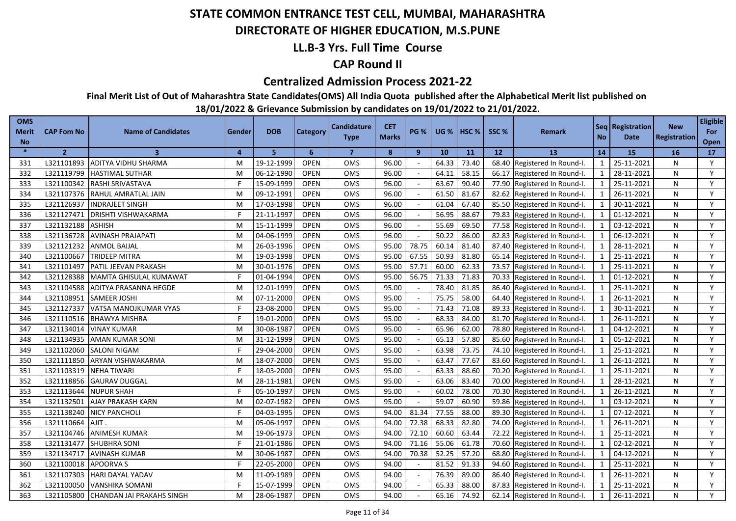### **DIRECTORATE OF HIGHER EDUCATION, M.S.PUNE**

### **LL.B-3 Yrs. Full Time Course**

### **CAP Round II**

#### **Centralized Admission Process 2021-22**

**Final Merit List of Out of Maharashtra State Candidates(OMS) All India Quota published after the Alphabetical Merit list published on** 

| <b>OMS</b><br><b>Merit</b><br><b>No</b> | <b>CAP Fom No</b> | <b>Name of Candidates</b>     | Gender   | <b>DOB</b> | Category    | <b>Candidature</b><br><b>Type</b> | <b>CET</b><br><b>Marks</b> | <b>PG %</b> | <b>UG %</b> | <b>HSC</b> % | SSC%  | <b>Remark</b>          | <b>No</b>                | Seq   Registration  <br>Date | <b>New</b><br><b>Registration</b> | <b>Eligible</b><br>For<br>Open |
|-----------------------------------------|-------------------|-------------------------------|----------|------------|-------------|-----------------------------------|----------------------------|-------------|-------------|--------------|-------|------------------------|--------------------------|------------------------------|-----------------------------------|--------------------------------|
| $\ast$                                  | $\overline{2}$    | $\overline{\mathbf{3}}$       | $\Delta$ | 5          | 6           | $\overline{7}$                    | 8                          | 9           | 10          | 11           | 12    | 13                     | 14                       | <b>15</b>                    | <b>16</b>                         | 17                             |
| 331                                     | L321101893        | ADITYA VIDHU SHARMA           | M        | 19-12-1999 | <b>OPEN</b> | <b>OMS</b>                        | 96.00                      |             | 64.33       | 73.40        | 68.40 | Registered In Round-I. | $\mathbf{1}$             | 25-11-2021                   | N                                 | Y                              |
| 332                                     | L321119799        | <b>HASTIMAL SUTHAR</b>        | M        | 06-12-1990 | <b>OPEN</b> | <b>OMS</b>                        | 96.00                      |             | 64.11       | 58.15        | 66.17 | Registered In Round-I. | $\mathbf{1}$             | 28-11-2021                   | N                                 | Y                              |
| 333                                     | L321100342        | RASHI SRIVASTAVA              | F        | 15-09-1999 | <b>OPEN</b> | OMS                               | 96.00                      | $\sim$      | 63.67       | 90.40        | 77.90 | Registered In Round-I. | $\mathbf{1}$             | 25-11-2021                   | N                                 | Y                              |
| 334                                     | L321107376        | RAHUL AMRATLAL JAIN           | M        | 09-12-1991 | <b>OPEN</b> | <b>OMS</b>                        | 96.00                      |             | 61.50       | 81.67        | 82.62 | Registered In Round-I. | $\mathbf{1}$             | 26-11-2021                   | N                                 | Y                              |
| 335                                     | L321126937        | <b>INDRAJEET SINGH</b>        | M        | 17-03-1998 | <b>OPEN</b> | <b>OMS</b>                        | 96.00                      |             | 61.04       | 67.40        | 85.50 | Registered In Round-I. | $\mathbf{1}$             | 30-11-2021                   | N                                 | Y                              |
| 336                                     | L321127471        | <b>DRISHTI VISHWAKARMA</b>    | F        | 21-11-1997 | <b>OPEN</b> | OMS                               | 96.00                      |             | 56.95       | 88.67        | 79.83 | Registered In Round-I. | $\mathbf{1}$             | 01-12-2021                   | N                                 | Y                              |
| 337                                     | L321132188        | <b>ASHISH</b>                 | M        | 15-11-1999 | <b>OPEN</b> | <b>OMS</b>                        | 96.00                      |             | 55.69       | 69.50        | 77.58 | Registered In Round-I. | $\mathbf{1}$             | 03-12-2021                   | N                                 | Y                              |
| 338                                     | L321136728        | <b>AVINASH PRAJAPATI</b>      | M        | 04-06-1999 | <b>OPEN</b> | <b>OMS</b>                        | 96.00                      | $\sim$      | 50.22       | 86.00        | 82.83 | Registered In Round-I. | $\mathbf{1}$             | 06-12-2021                   | N                                 | Y                              |
| 339                                     | L321121232        | <b>ANMOL BAIJAL</b>           | M        | 26-03-1996 | <b>OPEN</b> | OMS                               | 95.00                      | 78.75       | 60.14       | 81.40        | 87.40 | Registered In Round-I. | $\mathbf{1}$             | 28-11-2021                   | N                                 | Y                              |
| 340                                     | L321100667        | TRIDEEP MITRA                 | м        | 19-03-1998 | <b>OPEN</b> | <b>OMS</b>                        | 95.00                      | 67.55       | 50.93       | 81.80        | 65.14 | Registered In Round-I. | $\overline{1}$           | 25-11-2021                   | N                                 | Y                              |
| 341                                     | L321101497        | PATIL JEEVAN PRAKASH          | M        | 30-01-1976 | <b>OPEN</b> | OMS                               | 95.00                      | 57.71       | 60.00       | 62.33        | 73.57 | Registered In Round-I. | $\overline{1}$           | 25-11-2021                   | N                                 | Y                              |
| 342                                     | L321128388        | <b>MAMTA GHISULAL KUMAWAT</b> |          | 01-04-1994 | <b>OPEN</b> | <b>OMS</b>                        | 95.00                      | 56.75       | 71.33       | 71.83        | 70.33 | Registered In Round-I. | $\overline{\phantom{0}}$ | 01-12-2021                   | N                                 | Y                              |
| 343                                     | L321104588        | ADITYA PRASANNA HEGDE         | M        | 12-01-1999 | <b>OPEN</b> | OMS                               | 95.00                      |             | 78.40       | 81.85        | 86.40 | Registered In Round-I. | $\overline{1}$           | 25-11-2021                   | N                                 | Y                              |
| 344                                     | L321108951        | <b>SAMEER JOSHI</b>           | M        | 07-11-2000 | <b>OPEN</b> | <b>OMS</b>                        | 95.00                      |             | 75.75       | 58.00        | 64.40 | Registered In Round-I. | $\overline{\phantom{0}}$ | 26-11-2021                   | N                                 | Y                              |
| 345                                     | L321127337        | VATSA MANOJKUMAR VYAS         |          | 23-08-2000 | <b>OPEN</b> | <b>OMS</b>                        | 95.00                      |             | 71.43       | 71.08        | 89.33 | Registered In Round-I. | $\overline{1}$           | 30-11-2021                   | N                                 | Y                              |
| 346                                     | L321110516        | <b>BHAWYA MISHRA</b>          |          | 19-01-2000 | <b>OPEN</b> | OMS                               | 95.00                      |             | 68.33       | 84.00        | 81.70 | Registered In Round-I. | $\overline{1}$           | 26-11-2021                   | N                                 | Y                              |
| 347                                     | L321134014        | <b>VINAY KUMAR</b>            | M        | 30-08-1987 | OPEN        | <b>OMS</b>                        | 95.00                      |             | 65.96       | 62.00        | 78.80 | Registered In Round-I. | -1                       | 04-12-2021                   | N                                 | Y                              |
| 348                                     | L321134935        | <b>AMAN KUMAR SONI</b>        | M        | 31-12-1999 | <b>OPEN</b> | OMS                               | 95.00                      |             | 65.13       | 57.80        | 85.60 | Registered In Round-I. | $\mathbf{1}$             | 05-12-2021                   | N                                 | Y                              |
| 349                                     | L321102060        | <b>SALONI NIGAM</b>           | F        | 29-04-2000 | <b>OPEN</b> | <b>OMS</b>                        | 95.00                      |             | 63.98       | 73.75        | 74.10 | Registered In Round-I. | $\overline{1}$           | 25-11-2021                   | N                                 | Y                              |
| 350                                     | L321111850        | <b>ARYAN VISHWAKARMA</b>      | M        | 18-07-2000 | <b>OPEN</b> | <b>OMS</b>                        | 95.00                      |             | 63.47       | 77.67        | 83.60 | Registered In Round-I. | $\mathbf{1}$             | 26-11-2021                   | N                                 | Y                              |
| 351                                     | L321103319        | <b>NEHA TIWARI</b>            | Е        | 18-03-2000 | <b>OPEN</b> | OMS                               | 95.00                      |             | 63.33       | 88.60        | 70.20 | Registered In Round-I. | $\mathbf{1}$             | 25-11-2021                   | N                                 | Y                              |
| 352                                     | L321118856        | <b>GAURAV DUGGAL</b>          | M        | 28-11-1981 | <b>OPEN</b> | <b>OMS</b>                        | 95.00                      |             | 63.06       | 83.40        | 70.00 | Registered In Round-I. | $\mathbf{1}$             | 28-11-2021                   | N                                 | Y                              |
| 353                                     | L321113644        | <b>NUPUR SHAH</b>             | F        | 05-10-1997 | <b>OPEN</b> | OMS                               | 95.00                      |             | 60.02       | 78.00        | 70.30 | Registered In Round-I. | $\mathbf{1}$             | 26-11-2021                   | N                                 | Y                              |
| 354                                     | L321132501        | AJAY PRAKASH KARN             | M        | 02-07-1982 | <b>OPEN</b> | OMS                               | 95.00                      |             | 59.07       | 60.90        | 59.86 | Registered In Round-I. | $\overline{1}$           | 03-12-2021                   | N                                 | Y                              |
| 355                                     | L321138240        | <b>NICY PANCHOLI</b>          | F        | 04-03-1995 | <b>OPEN</b> | OMS                               | 94.00                      | 81.34       | 77.55       | 88.00        | 89.30 | Registered In Round-I. | $\mathbf{1}$             | 07-12-2021                   | N                                 | Y                              |
| 356                                     | L321110664        | AJIT.                         | M        | 05-06-1997 | <b>OPEN</b> | OMS                               | 94.00                      | 72.38       | 68.33       | 82.80        | 74.00 | Registered In Round-I. | $\mathbf{1}$             | 26-11-2021                   | N                                 | Y                              |
| 357                                     | L321104746        | <b>ANIMESH KUMAR</b>          | M        | 19-06-1973 | <b>OPEN</b> | <b>OMS</b>                        | 94.00                      | 72.10       | 60.60       | 63.44        | 72.22 | Registered In Round-I. | $\mathbf{1}$             | 25-11-2021                   | N                                 | Y                              |
| 358                                     | L321131477        | <b>SHUBHRA SONI</b>           |          | 21-01-1986 | <b>OPEN</b> | OMS                               | 94.00                      | 71.16       | 55.06       | 61.78        | 70.60 | Registered In Round-I. | $\mathbf{1}$             | 02-12-2021                   | N                                 | Y                              |
| 359                                     | L321134717        | <b>AVINASH KUMAR</b>          | M        | 30-06-1987 | <b>OPEN</b> | <b>OMS</b>                        | 94.00                      | 70.38       | 52.25       | 57.20        | 68.80 | Registered In Round-I. | $\mathbf{1}$             | 04-12-2021                   | N                                 | Y                              |
| 360                                     | L321100018        | <b>APOORVAS</b>               |          | 22-05-2000 | <b>OPEN</b> | OMS                               | 94.00                      |             | 81.52       | 91.33        | 94.60 | Registered In Round-I. | $\mathbf{1}$             | 25-11-2021                   | N                                 | Y                              |
| 361                                     | L321107303        | <b>HARI DAYAL YADAV</b>       | M        | 11-09-1989 | <b>OPEN</b> | <b>OMS</b>                        | 94.00                      |             | 76.39       | 89.00        | 86.40 | Registered In Round-I. | $\overline{1}$           | 26-11-2021                   | N                                 | Y                              |
| 362                                     | L321100050        | <b>VANSHIKA SOMANI</b>        |          | 15-07-1999 | <b>OPEN</b> | <b>OMS</b>                        | 94.00                      |             | 65.33       | 88.00        | 87.83 | Registered In Round-I. | $\mathbf{1}$             | 25-11-2021                   | N                                 | Y                              |
| 363                                     | L321105800        | CHANDAN JAI PRAKAHS SINGH     | м        | 28-06-1987 | <b>OPEN</b> | <b>OMS</b>                        | 94.00                      |             | 65.16       | 74.92        | 62.14 | Registered In Round-I. | $\overline{1}$           | 26-11-2021                   | N                                 | Y                              |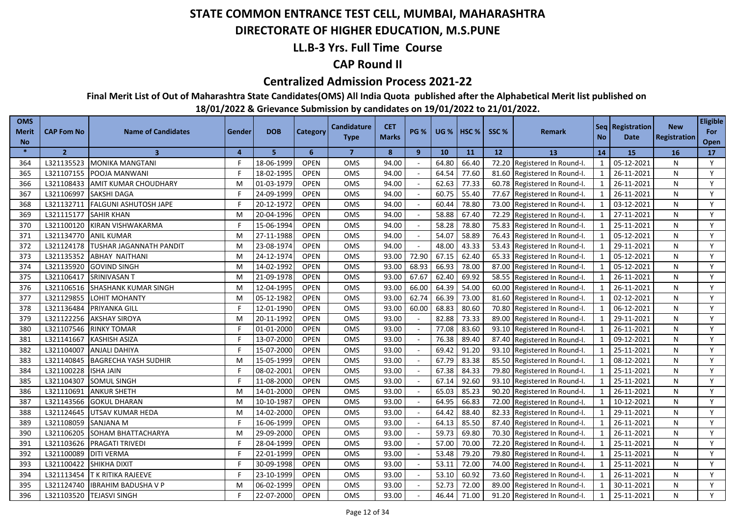### **DIRECTORATE OF HIGHER EDUCATION, M.S.PUNE**

### **LL.B-3 Yrs. Full Time Course**

### **CAP Round II**

#### **Centralized Admission Process 2021-22**

**Final Merit List of Out of Maharashtra State Candidates(OMS) All India Quota published after the Alphabetical Merit list published on** 

| <b>OMS</b><br><b>Merit</b><br><b>No</b> | <b>CAP Fom No</b> | <b>Name of Candidates</b>      | Gender         | <b>DOB</b> | Category    | <b>Candidature</b><br><b>Type</b> | <b>CET</b><br><b>Marks</b> | <b>PG %</b>  | <b>UG %</b> | HSC <sub>%</sub> | SSC % | <b>Remark</b>                | <b>No</b>               | Seq Registration<br>Date | <b>New</b><br>Registration | <b>Eligible</b><br>For<br>Open |
|-----------------------------------------|-------------------|--------------------------------|----------------|------------|-------------|-----------------------------------|----------------------------|--------------|-------------|------------------|-------|------------------------------|-------------------------|--------------------------|----------------------------|--------------------------------|
| $\ast$                                  | $\overline{2}$    | $\overline{\mathbf{3}}$        | $\overline{a}$ | 5.         | 6           | $\overline{7}$                    | 8                          | $\mathbf{9}$ | 10          | 11               | 12    | 13                           | 14                      | 15                       | 16                         | 17                             |
| 364                                     | L321135523        | <b>MONIKA MANGTANI</b>         |                | 18-06-1999 | <b>OPEN</b> | <b>OMS</b>                        | 94.00                      |              | 64.80       | 66.40            |       | 72.20 Registered In Round-I. | 1                       | 05-12-2021               | N                          | Y                              |
| 365                                     | L321107155        | POOJA MANWANI                  |                | 18-02-1995 | <b>OPEN</b> | OMS                               | 94.00                      |              | 64.54       | 77.60            |       | 81.60 Registered In Round-I. | 1                       | 26-11-2021               | N                          | Y                              |
| 366                                     | L321108433        | <b>AMIT KUMAR CHOUDHARY</b>    | M              | 01-03-1979 | <b>OPEN</b> | OMS                               | 94.00                      |              | 62.63       | 77.33            |       | 60.78 Registered In Round-I. | 1                       | 26-11-2021               | N                          | Y                              |
| 367                                     | L321106997        | <b>SAKSHI DAGA</b>             |                | 24-09-1999 | <b>OPEN</b> | <b>OMS</b>                        | 94.00                      |              | 60.75       | 55.40            |       | 77.67 Registered In Round-I. | 1                       | 26-11-2021               | N                          | Y                              |
| 368                                     | L321132711        | <b>FALGUNI ASHUTOSH JAPE</b>   |                | 20-12-1972 | <b>OPEN</b> | OMS                               | 94.00                      |              | 60.44       | 78.80            |       | 73.00 Registered In Round-I. | 1                       | 03-12-2021               | N                          | Y                              |
| 369                                     | L321115177        | <b>SAHIR KHAN</b>              | M              | 20-04-1996 | <b>OPEN</b> | OMS                               | 94.00                      |              | 58.88       | 67.40            |       | 72.29 Registered In Round-I. | $\mathbf{1}$            | 27-11-2021               | N                          | Y                              |
| 370                                     | L321100120        | KIRAN VISHWAKARMA              |                | 15-06-1994 | <b>OPEN</b> | <b>OMS</b>                        | 94.00                      |              | 58.28       | 78.80            |       | 75.83 Registered In Round-I. | 1                       | 25-11-2021               | N                          | Y                              |
| 371                                     | L321134770        | <b>ANIL KUMAR</b>              | M              | 27-11-1988 | <b>OPEN</b> | OMS                               | 94.00                      |              | 54.07       | 58.89            |       | 76.43 Registered In Round-I. | 1                       | 05-12-2021               | N                          | Y                              |
| 372                                     | L321124178        | <b>TUSHAR JAGANNATH PANDIT</b> | M              | 23-08-1974 | <b>OPEN</b> | OMS                               | 94.00                      |              | 48.00       | 43.33            |       | 53.43 Registered In Round-I. | $\mathbf{1}$            | 29-11-2021               | N                          | Y                              |
| 373                                     | L321135352        | <b>ABHAY NAITHANI</b>          | M              | 24-12-1974 | <b>OPEN</b> | OMS                               | 93.00                      | 72.90        | 67.15       | 62.40            |       | 65.33 Registered In Round-I. | 1                       | 05-12-2021               | N                          | Y                              |
| 374                                     | L321135920        | <b>GOVIND SINGH</b>            | M              | 14-02-1992 | <b>OPEN</b> | OMS                               | 93.00                      | 68.93        | 66.93       | 78.00            |       | 87.00 Registered In Round-I. | 1                       | 05-12-2021               | N                          | Y                              |
| 375                                     | L321106417        | SRINIVASAN T                   | M              | 21-09-1978 | <b>OPEN</b> | OMS                               | 93.00                      | 67.67        | 62.40       | 69.92            | 58.55 | Registered In Round-I.       | $\mathbf{1}$            | 26-11-2021               | N                          | Y                              |
| 376                                     | L321106516        | <b>SHASHANK KUMAR SINGH</b>    | М              | 12-04-1995 | <b>OPEN</b> | OMS                               | 93.00                      | 66.00        | 64.39       | 54.00            |       | 60.00 Registered In Round-I. | $\overline{\mathbf{1}}$ | 26-11-2021               | N                          | Y                              |
| 377                                     | L321129855        | LOHIT MOHANTY                  | М              | 05-12-1982 | <b>OPEN</b> | OMS                               | 93.00                      | 62.74        | 66.39       | 73.00            |       | 81.60 Registered In Round-I. |                         | 02-12-2021               | N                          | Y                              |
| 378                                     | L321136484        | PRIYANKA GILL                  |                | 12-01-1990 | <b>OPEN</b> | OMS                               | 93.00                      | 60.00        | 68.83       | 80.60            | 70.80 | Registered In Round-I.       |                         | 06-12-2021               | N                          | Y                              |
| 379                                     | L321122256        | <b>AKSHAY SIROYA</b>           | M              | 20-11-1992 | <b>OPEN</b> | <b>OMS</b>                        | 93.00                      |              | 82.88       | 73.33            | 89.00 | Registered In Round-I.       | $\overline{1}$          | 29-11-2021               | N                          | Y                              |
| 380                                     | L321107546        | <b>RINKY TOMAR</b>             |                | 01-01-2000 | <b>OPEN</b> | OMS                               | 93.00                      |              | 77.08       | 83.60            | 93.10 | Registered In Round-I.       | $\mathbf 1$             | 26-11-2021               | N                          | Y                              |
| 381                                     | L321141667        | <b>KASHISH ASIZA</b>           |                | 13-07-2000 | <b>OPEN</b> | <b>OMS</b>                        | 93.00                      |              | 76.38       | 89.40            | 87.40 | Registered In Round-I.       | $\mathbf{1}$            | 09-12-2021               | N                          | Y                              |
| 382                                     | L321104007        | <b>ANJALI DAHIYA</b>           |                | 15-07-2000 | <b>OPEN</b> | OMS                               | 93.00                      |              | 69.42       | 91.20            | 93.10 | Registered In Round-I.       | $\mathbf{1}$            | 25-11-2021               | N                          | Y                              |
| 383                                     | L321140845        | <b>BAGRECHA YASH SUDHIR</b>    | M              | 15-05-1999 | <b>OPEN</b> | OMS                               | 93.00                      |              | 67.79       | 83.38            | 85.50 | Registered In Round-I.       | $\mathbf{1}$            | 08-12-2021               | N                          | Y                              |
| 384                                     | L321100228        | <b>ISHA JAIN</b>               |                | 08-02-2001 | <b>OPEN</b> | OMS                               | 93.00                      |              | 67.38       | 84.33            | 79.80 | Registered In Round-I.       | $\mathbf{1}$            | 25-11-2021               | N                          | Y                              |
| 385                                     | L321104307        | <b>SOMUL SINGH</b>             |                | 11-08-2000 | <b>OPEN</b> | OMS                               | 93.00                      |              | 67.14       | 92.60            | 93.10 | Registered In Round-I.       | $\mathbf{1}$            | 25-11-2021               | N                          | Y                              |
| 386                                     | L321110691        | <b>ANKUR SHETH</b>             | M              | 14-01-2000 | <b>OPEN</b> | OMS                               | 93.00                      |              | 65.03       | 85.23            | 90.20 | Registered In Round-I.       | $\mathbf{1}$            | 26-11-2021               | N                          | Y                              |
| 387                                     | L321143566        | <b>GOKUL DHARAN</b>            | M              | 10-10-1987 | <b>OPEN</b> | OMS                               | 93.00                      |              | 64.95       | 66.83            | 72.00 | Registered In Round-I.       |                         | 10-12-2021               | N                          | Y                              |
| 388                                     | L321124645        | UTSAV KUMAR HEDA               | M              | 14-02-2000 | <b>OPEN</b> | OMS                               | 93.00                      |              | 64.42       | 88.40            | 82.33 | Registered In Round-I.       | $\mathbf{1}$            | 29-11-2021               | N                          | Y                              |
| 389                                     | L321108059        | SANJANA M                      |                | 16-06-1999 | <b>OPEN</b> | OMS                               | 93.00                      |              | 64.13       | 85.50            | 87.40 | Registered In Round-I.       | $\mathbf{1}$            | 26-11-2021               | N                          | Y                              |
| 390                                     | L321106205        | SOHAM BHATTACHARYA             | M              | 29-09-2000 | <b>OPEN</b> | OMS                               | 93.00                      | $\sim$       | 59.73       | 69.80            | 70.30 | Registered In Round-I.       | $\mathbf{1}$            | 26-11-2021               | N                          | Y                              |
| 391                                     | L321103626        | PRAGATI TRIVEDI                |                | 28-04-1999 | <b>OPEN</b> | <b>OMS</b>                        | 93.00                      |              | 57.00       | 70.00            | 72.20 | Registered In Round-I.       | $\mathbf{1}$            | 25-11-2021               | N                          | Y                              |
| 392                                     | L321100089        | <b>DITI VERMA</b>              |                | 22-01-1999 | <b>OPEN</b> | OMS                               | 93.00                      |              | 53.48       | 79.20            | 79.80 | Registered In Round-I.       | $\mathbf{1}$            | 25-11-2021               | N                          | Y                              |
| 393                                     | L321100422        | SHIKHA DIXIT                   |                | 30-09-1998 | <b>OPEN</b> | OMS                               | 93.00                      |              | 53.11       | 72.00            | 74.00 | Registered In Round-I.       |                         | 25-11-2021               | N                          | Y                              |
| 394                                     | L321113454        | T K RITIKA RAJEEVE             |                | 23-10-1999 | <b>OPEN</b> | <b>OMS</b>                        | 93.00                      |              | 53.10       | 60.92            | 73.60 | Registered In Round-I.       | $\mathbf{1}$            | 26-11-2021               | N                          | Y                              |
| 395                                     | L321124740        | <b>IBRAHIM BADUSHA V P</b>     | м              | 06-02-1999 | <b>OPEN</b> | OMS                               | 93.00                      |              | 52.73       | 72.00            | 89.00 | Registered In Round-I.       |                         | 30-11-2021               | N                          | Y                              |
| 396                                     | L321103520        | <b>TEJASVI SINGH</b>           |                | 22-07-2000 | <b>OPEN</b> | OMS                               | 93.00                      |              | 46.44       | 71.00            |       | 91.20 Registered In Round-I. |                         | 25-11-2021               | N                          | Y                              |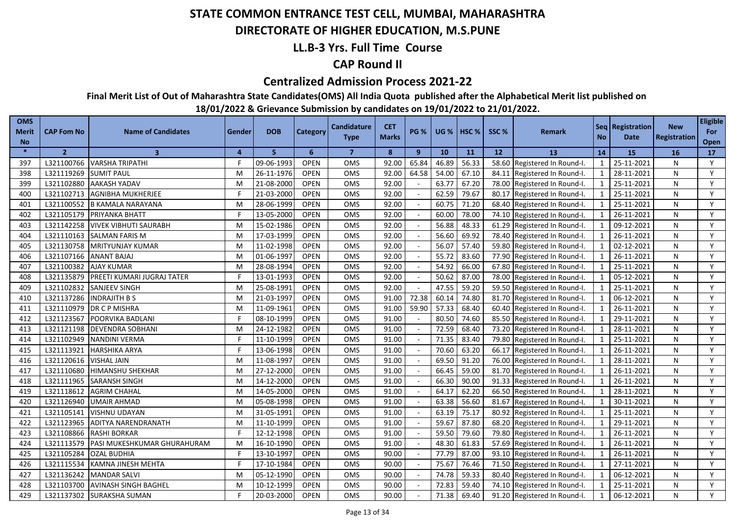### **DIRECTORATE OF HIGHER EDUCATION, M.S.PUNE**

### **LL.B-3 Yrs. Full Time Course**

### **CAP Round II**

#### **Centralized Admission Process 2021-22**

**Final Merit List of Out of Maharashtra State Candidates(OMS) All India Quota published after the Alphabetical Merit list published on** 

| <b>OMS</b><br><b>Merit</b><br><b>No</b> | <b>CAP Fom No</b> | <b>Name of Candidates</b>         | Gender       | <b>DOB</b> | Category    | <b>Candidature</b><br><b>Type</b> | <b>CET</b><br><b>Marks</b> | <b>PG %</b>    | <b>UG %</b> | <b>I HSC %</b> | SSC <sub>%</sub> | <b>Remark</b>          | <b>No</b>               | Seq Registration<br><b>Date</b> | <b>New</b><br><b>Registration</b> | <b>Eligible</b><br>For<br>Open |
|-----------------------------------------|-------------------|-----------------------------------|--------------|------------|-------------|-----------------------------------|----------------------------|----------------|-------------|----------------|------------------|------------------------|-------------------------|---------------------------------|-----------------------------------|--------------------------------|
| $\ast$                                  | $\overline{2}$    | $\overline{\mathbf{3}}$           | $\mathbf{4}$ | 5          | 6           | $\overline{7}$                    | 8                          | $\overline{9}$ | 10          | 11             | 12               | 13                     | 14                      | <b>15</b>                       | <b>16</b>                         | <b>17</b>                      |
| 397                                     | L321100766        | <b>VARSHA TRIPATHI</b>            |              | 09-06-1993 | <b>OPEN</b> | OMS                               | 92.00                      | 65.84          | 46.89       | 56.33          | 58.60            | Registered In Round-I. | $\mathbf{1}$            | 25-11-2021                      | N                                 | Y                              |
| 398                                     | L321119269        | <b>SUMIT PAUL</b>                 | M            | 26-11-1976 | <b>OPEN</b> | <b>OMS</b>                        | 92.00                      | 64.58          | 54.00       | 67.10          | 84.11            | Registered In Round-I. | $\mathbf{1}$            | 28-11-2021                      | N                                 | Y                              |
| 399                                     | L321102880        | <b>AAKASH YADAV</b>               | M            | 21-08-2000 | <b>OPEN</b> | OMS                               | 92.00                      |                | 63.77       | 67.20          | 78.00            | Registered In Round-I. | $\mathbf{1}$            | 25-11-2021                      | N                                 | Y                              |
| 400                                     | L321102713        | <b>AGNIBHA MUKHERJEE</b>          | F            | 21-03-2000 | <b>OPEN</b> | OMS                               | 92.00                      |                | 62.59       | 79.67          | 80.17            | Registered In Round-I. | $\mathbf{1}$            | 25-11-2021                      | N                                 | Y                              |
| 401                                     | L321100552        | <b>B KAMALA NARAYANA</b>          | м            | 28-06-1999 | <b>OPEN</b> | <b>OMS</b>                        | 92.00                      |                | 60.75       | 71.20          | 68.40            | Registered In Round-I. | $\mathbf{1}$            | 25-11-2021                      | N                                 | Y                              |
| 402                                     | L321105179        | PRIYANKA BHATT                    | F            | 13-05-2000 | <b>OPEN</b> | OMS                               | 92.00                      |                | 60.00       | 78.00          | 74.10            | Registered In Round-I. | $\mathbf{1}$            | 26-11-2021                      | N                                 | Y                              |
| 403                                     | L321142258        | <b>VIVEK VIBHUTI SAURABH</b>      | M            | 15-02-1986 | <b>OPEN</b> | <b>OMS</b>                        | 92.00                      |                | 56.88       | 48.33          | 61.29            | Registered In Round-I. | $\overline{1}$          | 09-12-2021                      | N                                 | Y                              |
| 404                                     | L321110163        | <b>SALMAN FARIS M</b>             | M            | 17-03-1999 | <b>OPEN</b> | OMS                               | 92.00                      |                | 56.60       | 69.92          | 78.40            | Registered In Round-I. | $\overline{1}$          | 26-11-2021                      | N                                 | Y                              |
| 405                                     | L321130758        | <b>MRITYUNJAY KUMAR</b>           | M            | 11-02-1998 | <b>OPEN</b> | <b>OMS</b>                        | 92.00                      |                | 56.07       | 57.40          | 59.80            | Registered In Round-I. | $\overline{1}$          | 02-12-2021                      | N                                 | Y                              |
| 406                                     | L321107166        | <b>ANANT BAJAJ</b>                | M            | 01-06-1997 | <b>OPEN</b> | <b>OMS</b>                        | 92.00                      |                | 55.72       | 83.60          | 77.90            | Registered In Round-I. | $\overline{1}$          | 26-11-2021                      | N                                 | Y                              |
| 407                                     | L321100382        | <b>AJAY KUMAR</b>                 | M            | 28-08-1994 | <b>OPEN</b> | OMS                               | 92.00                      |                | 54.92       | 66.00          | 67.80            | Registered In Round-I. | $\overline{1}$          | 25-11-2021                      | N                                 | Y                              |
| 408                                     | L321135879        | <b>PREETI KUMARI JUGRAJ TATER</b> | F            | 13-01-1993 | <b>OPEN</b> | <b>OMS</b>                        | 92.00                      |                | 50.62       | 87.00          | 78.00            | Registered In Round-I. | $\overline{1}$          | 05-12-2021                      | N                                 | Y                              |
| 409                                     | L321102832        | <b>SANJEEV SINGH</b>              | M            | 25-08-1991 | <b>OPEN</b> | OMS                               | 92.00                      |                | 47.55       | 59.20          | 59.50            | Registered In Round-I. | $\mathbf{1}$            | 25-11-2021                      | N                                 | Y                              |
| 410                                     | L321137286        | <b>INDRAJITH B S</b>              | M            | 21-03-1997 | <b>OPEN</b> | OMS                               | 91.00                      | 72.38          | 60.14       | 74.80          | 81.70            | Registered In Round-I. | $\overline{1}$          | 06-12-2021                      | N                                 | Y                              |
| 411                                     | L321110979        | DR C P MISHRA                     | M            | 11-09-1961 | <b>OPEN</b> | <b>OMS</b>                        | 91.00                      | 59.90          | 57.33       | 68.40          | 60.40            | Registered In Round-I. | $\mathbf{1}$            | 26-11-2021                      | N                                 | Y                              |
| 412                                     | L321123567        | POORVIKA BADLANI                  |              | 08-10-1999 | <b>OPEN</b> | OMS                               | 91.00                      |                | 80.50       | 74.60          | 85.50            | Registered In Round-I. | $\overline{1}$          | 29-11-2021                      | N                                 | Y                              |
| 413                                     | L321121198        | <b>DEVENDRA SOBHANI</b>           | M            | 24-12-1982 | <b>OPEN</b> | <b>OMS</b>                        | 91.00                      |                | 72.59       | 68.40          | 73.20            | Registered In Round-I. | $\overline{1}$          | 28-11-2021                      | N                                 | Y                              |
| 414                                     | L321102949        | <b>NANDINI VERMA</b>              | F            | 11-10-1999 | <b>OPEN</b> | OMS                               | 91.00                      |                | 71.35       | 83.40          | 79.80            | Registered In Round-I. | $\mathbf{1}$            | 25-11-2021                      | N                                 | Y                              |
| 415                                     | L321113921        | <b>HARSHIKA ARYA</b>              | F            | 13-06-1998 | <b>OPEN</b> | OMS                               | 91.00                      | $\sim$         | 70.60       | 63.20          | 66.17            | Registered In Round-I. | $\mathbf{1}$            | 26-11-2021                      | N                                 | Y                              |
| 416                                     | L321120616        | VISHAL JAIN                       | M            | 11-08-1997 | <b>OPEN</b> | <b>OMS</b>                        | 91.00                      |                | 69.50       | 91.20          | 76.00            | Registered In Round-I. | $\overline{1}$          | 28-11-2021                      | N                                 | Y                              |
| 417                                     | L321110680        | <b>HIMANSHU SHEKHAR</b>           | M            | 27-12-2000 | <b>OPEN</b> | OMS                               | 91.00                      |                | 66.45       | 59.00          | 81.70            | Registered In Round-I. | $\mathbf{1}$            | 26-11-2021                      | N                                 | Y                              |
| 418                                     | L321111965        | <b>SARANSH SINGH</b>              | M            | 14-12-2000 | <b>OPEN</b> | <b>OMS</b>                        | 91.00                      |                | 66.30       | 90.00          | 91.33            | Registered In Round-I. | $\mathbf{1}$            | 26-11-2021                      | N                                 | Y                              |
| 419                                     | L321118612        | <b>AGRIM CHAHAL</b>               | M            | 14-05-2000 | <b>OPEN</b> | OMS                               | 91.00                      |                | 64.17       | 62.20          | 66.50            | Registered In Round-I. | $\mathbf{1}$            | 28-11-2021                      | N                                 | Y                              |
| 420                                     | L321126940        | <b>UMAIR AHMAD</b>                | M            | 05-08-1998 | <b>OPEN</b> | <b>OMS</b>                        | 91.00                      |                | 63.38       | 56.60          | 81.67            | Registered In Round-I. | $\mathbf{1}$            | 30-11-2021                      | N                                 | Y                              |
| 421                                     | L321105141        | VISHNU UDAYAN                     | M            | 31-05-1991 | <b>OPEN</b> | OMS                               | 91.00                      |                | 63.19       | 75.17          | 80.92            | Registered In Round-I. | $\mathbf{1}$            | 25-11-2021                      | N                                 | Y                              |
| 422                                     | L321123965        | ADITYA NARENDRANATH               | M            | 11-10-1999 | <b>OPEN</b> | <b>OMS</b>                        | 91.00                      |                | 59.67       | 87.80          | 68.20            | Registered In Round-I. | $\mathbf{1}$            | 29-11-2021                      | N                                 | Y                              |
| 423                                     | L321108866        | <b>RASHI BORKAR</b>               |              | 12-12-1998 | <b>OPEN</b> | <b>OMS</b>                        | 91.00                      |                | 59.50       | 79.60          | 79.80            | Registered In Round-I. | $\mathbf{1}$            | 26-11-2021                      | N                                 | Y                              |
| 424                                     | L321113579        | PASI MUKESHKUMAR GHURAHURAM       | M            | 16-10-1990 | <b>OPEN</b> | <b>OMS</b>                        | 91.00                      |                | 48.30       | 61.83          | 57.69            | Registered In Round-I. | $\mathbf{1}$            | 26-11-2021                      | N                                 | Y                              |
| 425                                     | L321105284        | <b>OZAL BUDHIA</b>                | F            | 13-10-1997 | <b>OPEN</b> | <b>OMS</b>                        | 90.00                      |                | 77.79       | 87.00          | 93.10            | Registered In Round-I. | $\mathbf{1}$            | 26-11-2021                      | N                                 | Y                              |
| 426                                     | L321115534        | KAMNA JINESH MEHTA                |              | 17-10-1984 | <b>OPEN</b> | OMS                               | 90.00                      |                | 75.67       | 76.46          | 71.50            | Registered In Round-I. | $\overline{1}$          | 27-11-2021                      | N                                 | Y                              |
| 427                                     | L321136242        | <b>MANDAR SALVI</b>               | M            | 05-12-1990 | <b>OPEN</b> | <b>OMS</b>                        | 90.00                      | $\sim$         | 74.78       | 59.33          | 80.40            | Registered In Round-I. | $\overline{1}$          | 06-12-2021                      | N                                 | Y                              |
| 428                                     | L321103700        | AVINASH SINGH BAGHEL              | м            | 10-12-1999 | <b>OPEN</b> | OMS                               | 90.00                      |                | 72.83       | 59.40          | 74.10            | Registered In Round-I. | $\overline{\mathbf{1}}$ | 25-11-2021                      | N                                 | Y                              |
| 429                                     |                   | L321137302 SURAKSHA SUMAN         |              | 20-03-2000 | <b>OPEN</b> | OMS                               | 90.00                      |                | 71.38       | 69.40          | 91.20            | Registered In Round-I. | $\overline{1}$          | 06-12-2021                      | N                                 | Y                              |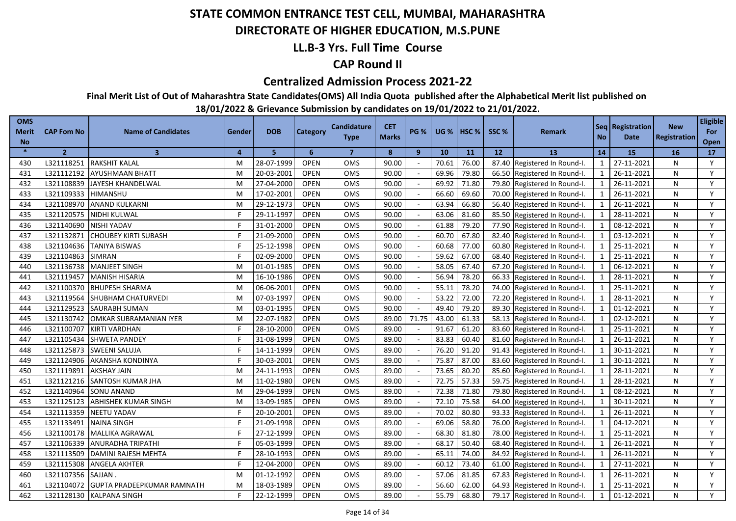### **DIRECTORATE OF HIGHER EDUCATION, M.S.PUNE**

### **LL.B-3 Yrs. Full Time Course**

### **CAP Round II**

#### **Centralized Admission Process 2021-22**

**Final Merit List of Out of Maharashtra State Candidates(OMS) All India Quota published after the Alphabetical Merit list published on** 

| <b>OMS</b><br><b>Merit</b><br><b>No</b> | <b>CAP Fom No</b> | <b>Name of Candidates</b>     | Gender         | <b>DOB</b> | Category    | <b>Candidature</b><br><b>Type</b> | <b>CET</b><br><b>Marks</b> | <b>PG %</b>  | <b>UG %</b> | HSC <sub>%</sub> | SSC % | <b>Remark</b>                | <b>No</b>               | Seq Registration<br>Date | <b>New</b><br>Registration | <b>Eligible</b><br>For<br>Open |
|-----------------------------------------|-------------------|-------------------------------|----------------|------------|-------------|-----------------------------------|----------------------------|--------------|-------------|------------------|-------|------------------------------|-------------------------|--------------------------|----------------------------|--------------------------------|
| $\ast$                                  | $\overline{2}$    | $\overline{\mathbf{3}}$       | $\overline{a}$ | 5.         | 6           | $\overline{7}$                    | 8                          | $\mathbf{9}$ | 10          | 11               | 12    | 13                           | 14                      | 15                       | 16                         | 17                             |
| 430                                     | L321118251        | RAKSHIT KALAL                 | M              | 28-07-1999 | <b>OPEN</b> | <b>OMS</b>                        | 90.00                      |              | 70.61       | 76.00            |       | 87.40 Registered In Round-I. | 1                       | 27-11-2021               | N                          | Y                              |
| 431                                     | L321112192        | <b>AYUSHMAAN BHATT</b>        | M              | 20-03-2001 | <b>OPEN</b> | OMS                               | 90.00                      |              | 69.96       | 79.80            |       | 66.50 Registered In Round-I. | 1                       | 26-11-2021               | N                          | Y                              |
| 432                                     | L321108839        | JAYESH KHANDELWAL             | M              | 27-04-2000 | <b>OPEN</b> | OMS                               | 90.00                      |              | 69.92       | 71.80            |       | 79.80 Registered In Round-I. | 1                       | 26-11-2021               | N                          | Y                              |
| 433                                     | L321109333        | HIMANSHU                      | M              | 17-02-2001 | <b>OPEN</b> | <b>OMS</b>                        | 90.00                      |              | 66.60       | 69.60            |       | 70.00 Registered In Round-I. | 1                       | 26-11-2021               | N                          | Y                              |
| 434                                     | L321108970        | <b>ANAND KULKARNI</b>         | M              | 29-12-1973 | <b>OPEN</b> | OMS                               | 90.00                      |              | 63.94       | 66.80            |       | 56.40 Registered In Round-I. | 1                       | 26-11-2021               | N                          | Y                              |
| 435                                     | L321120575        | NIDHI KULWAL                  |                | 29-11-1997 | <b>OPEN</b> | <b>OMS</b>                        | 90.00                      |              | 63.06       | 81.60            |       | 85.50 Registered In Round-I. | 1                       | 28-11-2021               | N                          | Y                              |
| 436                                     | L321140690        | <b>NISHI YADAV</b>            |                | 31-01-2000 | <b>OPEN</b> | <b>OMS</b>                        | 90.00                      |              | 61.88       | 79.20            |       | 77.90 Registered In Round-I. | 1                       | 08-12-2021               | N                          | Y                              |
| 437                                     | L321132871        | <b>CHOUBEY KIRTI SUBASH</b>   |                | 21-09-2000 | <b>OPEN</b> | OMS                               | 90.00                      |              | 60.70       | 67.80            |       | 82.40 Registered In Round-I. | 1                       | 03-12-2021               | N                          | Y                              |
| 438                                     | L321104636        | <b>TANIYA BISWAS</b>          |                | 25-12-1998 | <b>OPEN</b> | <b>OMS</b>                        | 90.00                      |              | 60.68       | 77.00            |       | 60.80 Registered In Round-I. | $\mathbf{1}$            | 25-11-2021               | N                          | Y                              |
| 439                                     | L321104863        | <b>SIMRAN</b>                 |                | 02-09-2000 | <b>OPEN</b> | OMS                               | 90.00                      |              | 59.62       | 67.00            |       | 68.40 Registered In Round-I. | 1                       | 25-11-2021               | N                          | Y                              |
| 440                                     | L321136738        | MANJEET SINGH                 | M              | 01-01-1985 | <b>OPEN</b> | OMS                               | 90.00                      |              | 58.05       | 67.40            |       | 67.20 Registered In Round-I. | 1                       | 06-12-2021               | N                          | Y                              |
| 441                                     | L321119457        | <b>MANISH HISARIA</b>         | M              | 16-10-1986 | <b>OPEN</b> | OMS                               | 90.00                      |              | 56.94       | 78.20            |       | 66.33 Registered In Round-I. | $\mathbf{1}$            | 28-11-2021               | N                          | Y                              |
| 442                                     | L321100370        | <b>BHUPESH SHARMA</b>         | M              | 06-06-2001 | <b>OPEN</b> | OMS                               | 90.00                      |              | 55.11       | 78.20            |       | 74.00 Registered In Round-I. | $\overline{\mathbf{1}}$ | 25-11-2021               | N                          | Y                              |
| 443                                     | L321119564        | SHUBHAM CHATURVEDI            | М              | 07-03-1997 | <b>OPEN</b> | OMS                               | 90.00                      |              | 53.22       | 72.00            | 72.20 | Registered In Round-I.       |                         | 28-11-2021               | N                          | Y                              |
| 444                                     | L321129523        | SAURABH SUMAN                 | M              | 03-01-1995 | <b>OPEN</b> | OMS                               | 90.00                      |              | 49.40       | 79.20            | 89.30 | Registered In Round-I.       | $\overline{1}$          | 01-12-2021               | N                          | Y                              |
| 445                                     | L321130742        | <b>OMKAR SUBRAMANIAN IYER</b> | M              | 22-07-1982 | <b>OPEN</b> | OMS                               | 89.00                      | 71.75        | 43.00       | 61.33            |       | 58.13 Registered In Round-I. | $\overline{1}$          | 02-12-2021               | N                          | Y                              |
| 446                                     | L321100707        | KIRTI VARDHAN                 |                | 28-10-2000 | <b>OPEN</b> | OMS                               | 89.00                      |              | 91.67       | 61.20            | 83.60 | Registered In Round-I.       | $\mathbf{1}$            | 25-11-2021               | N                          | Y                              |
| 447                                     | L321105434        | <b>SHWETA PANDEY</b>          |                | 31-08-1999 | <b>OPEN</b> | <b>OMS</b>                        | 89.00                      |              | 83.83       | 60.40            | 81.60 | Registered In Round-I.       | $\mathbf{1}$            | 26-11-2021               | N                          | Y                              |
| 448                                     | L321125873        | <b>SWEENI SALUJA</b>          |                | 14-11-1999 | <b>OPEN</b> | OMS                               | 89.00                      |              | 76.20       | 91.20            | 91.43 | Registered In Round-I.       | $\overline{1}$          | 30-11-2021               | N                          | Y                              |
| 449                                     | L321124906        | AKANSHA KONDINYA              |                | 30-03-2001 | <b>OPEN</b> | OMS                               | 89.00                      |              | 75.87       | 87.00            | 83.60 | Registered In Round-I.       | $\mathbf{1}$            | 30-11-2021               | N                          | Y                              |
| 450                                     | L321119891        | <b>AKSHAY JAIN</b>            | M              | 24-11-1993 | <b>OPEN</b> | OMS                               | 89.00                      |              | 73.65       | 80.20            | 85.60 | Registered In Round-I.       | $\mathbf{1}$            | 28-11-2021               | N                          | Y                              |
| 451                                     | L321121216        | SANTOSH KUMAR JHA             | м              | 11-02-1980 | <b>OPEN</b> | OMS                               | 89.00                      |              | 72.75       | 57.33            | 59.75 | Registered In Round-I.       | $\mathbf{1}$            | 28-11-2021               | N                          | Y                              |
| 452                                     | L321140964        | SONU ANAND                    | M              | 29-04-1999 | <b>OPEN</b> | OMS                               | 89.00                      |              | 72.38       | 71.80            | 79.80 | Registered In Round-I.       | $\mathbf{1}$            | 08-12-2021               | N                          | Y                              |
| 453                                     | L321125123        | <b>ABHISHEK KUMAR SINGH</b>   | M              | 13-09-1985 | <b>OPEN</b> | OMS                               | 89.00                      |              | 72.10       | 75.58            | 64.00 | Registered In Round-I.       |                         | 30-11-2021               | N                          | Y                              |
| 454                                     | L321113359        | <b>NEETU YADAV</b>            |                | 20-10-2001 | <b>OPEN</b> | OMS                               | 89.00                      |              | 70.02       | 80.80            | 93.33 | Registered In Round-I.       | $\mathbf{1}$            | 26-11-2021               | N                          | Y                              |
| 455                                     | L321133491        | <b>NAINA SINGH</b>            |                | 21-09-1998 | <b>OPEN</b> | OMS                               | 89.00                      |              | 69.06       | 58.80            | 76.00 | Registered In Round-I.       | $\mathbf{1}$            | 04-12-2021               | N                          | Y                              |
| 456                                     | L321100178        | MALLIKA AGRAWAL               |                | 27-12-1999 | <b>OPEN</b> | OMS                               | 89.00                      | $\sim$       | 68.30       | 81.80            | 78.00 | Registered In Round-I.       | $\mathbf{1}$            | 25-11-2021               | N                          | Y                              |
| 457                                     | L321106339        | <b>ANURADHA TRIPATHI</b>      |                | 05-03-1999 | <b>OPEN</b> | <b>OMS</b>                        | 89.00                      |              | 68.17       | 50.40            | 68.40 | Registered In Round-I.       | $\mathbf{1}$            | 26-11-2021               | N                          | Y                              |
| 458                                     | L321113509        | DAMINI RAJESH MEHTA           |                | 28-10-1993 | <b>OPEN</b> | OMS                               | 89.00                      |              | 65.11       | 74.00            | 84.92 | Registered In Round-I.       | $\mathbf{1}$            | 26-11-2021               | N                          | Y                              |
| 459                                     | L321115308        | ANGELA AKHTER                 |                | 12-04-2000 | <b>OPEN</b> | OMS                               | 89.00                      |              | 60.12       | 73.40            | 61.00 | Registered In Round-I.       |                         | 27-11-2021               | N                          | Y                              |
| 460                                     | L321107356        | SAJJAN                        | M              | 01-12-1992 | <b>OPEN</b> | <b>OMS</b>                        | 89.00                      |              | 57.06       | 81.85            | 67.83 | Registered In Round-I.       | $\mathbf{1}$            | 26-11-2021               | N                          | Y                              |
| 461                                     | L321104072        | GUPTA PRADEEPKUMAR RAMNATH    | м              | 18-03-1989 | <b>OPEN</b> | OMS                               | 89.00                      |              | 56.60       | 62.00            | 64.93 | Registered In Round-I.       |                         | 25-11-2021               | N                          | Y                              |
| 462                                     | L321128130        | <b>KALPANA SINGH</b>          |                | 22-12-1999 | <b>OPEN</b> | OMS                               | 89.00                      |              | 55.79       | 68.80            |       | 79.17 Registered In Round-I. |                         | 01-12-2021               | N                          | Y                              |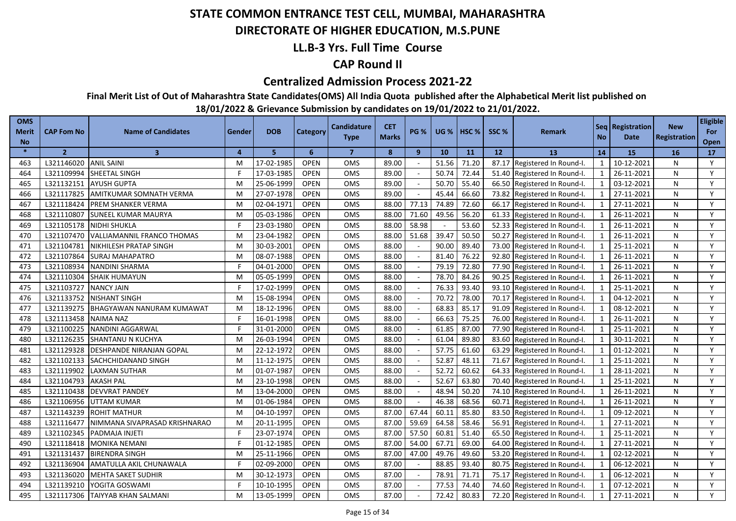### **DIRECTORATE OF HIGHER EDUCATION, M.S.PUNE**

### **LL.B-3 Yrs. Full Time Course**

### **CAP Round II**

#### **Centralized Admission Process 2021-22**

**Final Merit List of Out of Maharashtra State Candidates(OMS) All India Quota published after the Alphabetical Merit list published on** 

| <b>OMS</b><br><b>Merit</b><br><b>No</b> | <b>CAP Fom No</b> | <b>Name of Candidates</b>        | Gender | <b>DOB</b> | Category    | <b>Candidature</b><br><b>Type</b> | <b>CET</b><br><b>Marks</b> | <b>PG %</b>  | <b>UG %</b> | <b>HSC</b> % | SSC%  | <b>Remark</b>          | <b>No</b>               | Seq Registration<br>Date | <b>New</b><br><b>Registration</b> | <b>Eligible</b><br>For<br>Open |
|-----------------------------------------|-------------------|----------------------------------|--------|------------|-------------|-----------------------------------|----------------------------|--------------|-------------|--------------|-------|------------------------|-------------------------|--------------------------|-----------------------------------|--------------------------------|
| $\frac{1}{2}$                           | $\overline{2}$    | $\overline{\mathbf{3}}$          | 4      | 5          | 6           | $\overline{7}$                    | 8                          | $\mathbf{9}$ | 10          | 11           | 12    | <b>13</b>              | 14                      | 15                       | 16                                | 17                             |
| 463                                     | L321146020        | <b>ANIL SAINI</b>                | M      | 17-02-1985 | <b>OPEN</b> | <b>OMS</b>                        | 89.00                      |              | 51.56       | 71.20        | 87.17 | Registered In Round-I. | $\mathbf{1}$            | 10-12-2021               | N                                 | Y                              |
| 464                                     | L321109994        | SHEETAL SINGH                    | F      | 17-03-1985 | <b>OPEN</b> | OMS                               | 89.00                      |              | 50.74       | 72.44        | 51.40 | Registered In Round-I. | 1                       | 26-11-2021               | N                                 | Y                              |
| 465                                     | L321132151        | <b>AYUSH GUPTA</b>               | M      | 25-06-1999 | <b>OPEN</b> | OMS                               | 89.00                      | $\sim$       | 50.70       | 55.40        | 66.50 | Registered In Round-I. | 1                       | 03-12-2021               | N                                 | Y                              |
| 466                                     | L321117825        | <b>AMITKUMAR SOMNATH VERMA</b>   | M      | 27-07-1978 | <b>OPEN</b> | <b>OMS</b>                        | 89.00                      | $\sim$       | 45.44       | 66.60        | 73.82 | Registered In Round-I. | 1                       | 27-11-2021               | N                                 | Y                              |
| 467                                     | L321118424        | <b>PREM SHANKER VERMA</b>        | M      | 02-04-1971 | <b>OPEN</b> | OMS                               | 88.00                      | 77.13        | 74.89       | 72.60        | 66.17 | Registered In Round-I. | 1                       | 27-11-2021               | N                                 | Y                              |
| 468                                     | L321110807        | <b>SUNEEL KUMAR MAURYA</b>       | M      | 05-03-1986 | <b>OPEN</b> | OMS                               | 88.00                      | 71.60        | 49.56       | 56.20        | 61.33 | Registered In Round-I. | 1                       | 26-11-2021               | N                                 | Y                              |
| 469                                     | L321105178        | <b>NIDHI SHUKLA</b>              |        | 23-03-1980 | <b>OPEN</b> | <b>OMS</b>                        | 88.00                      | 58.98        |             | 53.60        | 52.33 | Registered In Round-I. | $\mathbf{1}$            | 26-11-2021               | N                                 | Y                              |
| 470                                     | L321107470        | VALLIAMANNIL FRANCO THOMAS       | M      | 23-04-1982 | <b>OPEN</b> | OMS                               | 88.00                      | 51.68        | 39.47       | 50.50        | 50.27 | Registered In Round-I. | $\mathbf{1}$            | 26-11-2021               | N                                 | Y                              |
| 471                                     | L321104781        | <b>NIKHILESH PRATAP SINGH</b>    | M      | 30-03-2001 | <b>OPEN</b> | <b>OMS</b>                        | 88.00                      |              | 90.00       | 89.40        | 73.00 | Registered In Round-I. | $\mathbf{1}$            | 25-11-2021               | N                                 | Y                              |
| 472                                     | L321107864        | <b>SURAJ MAHAPATRO</b>           | M      | 08-07-1988 | <b>OPEN</b> | <b>OMS</b>                        | 88.00                      |              | 81.40       | 76.22        | 92.80 | Registered In Round-I. | $\overline{1}$          | 26-11-2021               | N                                 | Y                              |
| 473                                     | L321108934        | <b>NANDINI SHARMA</b>            |        | 04-01-2000 | <b>OPEN</b> | OMS                               | 88.00                      |              | 79.19       | 72.80        | 77.90 | Registered In Round-I. | $\mathbf{1}$            | 26-11-2021               | N                                 | Y                              |
| 474                                     | L321110304        | <b>SHAIK HUMAYUN</b>             | M      | 05-05-1999 | <b>OPEN</b> | OMS                               | 88.00                      |              | 78.70       | 84.26        | 90.25 | Registered In Round-I. | $\mathbf{1}$            | 26-11-2021               | N                                 | Y                              |
| 475                                     | L321103727        | <b>NANCY JAIN</b>                |        | 17-02-1999 | <b>OPEN</b> | <b>OMS</b>                        | 88.00                      |              | 76.33       | 93.40        | 93.10 | Registered In Round-I. | $\overline{1}$          | 25-11-2021               | N                                 | Y                              |
| 476                                     | L321133752        | <b>NISHANT SINGH</b>             | M      | 15-08-1994 | <b>OPEN</b> | OMS                               | 88.00                      |              | 70.72       | 78.00        | 70.17 | Registered In Round-I. | $\overline{1}$          | 04-12-2021               | N                                 | Y                              |
| 477                                     | L321139275        | <b>BHAGYAWAN NANURAM KUMAWAT</b> | M      | 18-12-1996 | <b>OPEN</b> | OMS                               | 88.00                      |              | 68.83       | 85.17        | 91.09 | Registered In Round-I. | $\overline{1}$          | 08-12-2021               | N                                 | Y                              |
| 478                                     | L321113458        | <b>NAIMA NAZ</b>                 |        | 16-01-1998 | <b>OPEN</b> | <b>OMS</b>                        | 88.00                      |              | 66.63       | 75.25        | 76.00 | Registered In Round-I. | $\overline{1}$          | 26-11-2021               | N                                 | Y                              |
| 479                                     | L321100225        | NANDINI AGGARWAL                 |        | 31-01-2000 | <b>OPEN</b> | OMS                               | 88.00                      |              | 61.85       | 87.00        | 77.90 | Registered In Round-I. | $\mathbf{1}$            | 25-11-2021               | N                                 | Y                              |
| 480                                     | L321126235        | SHANTANU N KUCHYA                | M      | 26-03-1994 | <b>OPEN</b> | <b>OMS</b>                        | 88.00                      |              | 61.04       | 89.80        | 83.60 | Registered In Round-I. | $\overline{1}$          | 30-11-2021               | N                                 | Y                              |
| 481                                     | L321129328        | <b>DESHPANDE NIRANJAN GOPAL</b>  | M      | 22-12-1972 | <b>OPEN</b> | <b>OMS</b>                        | 88.00                      |              | 57.75       | 61.60        | 63.29 | Registered In Round-I. | $\overline{1}$          | 01-12-2021               | N                                 | Y                              |
| 482                                     | L321102133        | SACHCHIDANAND SINGH              | M      | 11-12-1975 | <b>OPEN</b> | OMS                               | 88.00                      |              | 52.87       | 48.11        | 71.67 | Registered In Round-I. | $\mathbf{1}$            | 25-11-2021               | N                                 | Y                              |
| 483                                     | L321119902        | <b>LAXMAN SUTHAR</b>             | M      | 01-07-1987 | <b>OPEN</b> | OMS                               | 88.00                      |              | 52.72       | 60.62        | 64.33 | Registered In Round-I. | $\mathbf{1}$            | 28-11-2021               | N                                 | Y                              |
| 484                                     | L321104793        | <b>AKASH PAL</b>                 | M      | 23-10-1998 | <b>OPEN</b> | <b>OMS</b>                        | 88.00                      |              | 52.67       | 63.80        | 70.40 | Registered In Round-I. | $\mathbf{1}$            | 25-11-2021               | N                                 | Y                              |
| 485                                     | L321110438        | <b>DEVVRAT PANDEY</b>            | M      | 13-04-2000 | <b>OPEN</b> | OMS                               | 88.00                      |              | 48.94       | 50.20        | 74.10 | Registered In Round-I. | $\mathbf{1}$            | 26-11-2021               | N                                 | Y                              |
| 486                                     | L321106956        | UTTAM KUMAR                      | M      | 01-06-1984 | <b>OPEN</b> | OMS                               | 88.00                      |              | 46.38       | 68.56        | 60.71 | Registered In Round-I. | $\mathbf{1}$            | 26-11-2021               | N                                 | Y                              |
| 487                                     | L321143239        | ROHIT MATHUR                     | M      | 04-10-1997 | <b>OPEN</b> | <b>OMS</b>                        | 87.00                      | 67.44        | 60.11       | 85.80        | 83.50 | Registered In Round-I. | $\mathbf{1}$            | 09-12-2021               | N                                 | Y                              |
| 488                                     | L321116477        | NIMMANA SIVAPRASAD KRISHNARAO    | M      | 20-11-1995 | <b>OPEN</b> | OMS                               | 87.00                      | 59.69        | 64.58       | 58.46        | 56.91 | Registered In Round-I. | $\mathbf{1}$            | 27-11-2021               | N                                 | Y                              |
| 489                                     | L321102345        | PADMAJA INJETI                   |        | 23-07-1974 | <b>OPEN</b> | <b>OMS</b>                        | 87.00                      | 57.50        | 60.81       | 51.40        | 65.50 | Registered In Round-I. | $\mathbf{1}$            | 25-11-2021               | N                                 | Y                              |
| 490                                     | L321118418        | <b>MONIKA NEMANI</b>             |        | 01-12-1985 | <b>OPEN</b> | <b>OMS</b>                        | 87.00                      | 54.00        | 67.71       | 69.00        | 64.00 | Registered In Round-I. | 1                       | 27-11-2021               | N                                 | Y                              |
| 491                                     | L321131437        | <b>BIRENDRA SINGH</b>            | M      | 25-11-1966 | <b>OPEN</b> | OMS                               | 87.00                      | 47.00        | 49.76       | 49.60        | 53.20 | Registered In Round-I. | $\mathbf{1}$            | 02-12-2021               | N                                 | Y                              |
| 492                                     | L321136904        | AMATULLA AKIL CHUNAWALA          |        | 02-09-2000 | <b>OPEN</b> | <b>OMS</b>                        | 87.00                      |              | 88.85       | 93.40        | 80.75 | Registered In Round-I. | $\overline{1}$          | 06-12-2021               | N                                 | Y                              |
| 493                                     | L321136020        | <b>MEHTA SAKET SUDHIR</b>        | M      | 30-12-1973 | <b>OPEN</b> | <b>OMS</b>                        | 87.00                      | $\sim$       | 78.91       | 71.71        | 75.17 | Registered In Round-I. | $\overline{\mathbf{1}}$ | 06-12-2021               | N                                 | Y                              |
| 494                                     | L321139210        | YOGITA GOSWAMI                   |        | 10-10-1995 | <b>OPEN</b> | <b>OMS</b>                        | 87.00                      |              | 77.53       | 74.40        | 74.60 | Registered In Round-I. | $\overline{\mathbf{1}}$ | 07-12-2021               | N                                 | Y                              |
| 495                                     | L321117306        | TAIYYAB KHAN SALMANI             | м      | 13-05-1999 | <b>OPEN</b> | OMS                               | 87.00                      |              | 72.42       | 80.83        | 72.20 | Registered In Round-I. | $\overline{1}$          | 27-11-2021               | N                                 | Y                              |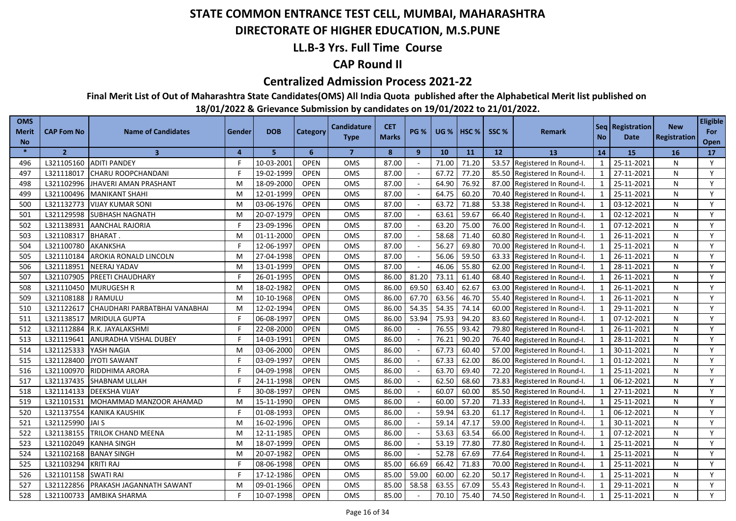### **DIRECTORATE OF HIGHER EDUCATION, M.S.PUNE**

### **LL.B-3 Yrs. Full Time Course**

### **CAP Round II**

#### **Centralized Admission Process 2021-22**

**Final Merit List of Out of Maharashtra State Candidates(OMS) All India Quota published after the Alphabetical Merit list published on** 

| <b>OMS</b><br><b>Merit</b><br><b>No</b> | <b>CAP Fom No</b> | <b>Name of Candidates</b>     | Gender | <b>DOB</b> | Category    | <b>Candidature</b><br><b>Type</b> | <b>CET</b><br><b>Marks</b> | <b>PG %</b>              | <b>UG %</b> | <b>I HSC %</b> | SSC%  | <b>Remark</b>          | <b>No</b>                | Seq   Registration<br>Date | <b>New</b><br><b>Registration</b> | <b>Eligible</b><br>For<br>Open |
|-----------------------------------------|-------------------|-------------------------------|--------|------------|-------------|-----------------------------------|----------------------------|--------------------------|-------------|----------------|-------|------------------------|--------------------------|----------------------------|-----------------------------------|--------------------------------|
| $\frac{1}{2}$                           | $\overline{2}$    | $\overline{\mathbf{3}}$       | 4      | 5          | 6           | $\overline{7}$                    | 8                          | $\mathbf{9}$             | 10          | 11             | 12    | <b>13</b>              | 14                       | 15                         | 16                                | 17                             |
| 496                                     | L321105160        | <b>ADITI PANDEY</b>           | F      | 10-03-2001 | <b>OPEN</b> | <b>OMS</b>                        | 87.00                      |                          | 71.00       | 71.20          | 53.57 | Registered In Round-I. | $\mathbf{1}$             | 25-11-2021                 | N                                 | Y                              |
| 497                                     | L321118017        | CHARU ROOPCHANDANI            | F      | 19-02-1999 | <b>OPEN</b> | OMS                               | 87.00                      |                          | 67.72       | 77.20          | 85.50 | Registered In Round-I. | 1                        | 27-11-2021                 | N                                 | Y                              |
| 498                                     | L321102996        | JHAVERI AMAN PRASHANT         | M      | 18-09-2000 | <b>OPEN</b> | OMS                               | 87.00                      |                          | 64.90       | 76.92          | 87.00 | Registered In Round-I. | $\mathbf{1}$             | 25-11-2021                 | N                                 | Y                              |
| 499                                     | L321100496        | <b>MANIKANT SHAHI</b>         | M      | 12-01-1999 | <b>OPEN</b> | <b>OMS</b>                        | 87.00                      |                          | 64.75       | 60.20          | 70.40 | Registered In Round-I. | 1                        | 25-11-2021                 | N                                 | Y                              |
| 500                                     | L321132773        | <b>VIJAY KUMAR SONI</b>       | M      | 03-06-1976 | <b>OPEN</b> | OMS                               | 87.00                      |                          | 63.72       | 71.88          | 53.38 | Registered In Round-I. | $\mathbf{1}$             | 03-12-2021                 | N                                 | Y                              |
| 501                                     | L321129598        | <b>SUBHASH NAGNATH</b>        | M      | 20-07-1979 | <b>OPEN</b> | <b>OMS</b>                        | 87.00                      |                          | 63.61       | 59.67          | 66.40 | Registered In Round-I. | $\mathbf{1}$             | 02-12-2021                 | N                                 | Y                              |
| 502                                     | L321138931        | <b>AANCHAL RAJORIA</b>        |        | 23-09-1996 | <b>OPEN</b> | <b>OMS</b>                        | 87.00                      |                          | 63.20       | 75.00          | 76.00 | Registered In Round-I. | $\mathbf{1}$             | 07-12-2021                 | N                                 | Y                              |
| 503                                     | L321108317        | <b>BHARAT.</b>                | M      | 01-11-2000 | <b>OPEN</b> | OMS                               | 87.00                      |                          | 58.68       | 71.40          | 60.80 | Registered In Round-I. | $\mathbf{1}$             | 26-11-2021                 | N                                 | Y                              |
| 504                                     | L321100780        | <b>AKANKSHA</b>               | F      | 12-06-1997 | <b>OPEN</b> | <b>OMS</b>                        | 87.00                      |                          | 56.27       | 69.80          | 70.00 | Registered In Round-I. | $\mathbf{1}$             | 25-11-2021                 | N                                 | Y                              |
| 505                                     | L321110184        | AROKIA RONALD LINCOLN         | M      | 27-04-1998 | <b>OPEN</b> | <b>OMS</b>                        | 87.00                      |                          | 56.06       | 59.50          | 63.33 | Registered In Round-I. | $\overline{1}$           | 26-11-2021                 | N                                 | Y                              |
| 506                                     | L321118951        | <b>NEERAJ YADAV</b>           | M      | 13-01-1999 | <b>OPEN</b> | OMS                               | 87.00                      |                          | 46.06       | 55.80          | 62.00 | Registered In Round-I. | $\mathbf{1}$             | 28-11-2021                 | N                                 | Y                              |
| 507                                     | L321107905        | <b>PREETI CHAUDHARY</b>       |        | 26-01-1995 | <b>OPEN</b> | OMS                               | 86.00                      | 81.20                    | 73.11       | 61.40          | 68.40 | Registered In Round-I. | $\overline{1}$           | 26-11-2021                 | N                                 | Y                              |
| 508                                     | L321110450        | <b>MURUGESH R</b>             | M      | 18-02-1982 | <b>OPEN</b> | <b>OMS</b>                        | 86.00                      | 69.50                    | 63.40       | 62.67          | 63.00 | Registered In Round-I. | $\overline{1}$           | 26-11-2021                 | N                                 | Y                              |
| 509                                     | L321108188        | J RAMULU                      | M      | 10-10-1968 | <b>OPEN</b> | OMS                               | 86.00                      | 67.70                    | 63.56       | 46.70          | 55.40 | Registered In Round-I. | $\overline{\phantom{0}}$ | 26-11-2021                 | N                                 | Y                              |
| 510                                     | L321122617        | CHAUDHARI PARBATBHAI VANABHAI | M      | 12-02-1994 | <b>OPEN</b> | OMS                               | 86.00                      | 54.35                    | 54.35       | 74.14          | 60.00 | Registered In Round-I. | $\overline{1}$           | 29-11-2021                 | N                                 | Y                              |
| 511                                     | L321138517        | <b>MRIDULA GUPTA</b>          |        | 06-08-1997 | <b>OPEN</b> | <b>OMS</b>                        | 86.00                      | 53.94                    | 75.93       | 94.20          | 83.60 | Registered In Round-I. | $\overline{\mathbf{1}}$  | 07-12-2021                 | N                                 | Y                              |
| 512                                     | L321112884        | R.K. JAYALAKSHMI              |        | 22-08-2000 | <b>OPEN</b> | OMS                               | 86.00                      |                          | 76.55       | 93.42          | 79.80 | Registered In Round-I. | $\overline{1}$           | 26-11-2021                 | N                                 | Y                              |
| 513                                     | L321119641        | ANURADHA VISHAL DUBEY         |        | 14-03-1991 | <b>OPEN</b> | <b>OMS</b>                        | 86.00                      |                          | 76.21       | 90.20          | 76.40 | Registered In Round-I. | $\overline{1}$           | 28-11-2021                 | N                                 | Y                              |
| 514                                     | L321125333        | YASH NAGIA                    | M      | 03-06-2000 | <b>OPEN</b> | <b>OMS</b>                        | 86.00                      |                          | 67.73       | 60.40          | 57.00 | Registered In Round-I. | $\overline{1}$           | 30-11-2021                 | N                                 | Y                              |
| 515                                     | L321128400        | <b>JYOTI SAWANT</b>           | F      | 03-09-1997 | <b>OPEN</b> | OMS                               | 86.00                      |                          | 67.33       | 62.00          | 86.00 | Registered In Round-I. | $\mathbf{1}$             | 01-12-2021                 | N                                 | Y                              |
| 516                                     | L321100970        | RIDDHIMA ARORA                | F.     | 04-09-1998 | <b>OPEN</b> | OMS                               | 86.00                      |                          | 63.70       | 69.40          | 72.20 | Registered In Round-I. | $\mathbf{1}$             | 25-11-2021                 | N                                 | Y                              |
| 517                                     | L321137435        | SHABNAM ULLAH                 | Е      | 24-11-1998 | <b>OPEN</b> | <b>OMS</b>                        | 86.00                      |                          | 62.50       | 68.60          | 73.83 | Registered In Round-I. | $\mathbf{1}$             | 06-12-2021                 | N                                 | Y                              |
| 518                                     | L321114133        | <b>DEEKSHA VIJAY</b>          | F      | 30-08-1997 | <b>OPEN</b> | OMS                               | 86.00                      |                          | 60.07       | 60.00          | 85.50 | Registered In Round-I. | $\mathbf{1}$             | 27-11-2021                 | N                                 | Y                              |
| 519                                     | L321101531        | MOHAMMAD MANZOOR AHAMAD       | M      | 15-11-1990 | <b>OPEN</b> | OMS                               | 86.00                      |                          | 60.00       | 57.20          | 71.33 | Registered In Round-I. | $\mathbf{1}$             | 25-11-2021                 | N                                 | Y                              |
| 520                                     | L321137554        | <b>KANIKA KAUSHIK</b>         | F      | 01-08-1993 | <b>OPEN</b> | <b>OMS</b>                        | 86.00                      |                          | 59.94       | 63.20          | 61.17 | Registered In Round-I. | $\mathbf{1}$             | 06-12-2021                 | N                                 | Y                              |
| 521                                     | L321125990        | <b>JAI S</b>                  | M      | 16-02-1996 | <b>OPEN</b> | OMS                               | 86.00                      |                          | 59.14       | 47.17          | 59.00 | Registered In Round-I. | $\mathbf{1}$             | 30-11-2021                 | N                                 | Y                              |
| 522                                     | L321138155        | TRILOK CHAND MEENA            | M      | 12-11-1985 | <b>OPEN</b> | <b>OMS</b>                        | 86.00                      |                          | 53.63       | 63.54          | 66.00 | Registered In Round-I. | $\mathbf{1}$             | 07-12-2021                 | N                                 | Y                              |
| 523                                     | L321102049        | <b>KANHA SINGH</b>            | M      | 18-07-1999 | <b>OPEN</b> | <b>OMS</b>                        | 86.00                      |                          | 53.19       | 77.80          | 77.80 | Registered In Round-I. | 1                        | 25-11-2021                 | N                                 | Y                              |
| 524                                     | L321102168        | <b>BANAY SINGH</b>            | M      | 20-07-1982 | <b>OPEN</b> | OMS                               | 86.00                      | $\overline{\phantom{a}}$ | 52.78       | 67.69          | 77.64 | Registered In Round-I. | $\mathbf{1}$             | 25-11-2021                 | N                                 | Y                              |
| 525                                     | L321103294        | <b>KRITI RAJ</b>              |        | 08-06-1998 | <b>OPEN</b> | <b>OMS</b>                        | 85.00                      | 66.69                    | 66.42       | 71.83          | 70.00 | Registered In Round-I. | $\overline{1}$           | 25-11-2021                 | N                                 | Y                              |
| 526                                     | L321101158        | <b>SWATI RAI</b>              |        | 17-12-1986 | <b>OPEN</b> | <b>OMS</b>                        | 85.00                      | 59.00                    | 60.00       | 62.20          | 50.17 | Registered In Round-I. | $\mathbf{1}$             | 25-11-2021                 | N                                 | Y                              |
| 527                                     | L321122856        | PRAKASH JAGANNATH SAWANT      | M      | 09-01-1966 | <b>OPEN</b> | <b>OMS</b>                        | 85.00                      | 58.58                    | 63.55       | 67.09          | 55.43 | Registered In Round-I. | $\overline{\mathbf{1}}$  | 29-11-2021                 | N                                 | Y                              |
| 528                                     | L321100733        | <b>AMBIKA SHARMA</b>          |        | 10-07-1998 | <b>OPEN</b> | OMS                               | 85.00                      |                          | 70.10       | 75.40          | 74.50 | Registered In Round-I. | $\overline{1}$           | 25-11-2021                 | N                                 | Y                              |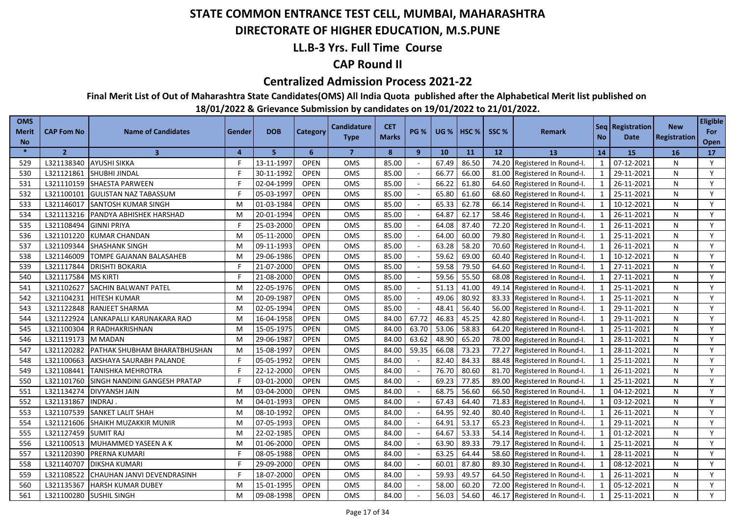### **DIRECTORATE OF HIGHER EDUCATION, M.S.PUNE**

### **LL.B-3 Yrs. Full Time Course**

### **CAP Round II**

#### **Centralized Admission Process 2021-22**

**Final Merit List of Out of Maharashtra State Candidates(OMS) All India Quota published after the Alphabetical Merit list published on** 

| <b>OMS</b><br>Merit<br><b>No</b> | <b>CAP Fom No</b> | <b>Name of Candidates</b>      | <b>Gender</b>  | <b>DOB</b> | Category    | <b>Candidature</b><br><b>Type</b> | <b>CET</b><br><b>Marks</b> | <b>PG %</b> |       | <b>UG %   HSC %</b> | SSC%            | Remark                       | <b>No</b>      | Seq   Registration  <br>Date | <b>New</b><br><b>Registration</b> | <b>Eligible</b><br>For<br>Open |
|----------------------------------|-------------------|--------------------------------|----------------|------------|-------------|-----------------------------------|----------------------------|-------------|-------|---------------------|-----------------|------------------------------|----------------|------------------------------|-----------------------------------|--------------------------------|
| $\ast$                           | $\overline{2}$    | $\overline{3}$                 | $\overline{a}$ | 5          | 6           | $\overline{7}$                    | 8                          | 9           | 10    | 11                  | 12 <sup>2</sup> | 13                           | 14             | <b>15</b>                    | 16                                | 17                             |
| 529                              | L321138340        | <b>AYUSHI SIKKA</b>            | F              | 13-11-1997 | <b>OPEN</b> | <b>OMS</b>                        | 85.00                      | $\sim$      | 67.49 | 86.50               |                 | 74.20 Registered In Round-I. | $\mathbf{1}$   | 07-12-2021                   | N                                 | Y                              |
| 530                              | L321121861        | SHUBHI JINDAL                  | F              | 30-11-1992 | <b>OPEN</b> | OMS                               | 85.00                      |             | 66.77 | 66.00               |                 | 81.00 Registered In Round-I. | 1              | 29-11-2021                   | N                                 | Y                              |
| 531                              | L321110159        | <b>SHAESTA PARWEEN</b>         | F              | 02-04-1999 | <b>OPEN</b> | <b>OMS</b>                        | 85.00                      |             | 66.22 | 61.80               |                 | 64.60 Registered In Round-I. | 1              | 26-11-2021                   | N                                 | Y                              |
| 532                              | L321100101        | <b>GULISTAN NAZ TABASSUM</b>   | F              | 05-03-1997 | <b>OPEN</b> | OMS                               | 85.00                      |             | 65.80 | 61.60               |                 | 68.60 Registered In Round-I. | $\mathbf{1}$   | 25-11-2021                   | N                                 | Y                              |
| 533                              | L321146017        | <b>SANTOSH KUMAR SINGH</b>     | M              | 01-03-1984 | <b>OPEN</b> | <b>OMS</b>                        | 85.00                      |             | 65.33 | 62.78               |                 | 66.14 Registered In Round-I. | $\mathbf{1}$   | 10-12-2021                   | N                                 | Y                              |
| 534                              | L321113216        | <b>PANDYA ABHISHEK HARSHAD</b> | м              | 20-01-1994 | <b>OPEN</b> | <b>OMS</b>                        | 85.00                      |             | 64.87 | 62.17               |                 | 58.46 Registered In Round-I. | $\mathbf{1}$   | 26-11-2021                   | N                                 | Y                              |
| 535                              | L321108494        | <b>GINNI PRIYA</b>             |                | 25-03-2000 | <b>OPEN</b> | OMS                               | 85.00                      |             | 64.08 | 87.40               |                 | 72.20 Registered In Round-I. | $\mathbf{1}$   | 26-11-2021                   | N                                 | Y                              |
| 536                              | L321101220        | <b>KUMAR CHANDAN</b>           | M              | 05-11-2000 | <b>OPEN</b> | OMS                               | 85.00                      |             | 64.00 | 60.00               |                 | 79.80 Registered In Round-I. | $\mathbf{1}$   | 25-11-2021                   | N                                 | Y                              |
| 537                              | L321109344        | <b>SHASHANK SINGH</b>          | M              | 09-11-1993 | <b>OPEN</b> | <b>OMS</b>                        | 85.00                      |             | 63.28 | 58.20               |                 | 70.60 Registered In Round-I. | $\overline{1}$ | 26-11-2021                   | N                                 | Y                              |
| 538                              | L321146009        | TOMPE GAJANAN BALASAHEB        | M              | 29-06-1986 | <b>OPEN</b> | OMS                               | 85.00                      |             | 59.62 | 69.00               |                 | 60.40 Registered In Round-I. | $\mathbf{1}$   | 10-12-2021                   | N                                 | Y                              |
| 539                              | L321117844        | <b>DRISHTI BOKARIA</b>         |                | 21-07-2000 | <b>OPEN</b> | OMS                               | 85.00                      |             | 59.58 | 79.50               |                 | 64.60 Registered In Round-I. | $\mathbf{1}$   | 27-11-2021                   | N                                 | Y                              |
| 540                              | L321117584        | <b>MS KIRTI</b>                |                | 21-08-2000 | <b>OPEN</b> | <b>OMS</b>                        | 85.00                      |             | 59.56 | 55.50               |                 | 68.08 Registered In Round-I. | $\mathbf{1}$   | 27-11-2021                   | N                                 | Y                              |
| 541                              | L321102627        | SACHIN BALWANT PATEL           | M              | 22-05-1976 | <b>OPEN</b> | OMS                               | 85.00                      |             | 51.13 | 41.00               |                 | 49.14 Registered In Round-I. |                | 25-11-2021                   | N                                 | Y                              |
| 542                              | L321104231        | <b>HITESH KUMAR</b>            | M              | 20-09-1987 | <b>OPEN</b> | <b>OMS</b>                        | 85.00                      |             | 49.06 | 80.92               | 83.33           | Registered In Round-I.       |                | 25-11-2021                   | N                                 | Y                              |
| 543                              | L321122848        | <b>RANJEET SHARMA</b>          | M              | 02-05-1994 | <b>OPEN</b> | <b>OMS</b>                        | 85.00                      |             | 48.41 | 56.40               | 56.00           | Registered In Round-I.       |                | 29-11-2021                   | N                                 | Y                              |
| 544                              | L321122924        | LANKAPALLI KARUNAKARA RAO      | м              | 16-04-1958 | <b>OPEN</b> | OMS                               | 84.00                      | 67.72       | 46.83 | 45.25               | 42.80           | Registered In Round-I.       |                | 29-11-2021                   | N                                 | Y                              |
| 545                              | L321100304        | R RADHAKRISHNAN                | M              | 15-05-1975 | <b>OPEN</b> | OMS                               | 84.00                      | 63.70       | 53.06 | 58.83               | 64.20           | Registered In Round-I.       | $\mathbf{1}$   | 25-11-2021                   | N                                 | Y                              |
| 546                              | L321119173        | M MADAN                        | M              | 29-06-1987 | <b>OPEN</b> | OMS                               | 84.00                      | 63.62       | 48.90 | 65.20               | 78.00           | Registered In Round-I.       | $\mathbf{1}$   | 28-11-2021                   | N                                 | Y                              |
| 547                              | L321120282        | PATHAK SHUBHAM BHARATBHUSHAN   | M              | 15-08-1997 | <b>OPEN</b> | OMS                               | 84.00                      | 59.35       | 66.08 | 73.23               | 77.27           | Registered In Round-I.       |                | 28-11-2021                   | N                                 | Y                              |
| 548                              | L321100663        | AKSHAYA SAURABH PALANDE        | F.             | 05-05-1992 | <b>OPEN</b> | OMS                               | 84.00                      |             | 82.40 | 84.33               | 88.48           | Registered In Round-I.       | $\mathbf{1}$   | 25-11-2021                   | N                                 | Y                              |
| 549                              | L321108441        | TANISHKA MEHROTRA              | F              | 22-12-2000 | <b>OPEN</b> | OMS                               | 84.00                      |             | 76.70 | 80.60               | 81.70           | Registered In Round-I.       | $\mathbf{1}$   | 26-11-2021                   | N                                 | Y                              |
| 550                              | L321101760        | SINGH NANDINI GANGESH PRATAP   |                | 03-01-2000 | <b>OPEN</b> | OMS                               | 84.00                      |             | 69.23 | 77.85               | 89.00           | Registered In Round-I.       | $\mathbf{1}$   | 25-11-2021                   | N                                 | Y                              |
| 551                              | L321134274        | <b>DIVYANSH JAIN</b>           | м              | 03-04-2000 | <b>OPEN</b> | <b>OMS</b>                        | 84.00                      |             | 68.75 | 56.60               | 66.50           | Registered In Round-I.       | $\mathbf{1}$   | 04-12-2021                   | N                                 | Y                              |
| 552                              | L321131867        | INDRAJ                         | M              | 04-01-1993 | <b>OPEN</b> | OMS                               | 84.00                      |             | 67.43 | 64.40               | 71.83           | Registered In Round-I.       | $\mathbf{1}$   | 03-12-2021                   | N                                 | Y                              |
| 553                              | L321107539        | <b>SANKET LALIT SHAH</b>       | M              | 08-10-1992 | <b>OPEN</b> | OMS                               | 84.00                      |             | 64.95 | 92.40               | 80.40           | Registered In Round-I.       | $\mathbf{1}$   | 26-11-2021                   | N                                 | Y                              |
| 554                              | L321121606        | <b>SHAIKH MUZAKKIR MUNIR</b>   | м              | 07-05-1993 | <b>OPEN</b> | <b>OMS</b>                        | 84.00                      |             | 64.91 | 53.17               | 65.23           | Registered In Round-I.       | $\mathbf{1}$   | 29-11-2021                   | N                                 | Y                              |
| 555                              | L321127459        | <b>SUMIT RAJ</b>               | м              | 22-02-1985 | <b>OPEN</b> | OMS                               | 84.00                      |             | 64.67 | 53.33               | 54.14           | Registered In Round-I.       | $\mathbf{1}$   | 01-12-2021                   | N                                 | Y                              |
| 556                              | L321100513        | MUHAMMED YASEEN A K            | м              | 01-06-2000 | <b>OPEN</b> | <b>OMS</b>                        | 84.00                      |             | 63.90 | 89.33               | 79.17           | Registered In Round-I.       | $\mathbf{1}$   | 25-11-2021                   | N                                 | Y                              |
| 557                              | L321120390        | <b>PRERNA KUMARI</b>           |                | 08-05-1988 | <b>OPEN</b> | <b>OMS</b>                        | 84.00                      |             | 63.25 | 64.44               | 58.60           | Registered In Round-I.       | $\mathbf{1}$   | 28-11-2021                   | N                                 | Y                              |
| 558                              | L321140707        | <b>DIKSHA KUMARI</b>           |                | 29-09-2000 | <b>OPEN</b> | OMS                               | 84.00                      |             | 60.01 | 87.80               | 89.30           | Registered In Round-I.       |                | 08-12-2021                   | N                                 | Y                              |
| 559                              | L321108522        | CHAUHAN JANVI DEVENDRASINH     |                | 18-07-2000 | <b>OPEN</b> | OMS                               | 84.00                      |             | 59.93 | 49.57               | 64.50           | Registered In Round-I.       | $\mathbf{1}$   | 26-11-2021                   | N                                 | Y                              |
| 560                              | L321135367        | <b>HARSH KUMAR DUBEY</b>       | м              | 15-01-1995 | <b>OPEN</b> | OMS                               | 84.00                      |             | 58.00 | 60.20               | 72.00           | Registered In Round-I.       | $\mathbf{1}$   | 05-12-2021                   | N                                 | Y                              |
| 561                              | L321100280        | <b>SUSHIL SINGH</b>            | м              | 09-08-1998 | <b>OPEN</b> | OMS                               | 84.00                      |             | 56.03 | 54.60               |                 | 46.17 Registered In Round-I. | $\mathbf{1}$   | 25-11-2021                   | N                                 | Y                              |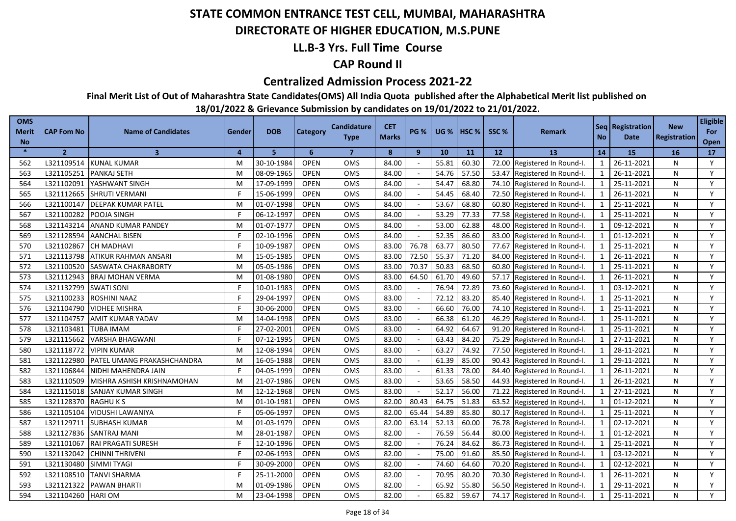### **DIRECTORATE OF HIGHER EDUCATION, M.S.PUNE**

### **LL.B-3 Yrs. Full Time Course**

### **CAP Round II**

#### **Centralized Admission Process 2021-22**

**Final Merit List of Out of Maharashtra State Candidates(OMS) All India Quota published after the Alphabetical Merit list published on** 

| <b>OMS</b><br><b>Merit</b><br><b>No</b> | <b>CAP Fom No</b> | <b>Name of Candidates</b>  | Gender | <b>DOB</b> | Category    | <b>Candidature</b><br><b>Type</b> | <b>CET</b><br><b>Marks</b> | <b>PG %</b> | <b>UG %</b> | $ $ HSC % | SSC%  | <b>Remark</b>          | <b>No</b>                | Seq   Registration<br>Date | <b>New</b><br><b>Registration</b> | <b>Eligible</b><br>For<br>Open |
|-----------------------------------------|-------------------|----------------------------|--------|------------|-------------|-----------------------------------|----------------------------|-------------|-------------|-----------|-------|------------------------|--------------------------|----------------------------|-----------------------------------|--------------------------------|
| $\frac{1}{2}$                           | $\overline{2}$    | $\overline{\mathbf{3}}$    | 4      | 5          | 6           | $\overline{7}$                    | 8                          | 9           | 10          | 11        | 12    | 13                     | 14                       | 15                         | 16                                | 17                             |
| 562                                     | L321109514        | KUNAL KUMAR                | M      | 30-10-1984 | <b>OPEN</b> | <b>OMS</b>                        | 84.00                      |             | 55.81       | 60.30     | 72.00 | Registered In Round-I. | $\mathbf{1}$             | 26-11-2021                 | N                                 | Y                              |
| 563                                     | L321105251        | <b>PANKAJ SETH</b>         | M      | 08-09-1965 | <b>OPEN</b> | <b>OMS</b>                        | 84.00                      |             | 54.76       | 57.50     | 53.47 | Registered In Round-I. | 1                        | 26-11-2021                 | N                                 | Y                              |
| 564                                     | L321102091        | YASHWANT SINGH             | M      | 17-09-1999 | <b>OPEN</b> | OMS                               | 84.00                      |             | 54.47       | 68.80     | 74.10 | Registered In Round-I. | 1                        | 25-11-2021                 | N                                 | Y                              |
| 565                                     | L321112665        | <b>SHRUTI VERMANI</b>      |        | 15-06-1999 | <b>OPEN</b> | <b>OMS</b>                        | 84.00                      |             | 54.45       | 68.40     | 72.50 | Registered In Round-I. | $\mathbf{1}$             | 26-11-2021                 | N                                 | Y                              |
| 566                                     | L321100147        | <b>IDEEPAK KUMAR PATEL</b> | M      | 01-07-1998 | <b>OPEN</b> | <b>OMS</b>                        | 84.00                      |             | 53.67       | 68.80     | 60.80 | Registered In Round-I. | 1                        | 25-11-2021                 | N                                 | Y                              |
| 567                                     | L321100282        | POOJA SINGH                |        | 06-12-1997 | <b>OPEN</b> | <b>OMS</b>                        | 84.00                      | $\sim$      | 53.29       | 77.33     | 77.58 | Registered In Round-I. | $\mathbf{1}$             | 25-11-2021                 | N                                 | Y                              |
| 568                                     | L321143214        | <b>ANAND KUMAR PANDEY</b>  | M      | 01-07-1977 | <b>OPEN</b> | <b>OMS</b>                        | 84.00                      |             | 53.00       | 62.88     | 48.00 | Registered In Round-I. | $\mathbf{1}$             | 09-12-2021                 | N                                 | Y                              |
| 569                                     | L321128594        | <b>AANCHAL BISEN</b>       | F      | 02-10-1996 | <b>OPEN</b> | <b>OMS</b>                        | 84.00                      | $\sim$      | 52.35       | 86.60     | 83.00 | Registered In Round-I. | $\mathbf{1}$             | 01-12-2021                 | N                                 | Y                              |
| 570                                     | L321102867        | <b>CH MADHAVI</b>          | Е      | 10-09-1987 | <b>OPEN</b> | <b>OMS</b>                        | 83.00                      | 76.78       | 63.77       | 80.50     | 77.67 | Registered In Round-I. | $\mathbf{1}$             | 25-11-2021                 | N                                 | Y                              |
| 571                                     | L321113798        | ATIKUR RAHMAN ANSARI       | M      | 15-05-1985 | <b>OPEN</b> | OMS                               | 83.00                      | 72.50       | 55.37       | 71.20     | 84.00 | Registered In Round-I. | $\mathbf{1}$             | 26-11-2021                 | N                                 | Y                              |
| 572                                     | L321100520        | SASWATA CHAKRABORTY        | M      | 05-05-1986 | <b>OPEN</b> | OMS                               | 83.00                      | 70.37       | 50.83       | 68.50     | 60.80 | Registered In Round-I. | $\overline{1}$           | 25-11-2021                 | N                                 | Y                              |
| 573                                     | L321112943        | <b>BRAJ MOHAN VERMA</b>    | M      | 01-08-1980 | <b>OPEN</b> | <b>OMS</b>                        | 83.00                      | 64.50       | 61.70       | 49.60     | 57.17 | Registered In Round-I. | $\overline{1}$           | 26-11-2021                 | N                                 | Y                              |
| 574                                     | L321132799        | <b>SWATI SONI</b>          |        | 10-01-1983 | <b>OPEN</b> | <b>OMS</b>                        | 83.00                      |             | 76.94       | 72.89     | 73.60 | Registered In Round-I. | $\overline{\phantom{0}}$ | 03-12-2021                 | N                                 | Y                              |
| 575                                     | L321100233        | ROSHINI NAAZ               |        | 29-04-1997 | <b>OPEN</b> | OMS                               | 83.00                      |             | 72.12       | 83.20     | 85.40 | Registered In Round-I. | $\overline{1}$           | 25-11-2021                 | N                                 | Y                              |
| 576                                     | L321104790        | <b>VIDHEE MISHRA</b>       |        | 30-06-2000 | <b>OPEN</b> | OMS                               | 83.00                      |             | 66.60       | 76.00     | 74.10 | Registered In Round-I. | $\overline{1}$           | 25-11-2021                 | N                                 | Y                              |
| 577                                     | L321104757        | <b>AMIT KUMAR YADAV</b>    | M      | 14-04-1998 | <b>OPEN</b> | <b>OMS</b>                        | 83.00                      |             | 66.38       | 61.20     | 46.29 | Registered In Round-I. | $\overline{1}$           | 25-11-2021                 | N                                 | Y                              |
| 578                                     | L321103481        | TUBA IMAM                  | F      | 27-02-2001 | <b>OPEN</b> | <b>OMS</b>                        | 83.00                      |             | 64.92       | 64.67     | 91.20 | Registered In Round-I. | $\overline{1}$           | 25-11-2021                 | N                                 | Y                              |
| 579                                     | L321115662        | <b>VARSHA BHAGWANI</b>     | F      | 07-12-1995 | <b>OPEN</b> | OMS                               | 83.00                      |             | 63.43       | 84.20     | 75.29 | Registered In Round-I. | $\mathbf{1}$             | 27-11-2021                 | N                                 | Y                              |
| 580                                     | L321118772        | <b>VIPIN KUMAR</b>         | M      | 12-08-1994 | <b>OPEN</b> | OMS                               | 83.00                      |             | 63.27       | 74.92     | 77.50 | Registered In Round-I. | $\mathbf{1}$             | 28-11-2021                 | N                                 | Y                              |
| 581                                     | L321122980        | PATEL UMANG PRAKASHCHANDRA | M      | 16-05-1988 | OPEN        | <b>OMS</b>                        | 83.00                      |             | 61.39       | 85.00     | 90.43 | Registered In Round-I. | $\overline{1}$           | 29-11-2021                 | N                                 | Y                              |
| 582                                     | L321106844        | NIDHI MAHENDRA JAIN        | F      | 04-05-1999 | <b>OPEN</b> | OMS                               | 83.00                      |             | 61.33       | 78.00     | 84.40 | Registered In Round-I. | $\mathbf{1}$             | 26-11-2021                 | N                                 | Y                              |
| 583                                     | L321110509        | MISHRA ASHISH KRISHNAMOHAN | M      | 21-07-1986 | <b>OPEN</b> | OMS                               | 83.00                      |             | 53.65       | 58.50     | 44.93 | Registered In Round-I. | $\mathbf{1}$             | 26-11-2021                 | N                                 | Y                              |
| 584                                     | L321115018        | SANJAY KUMAR SINGH         | M      | 12-12-1968 | <b>OPEN</b> | <b>OMS</b>                        | 83.00                      |             | 52.17       | 56.00     | 71.22 | Registered In Round-I. | $\mathbf{1}$             | 27-11-2021                 | N                                 | Y                              |
| 585                                     | L321128370        | RAGHU K S                  | M      | 01-10-1981 | <b>OPEN</b> | <b>OMS</b>                        | 82.00                      | 80.43       | 64.75       | 51.83     | 63.52 | Registered In Round-I. | $\overline{1}$           | 01-12-2021                 | N                                 | Y                              |
| 586                                     | L321105104        | VIDUSHI LAWANIYA           |        | 05-06-1997 | <b>OPEN</b> | OMS                               | 82.00                      | 65.44       | 54.89       | 85.80     | 80.17 | Registered In Round-I. | $\mathbf{1}$             | 25-11-2021                 | N                                 | Y                              |
| 587                                     | L321129711        | <b>SUBHASH KUMAR</b>       | M      | 01-03-1979 | <b>OPEN</b> | <b>OMS</b>                        | 82.00                      | 63.14       | 52.13       | 60.00     | 76.78 | Registered In Round-I. | $\overline{1}$           | 02-12-2021                 | N                                 | Y                              |
| 588                                     | L321127836        | <b>SANTRAJ MANI</b>        | M      | 28-01-1987 | <b>OPEN</b> | <b>OMS</b>                        | 82.00                      |             | 76.59       | 56.44     | 80.00 | Registered In Round-I. | $\overline{1}$           | 01-12-2021                 | N                                 | Y                              |
| 589                                     | L321101067        | <b>RAI PRAGATI SURESH</b>  |        | 12-10-1996 | <b>OPEN</b> | <b>OMS</b>                        | 82.00                      |             | 76.24       | 84.62     | 86.73 | Registered In Round-I. | $\overline{\mathbf{1}}$  | 25-11-2021                 | N                                 | Y                              |
| 590                                     | L321132042        | <b>CHINNI THRIVENI</b>     |        | 02-06-1993 | <b>OPEN</b> | OMS                               | 82.00                      |             | 75.00       | 91.60     | 85.50 | Registered In Round-I. | $\overline{1}$           | 03-12-2021                 | N                                 | Y                              |
| 591                                     | L321130480        | <b>SIMMI TYAGI</b>         |        | 30-09-2000 | <b>OPEN</b> | OMS                               | 82.00                      |             | 74.60       | 64.60     | 70.20 | Registered In Round-I. | $\overline{1}$           | 02-12-2021                 | N                                 | Y                              |
| 592                                     | L321108510        | <b>TANVI SHARMA</b>        |        | 25-11-2000 | <b>OPEN</b> | OMS                               | 82.00                      |             | 70.95       | 80.20     | 70.30 | Registered In Round-I. | $\mathbf{1}$             | 26-11-2021                 | N                                 | Y                              |
| 593                                     | L321121322        | <b>PAWAN BHARTI</b>        | M      | 01-09-1986 | <b>OPEN</b> | OMS                               | 82.00                      |             | 65.92       | 55.80     | 56.50 | Registered In Round-I. | $\overline{\mathbf{1}}$  | 29-11-2021                 | N                                 | Y                              |
| 594                                     | L321104260        | <b>HARIOM</b>              | M      | 23-04-1998 | <b>OPEN</b> | OMS                               | 82.00                      |             | 65.82       | 59.67     | 74.17 | Registered In Round-I. | $\overline{1}$           | 25-11-2021                 | N                                 | Y                              |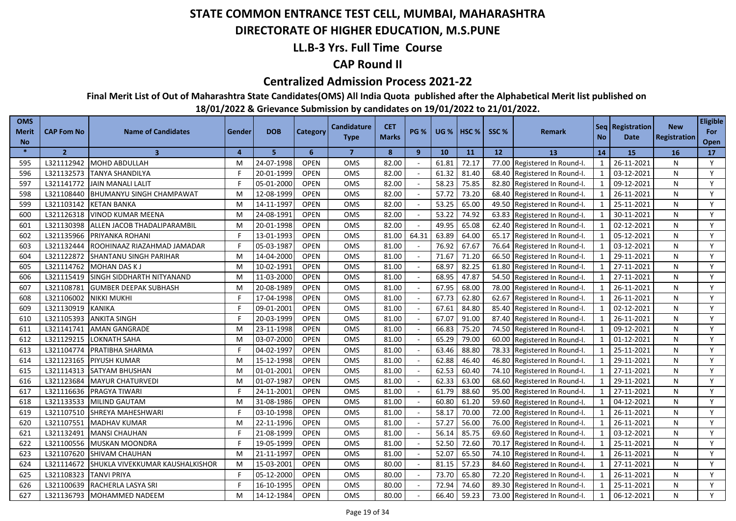### **DIRECTORATE OF HIGHER EDUCATION, M.S.PUNE**

### **LL.B-3 Yrs. Full Time Course**

### **CAP Round II**

#### **Centralized Admission Process 2021-22**

**Final Merit List of Out of Maharashtra State Candidates(OMS) All India Quota published after the Alphabetical Merit list published on** 

| <b>OMS</b><br>Merit<br><b>No</b> | <b>CAP Fom No</b> | <b>Name of Candidates</b>       | Gender   | <b>DOB</b> | Category    | <b>Candidature</b><br><b>Type</b> | <b>CET</b><br><b>Marks</b> | <b>PG %</b> | <b>UG %</b> | <b>HSC</b> % | SSC%  | <b>Remark</b>          | <b>No</b>                | Seq   Registration  <br>Date | <b>New</b><br><b>Registration</b> | <b>Eligible</b><br>For<br>Open |
|----------------------------------|-------------------|---------------------------------|----------|------------|-------------|-----------------------------------|----------------------------|-------------|-------------|--------------|-------|------------------------|--------------------------|------------------------------|-----------------------------------|--------------------------------|
| $\ast$                           | $\overline{2}$    | $\overline{3}$                  | $\Delta$ | 5          | 6           | $\overline{7}$                    | 8                          | 9           | 10          | 11           | 12    | 13                     | 14                       | <b>15</b>                    | <b>16</b>                         | 17                             |
| 595                              | L321112942        | <b>MOHD ABDULLAH</b>            | M        | 24-07-1998 | <b>OPEN</b> | OMS                               | 82.00                      |             | 61.81       | 72.17        | 77.00 | Registered In Round-I. | $\mathbf{1}$             | 26-11-2021                   | N                                 | Y                              |
| 596                              | L321132573        | <b>TANYA SHANDILYA</b>          | F        | 20-01-1999 | <b>OPEN</b> | <b>OMS</b>                        | 82.00                      |             | 61.32       | 81.40        | 68.40 | Registered In Round-I. | $\mathbf{1}$             | 03-12-2021                   | N                                 | Y                              |
| 597                              | L321141772        | <b>JAIN MANALI LALIT</b>        | F        | 05-01-2000 | <b>OPEN</b> | OMS                               | 82.00                      |             | 58.23       | 75.85        | 82.80 | Registered In Round-I. | $\mathbf{1}$             | 09-12-2021                   | N                                 | Y                              |
| 598                              | L321108440        | <b>BHUMANYU SINGH CHAMPAWAT</b> | M        | 12-08-1999 | <b>OPEN</b> | <b>OMS</b>                        | 82.00                      |             | 57.72       | 73.20        | 68.40 | Registered In Round-I. | $\mathbf{1}$             | 26-11-2021                   | N                                 | Y                              |
| 599                              | L321103142        | <b>KETAN BANKA</b>              | M        | 14-11-1997 | <b>OPEN</b> | <b>OMS</b>                        | 82.00                      |             | 53.25       | 65.00        | 49.50 | Registered In Round-I. | 1                        | 25-11-2021                   | N                                 | Y                              |
| 600                              | L321126318        | <b>VINOD KUMAR MEENA</b>        | M        | 24-08-199  | <b>OPEN</b> | OMS                               | 82.00                      |             | 53.22       | 74.92        | 63.83 | Registered In Round-I. | $\mathbf{1}$             | 30-11-2021                   | N                                 | Y                              |
| 601                              | L321130398        | ALLEN JACOB THADALIPARAMBIL     | M        | 20-01-1998 | <b>OPEN</b> | <b>OMS</b>                        | 82.00                      |             | 49.95       | 65.08        | 62.40 | Registered In Round-I. | $\mathbf{1}$             | 02-12-2021                   | N                                 | Y                              |
| 602                              | L321135966        | PRIYANKA ROHANI                 | F.       | 13-01-1993 | <b>OPEN</b> | <b>OMS</b>                        | 81.00                      | 64.31       | 63.89       | 64.00        | 65.17 | Registered In Round-I. | $\mathbf{1}$             | 05-12-2021                   | N                                 | Y                              |
| 603                              | L321132444        | ROOHINAAZ RIAZAHMAD JAMADAR     | F        | 05-03-1987 | <b>OPEN</b> | OMS                               | 81.00                      |             | 76.92       | 67.67        | 76.64 | Registered In Round-I. | $\mathbf{1}$             | 03-12-2021                   | N                                 | Y                              |
| 604                              | L321122872        | <b>SHANTANU SINGH PARIHAR</b>   | M        | 14-04-2000 | <b>OPEN</b> | <b>OMS</b>                        | 81.00                      |             | 71.67       | 71.20        | 66.50 | Registered In Round-I. | $\overline{1}$           | 29-11-2021                   | N                                 | Y                              |
| 605                              | L321114762        | <b>MOHAN DAS KJ</b>             | M        | 10-02-1991 | <b>OPEN</b> | OMS                               | 81.00                      |             | 68.97       | 82.25        | 61.80 | Registered In Round-I. | $\overline{1}$           | 27-11-2021                   | N                                 | Y                              |
| 606                              | L321115419        | SINGH SIDDHARTH NITYANAND       | M        | 11-03-2000 | <b>OPEN</b> | <b>OMS</b>                        | 81.00                      |             | 68.95       | 47.87        | 54.50 | Registered In Round-I. | $\overline{1}$           | 27-11-2021                   | N                                 | Y                              |
| 607                              | L321108781        | <b>GUMBER DEEPAK SUBHASH</b>    | M        | 20-08-1989 | <b>OPEN</b> | OMS                               | 81.00                      |             | 67.95       | 68.00        | 78.00 | Registered In Round-I. | $\overline{1}$           | 26-11-2021                   | N                                 | Y                              |
| 608                              | L321106002        | <b>NIKKI MUKHI</b>              |          | 17-04-1998 | <b>OPEN</b> | <b>OMS</b>                        | 81.00                      |             | 67.73       | 62.80        | 62.67 | Registered In Round-I. | $\overline{\phantom{0}}$ | 26-11-2021                   | N                                 | Y                              |
| 609                              | L321130919        | <b>KANIKA</b>                   |          | 09-01-2001 | <b>OPEN</b> | <b>OMS</b>                        | 81.00                      |             | 67.61       | 84.80        | 85.40 | Registered In Round-I. | $\overline{1}$           | 02-12-2021                   | N                                 | Y                              |
| 610                              | L321105393        | <b>ANKITA SINGH</b>             |          | 20-03-1999 | <b>OPEN</b> | OMS                               | 81.00                      |             | 67.07       | 91.00        | 87.40 | Registered In Round-I. | $\overline{1}$           | 26-11-2021                   | N                                 | Y                              |
| 611                              | L321141741        | <b>AMAN GANGRADE</b>            | M        | 23-11-1998 | <b>OPEN</b> | <b>OMS</b>                        | 81.00                      |             | 66.83       | 75.20        | 74.50 | Registered In Round-I. | -1                       | 09-12-2021                   | N                                 | Y                              |
| 612                              | L321129215        | <b>LOKNATH SAHA</b>             | M        | 03-07-2000 | <b>OPEN</b> | OMS                               | 81.00                      |             | 65.29       | 79.00        | 60.00 | Registered In Round-I. | $\mathbf{1}$             | 01-12-2021                   | N                                 | Y                              |
| 613                              | L321104774        | PRATIBHA SHARMA                 | F        | 04-02-1997 | <b>OPEN</b> | <b>OMS</b>                        | 81.00                      |             | 63.46       | 88.80        | 78.33 | Registered In Round-I. | $\overline{1}$           | 25-11-2021                   | N                                 | Y                              |
| 614                              | L321123165        | <b>PIYUSH KUMAR</b>             | M        | 15-12-1998 | <b>OPEN</b> | <b>OMS</b>                        | 81.00                      |             | 62.88       | 46.40        | 46.80 | Registered In Round-I. | $\mathbf{1}$             | 29-11-2021                   | N                                 | Y                              |
| 615                              | L321114313        | SATYAM BHUSHAN                  | M        | 01-01-2001 | <b>OPEN</b> | OMS                               | 81.00                      |             | 62.53       | 60.40        | 74.10 | Registered In Round-I. | $\mathbf{1}$             | 27-11-2021                   | N                                 | Y                              |
| 616                              | L321123684        | <b>MAYUR CHATURVEDI</b>         | M        | 01-07-1987 | <b>OPEN</b> | <b>OMS</b>                        | 81.00                      |             | 62.33       | 63.00        | 68.60 | Registered In Round-I. | $\mathbf{1}$             | 29-11-2021                   | N                                 | Y                              |
| 617                              | L321116636        | PRAGYA TIWARI                   | F        | 24-11-2001 | <b>OPEN</b> | OMS                               | 81.00                      |             | 61.79       | 88.60        | 95.00 | Registered In Round-I. | $\mathbf{1}$             | 27-11-2021                   | N                                 | Y                              |
| 618                              | L321133533        | <b>MILIND GAUTAM</b>            | M        | 31-08-1986 | <b>OPEN</b> | OMS                               | 81.00                      |             | 60.80       | 61.20        | 59.60 | Registered In Round-I. | $\overline{1}$           | 04-12-2021                   | N                                 | Y                              |
| 619                              | L321107510        | SHREYA MAHESHWARI               | F        | 03-10-1998 | <b>OPEN</b> | OMS                               | 81.00                      |             | 58.17       | 70.00        | 72.00 | Registered In Round-I. | $\mathbf{1}$             | 26-11-2021                   | N                                 | Y                              |
| 620                              | L321107551        | <b>MADHAV KUMAR</b>             | M        | 22-11-1996 | <b>OPEN</b> | OMS                               | 81.00                      |             | 57.27       | 56.00        | 76.00 | Registered In Round-I. | $\mathbf{1}$             | 26-11-2021                   | N                                 | Y                              |
| 621                              | L321132491        | <b>MANSI CHAUHAN</b>            |          | 21-08-1999 | <b>OPEN</b> | <b>OMS</b>                        | 81.00                      |             | 56.14       | 85.75        | 69.60 | Registered In Round-I. | $\mathbf{1}$             | 03-12-2021                   | N                                 | Y                              |
| 622                              | L321100556        | <b>MUSKAN MOONDRA</b>           |          | 19-05-1999 | <b>OPEN</b> | OMS                               | 81.00                      |             | 52.50       | 72.60        | 70.17 | Registered In Round-I. | $\mathbf{1}$             | 25-11-2021                   | N                                 | Y                              |
| 623                              | L321107620        | SHIVAM CHAUHAN                  | M        | 21-11-1997 | <b>OPEN</b> | <b>OMS</b>                        | 81.00                      |             | 52.07       | 65.50        | 74.10 | Registered In Round-I. | $\mathbf{1}$             | 26-11-2021                   | N                                 | Y                              |
| 624                              | L321114672        | SHUKLA VIVEKKUMAR KAUSHALKISHOR | M        | 15-03-2001 | <b>OPEN</b> | OMS                               | 80.00                      |             | 81.15       | 57.23        | 84.60 | Registered In Round-I. | $\mathbf{1}$             | 27-11-2021                   | N                                 | Y                              |
| 625                              | L321108323        | <b>TANVI PRIYA</b>              | F        | 05-12-2000 | <b>OPEN</b> | OMS                               | 80.00                      |             | 73.70       | 65.80        | 72.20 | Registered In Round-I. | $\mathbf{1}$             | 26-11-2021                   | N                                 | Y                              |
| 626                              | L321100639        | RACHERLA LASYA SRI              |          | 16-10-1995 | <b>OPEN</b> | <b>OMS</b>                        | 80.00                      |             | 72.94       | 74.60        | 89.30 | Registered In Round-I. | $\mathbf{1}$             | 25-11-2021                   | N                                 | Y                              |
| 627                              | L321136793        | MOHAMMED NADEEM                 | м        | 14-12-1984 | <b>OPEN</b> | <b>OMS</b>                        | 80.00                      |             | 66.40       | 59.23        | 73.00 | Registered In Round-I. | $\overline{1}$           | 06-12-2021                   | N                                 | Y                              |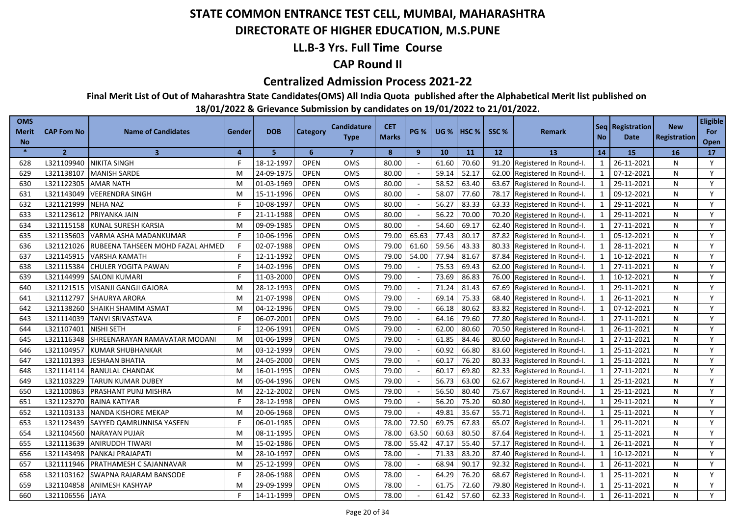### **DIRECTORATE OF HIGHER EDUCATION, M.S.PUNE**

### **LL.B-3 Yrs. Full Time Course**

### **CAP Round II**

#### **Centralized Admission Process 2021-22**

**Final Merit List of Out of Maharashtra State Candidates(OMS) All India Quota published after the Alphabetical Merit list published on** 

| <b>OMS</b><br>Merit<br><b>No</b> | <b>CAP Fom No</b> | <b>Name of Candidates</b>        | Gender | <b>DOB</b> | Category    | <b>Candidature</b><br><b>Type</b> | <b>CET</b><br><b>Marks</b> | <b>PG %</b> | <b>UG %</b> | <b>I HSC %</b> | SSC <sub>%</sub> | <b>Remark</b>          | <b>No</b>               | Seq Registration<br><b>Date</b> | <b>New</b><br><b>Registration</b> | <b>Eligible</b><br>For<br>Open |
|----------------------------------|-------------------|----------------------------------|--------|------------|-------------|-----------------------------------|----------------------------|-------------|-------------|----------------|------------------|------------------------|-------------------------|---------------------------------|-----------------------------------|--------------------------------|
| $\ast$                           | $\overline{2}$    | $\overline{\mathbf{3}}$          | 4      | 5          | 6           | $\overline{7}$                    | 8                          | 9           | 10          | 11             | 12               | 13                     | 14                      | 15                              | <b>16</b>                         | <b>17</b>                      |
| 628                              | L321109940        | <b>NIKITA SINGH</b>              | F      | 18-12-1997 | <b>OPEN</b> | <b>OMS</b>                        | 80.00                      |             | 61.60       | 70.60          | 91.20            | Registered In Round-I. | $\mathbf{1}$            | 26-11-2021                      | N                                 | Y                              |
| 629                              | L321138107        | <b>MANISH SARDE</b>              | M      | 24-09-1975 | <b>OPEN</b> | <b>OMS</b>                        | 80.00                      | ÷.          | 59.14       | 52.17          | 62.00            | Registered In Round-I. | $\mathbf{1}$            | 07-12-2021                      | N                                 | Y                              |
| 630                              | L321122305        | <b>AMAR NATH</b>                 | м      | 01-03-1969 | <b>OPEN</b> | <b>OMS</b>                        | 80.00                      |             | 58.52       | 63.40          | 63.67            | Registered In Round-I. | $\mathbf{1}$            | 29-11-2021                      | N                                 | Y                              |
| 631                              | L321143049        | <b>VEERENDRA SINGH</b>           | M      | 15-11-1996 | <b>OPEN</b> | OMS                               | 80.00                      |             | 58.07       | 77.60          | 78.17            | Registered In Round-I. | $\mathbf{1}$            | 09-12-2021                      | N                                 | Y                              |
| 632                              | L321121999        | <b>NEHA NAZ</b>                  | F      | 10-08-1997 | <b>OPEN</b> | <b>OMS</b>                        | 80.00                      |             | 56.27       | 83.33          | 63.33            | Registered In Round-I. | $\mathbf{1}$            | 29-11-2021                      | N                                 | Y                              |
| 633                              | L321123612        | PRIYANKA JAIN                    | F      | 21-11-1988 | <b>OPEN</b> | <b>OMS</b>                        | 80.00                      |             | 56.22       | 70.00          | 70.20            | Registered In Round-I. | $\mathbf{1}$            | 29-11-2021                      | N                                 | Y                              |
| 634                              | L321115158        | <b>KUNAL SURESH KARSIA</b>       | M      | 09-09-1985 | <b>OPEN</b> | <b>OMS</b>                        | 80.00                      |             | 54.60       | 69.17          | 62.40            | Registered In Round-I. | $\overline{1}$          | 27-11-2021                      | N                                 | Y                              |
| 635                              | L321135603        | VARMA ASHA MADANKUMAR            |        | 10-06-1996 | <b>OPEN</b> | OMS                               | 79.00                      | 65.63       | 77.43       | 80.17          | 87.82            | Registered In Round-I. | $\mathbf{1}$            | 05-12-2021                      | N                                 | Y                              |
| 636                              | L321121026        | RUBEENA TAHSEEN MOHD FAZAL AHMED | F      | 02-07-1988 | <b>OPEN</b> | <b>OMS</b>                        | 79.00                      | 61.60       | 59.56       | 43.33          | 80.33            | Registered In Round-I. | $\overline{1}$          | 28-11-2021                      | N                                 | Y                              |
| 637                              | L321145915        | <b>VARSHA KAMATH</b>             |        | 12-11-1992 | <b>OPEN</b> | <b>OMS</b>                        | 79.00                      | 54.00       | 77.94       | 81.67          | 87.84            | Registered In Round-I. | $\overline{1}$          | 10-12-2021                      | N                                 | Y                              |
| 638                              | L321115384        | <b>CHULER YOGITA PAWAN</b>       | F      | 14-02-1996 | <b>OPEN</b> | OMS                               | 79.00                      |             | 75.53       | 69.43          | 62.00            | Registered In Round-I. | $\mathbf{1}$            | 27-11-2021                      | N                                 | Y                              |
| 639                              | L321144999        | <b>SALONI KUMARI</b>             |        | 11-03-2000 | <b>OPEN</b> | <b>OMS</b>                        | 79.00                      |             | 73.69       | 86.83          | 76.00            | Registered In Round-I. | $\overline{1}$          | 10-12-2021                      | N                                 | Y                              |
| 640                              | L321121515        | <b>VISANJI GANGJI GAJORA</b>     | M      | 28-12-1993 | <b>OPEN</b> | OMS                               | 79.00                      |             | 71.24       | 81.43          | 67.69            | Registered In Round-I. | $\mathbf{1}$            | 29-11-2021                      | N                                 | Y                              |
| 641                              | L321112797        | <b>SHAURYA ARORA</b>             | M      | 21-07-1998 | <b>OPEN</b> | <b>OMS</b>                        | 79.00                      |             | 69.14       | 75.33          | 68.40            | Registered In Round-I. | $\overline{1}$          | 26-11-2021                      | N                                 | Y                              |
| 642                              | L321138260        | SHAIKH SHAMIM ASMAT              | M      | 04-12-1996 | <b>OPEN</b> | <b>OMS</b>                        | 79.00                      |             | 66.18       | 80.62          | 83.82            | Registered In Round-I. | $\mathbf{1}$            | 07-12-2021                      | N                                 | Y                              |
| 643                              | L321114039        | TANVI SRIVASTAVA                 | F      | 06-07-2001 | <b>OPEN</b> | OMS                               | 79.00                      |             | 64.16       | 79.60          | 77.80            | Registered In Round-I. | $\mathbf{1}$            | 27-11-2021                      | N                                 | Y                              |
| 644                              | L321107401        | NISHI SETH                       | F      | 12-06-1991 | <b>OPEN</b> | <b>OMS</b>                        | 79.00                      |             | 62.00       | 80.60          | 70.50            | Registered In Round-I. | $\mathbf{1}$            | 26-11-2021                      | N                                 | Y                              |
| 645                              | L321116348        | SHREENARAYAN RAMAVATAR MODANI    | M      | 01-06-1999 | <b>OPEN</b> | OMS                               | 79.00                      |             | 61.85       | 84.46          | 80.60            | Registered In Round-I. | $\mathbf{1}$            | 27-11-2021                      | N                                 | Y                              |
| 646                              | L321104957        | <b>KUMAR SHUBHANKAR</b>          | M      | 03-12-1999 | <b>OPEN</b> | <b>OMS</b>                        | 79.00                      |             | 60.92       | 66.80          | 83.60            | Registered In Round-I. | $\mathbf{1}$            | 25-11-2021                      | N                                 | Y                              |
| 647                              | L321101393        | IESHAAN BHATIA                   | M      | 24-05-2000 | <b>OPEN</b> | <b>OMS</b>                        | 79.00                      |             | 60.17       | 76.20          | 80.33            | Registered In Round-I. | $\overline{1}$          | 25-11-2021                      | N                                 | Y                              |
| 648                              | L321114114        | RANULAL CHANDAK                  | M      | 16-01-1995 | <b>OPEN</b> | OMS                               | 79.00                      |             | 60.17       | 69.80          | 82.33            | Registered In Round-I. | $\mathbf{1}$            | 27-11-2021                      | N                                 | Y                              |
| 649                              | L321103229        | TARUN KUMAR DUBEY                | м      | 05-04-1996 | <b>OPEN</b> | <b>OMS</b>                        | 79.00                      |             | 56.73       | 63.00          | 62.67            | Registered In Round-I. | $\mathbf{1}$            | 25-11-2021                      | N                                 | Y                              |
| 650                              | L321100863        | PRASHANT PUNJ MISHRA             | M      | 22-12-2002 | <b>OPEN</b> | OMS                               | 79.00                      |             | 56.50       | 80.40          | 75.67            | Registered In Round-I. | $\mathbf{1}$            | 25-11-2021                      | N                                 | Y                              |
| 651                              | L321123270        | RAINA KATIYAR                    |        | 28-12-1998 | <b>OPEN</b> | <b>OMS</b>                        | 79.00                      | $\sim$      | 56.20       | 75.20          | 60.80            | Registered In Round-I. | $\mathbf{1}$            | 29-11-2021                      | N                                 | Y                              |
| 652                              | L321103133        | NANDA KISHORE MEKAP              | M      | 20-06-1968 | <b>OPEN</b> | OMS                               | 79.00                      |             | 49.81       | 35.67          | 55.71            | Registered In Round-I. | $\mathbf{1}$            | 25-11-2021                      | N                                 | Y                              |
| 653                              | L321123439        | SAYYED QAMRUNNISA YASEEN         |        | 06-01-1985 | <b>OPEN</b> | <b>OMS</b>                        | 78.00                      | 72.50       | 69.75       | 67.83          | 65.07            | Registered In Round-I. | $\mathbf{1}$            | 29-11-2021                      | N                                 | Y                              |
| 654                              | L321104560        | <b>NARAYAN PUJAR</b>             | M      | 08-11-1995 | <b>OPEN</b> | <b>OMS</b>                        | 78.00                      | 63.50       | 60.63       | 80.50          | 87.64            | Registered In Round-I. | $\mathbf{1}$            | 25-11-2021                      | N                                 | Y                              |
| 655                              | L321113639        | ANIRUDDH TIWARI                  | M      | 15-02-1986 | <b>OPEN</b> | <b>OMS</b>                        | 78.00                      | 55.42       | 47.17       | 55.40          | 57.17            | Registered In Round-I. | $\mathbf{1}$            | 26-11-2021                      | N                                 | Y                              |
| 656                              | L321143498        | PANKAJ PRAJAPATI                 | M      | 28-10-1997 | <b>OPEN</b> | <b>OMS</b>                        | 78.00                      |             | 71.33       | 83.20          | 87.40            | Registered In Round-I. | $\mathbf{1}$            | 10-12-2021                      | N                                 | Y                              |
| 657                              | L321111946        | PRATHAMESH C SAJANNAVAR          | M      | 25-12-1999 | <b>OPEN</b> | OMS                               | 78.00                      |             | 68.94       | 90.17          | 92.32            | Registered In Round-I. | $\mathbf{1}$            | 26-11-2021                      | N                                 | Y                              |
| 658                              | L321103162        | SWAPNA RAJARAM BANSODE           |        | 28-06-1988 | <b>OPEN</b> | <b>OMS</b>                        | 78.00                      |             | 64.29       | 76.20          | 68.67            | Registered In Round-I. | $\mathbf{1}$            | 25-11-2021                      | N                                 | Y                              |
| 659                              | L321104858        | <b>ANIMESH KASHYAP</b>           | м      | 29-09-1999 | <b>OPEN</b> | <b>OMS</b>                        | 78.00                      |             | 61.75       | 72.60          | 79.80            | Registered In Round-I. | $\overline{\mathbf{1}}$ | 25-11-2021                      | N                                 | Y                              |
| 660                              | L321106556 JAYA   |                                  |        | 14-11-1999 | <b>OPEN</b> | OMS                               | 78.00                      |             | 61.42       | 57.60          | 62.33            | Registered In Round-I. | $\overline{1}$          | 26-11-2021                      | N                                 | Y                              |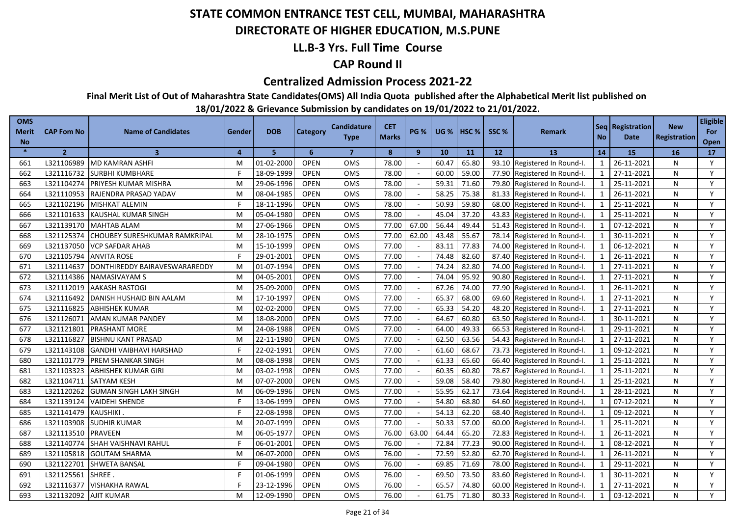### **DIRECTORATE OF HIGHER EDUCATION, M.S.PUNE**

### **LL.B-3 Yrs. Full Time Course**

### **CAP Round II**

#### **Centralized Admission Process 2021-22**

**Final Merit List of Out of Maharashtra State Candidates(OMS) All India Quota published after the Alphabetical Merit list published on** 

| <b>OMS</b><br><b>Merit</b><br><b>No</b> | <b>CAP Fom No</b> | <b>Name of Candidates</b>            | Gender   | <b>DOB</b> | Category    | Candidature<br><b>Type</b> | <b>CET</b><br><b>Marks</b> | <b>PG %</b>              | <b>UG %</b> | HSC <sub>%</sub> | SSC % | <b>Remark</b>                | <b>No</b>      | Seq   Registration<br><b>Date</b> | <b>New</b><br>Registration | <b>Eligible</b><br>For<br>Open |
|-----------------------------------------|-------------------|--------------------------------------|----------|------------|-------------|----------------------------|----------------------------|--------------------------|-------------|------------------|-------|------------------------------|----------------|-----------------------------------|----------------------------|--------------------------------|
| $\ast$                                  | $\overline{2}$    | 3                                    | $\Delta$ | 5.         | 6           | $\overline{7}$             | 8                          | $\mathbf{9}$             | 10          | 11               | 12    | <b>13</b>                    | 14             | 15                                | <b>16</b>                  | 17                             |
| 661                                     | L321106989        | MD KAMRAN ASHFI                      | M        | 01-02-2000 | <b>OPEN</b> | OMS                        | 78.00                      |                          | 60.47       | 65.80            |       | 93.10 Registered In Round-I. | 1              | 26-11-2021                        | N                          | Y                              |
| 662                                     |                   | L321116732 SURBHI KUMBHARE           |          | 18-09-1999 | <b>OPEN</b> | <b>OMS</b>                 | 78.00                      |                          | 60.00       | 59.00            |       | 77.90 Registered In Round-I. | 1              | 27-11-2021                        | N                          | Y                              |
| 663                                     | L321104274        | PRIYESH KUMAR MISHRA                 | M        | 29-06-1996 | <b>OPEN</b> | <b>OMS</b>                 | 78.00                      |                          | 59.31       | 71.60            | 79.80 | Registered In Round-I.       | 1              | 25-11-2021                        | N                          | Y                              |
| 664                                     | L321110953        | RAJENDRA PRASAD YADAV                | M        | 08-04-1985 | <b>OPEN</b> | OMS                        | 78.00                      |                          | 58.25       | 75.38            |       | 81.33 Registered In Round-I. | 1              | 26-11-2021                        | N                          | Y                              |
| 665                                     | L321102196        | <b>MISHKAT ALEMIN</b>                |          | 18-11-1996 | <b>OPEN</b> | <b>OMS</b>                 | 78.00                      |                          | 50.93       | 59.80            |       | 68.00 Registered In Round-I. | 1              | 25-11-2021                        | N                          | Y                              |
| 666                                     | L321101633        | KAUSHAL KUMAR SINGH                  | M        | 05-04-1980 | <b>OPEN</b> | OMS                        | 78.00                      | $\sim$                   | 45.04       | 37.20            |       | 43.83 Registered In Round-I. | 1              | 25-11-2021                        | N                          | Y                              |
| 667                                     | L321139170        | <b>MAHTAB ALAM</b>                   | M        | 27-06-1966 | <b>OPEN</b> | OMS                        | 77.00                      | 67.00                    | 56.44       | 49.44            |       | 51.43 Registered In Round-I. | 1              | 07-12-2021                        | N                          | Y                              |
| 668                                     | L321125374        | <b>CHOUBEY SURESHKUMAR RAMKRIPAL</b> | M        | 28-10-1975 | <b>OPEN</b> | <b>OMS</b>                 | 77.00                      | 62.00                    | 43.48       | 55.67            |       | 78.14 Registered In Round-I. | 1              | 30-11-2021                        | N                          | Y                              |
| 669                                     | L321137050        | <b>VCP SAFDAR AHAB</b>               | M        | 15-10-1999 | <b>OPEN</b> | OMS                        | 77.00                      |                          | 83.11       | 77.83            |       | 74.00 Registered In Round-I. | $\mathbf{1}$   | 06-12-2021                        | N                          | Y                              |
| 670                                     | L321105794        | <b>ANVITA ROSE</b>                   |          | 29-01-2001 | <b>OPEN</b> | OMS                        | 77.00                      |                          | 74.48       | 82.60            |       | 87.40 Registered In Round-I. | 1              | 26-11-2021                        | N                          | Y                              |
| 671                                     | L321114637        | DONTHIREDDY BAIRAVESWARAREDDY        | M        | 01-07-1994 | <b>OPEN</b> | <b>OMS</b>                 | 77.00                      |                          | 74.24       | 82.80            | 74.00 | Registered In Round-I.       | $\mathbf{1}$   | 27-11-2021                        | N                          | Y                              |
| 672                                     | L321114386        | <b>NAMASIVAYAM S</b>                 | M        | 04-05-2001 | <b>OPEN</b> | OMS                        | 77.00                      |                          | 74.04       | 95.92            | 90.80 | Registered In Round-I.       | 1              | 27-11-2021                        | N                          | Y                              |
| 673                                     | L321112019        | <b>AAKASH RASTOGI</b>                | M        | 25-09-2000 | <b>OPEN</b> | <b>OMS</b>                 | 77.00                      |                          | 67.26       | 74.00            | 77.90 | Registered In Round-I.       | $\overline{1}$ | 26-11-2021                        | N                          | Y                              |
| 674                                     | L321116492        | DANISH HUSHAID BIN AALAM             | M        | 17-10-1997 | <b>OPEN</b> | OMS                        | 77.00                      |                          | 65.37       | 68.00            | 69.60 | Registered In Round-I.       | 1              | 27-11-2021                        | N                          | Y                              |
| 675                                     | L321116825        | <b>ABHISHEK KUMAR</b>                | M        | 02-02-2000 | <b>OPEN</b> | <b>OMS</b>                 | 77.00                      |                          | 65.33       | 54.20            | 48.20 | Registered In Round-I.       | $\mathbf{1}$   | 27-11-2021                        | N                          | Y                              |
| 676                                     | L321126071        | AMAN KUMAR PANDEY                    | M        | 18-08-2000 | <b>OPEN</b> | <b>OMS</b>                 | 77.00                      |                          | 64.67       | 60.80            | 63.50 | Registered In Round-I.       | $\overline{1}$ | 30-11-2021                        | N                          | Y                              |
| 677                                     | L321121801        | PRASHANT MORE                        | м        | 24-08-1988 | <b>OPEN</b> | OMS                        | 77.00                      |                          | 64.00       | 49.33            | 66.53 | Registered In Round-I.       | 1              | 29-11-2021                        | N                          | Y                              |
| 678                                     | L321116827        | <b>BISHNU KANT PRASAD</b>            | M        | 22-11-1980 | <b>OPEN</b> | <b>OMS</b>                 | 77.00                      |                          | 62.50       | 63.56            | 54.43 | Registered In Round-I.       | $\mathbf{1}$   | 27-11-2021                        | N                          | Y                              |
| 679                                     | L321143108        | <b>GANDHI VAIBHAVI HARSHAD</b>       |          | 22-02-1991 | <b>OPEN</b> | OMS                        | 77.00                      |                          | 61.60       | 68.67            | 73.73 | Registered In Round-I.       | 1              | 09-12-2021                        | N                          | Y                              |
| 680                                     | L321101779        | PREM SHANKAR SINGH                   | M        | 08-08-1998 | <b>OPEN</b> | OMS                        | 77.00                      |                          | 61.33       | 65.60            | 66.40 | Registered In Round-I.       | $\mathbf{1}$   | 25-11-2021                        | N                          | Y                              |
| 681                                     | L321103323        | <b>ABHISHEK KUMAR GIRI</b>           | M        | 03-02-1998 | <b>OPEN</b> | OMS                        | 77.00                      |                          | 60.35       | 60.80            | 78.67 | Registered In Round-I.       | $\mathbf{1}$   | 25-11-2021                        | N                          | Y                              |
| 682                                     | L321104711        | <b>SATYAM KESH</b>                   | M        | 07-07-2000 | <b>OPEN</b> | OMS                        | 77.00                      |                          | 59.08       | 58.40            | 79.80 | Registered In Round-I.       | 1              | 25-11-2021                        | N                          | Y                              |
| 683                                     | L321120262        | <b>GUMAN SINGH LAKH SINGH</b>        | M        | 06-09-1996 | <b>OPEN</b> | OMS                        | 77.00                      |                          | 55.95       | 62.17            | 73.64 | Registered In Round-I.       | $\mathbf{1}$   | 28-11-2021                        | N                          | Y                              |
| 684                                     | L321139124        | <b>VAIDEHI SHENDE</b>                |          | 13-06-1999 | <b>OPEN</b> | <b>OMS</b>                 | 77.00                      |                          | 54.80       | 68.80            | 64.60 | Registered In Round-I.       |                | 07-12-2021                        | N                          | Y                              |
| 685                                     | L321141479        | KAUSHIKI.                            |          | 22-08-1998 | <b>OPEN</b> | OMS                        | 77.00                      |                          | 54.13       | 62.20            | 68.40 | Registered In Round-I.       | $\mathbf{1}$   | 09-12-2021                        | N                          | Y                              |
| 686                                     | L321103908        | <b>SUDHIR KUMAR</b>                  | M        | 20-07-1999 | <b>OPEN</b> | <b>OMS</b>                 | 77.00                      |                          | 50.33       | 57.00            | 60.00 | Registered In Round-I.       | $\mathbf{1}$   | 25-11-2021                        | N                          | Y                              |
| 687                                     | L321113510        | <b>PRAVEEN</b>                       | M        | 06-05-1977 | <b>OPEN</b> | <b>OMS</b>                 | 76.00                      | 63.00                    | 64.44       | 65.20            | 72.83 | Registered In Round-I.       | $\mathbf{1}$   | 26-11-2021                        | N                          | Y                              |
| 688                                     | L321140774        | <b>SHAH VAISHNAVI RAHUL</b>          |          | 06-01-2001 | <b>OPEN</b> | OMS                        | 76.00                      |                          | 72.84       | 77.23            | 90.00 | Registered In Round-I.       | $\mathbf{1}$   | 08-12-2021                        | N                          | Y                              |
| 689                                     | L321105818        | <b>GOUTAM SHARMA</b>                 | M        | 06-07-2000 | <b>OPEN</b> | <b>OMS</b>                 | 76.00                      |                          | 72.59       | 52.80            | 62.70 | Registered In Round-I.       | $\mathbf{1}$   | 26-11-2021                        | N                          | Y                              |
| 690                                     | L321122701        | SHWETA BANSAL                        |          | 09-04-1980 | <b>OPEN</b> | OMS                        | 76.00                      | $\overline{\phantom{a}}$ | 69.85       | 71.69            | 78.00 | Registered In Round-I.       | $\mathbf 1$    | 29-11-2021                        | N                          | Y                              |
| 691                                     | L321125561        | SHREE                                |          | 01-06-1999 | <b>OPEN</b> | OMS                        | 76.00                      |                          | 69.50       | 73.50            | 83.60 | Registered In Round-I.       | $\mathbf{1}$   | 30-11-2021                        | N                          | Y                              |
| 692                                     | L321116377        | <b>VISHAKHA RAWAL</b>                |          | 23-12-1996 | <b>OPEN</b> | OMS                        | 76.00                      |                          | 65.57       | 74.80            | 60.00 | Registered In Round-I.       | $\mathbf 1$    | 27-11-2021                        | N                          | Y                              |
| 693                                     | L321132092        | <b>AJIT KUMAR</b>                    | М        | 12-09-1990 | <b>OPEN</b> | OMS                        | 76.00                      |                          | 61.75       | 71.80            |       | 80.33 Registered In Round-I. |                | 03-12-2021                        | N                          | Y                              |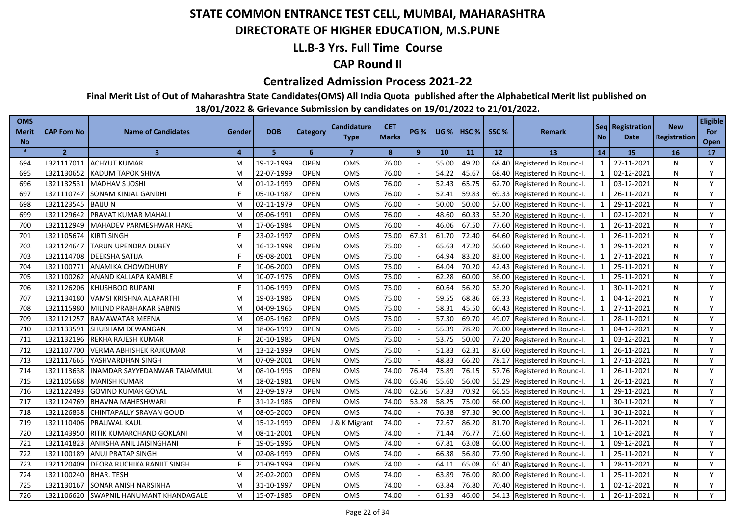### **DIRECTORATE OF HIGHER EDUCATION, M.S.PUNE**

### **LL.B-3 Yrs. Full Time Course**

### **CAP Round II**

#### **Centralized Admission Process 2021-22**

**Final Merit List of Out of Maharashtra State Candidates(OMS) All India Quota published after the Alphabetical Merit list published on** 

| <b>OMS</b><br>Merit<br><b>No</b> | <b>CAP Fom No</b> | <b>Name of Candidates</b>          | Gender | <b>DOB</b> | Category    | <b>Candidature</b><br><b>Type</b> | <b>CET</b><br><b>Marks</b> | <b>PG %</b>    | <b>UG %</b> | $ $ HSC % | SSC%  | <b>Remark</b>          | <b>No</b>      | Seq Registration<br>Date | <b>New</b><br><b>Registration</b> | <b>Eligible</b><br>For<br><b>Open</b> |
|----------------------------------|-------------------|------------------------------------|--------|------------|-------------|-----------------------------------|----------------------------|----------------|-------------|-----------|-------|------------------------|----------------|--------------------------|-----------------------------------|---------------------------------------|
| $\ast$                           | $\overline{2}$    | $\overline{\mathbf{3}}$            | 4      | 5          | 6           | $\overline{7}$                    | 8                          | $\overline{9}$ | 10          | 11        | 12    | 13                     | 14             | <b>15</b>                | <b>16</b>                         | <b>17</b>                             |
| 694                              | L321117011        | <b>ACHYUT KUMAR</b>                | M      | 19-12-1999 | <b>OPEN</b> | <b>OMS</b>                        | 76.00                      |                | 55.00       | 49.20     | 68.40 | Registered In Round-I. | $\mathbf{1}$   | 27-11-2021               | N                                 | Y                                     |
| 695                              | L321130652        | <b>KADUM TAPOK SHIVA</b>           | M      | 22-07-1999 | <b>OPEN</b> | <b>OMS</b>                        | 76.00                      |                | 54.22       | 45.67     | 68.40 | Registered In Round-I. | 1              | 02-12-2021               | N                                 | Y                                     |
| 696                              | L321132531        | <b>MADHAV S JOSHI</b>              | M      | 01-12-1999 | <b>OPEN</b> | <b>OMS</b>                        | 76.00                      |                | 52.43       | 65.75     | 62.70 | Registered In Round-I. | $\mathbf{1}$   | 03-12-2021               | N                                 | Y                                     |
| 697                              | L321110747        | SONAM KINJAL GANDHI                |        | 05-10-1987 | <b>OPEN</b> | <b>OMS</b>                        | 76.00                      |                | 52.41       | 59.83     | 69.33 | Registered In Round-I. | $\mathbf{1}$   | 26-11-2021               | N                                 | Y                                     |
| 698                              | L321123545        | <b>BAIJUN</b>                      | M      | 02-11-1979 | <b>OPEN</b> | OMS                               | 76.00                      |                | 50.00       | 50.00     | 57.00 | Registered In Round-I. | 1              | 29-11-2021               | N                                 | Y                                     |
| 699                              | L321129642        | PRAVAT KUMAR MAHALI                | M      | 05-06-199  | <b>OPEN</b> | <b>OMS</b>                        | 76.00                      |                | 48.60       | 60.33     | 53.20 | Registered In Round-I. | $\mathbf{1}$   | 02-12-2021               | N                                 | Y                                     |
| 700                              | L321112949        | <b>MAHADEV PARMESHWAR HAKE</b>     | M      | 17-06-1984 | <b>OPEN</b> | <b>OMS</b>                        | 76.00                      |                | 46.06       | 67.50     | 77.60 | Registered In Round-I. | $\overline{1}$ | 26-11-2021               | N                                 | Y                                     |
| 701                              | L321105674        | <b>KIRTI SINGH</b>                 | F      | 23-02-1997 | <b>OPEN</b> | OMS                               | 75.00                      | 67.31          | 61.70       | 72.40     | 64.60 | Registered In Round-I. | $\mathbf{1}$   | 26-11-2021               | N                                 | Y                                     |
| 702                              | L321124647        | <b>TARUN UPENDRA DUBEY</b>         | M      | 16-12-1998 | <b>OPEN</b> | <b>OMS</b>                        | 75.00                      |                | 65.63       | 47.20     | 50.60 | Registered In Round-I. | $\overline{1}$ | 29-11-2021               | N                                 | Y                                     |
| 703                              | L321114708        | <b>DEEKSHA SATIJA</b>              |        | 09-08-2001 | <b>OPEN</b> | OMS                               | 75.00                      |                | 64.94       | 83.20     | 83.00 | Registered In Round-I. | $\overline{1}$ | 27-11-2021               | N                                 | Y                                     |
| 704                              | L321100771        | <b>ANAMIKA CHOWDHURY</b>           |        | 10-06-2000 | <b>OPEN</b> | <b>OMS</b>                        | 75.00                      |                | 64.04       | 70.20     | 42.43 | Registered In Round-I. | $\overline{1}$ | 25-11-2021               | N                                 | Y                                     |
| 705                              | L321100262        | ANAND KALLAPA KAMBLE               | M      | 10-07-1976 | <b>OPEN</b> | OMS                               | 75.00                      |                | 62.28       | 60.00     | 36.00 | Registered In Round-I. | $\mathbf{1}$   | 25-11-2021               | N                                 | Y                                     |
| 706                              | L321126206        | <b>KHUSHBOO RUPANI</b>             |        | 11-06-1999 | <b>OPEN</b> | <b>OMS</b>                        | 75.00                      |                | 60.64       | 56.20     | 53.20 | Registered In Round-I. | $\overline{1}$ | 30-11-2021               | N                                 | Y                                     |
| 707                              | L321134180        | VAMSI KRISHNA ALAPARTHI            | M      | 19-03-1986 | <b>OPEN</b> | <b>OMS</b>                        | 75.00                      |                | 59.55       | 68.86     | 69.33 | Registered In Round-I. | $\mathbf{1}$   | 04-12-2021               | N                                 | Y                                     |
| 708                              | L321115980        | MILIND PRABHAKAR SABNIS            | M      | 04-09-1965 | OPEN        | <b>OMS</b>                        | 75.00                      |                | 58.31       | 45.50     | 60.43 | Registered In Round-I. | $\mathbf{1}$   | 27-11-2021               | N                                 | Y                                     |
| 709                              | L321121257        | <b>RAMAWATAR MEENA</b>             | M      | 05-05-1962 | <b>OPEN</b> | <b>OMS</b>                        | 75.00                      |                | 57.30       | 69.70     | 49.07 | Registered In Round-I. | $\overline{1}$ | 28-11-2021               | N                                 | Y                                     |
| 710                              | L321133591        | SHUBHAM DEWANGAN                   | M      | 18-06-1999 | <b>OPEN</b> | <b>OMS</b>                        | 75.00                      |                | 55.39       | 78.20     | 76.00 | Registered In Round-I. | $\overline{1}$ | 04-12-2021               | N                                 | Y                                     |
| 711                              | L321132196        | REKHA RAJESH KUMAR                 | Е      | 20-10-1985 | <b>OPEN</b> | <b>OMS</b>                        | 75.00                      |                | 53.75       | 50.00     | 77.20 | Registered In Round-I. | $\mathbf{1}$   | 03-12-2021               | N                                 | Y                                     |
| 712                              | L321107700        | VERMA ABHISHEK RAJKUMAR            | M      | 13-12-1999 | <b>OPEN</b> | OMS                               | 75.00                      |                | 51.83       | 62.31     | 87.60 | Registered In Round-I. | $\mathbf{1}$   | 26-11-2021               | N                                 | Y                                     |
| 713                              | L321117665        | YASHVARDHAN SINGH                  | M      | 07-09-2001 | <b>OPEN</b> | <b>OMS</b>                        | 75.00                      |                | 48.83       | 66.20     | 78.17 | Registered In Round-I. | $\mathbf{1}$   | 27-11-2021               | N                                 | Y                                     |
| 714                              | L321113638        | INAMDAR SAYYEDANWAR TAJAMMUL       | M      | 08-10-1996 | <b>OPEN</b> | OMS                               | 74.00                      | 76.44          | 75.89       | 76.15     | 57.76 | Registered In Round-I. | -1             | 26-11-2021               | N                                 | Y                                     |
| 715                              | L321105688        | <b>MANISH KUMAR</b>                | M      | 18-02-1981 | <b>OPEN</b> | OMS                               | 74.00                      | 65.46          | 55.60       | 56.00     | 55.29 | Registered In Round-I. | $\mathbf{1}$   | 26-11-2021               | N                                 | Y                                     |
| 716                              | L321122493        | <b>GOVIND KUMAR GOYAL</b>          | M      | 23-09-1979 | <b>OPEN</b> | <b>OMS</b>                        | 74.00                      | 62.56          | 57.83       | 70.92     | 66.55 | Registered In Round-I. | $\mathbf{1}$   | 29-11-2021               | N                                 | Y                                     |
| 717                              | L321124769        | <b>BHAVNA MAHESHWARI</b>           |        | 31-12-1986 | <b>OPEN</b> | OMS                               | 74.00                      | 53.28          | 58.25       | 75.00     | 66.00 | Registered In Round-I. | $\mathbf{1}$   | 30-11-2021               | N                                 | Y                                     |
| 718                              | L321126838        | CHINTAPALLY SRAVAN GOUD            | м      | 08-05-2000 | <b>OPEN</b> | <b>OMS</b>                        | 74.00                      |                | 76.38       | 97.30     | 90.00 | Registered In Round-I. | $\mathbf{1}$   | 30-11-2021               | N                                 | Y                                     |
| 719                              | L321110406        | PRAJJWAL KAUL                      | M      | 15-12-1999 | <b>OPEN</b> | J & K Migrant                     | 74.00                      |                | 72.67       | 86.20     | 81.70 | Registered In Round-I. | $\mathbf{1}$   | 26-11-2021               | N                                 | Y                                     |
| 720                              | L321143950        | RITIK KUMARCHAND GOKLANI           | M      | 08-11-2001 | <b>OPEN</b> | <b>OMS</b>                        | 74.00                      |                | 71.44       | 76.77     | 75.60 | Registered In Round-I. | $\mathbf{1}$   | 10-12-2021               | N                                 | Y                                     |
| 721                              | L321141823        | ANIKSHA ANIL JAISINGHANI           |        | 19-05-1996 | <b>OPEN</b> | OMS                               | 74.00                      |                | 67.81       | 63.08     | 60.00 | Registered In Round-I. | $\mathbf{1}$   | 09-12-2021               | N                                 | Y                                     |
| 722                              | L321100189        | <b>ANUJ PRATAP SINGH</b>           | M      | 02-08-1999 | <b>OPEN</b> | <b>OMS</b>                        | 74.00                      |                | 66.38       | 56.80     | 77.90 | Registered In Round-I. | $\mathbf{1}$   | 25-11-2021               | N                                 | Y                                     |
| 723                              | L321120409        | DEORA RUCHIKA RANJIT SINGH         |        | 21-09-1999 | <b>OPEN</b> | <b>OMS</b>                        | 74.00                      |                | 64.11       | 65.08     | 65.40 | Registered In Round-I. | $\overline{1}$ | 28-11-2021               | N                                 | Y                                     |
| 724                              | L321100240        | <b>BHAR. TESH</b>                  | M      | 29-02-2000 | <b>OPEN</b> | <b>OMS</b>                        | 74.00                      |                | 63.89       | 76.00     | 80.00 | Registered In Round-I. | $\mathbf{1}$   | 25-11-2021               | N                                 | Y                                     |
| 725                              | L321130167        | SONAR ANISH NARSINHA               | м      | 31-10-1997 | <b>OPEN</b> | <b>OMS</b>                        | 74.00                      |                | 63.84       | 76.80     | 70.40 | Registered In Round-I. | $\mathbf{1}$   | 02-12-2021               | N                                 | Y                                     |
| 726                              | L321106620        | <b>SWAPNIL HANUMANT KHANDAGALE</b> | м      | 15-07-1985 | <b>OPEN</b> | <b>OMS</b>                        | 74.00                      |                | 61.93       | 46.00     | 54.13 | Registered In Round-I. | $\overline{1}$ | 26-11-2021               | N                                 | Y                                     |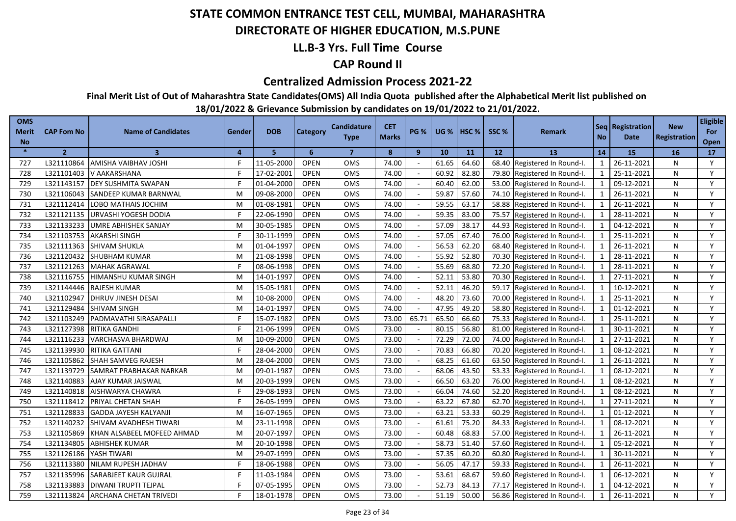### **DIRECTORATE OF HIGHER EDUCATION, M.S.PUNE**

### **LL.B-3 Yrs. Full Time Course**

### **CAP Round II**

#### **Centralized Admission Process 2021-22**

**Final Merit List of Out of Maharashtra State Candidates(OMS) All India Quota published after the Alphabetical Merit list published on** 

| <b>OMS</b><br><b>Merit</b><br><b>No</b> | <b>CAP Fom No</b> | <b>Name of Candidates</b>     | Gender   | <b>DOB</b> | <b>Category</b> | Candidature<br><b>Type</b> | <b>CET</b><br><b>Marks</b> | <b>PG %</b>  | <b>UG %</b> | HSC <sub>%</sub> | SSC%  | <b>Remark</b>                | <b>No</b>               | Seq   Registration<br>Date | <b>New</b><br>Registration | <b>Eligible</b><br>For<br>Open |
|-----------------------------------------|-------------------|-------------------------------|----------|------------|-----------------|----------------------------|----------------------------|--------------|-------------|------------------|-------|------------------------------|-------------------------|----------------------------|----------------------------|--------------------------------|
| $\ast$                                  | $\overline{2}$    | $\overline{\mathbf{3}}$       | $\Delta$ | 5          | 6               | $\overline{7}$             | 8                          | $\mathbf{9}$ | 10          | 11               | 12    | <b>13</b>                    | 14                      | 15                         | 16                         | 17                             |
| 727                                     | L321110864        | AMISHA VAIBHAV JOSHI          |          | 11-05-2000 | <b>OPEN</b>     | OMS                        | 74.00                      |              | 61.65       | 64.60            | 68.40 | Registered In Round-I.       | 1                       | 26-11-2021                 | N                          | Y                              |
| 728                                     | L321101403        | V AAKARSHANA                  |          | 17-02-2001 | <b>OPEN</b>     | <b>OMS</b>                 | 74.00                      |              | 60.92       | 82.80            |       | 79.80 Registered In Round-I. | 1                       | 25-11-2021                 | N                          | Y                              |
| 729                                     | L321143157        | <b>DEY SUSHMITA SWAPAN</b>    |          | 01-04-2000 | <b>OPEN</b>     | OMS                        | 74.00                      |              | 60.40       | 62.00            |       | 53.00 Registered In Round-I. | 1                       | 09-12-2021                 | N                          | Y                              |
| 730                                     | L321106043        | SANDEEP KUMAR BARNWAL         | M        | 09-08-2000 | <b>OPEN</b>     | OMS                        | 74.00                      |              | 59.87       | 57.60            |       | 74.10 Registered In Round-I. | 1                       | 26-11-2021                 | N                          | Y                              |
| 731                                     | L321112414        | LOBO MATHAIS JOCHIM           | м        | 01-08-1981 | <b>OPEN</b>     | <b>OMS</b>                 | 74.00                      |              | 59.55       | 63.17            |       | 58.88 Registered In Round-I. | 1                       | 26-11-2021                 | N                          | Y                              |
| 732                                     | L321121135        | <b>URVASHI YOGESH DODIA</b>   |          | 22-06-1990 | <b>OPEN</b>     | OMS                        | 74.00                      |              | 59.35       | 83.00            |       | 75.57 Registered In Round-I. | 1                       | 28-11-2021                 | N                          | Y                              |
| 733                                     | L321133233        | <b>UMRE ABHISHEK SANJAY</b>   | M        | 30-05-1985 | <b>OPEN</b>     | <b>OMS</b>                 | 74.00                      |              | 57.09       | 38.17            |       | 44.93 Registered In Round-I. | $\mathbf{1}$            | 04-12-2021                 | N                          | Y                              |
| 734                                     | L321103753        | <b>AKARSHI SINGH</b>          |          | 30-11-1999 | <b>OPEN</b>     | OMS                        | 74.00                      |              | 57.05       | 67.40            |       | 76.00 Registered In Round-I. | 1                       | 25-11-2021                 | N                          | Y                              |
| 735                                     | L321111363        | <b>SHIVAM SHUKLA</b>          | M        | 01-04-1997 | <b>OPEN</b>     | OMS                        | 74.00                      |              | 56.53       | 62.20            | 68.40 | Registered In Round-I.       | $\mathbf{1}$            | 26-11-2021                 | N                          | Y                              |
| 736                                     | L321120432        | <b>SHUBHAM KUMAR</b>          | M        | 21-08-1998 | <b>OPEN</b>     | <b>OMS</b>                 | 74.00                      |              | 55.92       | 52.80            |       | 70.30 Registered In Round-I. | $\mathbf{1}$            | 28-11-2021                 | N                          | Y                              |
| 737                                     | L321121263        | <b>MAHAK AGRAWAL</b>          |          | 08-06-1998 | <b>OPEN</b>     | OMS                        | 74.00                      |              | 55.69       | 68.80            | 72.20 | Registered In Round-I.       |                         | 28-11-2021                 | N                          | Y                              |
| 738                                     | L321116755        | HIMANSHU KUMAR SINGH          | м        | 14-01-1997 | <b>OPEN</b>     | OMS                        | 74.00                      |              | 52.11       | 53.80            | 70.30 | Registered In Round-I.       | $\overline{\mathbf{1}}$ | 27-11-2021                 | N                          | Y                              |
| 739                                     | L321144446        | <b>RAJESH KUMAR</b>           | M        | 15-05-1981 | <b>OPEN</b>     | OMS                        | 74.00                      |              | 52.11       | 46.20            | 59.17 | Registered In Round-I.       | $\mathbf{1}$            | 10-12-2021                 | N                          | Y                              |
| 740                                     | L321102947        | <b>DHRUV JINESH DESAI</b>     | M        | 10-08-2000 | <b>OPEN</b>     | OMS                        | 74.00                      |              | 48.20       | 73.60            | 70.00 | Registered In Round-I.       | $\overline{1}$          | 25-11-2021                 | N                          | Y                              |
| 741                                     | L321129484        | SHIVAM SINGH                  | M        | 14-01-1997 | <b>OPEN</b>     | <b>OMS</b>                 | 74.00                      |              | 47.95       | 49.20            | 58.80 | Registered In Round-I.       | $\overline{1}$          | 01-12-2021                 | N                          | Y                              |
| 742                                     | L321103249        | PADMAVATHI SIRASAPALLI        |          | 15-07-1982 | <b>OPEN</b>     | OMS                        | 73.00                      | 65.71        | 65.50       | 66.60            | 75.33 | Registered In Round-I.       | 1                       | 25-11-2021                 | N                          | Y                              |
| 743                                     | L321127398        | RITIKA GANDHI                 |          | 21-06-1999 | <b>OPEN</b>     | OMS                        | 73.00                      |              | 80.15       | 56.80            | 81.00 | Registered In Round-I.       | $\mathbf 1$             | 30-11-2021                 | N                          | Y                              |
| 744                                     | L321116233        | VARCHASVA BHARDWAJ            | M        | 10-09-2000 | <b>OPEN</b>     | OMS                        | 73.00                      |              | 72.29       | 72.00            | 74.00 | Registered In Round-I.       | 1                       | 27-11-2021                 | N                          | Y                              |
| 745                                     | L321139930        | RITIKA GATTANI                |          | 28-04-2000 | <b>OPEN</b>     | OMS                        | 73.00                      |              | 70.83       | 66.80            | 70.20 | Registered In Round-I.       | $\overline{1}$          | 08-12-2021                 | N                          | Y                              |
| 746                                     | L321105862        | <b>SHAH SAMVEG RAJESH</b>     | м        | 28-04-2000 | <b>OPEN</b>     | <b>OMS</b>                 | 73.00                      |              | 68.25       | 61.60            | 63.50 | Registered In Round-I.       | $\mathbf{1}$            | 26-11-2021                 | N                          | Y                              |
| 747                                     | L321139729        | SAMRAT PRABHAKAR NARKAR       | м        | 09-01-1987 | <b>OPEN</b>     | OMS                        | 73.00                      |              | 68.06       | 43.50            | 53.33 | Registered In Round-I.       | $\mathbf{1}$            | 08-12-2021                 | N                          | Y                              |
| 748                                     | L321140883        | AJAY KUMAR JAISWAL            | M        | 20-03-1999 | <b>OPEN</b>     | OMS                        | 73.00                      |              | 66.50       | 63.20            | 76.00 | Registered In Round-I.       | $\mathbf{1}$            | 08-12-2021                 | N                          | Y                              |
| 749                                     | L321140818        | AISHWARYA CHAWRA              |          | 29-08-1993 | <b>OPEN</b>     | OMS                        | 73.00                      |              | 66.04       | 74.60            | 52.20 | Registered In Round-I.       | $\mathbf{1}$            | 08-12-2021                 | N                          | Y                              |
| 750                                     | L321118412        | PRIYAL CHETAN SHAH            |          | 26-05-1999 | <b>OPEN</b>     | OMS                        | 73.00                      |              | 63.22       | 67.80            | 62.70 | Registered In Round-I.       | $\mathbf{1}$            | 27-11-2021                 | N                          | Y                              |
| 751                                     | L321128833        | <b>GADDA JAYESH KALYANJI</b>  | M        | 16-07-1965 | <b>OPEN</b>     | OMS                        | 73.00                      |              | 63.21       | 53.33            | 60.29 | Registered In Round-I.       | $\mathbf{1}$            | 01-12-2021                 | N                          | Y                              |
| 752                                     | L321140232        | SHIVAM AVADHESH TIWARI        | M        | 23-11-1998 | <b>OPEN</b>     | OMS                        | 73.00                      |              | 61.61       | 75.20            | 84.33 | Registered In Round-I.       |                         | 08-12-2021                 | N                          | Y                              |
| 753                                     | L321105869        | KHAN ALSABEEL MOFEED AHMAD    | м        | 20-07-1997 | <b>OPEN</b>     | <b>OMS</b>                 | 73.00                      |              | 60.48       | 68.83            | 57.00 | Registered In Round-I.       |                         | 26-11-2021                 | N                          | Y                              |
| 754                                     | L321134805        | ABHISHEK KUMAR                | M        | 20-10-1998 | <b>OPEN</b>     | OMS                        | 73.00                      |              | 58.73       | 51.40            | 57.60 | Registered In Round-I.       | $\mathbf{1}$            | 05-12-2021                 | N                          | Y                              |
| 755                                     | L321126186        | YASH TIWARI                   | M        | 29-07-1999 | <b>OPEN</b>     | <b>OMS</b>                 | 73.00                      |              | 57.35       | 60.20            | 60.80 | Registered In Round-I.       | $\mathbf{1}$            | 30-11-2021                 | N                          | Y                              |
| 756                                     | L321113380        | NILAM RUPESH JADHAV           |          | 18-06-1988 | <b>OPEN</b>     | OMS                        | 73.00                      |              | 56.05       | 47.17            | 59.33 | Registered In Round-I.       | $\mathbf{1}$            | 26-11-2021                 | N                          | Y                              |
| 757                                     | L321135996        | SARABJEET KAUR GUJRAL         |          | 11-03-1984 | <b>OPEN</b>     | OMS                        | 73.00                      |              | 53.61       | 68.67            | 59.60 | Registered In Round-I.       |                         | 06-12-2021                 | N                          | Y                              |
| 758                                     | L321133883        | DIWANI TRUPTI TEJPAL          |          | 07-05-1995 | <b>OPEN</b>     | <b>OMS</b>                 | 73.00                      |              | 52.73       | 84.13            | 77.17 | Registered In Round-I.       |                         | 04-12-2021                 | N                          | Y                              |
| 759                                     | L321113824        | <b>ARCHANA CHETAN TRIVEDI</b> |          | 18-01-1978 | <b>OPEN</b>     | OMS                        | 73.00                      |              | 51.19       | 50.00            |       | 56.86 Registered In Round-I. |                         | 26-11-2021                 | N                          | Y                              |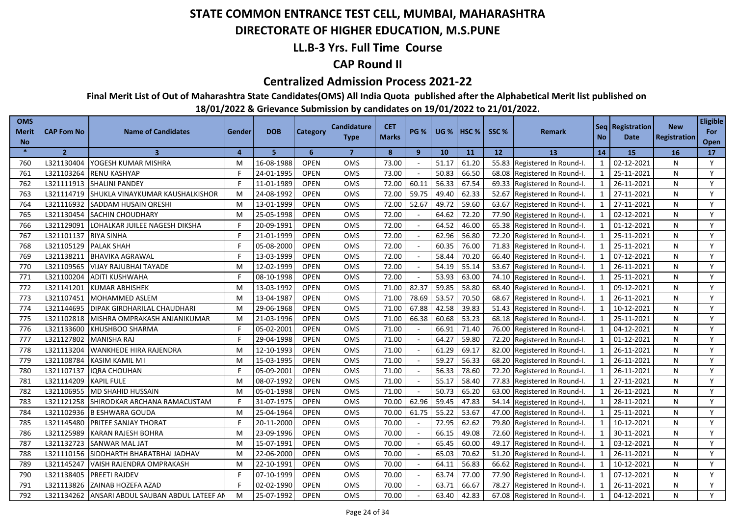### **DIRECTORATE OF HIGHER EDUCATION, M.S.PUNE**

### **LL.B-3 Yrs. Full Time Course**

### **CAP Round II**

#### **Centralized Admission Process 2021-22**

**Final Merit List of Out of Maharashtra State Candidates(OMS) All India Quota published after the Alphabetical Merit list published on** 

| <b>OMS</b><br><b>Merit</b><br><b>No</b> | <b>CAP Fom No</b> | <b>Name of Candidates</b>               | Gender   | <b>DOB</b> | <b>Category</b> | Candidature<br><b>Type</b> | <b>CET</b><br><b>Marks</b> | <b>PG %</b> | <b>UG %</b> | HSC <sub>%</sub> | SSC%  | <b>Remark</b>                | No.                     | Seq   Registration<br>Date | <b>New</b><br><b>Registration</b> | <b>Eligible</b><br>For<br>Open |
|-----------------------------------------|-------------------|-----------------------------------------|----------|------------|-----------------|----------------------------|----------------------------|-------------|-------------|------------------|-------|------------------------------|-------------------------|----------------------------|-----------------------------------|--------------------------------|
| $\ast$                                  | $\overline{2}$    | 3                                       | $\Delta$ | 5          | 6               | $\overline{7}$             | 8                          | 9           | 10          | 11               | 12    | 13                           | 14                      | 15                         | 16                                | 17                             |
| 760                                     | L321130404        | YOGESH KUMAR MISHRA                     | M        | 16-08-1988 | <b>OPEN</b>     | <b>OMS</b>                 | 73.00                      |             | 51.17       | 61.20            |       | 55.83 Registered In Round-I. | $\mathbf{1}$            | 02-12-2021                 | N                                 | Y                              |
| 761                                     | L321103264        | <b>RENU KASHYAP</b>                     |          | 24-01-1995 | <b>OPEN</b>     | <b>OMS</b>                 | 73.00                      |             | 50.83       | 66.50            |       | 68.08 Registered In Round-I. | 1                       | 25-11-2021                 | N                                 | Y                              |
| 762                                     | L321111913        | <b>SHALINI PANDEY</b>                   |          | 11-01-1989 | <b>OPEN</b>     | OMS                        | 72.00                      | 60.11       | 56.33       | 67.54            |       | 69.33 Registered In Round-I. | 1                       | 26-11-2021                 | N                                 | Y                              |
| 763                                     | L321114719        | <b>ISHUKLA VINAYKUMAR KAUSHALKISHOR</b> | M        | 24-08-1992 | <b>OPEN</b>     | <b>OMS</b>                 | 72.00                      | 59.75       | 49.40       | 62.33            |       | 52.67 Registered In Round-I. | 1                       | 27-11-2021                 | N                                 | Y                              |
| 764                                     | L321116932        | SADDAM HUSAIN QRESHI                    | м        | 13-01-1999 | <b>OPEN</b>     | <b>OMS</b>                 | 72.00                      | 52.67       | 49.72       | 59.60            |       | 63.67 Registered In Round-I. | 1                       | 27-11-2021                 | N                                 | Y                              |
| 765                                     | L321130454        | <b>SACHIN CHOUDHARY</b>                 | M        | 25-05-1998 | <b>OPEN</b>     | <b>OMS</b>                 | 72.00                      |             | 64.62       | 72.20            | 77.90 | Registered In Round-I.       | 1                       | 02-12-2021                 | N                                 | Y                              |
| 766                                     | L321129091        | LOHALKAR JUILEE NAGESH DIKSHA           |          | 20-09-1991 | <b>OPEN</b>     | OMS                        | 72.00                      |             | 64.52       | 46.00            |       | 65.38 Registered In Round-I. | $\mathbf{1}$            | 01-12-2021                 | N                                 | Y                              |
| 767                                     | L321101137        | <b>RIYA SINHA</b>                       |          | 21-01-1999 | <b>OPEN</b>     | <b>OMS</b>                 | 72.00                      |             | 62.96       | 56.80            |       | 72.20 Registered In Round-I. | 1                       | 25-11-2021                 | N                                 | Y                              |
| 768                                     | L321105129        | <b>PALAK SHAH</b>                       |          | 05-08-2000 | <b>OPEN</b>     | OMS                        | 72.00                      |             | 60.35       | 76.00            |       | 71.83 Registered In Round-I. | 1                       | 25-11-2021                 | N                                 | Y                              |
| 769                                     | L321138211        | <b>BHAVIKA AGRAWAL</b>                  |          | 13-03-1999 | <b>OPEN</b>     | <b>OMS</b>                 | 72.00                      |             | 58.44       | 70.20            |       | 66.40 Registered In Round-I. | $\mathbf{1}$            | 07-12-2021                 | N                                 | Y                              |
| 770                                     | L321109565        | VIJAY RAJUBHAI TAYADE                   | М        | 12-02-1999 | <b>OPEN</b>     | OMS                        | 72.00                      |             | 54.19       | 55.14            |       | 53.67 Registered In Round-I. | 1                       | 26-11-2021                 | N                                 | Y                              |
| 771                                     | L321100204        | <b>ADITI KUSHWAHA</b>                   |          | 08-10-1998 | <b>OPEN</b>     | OMS                        | 72.00                      |             | 53.93       | 63.00            |       | 74.10 Registered In Round-I. | $\mathbf{1}$            | 25-11-2021                 | N                                 | Y                              |
| 772                                     | L321141201        | <b>KUMAR ABHISHEK</b>                   | М        | 13-03-1992 | <b>OPEN</b>     | OMS                        | 71.00                      | 82.37       | 59.85       | 58.80            | 68.40 | Registered In Round-I.       | 1                       | 09-12-2021                 | N                                 | Y                              |
| 773                                     | L321107451        | MOHAMMED ASLEM                          | м        | 13-04-1987 | <b>OPEN</b>     | OMS                        | 71.00                      | 78.69       | 53.57       | 70.50            | 68.67 | Registered In Round-I.       |                         | 26-11-2021                 | N                                 | Y                              |
| 774                                     | L321144695        | DIPAK GIRDHARILAL CHAUDHARI             | м        | 29-06-1968 | <b>OPEN</b>     | <b>OMS</b>                 | 71.00                      | 67.88       | 42.58       | 39.83            | 51.43 | Registered In Round-I.       | $\overline{\mathbf{1}}$ | 10-12-2021                 | N                                 | Y                              |
| 775                                     | L321102818        | MISHRA OMPRAKASH ANJANIKUMAR            | М        | 21-03-1996 | <b>OPEN</b>     | OMS                        | 71.00                      | 66.38       | 60.68       | 53.23            |       | 68.18 Registered In Round-I. | $\mathbf{1}$            | 25-11-2021                 | N                                 | Y                              |
| 776                                     | L321133600        | KHUSHBOO SHARMA                         |          | 05-02-2001 | <b>OPEN</b>     | <b>OMS</b>                 | 71.00                      |             | 66.91       | 71.40            | 76.00 | Registered In Round-I.       |                         | 04-12-2021                 | N                                 | Y                              |
| 777                                     | L321127802        | <b>MANISHA RAJ</b>                      |          | 29-04-1998 | <b>OPEN</b>     | OMS                        | 71.00                      |             | 64.27       | 59.80            | 72.20 | Registered In Round-I.       | $\overline{\mathbf{1}}$ | 01-12-2021                 | N                                 | Y                              |
| 778                                     | L321113204        | <b>WANKHEDE HIRA RAJENDRA</b>           | M        | 12-10-1993 | <b>OPEN</b>     | <b>OMS</b>                 | 71.00                      |             | 61.29       | 69.17            | 82.00 | Registered In Round-I.       | $\overline{1}$          | 26-11-2021                 | N                                 | Y                              |
| 779                                     | L321108784        | <b>KASIM KAMIL M I</b>                  | M        | 15-03-1995 | <b>OPEN</b>     | OMS                        | 71.00                      |             | 59.27       | 56.33            | 68.20 | Registered In Round-I.       | 1                       | 26-11-2021                 | N                                 | Y                              |
| 780                                     | L321107137        | <b>IQRA CHOUHAN</b>                     |          | 05-09-2001 | <b>OPEN</b>     | <b>OMS</b>                 | 71.00                      |             | 56.33       | 78.60            | 72.20 | Registered In Round-I.       | -1                      | 26-11-2021                 | N                                 | Y                              |
| 781                                     | L321114209        | <b>KAPIL FULE</b>                       | M        | 08-07-1992 | <b>OPEN</b>     | OMS                        | 71.00                      |             | 55.17       | 58.40            | 77.83 | Registered In Round-I.       | $\mathbf{1}$            | 27-11-2021                 | N                                 | Y                              |
| 782                                     | L321106955        | MD SHAHID HUSSAIN                       | M        | 05-01-1998 | <b>OPEN</b>     | OMS                        | 71.00                      |             | 50.73       | 65.20            | 63.00 | Registered In Round-I.       | $\overline{\mathbf{1}}$ | 26-11-2021                 | N                                 | Y                              |
| 783                                     | L321121258        | SHIRODKAR ARCHANA RAMACUSTAM            |          | 31-07-1975 | <b>OPEN</b>     | OMS                        | 70.00                      | 62.96       | 59.45       | 47.83            | 54.14 | Registered In Round-I.       | $\mathbf{1}$            | 28-11-2021                 | N                                 | Y                              |
| 784                                     | L321102936        | <b>B ESHWARA GOUDA</b>                  | M        | 25-04-1964 | <b>OPEN</b>     | <b>OMS</b>                 | 70.00                      | 61.75       | 55.22       | 53.67            | 47.00 | Registered In Round-I.       | $\mathbf{1}$            | 25-11-2021                 | N                                 | Y                              |
| 785                                     | L321145480        | PRITEE SANJAY THORAT                    |          | 20-11-2000 | <b>OPEN</b>     | OMS                        | 70.00                      |             | 72.95       | 62.62            | 79.80 | Registered In Round-I.       | 1                       | 10-12-2021                 | N                                 | Y                              |
| 786                                     | L321125989        | KARAN RAJESH BOHRA                      | M        | 23-09-1996 | <b>OPEN</b>     | OMS                        | 70.00                      |             | 66.15       | 49.08            | 72.60 | Registered In Round-I.       | $\mathbf{1}$            | 30-11-2021                 | N                                 | Y                              |
| 787                                     | L321132723        | SANWAR MAL JAT                          | M        | 15-07-1991 | <b>OPEN</b>     | <b>OMS</b>                 | 70.00                      |             | 65.45       | 60.00            | 49.17 | Registered In Round-I.       | $\mathbf{1}$            | 03-12-2021                 | N                                 | Y                              |
| 788                                     | L321110156        | SIDDHARTH BHARATBHAI JADHAV             | M        | 22-06-2000 | <b>OPEN</b>     | OMS                        | 70.00                      |             | 65.03       | 70.62            | 51.20 | Registered In Round-I.       | $\mathbf{1}$            | 26-11-2021                 | N                                 | Y                              |
| 789                                     | L321145247        | VAISH RAJENDRA OMPRAKASH                | м        | 22-10-1991 | <b>OPEN</b>     | <b>OMS</b>                 | 70.00                      |             | 64.11       | 56.83            | 66.62 | Registered In Round-I.       | $\mathbf{1}$            | 10-12-2021                 | N                                 | Y                              |
| 790                                     | L321138405        | PREETI RAJDEV                           |          | 07-10-1999 | <b>OPEN</b>     | OMS                        | 70.00                      |             | 63.74       | 77.00            | 77.90 | Registered In Round-I.       | $\mathbf{1}$            | 07-12-2021                 | N                                 | Y                              |
| 791                                     | L321113826        | ZAINAB HOZEFA AZAD                      |          | 02-02-1990 | <b>OPEN</b>     | OMS                        | 70.00                      |             | 63.71       | 66.67            | 78.27 | Registered In Round-I.       | $\mathbf 1$             | 26-11-2021                 | N                                 | Y                              |
| 792                                     | L321134262        | ANSARI ABDUL SAUBAN ABDUL LATEEF AN     | M        | 25-07-1992 | <b>OPEN</b>     | OMS                        | 70.00                      |             | 63.40       | 42.83            |       | 67.08 Registered In Round-I. |                         | 04-12-2021                 | N                                 | Y                              |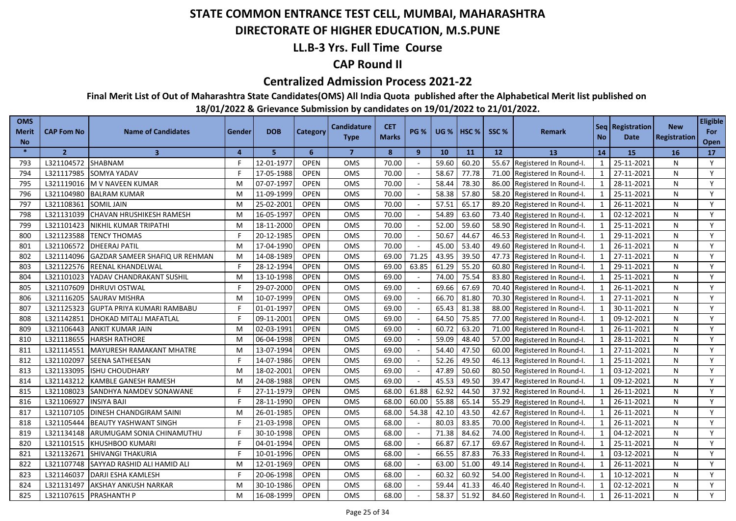### **DIRECTORATE OF HIGHER EDUCATION, M.S.PUNE**

### **LL.B-3 Yrs. Full Time Course**

### **CAP Round II**

#### **Centralized Admission Process 2021-22**

**Final Merit List of Out of Maharashtra State Candidates(OMS) All India Quota published after the Alphabetical Merit list published on** 

| <b>OMS</b><br>Merit<br><b>No</b> | <b>CAP Fom No</b> | <b>Name of Candidates</b>         | Gender         | <b>DOB</b> | <b>Category</b> | <b>Candidature</b><br><b>Type</b> | <b>CET</b><br><b>Marks</b> | <b>PG %</b>  | <b>UG %</b> | HSC <sub>%</sub> | SSC % | <b>Remark</b>                | <b>No</b>      | Seq Registration<br>Date | <b>New</b><br>Registration | <b>Eligible</b><br>For<br>Open |
|----------------------------------|-------------------|-----------------------------------|----------------|------------|-----------------|-----------------------------------|----------------------------|--------------|-------------|------------------|-------|------------------------------|----------------|--------------------------|----------------------------|--------------------------------|
| $\ast$                           | $\overline{2}$    | $\overline{\mathbf{3}}$           | $\overline{a}$ | 5          | 6               | $\overline{7}$                    | 8                          | $\mathbf{9}$ | 10          | 11               | 12    | 13                           | 14             | 15                       | 16                         | 17                             |
| 793                              | L321104572        | SHABNAM                           |                | 12-01-1977 | <b>OPEN</b>     | <b>OMS</b>                        | 70.00                      |              | 59.60       | 60.20            |       | 55.67 Registered In Round-I. | -1             | 25-11-2021               | N                          | Y                              |
| 794                              | L321117985        | SOMYA YADAV                       |                | 17-05-1988 | <b>OPEN</b>     | <b>OMS</b>                        | 70.00                      |              | 58.67       | 77.78            |       | 71.00 Registered In Round-I. | 1              | 27-11-2021               | N                          | Y                              |
| 795                              | L321119016        | M V NAVEEN KUMAR                  | M              | 07-07-1997 | <b>OPEN</b>     | OMS                               | 70.00                      |              | 58.44       | 78.30            |       | 86.00 Registered In Round-I. | 1              | 28-11-2021               | N                          | Y                              |
| 796                              |                   | L321104980 BALRAM KUMAR           | M              | 11-09-1999 | <b>OPEN</b>     | <b>OMS</b>                        | 70.00                      |              | 58.38       | 57.80            |       | 58.20 Registered In Round-I. | 1              | 25-11-2021               | N                          | Y                              |
| 797                              | L321108361        | <b>SOMIL JAIN</b>                 | M              | 25-02-2001 | <b>OPEN</b>     | OMS                               | 70.00                      |              | 57.51       | 65.17            |       | 89.20 Registered In Round-I. | 1              | 26-11-2021               | N                          | Y                              |
| 798                              | L321131039        | CHAVAN HRUSHIKESH RAMESH          | M              | 16-05-1997 | <b>OPEN</b>     | OMS                               | 70.00                      |              | 54.89       | 63.60            |       | 73.40 Registered In Round-I. | 1              | 02-12-2021               | N                          | Y                              |
| 799                              | L321101423        | NIKHIL KUMAR TRIPATHI             | M              | 18-11-2000 | <b>OPEN</b>     | <b>OMS</b>                        | 70.00                      |              | 52.00       | 59.60            |       | 58.90 Registered In Round-I. | 1              | 25-11-2021               | N                          | Y                              |
| 800                              | L321123588        | TENCY THOMAS                      |                | 20-12-1985 | <b>OPEN</b>     | OMS                               | 70.00                      |              | 50.67       | 44.67            |       | 46.53 Registered In Round-I. | 1              | 29-11-2021               | N                          | Y                              |
| 801                              | L321106572        | <b>DHEERAJ PATIL</b>              | M              | 17-04-1990 | <b>OPEN</b>     | <b>OMS</b>                        | 70.00                      |              | 45.00       | 53.40            |       | 49.60 Registered In Round-I. | 1              | 26-11-2021               | N                          | Y                              |
| 802                              | L321114096        | GAZDAR SAMEER SHAFIQ UR REHMAN    | M              | 14-08-1989 | <b>OPEN</b>     | OMS                               | 69.00                      | 71.25        | 43.95       | 39.50            |       | 47.73 Registered In Round-I. | 1              | 27-11-2021               | N                          | Y                              |
| 803                              | L321122576        | REENAL KHANDELWAL                 |                | 28-12-1994 | <b>OPEN</b>     | OMS                               | 69.00                      | 63.85        | 61.29       | 55.20            | 60.80 | Registered In Round-I.       | $\mathbf{1}$   | 29-11-2021               | N                          | Y                              |
| 804                              | L321101023        | YADAV CHANDRAKANT SUSHIL          | M              | 13-10-1998 | <b>OPEN</b>     | OMS                               | 69.00                      |              | 74.00       | 75.54            | 83.80 | Registered In Round-I.       | $\mathbf{1}$   | 25-11-2021               | N                          | Y                              |
| 805                              | L321107609        | <b>DHRUVI OSTWAL</b>              |                | 29-07-2000 | <b>OPEN</b>     | OMS                               | 69.00                      |              | 69.66       | 67.69            | 70.40 | Registered In Round-I.       | $\mathbf{1}$   | 26-11-2021               | N                          | Y                              |
| 806                              | L321116205        | SAURAV MISHRA                     | M              | 10-07-1999 | <b>OPEN</b>     | OMS                               | 69.00                      |              | 66.70       | 81.80            | 70.30 | Registered In Round-I.       |                | 27-11-2021               | N                          | Y                              |
| 807                              | L321125323        | <b>GUPTA PRIYA KUMARI RAMBABU</b> |                | 01-01-1997 | <b>OPEN</b>     | OMS                               | 69.00                      |              | 65.43       | 81.38            | 88.00 | Registered In Round-I.       | $\overline{1}$ | 30-11-2021               | N                          | Y                              |
| 808                              | L321142851        | DHOKAD MITALI MAFATLAL            |                | 09-11-2001 | <b>OPEN</b>     | <b>OMS</b>                        | 69.00                      |              | 64.50       | 75.85            | 77.00 | Registered In Round-I.       | $\overline{1}$ | 09-12-2021               | N                          | Y                              |
| 809                              | L321106443        | ANKIT KUMAR JAIN                  | M              | 02-03-1991 | <b>OPEN</b>     | OMS                               | 69.00                      |              | 60.72       | 63.20            | 71.00 | Registered In Round-I.       | $\mathbf 1$    | 26-11-2021               | N                          | Y                              |
| 810                              | L321118655        | <b>HARSH RATHORE</b>              | M              | 06-04-1998 | <b>OPEN</b>     | <b>OMS</b>                        | 69.00                      |              | 59.09       | 48.40            | 57.00 | Registered In Round-I.       | $\mathbf{1}$   | 28-11-2021               | N                          | Y                              |
| 811                              | L321114551        | MAYURESH RAMAKANT MHATRE          | M              | 13-07-1994 | <b>OPEN</b>     | OMS                               | 69.00                      |              | 54.40       | 47.50            | 60.00 | Registered In Round-I.       | $\overline{1}$ | 27-11-2021               | N                          | Y                              |
| 812                              | L321102097        | SEENA SATHEESAN                   |                | 14-07-1986 | <b>OPEN</b>     | OMS                               | 69.00                      |              | 52.26       | 49.50            | 46.13 | Registered In Round-I.       | $\mathbf{1}$   | 25-11-2021               | N                          | Y                              |
| 813                              | L321133095        | <b>ISHU CHOUDHARY</b>             | M              | 18-02-2001 | <b>OPEN</b>     | OMS                               | 69.00                      |              | 47.89       | 50.60            | 80.50 | Registered In Round-I.       | $\mathbf{1}$   | 03-12-2021               | N                          | Y                              |
| 814                              | L321143212        | KAMBLE GANESH RAMESH              | м              | 24-08-1988 | <b>OPEN</b>     | <b>OMS</b>                        | 69.00                      |              | 45.53       | 49.50            | 39.47 | Registered In Round-I.       | $\mathbf{1}$   | 09-12-2021               | N                          | Y                              |
| 815                              | L321108023        | SANDHYA NAMDEV SONAWANE           |                | 27-11-1979 | <b>OPEN</b>     | OMS                               | 68.00                      | 61.88        | 62.92       | 44.50            | 37.92 | Registered In Round-I.       | $\mathbf{1}$   | 26-11-2021               | N                          | Y                              |
| 816                              | L321106927        | <b>INSIYA BAJI</b>                |                | 28-11-1990 | <b>OPEN</b>     | OMS                               | 68.00                      | 60.00        | 55.88       | 65.14            | 55.29 | Registered In Round-I.       |                | 26-11-2021               | N                          | Y                              |
| 817                              | L321107105        | DINESH CHANDGIRAM SAINI           | M              | 26-01-1985 | <b>OPEN</b>     | <b>OMS</b>                        | 68.00                      | 54.38        | 42.10       | 43.50            | 42.67 | Registered In Round-I.       | $\mathbf{1}$   | 26-11-2021               | N                          | Y                              |
| 818                              | L321105444        | <b>BEAUTY YASHWANT SINGH</b>      |                | 21-03-1998 | <b>OPEN</b>     | OMS                               | 68.00                      |              | 80.03       | 83.85            | 70.00 | Registered In Round-I.       | $\mathbf{1}$   | 26-11-2021               | N                          | Y                              |
| 819                              | L321134148        | ARUMUGAM SONIA CHINAMUTHU         |                | 30-10-1998 | <b>OPEN</b>     | OMS                               | 68.00                      | $\sim$       | 71.38       | 84.62            | 74.00 | Registered In Round-I.       | $\mathbf{1}$   | 04-12-2021               | N                          | Y                              |
| 820                              | L321101515        | <b>KHUSHBOO KUMARI</b>            |                | 04-01-1994 | <b>OPEN</b>     | <b>OMS</b>                        | 68.00                      |              | 66.87       | 67.17            | 69.67 | Registered In Round-I.       | $\mathbf{1}$   | 25-11-2021               | N                          | Y                              |
| 821                              | L321132671        | <b>SHIVANGI THAKURIA</b>          |                | 10-01-1996 | <b>OPEN</b>     | OMS                               | 68.00                      |              | 66.55       | 87.83            | 76.33 | Registered In Round-I.       | $\mathbf{1}$   | 03-12-2021               | N                          | Y                              |
| 822                              | L321107748        | SAYYAD RASHID ALI HAMID ALI       |                | 12-01-1969 | <b>OPEN</b>     | OMS                               | 68.00                      | $\sim$       | 63.00       | 51.00            | 49.14 | Registered In Round-I.       |                | 26-11-2021               | N                          | Y                              |
| 823                              | L321146037        | DARJI ESHA KAMLESH                |                | 20-06-1998 | <b>OPEN</b>     | OMS                               | 68.00                      |              | 60.32       | 60.92            | 54.00 | Registered In Round-I.       | 1              | 10-12-2021               | N                          | Y                              |
| 824                              | L321131497        | AKSHAY ANKUSH NARKAR              | м              | 30-10-1986 | <b>OPEN</b>     | OMS                               | 68.00                      |              | 59.44       | 41.33            | 46.40 | Registered In Round-I.       |                | 02-12-2021               | N                          | Y                              |
| 825                              | L321107615        | <b>PRASHANTH P</b>                | М              | 16-08-1999 | <b>OPEN</b>     | OMS                               | 68.00                      |              | 58.37       | 51.92            |       | 84.60 Registered In Round-I. |                | 26-11-2021               | N                          | Y                              |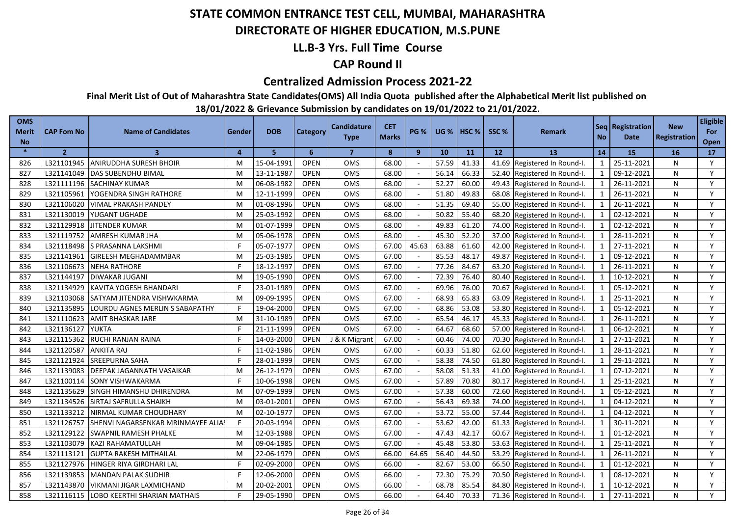### **DIRECTORATE OF HIGHER EDUCATION, M.S.PUNE**

### **LL.B-3 Yrs. Full Time Course**

### **CAP Round II**

#### **Centralized Admission Process 2021-22**

**Final Merit List of Out of Maharashtra State Candidates(OMS) All India Quota published after the Alphabetical Merit list published on** 

| <b>OMS</b><br>Merit<br><b>No</b> | <b>CAP Fom No</b> | <b>Name of Candidates</b>         | Gender   | <b>DOB</b> | <b>Category</b> | Candidature<br><b>Type</b> | <b>CET</b><br><b>Marks</b> | <b>PG %</b> | <b>UG %</b> | HSC <sub>%</sub> | SSC %           | <b>Remark</b>                | <b>No</b>               | Seq   Registration<br>Date | <b>New</b><br>Registration | <b>Eligible</b><br>For<br>Open |
|----------------------------------|-------------------|-----------------------------------|----------|------------|-----------------|----------------------------|----------------------------|-------------|-------------|------------------|-----------------|------------------------------|-------------------------|----------------------------|----------------------------|--------------------------------|
| $\ast$                           | $\overline{2}$    | 3                                 | $\Delta$ | 5          | 6               | $\overline{7}$             | 8                          | 9           | 10          | 11               | 12 <sup>2</sup> | <b>13</b>                    | 14                      | 15                         | 16                         | 17                             |
| 826                              | L321101945        | <b>ANIRUDDHA SURESH BHOIR</b>     | M        | 15-04-1991 | <b>OPEN</b>     | <b>OMS</b>                 | 68.00                      |             | 57.59       | 41.33            |                 | 41.69 Registered In Round-I. | 1                       | 25-11-2021                 | N                          | Y                              |
| 827                              | L321141049        | <b>DAS SUBENDHU BIMAL</b>         | M        | 13-11-1987 | <b>OPEN</b>     | <b>OMS</b>                 | 68.00                      |             | 56.14       | 66.33            |                 | 52.40 Registered In Round-I. | 1                       | 09-12-2021                 | N                          | Y                              |
| 828                              | L321111196        | <b>SACHINAY KUMAR</b>             | M        | 06-08-1982 | <b>OPEN</b>     | <b>OMS</b>                 | 68.00                      |             | 52.27       | 60.00            |                 | 49.43 Registered In Round-I. | 1                       | 26-11-2021                 | N                          | Y                              |
| 829                              | L321105961        | YOGENDRA SINGH RATHORE            | M        | 12-11-1999 | <b>OPEN</b>     | <b>OMS</b>                 | 68.00                      |             | 51.80       | 49.83            |                 | 68.08 Registered In Round-I. | 1                       | 26-11-2021                 | N                          | Y                              |
| 830                              | L321106020        | <b>VIMAL PRAKASH PANDEY</b>       | M        | 01-08-1996 | <b>OPEN</b>     | OMS                        | 68.00                      |             | 51.35       | 69.40            |                 | 55.00 Registered In Round-I. | 1                       | 26-11-2021                 | N                          | Y                              |
| 831                              |                   | L321130019 YUGANT UGHADE          | M        | 25-03-1992 | <b>OPEN</b>     | <b>OMS</b>                 | 68.00                      |             | 50.82       | 55.40            |                 | 68.20 Registered In Round-I. | 1                       | 02-12-2021                 | N                          | Y                              |
| 832                              | L321129918        | <b>JITENDER KUMAR</b>             | M        | 01-07-1999 | <b>OPEN</b>     | OMS                        | 68.00                      |             | 49.83       | 61.20            |                 | 74.00 Registered In Round-I. | 1                       | 02-12-2021                 | N                          | Y                              |
| 833                              | L321119752        | AMRESH KUMAR JHA                  | M        | 05-06-1978 | <b>OPEN</b>     | <b>OMS</b>                 | 68.00                      |             | 45.30       | 52.20            |                 | 37.00 Registered In Round-I. | $\mathbf{1}$            | 28-11-2021                 | N                          | Y                              |
| 834                              | L321118498        | S PRASANNA LAKSHMI                |          | 05-07-1977 | <b>OPEN</b>     | <b>OMS</b>                 | 67.00                      | 45.63       | 63.88       | 61.60            |                 | 42.00 Registered In Round-I. | 1                       | 27-11-2021                 | N                          | Y                              |
| 835                              | L321141961        | GIREESH MEGHADAMMBAR              | M        | 25-03-1985 | <b>OPEN</b>     | OMS                        | 67.00                      |             | 85.53       | 48.17            |                 | 49.87 Registered In Round-I. | 1                       | 09-12-2021                 | N                          | Y                              |
| 836                              | L321106673        | <b>NEHA RATHORE</b>               |          | 18-12-1997 | <b>OPEN</b>     | OMS                        | 67.00                      |             | 77.26       | 84.67            |                 | 63.20 Registered In Round-I. | $\mathbf{1}$            | 26-11-2021                 | N                          | Y                              |
| 837                              | L321144197        | <b>DIWAKAR JUGANI</b>             | M        | 19-05-1990 | <b>OPEN</b>     | <b>OMS</b>                 | 67.00                      |             | 72.39       | 76.40            |                 | 80.40 Registered In Round-I. | $\mathbf{1}$            | 10-12-2021                 | N                          | Y                              |
| 838                              | L321134929        | KAVITA YOGESH BHANDARI            |          | 23-01-1989 | <b>OPEN</b>     | OMS                        | 67.00                      |             | 69.96       | 76.00            | 70.67           | Registered In Round-I.       | $\mathbf{1}$            | 05-12-2021                 | N                          | Y                              |
| 839                              | L321103068        | SATYAM JITENDRA VISHWKARMA        | M        | 09-09-1995 | <b>OPEN</b>     | OMS                        | 67.00                      |             | 68.93       | 65.83            | 63.09           | Registered In Round-I.       | $\mathbf 1$             | 25-11-2021                 | N                          | Y                              |
| 840                              | L321135895        | LOURDU AGNES MERLIN S SABAPATHY   |          | 19-04-2000 | <b>OPEN</b>     | <b>OMS</b>                 | 67.00                      |             | 68.86       | 53.08            | 53.80           | Registered In Round-I.       | $\overline{\mathbf{1}}$ | 05-12-2021                 | N                          | Y                              |
| 841                              | L321110623        | AMIT BHASKAR JARE                 | M        | 31-10-1989 | <b>OPEN</b>     | OMS                        | 67.00                      |             | 65.54       | 46.17            |                 | 45.33 Registered In Round-I. | $\mathbf{1}$            | 26-11-2021                 | N                          | Y                              |
| 842                              | L321136127        | <b>YUKTA</b>                      |          | 21-11-1999 | <b>OPEN</b>     | <b>OMS</b>                 | 67.00                      |             | 64.67       | 68.60            | 57.00           | Registered In Round-I.       |                         | 06-12-2021                 | N                          | Y                              |
| 843                              | L321115362        | RUCHI RANJAN RAINA                |          | 14-03-2000 | <b>OPEN</b>     | J & K Migrant              | 67.00                      |             | 60.46       | 74.00            | 70.30           | Registered In Round-I.       | $\mathbf{1}$            | 27-11-2021                 | N                          | Y                              |
| 844                              | L321120587        | <b>ANKITA RAJ</b>                 |          | 11-02-1986 | <b>OPEN</b>     | <b>OMS</b>                 | 67.00                      |             | 60.33       | 51.80            | 62.60           | Registered In Round-I.       | 1                       | 28-11-2021                 | N                          | Y                              |
| 845                              | L321121924        | <b>SREEPURNA SAHA</b>             |          | 28-01-1999 | <b>OPEN</b>     | OMS                        | 67.00                      |             | 58.38       | 74.50            | 61.80           | Registered In Round-I.       | $\mathbf 1$             | 29-11-2021                 | N                          | Y                              |
| 846                              | L321139083        | DEEPAK JAGANNATH VASAIKAR         | M        | 26-12-1979 | <b>OPEN</b>     | OMS                        | 67.00                      |             | 58.08       | 51.33            | 41.00           | Registered In Round-I.       | 1                       | 07-12-2021                 | N                          | Y                              |
| 847                              | L321100114        | SONY VISHWAKARMA                  |          | 10-06-1998 | <b>OPEN</b>     | OMS                        | 67.00                      |             | 57.89       | 70.80            | 80.17           | Registered In Round-I.       | $\mathbf{1}$            | 25-11-2021                 | N                          | Y                              |
| 848                              | L321135629        | SINGH HIMANSHU DHIRENDRA          | M        | 07-09-1999 | <b>OPEN</b>     | <b>OMS</b>                 | 67.00                      |             | 57.38       | 60.00            | 72.60           | Registered In Round-I.       | 1                       | 05-12-2021                 | N                          | Y                              |
| 849                              | L321134526        | SIRTAJ SAFRULLA SHAIKH            | м        | 03-01-2001 | <b>OPEN</b>     | <b>OMS</b>                 | 67.00                      |             | 56.43       | 69.38            | 74.00           | Registered In Round-I.       | $\mathbf{1}$            | 04-12-2021                 | N                          | Y                              |
| 850                              | L321133212        | NIRMAL KUMAR CHOUDHARY            | M        | 02-10-1977 | <b>OPEN</b>     | OMS                        | 67.00                      |             | 53.72       | 55.00            | 57.44           | Registered In Round-I.       | $\mathbf{1}$            | 04-12-2021                 | N                          | Y                              |
| 851                              | L321126757        | SHENVI NAGARSENKAR MRINMAYEE ALIA |          | 20-03-1994 | <b>OPEN</b>     | <b>OMS</b>                 | 67.00                      |             | 53.62       | 42.00            | 61.33           | Registered In Round-I.       | $\mathbf{1}$            | 30-11-2021                 | N                          | Y                              |
| 852                              | L321129122        | SWAPNIL RAMESH PHALKE             | M        | 12-03-1988 | <b>OPEN</b>     | OMS                        | 67.00                      |             | 47.43       | 42.17            | 60.67           | Registered In Round-I.       |                         | 01-12-2021                 | N                          | Y                              |
| 853                              | L321103079        | KAZI RAHAMATULLAH                 | M        | 09-04-1985 | <b>OPEN</b>     | OMS                        | 67.00                      |             | 45.48       | 53.80            | 53.63           | Registered In Round-I.       | $\mathbf{1}$            | 25-11-2021                 | N                          | Y                              |
| 854                              | L321113121        | <b>GUPTA RAKESH MITHAILAL</b>     | м        | 22-06-1979 | <b>OPEN</b>     | <b>OMS</b>                 | 66.00                      | 64.65       | 56.40       | 44.50            | 53.29           | Registered In Round-I.       | $\mathbf{1}$            | 26-11-2021                 | N                          | Y                              |
| 855                              | L321127976        | HINGER RIYA GIRDHARI LAL          |          | 02-09-2000 | <b>OPEN</b>     | OMS                        | 66.00                      |             | 82.67       | 53.00            | 66.50           | Registered In Round-I.       | $\mathbf{1}$            | 01-12-2021                 | N                          | Y                              |
| 856                              | L321139853        | MANDAN PALAK SUDHIR               |          | 12-06-2000 | <b>OPEN</b>     | OMS                        | 66.00                      |             | 72.30       | 75.29            | 70.50           | Registered In Round-I.       |                         | 08-12-2021                 | N                          | Y                              |
| 857                              | L321143870        | VIKMANI JIGAR LAXMICHAND          | M        | 20-02-2001 | <b>OPEN</b>     | <b>OMS</b>                 | 66.00                      |             | 68.78       | 85.54            | 84.80           | Registered In Round-I.       |                         | 10-12-2021                 | N                          | Y                              |
| 858                              | L321116115        | LOBO KEERTHI SHARIAN MATHAIS      |          | 29-05-1990 | <b>OPEN</b>     | OMS                        | 66.00                      |             | 64.40       | 70.33            |                 | 71.36 Registered In Round-I. |                         | 27-11-2021                 | N                          | Y                              |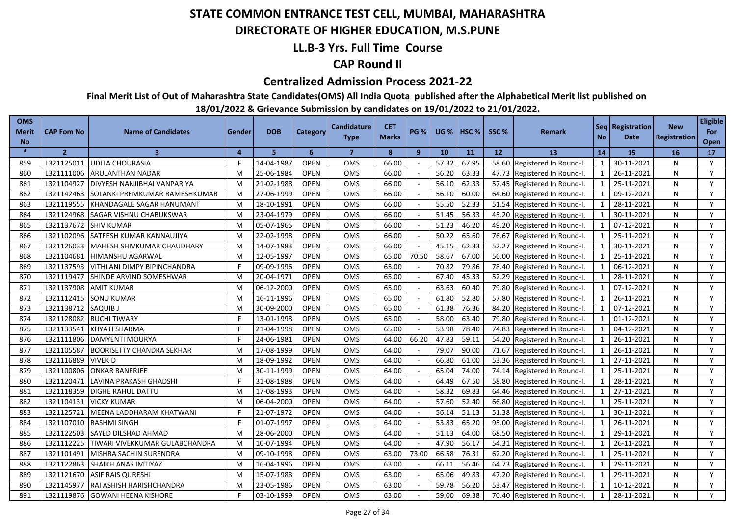### **DIRECTORATE OF HIGHER EDUCATION, M.S.PUNE**

### **LL.B-3 Yrs. Full Time Course**

### **CAP Round II**

#### **Centralized Admission Process 2021-22**

**Final Merit List of Out of Maharashtra State Candidates(OMS) All India Quota published after the Alphabetical Merit list published on** 

| <b>OMS</b><br>Merit<br><b>No</b> | <b>CAP Fom No</b> | <b>Name of Candidates</b>        | Gender         | <b>DOB</b> | <b>Category</b> | <b>Candidature</b><br><b>Type</b> | <b>CET</b><br><b>Marks</b> | <b>PG %</b>  | <b>UG</b> % | HSC <sub>%</sub> | SSC % | <b>Remark</b>                | <b>No</b>      | Seq   Registration<br>Date | <b>New</b><br>Registration | <b>Eligible</b><br>For<br>Open |
|----------------------------------|-------------------|----------------------------------|----------------|------------|-----------------|-----------------------------------|----------------------------|--------------|-------------|------------------|-------|------------------------------|----------------|----------------------------|----------------------------|--------------------------------|
| $\ast$                           | $\overline{2}$    | $\overline{\mathbf{3}}$          | $\overline{a}$ | 5.         | 6               | $\overline{7}$                    | 8                          | $\mathbf{9}$ | 10          | 11               | 12    | 13                           | 14             | 15                         | 16                         | 17                             |
| 859                              | L321125011        | <b>UDITA CHOURASIA</b>           |                | 14-04-1987 | <b>OPEN</b>     | <b>OMS</b>                        | 66.00                      |              | 57.32       | 67.95            |       | 58.60 Registered In Round-I. | -1             | 30-11-2021                 | N                          | Y                              |
| 860                              | L321111006        | ARULANTHAN NADAR                 | M              | 25-06-1984 | <b>OPEN</b>     | <b>OMS</b>                        | 66.00                      |              | 56.20       | 63.33            |       | 47.73 Registered In Round-I. | 1              | 26-11-2021                 | N                          | Y                              |
| 861                              | L321104927        | DIVYESH NANJIBHAI VANPARIYA      | M              | 21-02-1988 | <b>OPEN</b>     | OMS                               | 66.00                      |              | 56.10       | 62.33            |       | 57.45 Registered In Round-I. | 1              | 25-11-2021                 | N                          | Y                              |
| 862                              | L321142463        | SOLANKI PREMKUMAR RAMESHKUMAR    | M              | 27-06-1999 | <b>OPEN</b>     | <b>OMS</b>                        | 66.00                      |              | 56.10       | 60.00            |       | 64.60 Registered In Round-I. | 1              | 09-12-2021                 | N                          | Y                              |
| 863                              | L321119555        | KHANDAGALE SAGAR HANUMANT        | M              | 18-10-1991 | <b>OPEN</b>     | OMS                               | 66.00                      |              | 55.50       | 52.33            |       | 51.54 Registered In Round-I. | 1              | 28-11-2021                 | N                          | Y                              |
| 864                              | L321124968        | SAGAR VISHNU CHABUKSWAR          | M              | 23-04-1979 | <b>OPEN</b>     | OMS                               | 66.00                      |              | 51.45       | 56.33            |       | 45.20 Registered In Round-I. | 1              | 30-11-2021                 | N                          | Y                              |
| 865                              | L321137672        | <b>SHIV KUMAR</b>                | M              | 05-07-1965 | <b>OPEN</b>     | <b>OMS</b>                        | 66.00                      |              | 51.23       | 46.20            |       | 49.20 Registered In Round-I. | 1              | 07-12-2021                 | N                          | Y                              |
| 866                              | L321102096        | SATEESH KUMAR KANNAUJIYA         | M              | 22-02-1998 | <b>OPEN</b>     | OMS                               | 66.00                      |              | 50.22       | 65.60            |       | 76.67 Registered In Round-I. | 1              | 25-11-2021                 | N                          | Y                              |
| 867                              | L321126033        | MAHESH SHIVKUMAR CHAUDHARY       | M              | 14-07-1983 | <b>OPEN</b>     | <b>OMS</b>                        | 66.00                      |              | 45.15       | 62.33            |       | 52.27 Registered In Round-I. | 1              | 30-11-2021                 | N                          | Y                              |
| 868                              | L321104681        | <b>HIMANSHU AGARWAL</b>          | M              | 12-05-1997 | <b>OPEN</b>     | OMS                               | 65.00                      | 70.50        | 58.67       | 67.00            |       | 56.00 Registered In Round-I. | 1              | 25-11-2021                 | N                          | Y                              |
| 869                              | L321137593        | VITHLANI DIMPY BIPINCHANDRA      |                | 09-09-1996 | <b>OPEN</b>     | OMS                               | 65.00                      |              | 70.82       | 79.86            |       | 78.40 Registered In Round-I. | 1              | 06-12-2021                 | N                          | Y                              |
| 870                              | L321119477        | SHINDE ARVIND SOMESHWAR          | M              | 20-04-1971 | <b>OPEN</b>     | OMS                               | 65.00                      |              | 67.40       | 45.33            | 52.29 | Registered In Round-I.       | $\mathbf{1}$   | 28-11-2021                 | N                          | Y                              |
| 871                              | L321137908        | <b>AMIT KUMAR</b>                | M              | 06-12-2000 | <b>OPEN</b>     | OMS                               | 65.00                      |              | 63.63       | 60.40            | 79.80 | Registered In Round-I.       | 1              | 07-12-2021                 | N                          | Y                              |
| 872                              | L321112415        | <b>SONU KUMAR</b>                | м              | 16-11-1996 | <b>OPEN</b>     | OMS                               | 65.00                      |              | 61.80       | 52.80            | 57.80 | Registered In Round-I.       |                | 26-11-2021                 | N                          | Y                              |
| 873                              | L321138712        | SAQUIB J                         | M              | 30-09-2000 | <b>OPEN</b>     | OMS                               | 65.00                      |              | 61.38       | 76.36            | 84.20 | Registered In Round-I.       | $\mathbf{1}$   | 07-12-2021                 | N                          | Y                              |
| 874                              | L321128082        | <b>RUCHI TIWARY</b>              |                | 13-01-1998 | <b>OPEN</b>     | <b>OMS</b>                        | 65.00                      |              | 58.00       | 63.40            | 79.80 | Registered In Round-I.       | $\overline{1}$ | 01-12-2021                 | N                          | Y                              |
| 875                              | L321133541        | <b>KHYATI SHARMA</b>             |                | 21-04-1998 | <b>OPEN</b>     | OMS                               | 65.00                      |              | 53.98       | 78.40            | 74.83 | Registered In Round-I.       | $\mathbf{1}$   | 04-12-2021                 | N                          | Y                              |
| 876                              | L321111806        | <b>DAMYENTI MOURYA</b>           |                | 24-06-1981 | <b>OPEN</b>     | <b>OMS</b>                        | 64.00                      | 66.20        | 47.83       | 59.11            | 54.20 | Registered In Round-I.       | $\mathbf{1}$   | 26-11-2021                 | N                          | Y                              |
| 877                              | L321105587        | <b>BOORISETTY CHANDRA SEKHAR</b> | M              | 17-08-1999 | <b>OPEN</b>     | OMS                               | 64.00                      |              | 79.07       | 90.00            | 71.67 | Registered In Round-I.       | $\overline{1}$ | 26-11-2021                 | N                          | Y                              |
| 878                              | L321116889        | <b>VIVEKD</b>                    | м              | 18-09-1992 | <b>OPEN</b>     | OMS                               | 64.00                      |              | 66.80       | 61.00            | 53.36 | Registered In Round-I.       | $\mathbf{1}$   | 27-11-2021                 | N                          | Y                              |
| 879                              | L321100806        | <b>ONKAR BANERJEE</b>            | M              | 30-11-1999 | <b>OPEN</b>     | <b>OMS</b>                        | 64.00                      |              | 65.04       | 74.00            | 74.14 | Registered In Round-I.       | $\mathbf{1}$   | 25-11-2021                 | N                          | Y                              |
| 880                              | L321120471        | LAVINA PRAKASH GHADSHI           |                | 31-08-1988 | <b>OPEN</b>     | <b>OMS</b>                        | 64.00                      |              | 64.49       | 67.50            | 58.80 | Registered In Round-I.       | $\mathbf{1}$   | 28-11-2021                 | N                          | Y                              |
| 881                              | L321118359        | DIGHE RAHUL DATTU                | M              | 17-08-1993 | <b>OPEN</b>     | OMS                               | 64.00                      |              | 58.32       | 69.83            | 64.46 | Registered In Round-I.       | $\mathbf{1}$   | 27-11-2021                 | N                          | Y                              |
| 882                              | L321104131        | <b>VICKY KUMAR</b>               | M              | 06-04-2000 | <b>OPEN</b>     | OMS                               | 64.00                      |              | 57.60       | 52.40            | 66.80 | Registered In Round-I.       | $\mathbf 1$    | 25-11-2021                 | N                          | Y                              |
| 883                              | L321125721        | MEENA LADDHARAM KHATWANI         |                | 21-07-1972 | <b>OPEN</b>     | OMS                               | 64.00                      |              | 56.14       | 51.13            | 51.38 | Registered In Round-I.       | -1             | 30-11-2021                 | N                          | Y                              |
| 884                              | L321107010        | <b>RASHMI SINGH</b>              |                | 01-07-1997 | <b>OPEN</b>     | OMS                               | 64.00                      |              | 53.83       | 65.20            | 95.00 | Registered In Round-I.       | $\mathbf{1}$   | 26-11-2021                 | N                          | Y                              |
| 885                              | L321122503        | SAYED DILSHAD AHMAD              | M              | 28-06-2000 | <b>OPEN</b>     | OMS                               | 64.00                      | $\sim$       | 51.13       | 64.00            | 68.50 | Registered In Round-I.       | $\mathbf{1}$   | 29-11-2021                 | N                          | Y                              |
| 886                              | L321112225        | TIWARI VIVEKKUMAR GULABCHANDRA   | M              | 10-07-1994 | <b>OPEN</b>     | <b>OMS</b>                        | 64.00                      |              | 47.90       | 56.17            | 54.31 | Registered In Round-I.       | $\mathbf{1}$   | 26-11-2021                 | N                          | Y                              |
| 887                              | L321101491        | MISHRA SACHIN SURENDRA           | M              | 09-10-1998 | <b>OPEN</b>     | OMS                               | 63.00                      | 73.00        | 66.58       | 76.31            | 62.20 | Registered In Round-I.       | $\mathbf{1}$   | 25-11-2021                 | N                          | Y                              |
| 888                              | L321122863        | SHAIKH ANAS IMTIYAZ              |                | 16-04-1996 | <b>OPEN</b>     | OMS                               | 63.00                      |              | 66.11       | 56.46            | 64.73 | Registered In Round-I.       |                | 29-11-2021                 | N                          | Y                              |
| 889                              | L321121670        | <b>ASIF RAIS QURESHI</b>         | M              | 15-07-1988 | <b>OPEN</b>     | OMS                               | 63.00                      |              | 65.06       | 49.83            | 47.20 | Registered In Round-I.       | 1              | 29-11-2021                 | N                          | Y                              |
| 890                              | L321145977        | RAI ASHISH HARISHCHANDRA         | м              | 23-05-1986 | <b>OPEN</b>     | OMS                               | 63.00                      |              | 59.78       | 56.20            | 53.47 | Registered In Round-I.       | $\mathbf{1}$   | 10-12-2021                 | N                          | Y                              |
| 891                              | L321119876        | <b>GOWANI HEENA KISHORE</b>      |                | 03-10-1999 | <b>OPEN</b>     | OMS                               | 63.00                      |              | 59.00       | 69.38            |       | 70.40 Registered In Round-I. |                | 28-11-2021                 | N                          | Y                              |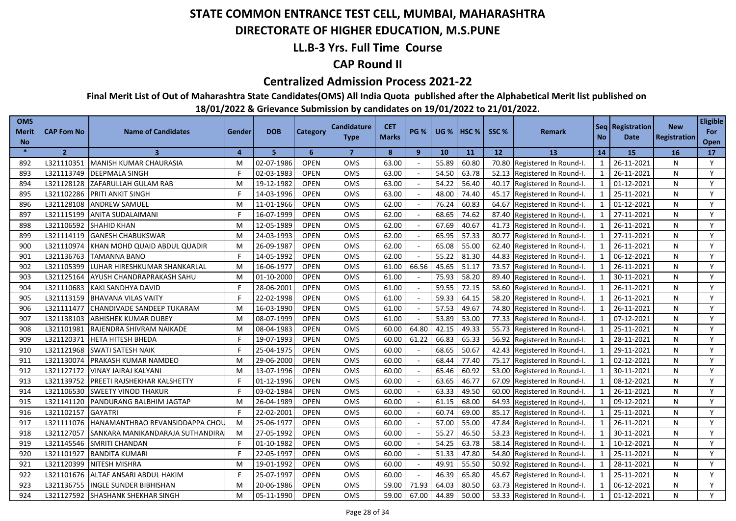### **DIRECTORATE OF HIGHER EDUCATION, M.S.PUNE**

### **LL.B-3 Yrs. Full Time Course**

### **CAP Round II**

#### **Centralized Admission Process 2021-22**

**Final Merit List of Out of Maharashtra State Candidates(OMS) All India Quota published after the Alphabetical Merit list published on** 

| <b>OMS</b><br>Merit<br><b>No</b> | <b>CAP Fom No</b> | <b>Name of Candidates</b>        | Gender   | <b>DOB</b> | Category    | <b>Candidature</b><br><b>Type</b> | <b>CET</b><br><b>Marks</b> | <b>PG %</b> | <b>UG %</b> | <b>HSC</b> % | SSC%  | Remark                       | <b>No</b>                | Seq   Registration  <br>Date | <b>New</b><br><b>Registration</b> | <b>Eligible</b><br>For<br>Open |
|----------------------------------|-------------------|----------------------------------|----------|------------|-------------|-----------------------------------|----------------------------|-------------|-------------|--------------|-------|------------------------------|--------------------------|------------------------------|-----------------------------------|--------------------------------|
| $\ast$                           | $\overline{2}$    | $\overline{\mathbf{3}}$          | $\Delta$ | 5          | 6           | $\overline{7}$                    | 8                          | 9           | 10          | 11           | 12    | 13                           | 14                       | <b>15</b>                    | <b>16</b>                         | 17                             |
| 892                              | L321110351        | MANISH KUMAR CHAURASIA           | M        | 02-07-1986 | <b>OPEN</b> | OMS                               | 63.00                      |             | 55.89       | 60.80        | 70.80 | Registered In Round-I.       | $\mathbf{1}$             | 26-11-2021                   | N                                 | Y                              |
| 893                              | L321113749        | <b>DEEPMALA SINGH</b>            | F        | 02-03-1983 | <b>OPEN</b> | <b>OMS</b>                        | 63.00                      |             | 54.50       | 63.78        | 52.13 | Registered In Round-I.       | 1                        | 26-11-2021                   | N                                 | Y                              |
| 894                              | L321128128        | ZAFARULLAH GULAM RAB             | M        | 19-12-1982 | <b>OPEN</b> | OMS                               | 63.00                      |             | 54.22       | 56.40        | 40.17 | Registered In Round-I.       | $\mathbf{1}$             | 01-12-2021                   | N                                 | Y                              |
| 895                              | L321102286        | <b>PRITI ANKIT SINGH</b>         | F        | 14-03-1996 | <b>OPEN</b> | <b>OMS</b>                        | 63.00                      |             | 48.00       | 74.40        | 45.17 | Registered In Round-I.       | $\mathbf{1}$             | 25-11-2021                   | N                                 | Y                              |
| 896                              | L321128108        | <b>ANDREW SAMUEL</b>             | M        | 11-01-1966 | <b>OPEN</b> | <b>OMS</b>                        | 62.00                      |             | 76.24       | 60.83        | 64.67 | Registered In Round-I.       | 1                        | 01-12-2021                   | N                                 | Y                              |
| 897                              | L321115199        | <b>ANITA SUDALAIMANI</b>         | F        | 16-07-1999 | <b>OPEN</b> | OMS                               | 62.00                      |             | 68.65       | 74.62        | 87.40 | Registered In Round-I.       | $\mathbf{1}$             | 27-11-2021                   | N                                 | Y                              |
| 898                              | L321106592        | <b>SHAHID KHAN</b>               | M        | 12-05-1989 | <b>OPEN</b> | <b>OMS</b>                        | 62.00                      |             | 67.69       | 40.67        | 41.73 | Registered In Round-I.       | $\mathbf{1}$             | 26-11-2021                   | N                                 | Y                              |
| 899                              | L321114119        | <b>GANESH CHABUKSWAR</b>         | M        | 24-03-1993 | <b>OPEN</b> | <b>OMS</b>                        | 62.00                      |             | 65.95       | 57.33        | 80.77 | Registered In Round-I.       | $\mathbf{1}$             | 27-11-2021                   | N                                 | Y                              |
| 900                              | L321110974        | KHAN MOHD QUAID ABDUL QUADIR     | M        | 26-09-1987 | <b>OPEN</b> | OMS                               | 62.00                      |             | 65.08       | 55.00        | 62.40 | Registered In Round-I.       | $\mathbf{1}$             | 26-11-2021                   | N                                 | Y                              |
| 901                              | L321136763        | <b>TAMANNA BANO</b>              | F        | 14-05-1992 | <b>OPEN</b> | <b>OMS</b>                        | 62.00                      |             | 55.22       | 81.30        | 44.83 | Registered In Round-I.       | $\overline{1}$           | 06-12-2021                   | N                                 | Y                              |
| 902                              | L321105399        | LUHAR HIRESHKUMAR SHANKARLAL     | M        | 16-06-1977 | <b>OPEN</b> | OMS                               | 61.00                      | 66.56       | 45.65       | 51.17        | 73.57 | Registered In Round-I.       | $\overline{1}$           | 26-11-2021                   | N                                 | Y                              |
| 903                              | L321125164        | <b>AYUSH CHANDRAPRAKASH SAHU</b> | M        | 01-10-2000 | <b>OPEN</b> | <b>OMS</b>                        | 61.00                      |             | 75.93       | 58.20        | 89.40 | Registered In Round-I.       | $\overline{1}$           | 30-11-2021                   | N                                 | Y                              |
| 904                              | L321110683        | KAKI SANDHYA DAVID               | F        | 28-06-2001 | <b>OPEN</b> | OMS                               | 61.00                      |             | 59.55       | 72.15        | 58.60 | Registered In Round-I.       | $\mathbf{1}$             | 26-11-2021                   | N                                 | Y                              |
| 905                              | L321113159        | <b>BHAVANA VILAS VAITY</b>       |          | 22-02-1998 | <b>OPEN</b> | <b>OMS</b>                        | 61.00                      |             | 59.33       | 64.15        | 58.20 | Registered In Round-I.       | $\overline{\phantom{0}}$ | 26-11-2021                   | N                                 | Y                              |
| 906                              | L321111477        | CHANDIVADE SANDEEP TUKARAM       | M        | 16-03-1990 | <b>OPEN</b> | <b>OMS</b>                        | 61.00                      |             | 57.53       | 49.67        | 74.80 | Registered In Round-I.       | $\overline{1}$           | 26-11-2021                   | N                                 | Y                              |
| 907                              | L321138103        | <b>ABHISHEK KUMAR DUBEY</b>      | M        | 08-07-1999 | <b>OPEN</b> | OMS                               | 61.00                      |             | 53.89       | 53.00        | 77.33 | Registered In Round-I.       | $\overline{1}$           | 07-12-2021                   | N                                 | Y                              |
| 908                              | L321101981        | RAJENDRA SHIVRAM NAIKADE         | M        | 08-04-1983 | <b>OPEN</b> | <b>OMS</b>                        | 60.00                      | 64.80       | 42.15       | 49.33        | 55.73 | Registered In Round-I.       | $\overline{1}$           | 25-11-2021                   | N                                 | Y                              |
| 909                              | L321120371        | <b>HETA HITESH BHEDA</b>         |          | 19-07-1993 | <b>OPEN</b> | OMS                               | 60.00                      | 61.22       | 66.83       | 65.33        | 56.92 | Registered In Round-I.       | $\mathbf{1}$             | 28-11-2021                   | N                                 | Y                              |
| 910                              | L321121968        | <b>SWATI SATESH NAIK</b>         | F        | 25-04-1975 | <b>OPEN</b> | <b>OMS</b>                        | 60.00                      |             | 68.65       | 50.67        | 42.43 | Registered In Round-I.       | $\overline{1}$           | 29-11-2021                   | N                                 | Y                              |
| 911                              | L321130074        | PRAKASH KUMAR NAMDEO             | M        | 29-06-2000 | <b>OPEN</b> | <b>OMS</b>                        | 60.00                      |             | 68.44       | 77.40        | 75.17 | Registered In Round-I.       | $\mathbf{1}$             | 02-12-2021                   | N                                 | Y                              |
| 912                              | L321127172        | VINAY JAIRAJ KALYANI             | M        | 13-07-1996 | <b>OPEN</b> | OMS                               | 60.00                      |             | 65.46       | 60.92        | 53.00 | Registered In Round-I.       | $\mathbf{1}$             | 30-11-2021                   | N                                 | Y                              |
| 913                              | L321139752        | PREETI RAJSHEKHAR KALSHETTY      | F        | 01-12-1996 | <b>OPEN</b> | <b>OMS</b>                        | 60.00                      |             | 63.65       | 46.77        | 67.09 | Registered In Round-I.       | $\mathbf{1}$             | 08-12-2021                   | N                                 | Y                              |
| 914                              | L321106530        | <b>SWEETY VINOD THAKUR</b>       | F        | 03-02-1984 | <b>OPEN</b> | OMS                               | 60.00                      |             | 63.33       | 49.50        | 60.00 | Registered In Round-I.       | $\mathbf{1}$             | 26-11-2021                   | N                                 | Y                              |
| 915                              | L321141120        | PANDURANG BALBHIM JAGTAP         | M        | 26-04-1989 | <b>OPEN</b> | OMS                               | 60.00                      |             | 61.15       | 68.00        | 64.93 | Registered In Round-I.       | $\mathbf{1}$             | 09-12-2021                   | N                                 | Y                              |
| 916                              | L321102157        | <b>GAYATRI</b>                   | F        | 22-02-2001 | <b>OPEN</b> | OMS                               | 60.00                      |             | 60.74       | 69.00        | 85.17 | Registered In Round-I.       | $\mathbf{1}$             | 25-11-2021                   | N                                 | Y                              |
| 917                              | L321111076        | HANAMANTHRAO REVANSIDDAPPA CHOL  | M        | 25-06-1977 | <b>OPEN</b> | OMS                               | 60.00                      |             | 57.00       | 55.00        | 47.84 | Registered In Round-I.       | $\mathbf{1}$             | 26-11-2021                   | N                                 | Y                              |
| 918                              | L321127057        | SANKARA MANIKANDARAJA SUTHANDIRA | м        | 27-05-1992 | <b>OPEN</b> | <b>OMS</b>                        | 60.00                      |             | 55.27       | 46.50        | 53.23 | Registered In Round-I.       | $\mathbf{1}$             | 30-11-2021                   | N                                 | Y                              |
| 919                              | L321145546        | SMRITI CHANDAN                   | F        | 01-10-1982 | <b>OPEN</b> | OMS                               | 60.00                      |             | 54.25       | 63.78        | 58.14 | Registered In Round-I.       | $\mathbf{1}$             | 10-12-2021                   | N                                 | Y                              |
| 920                              | L321101927        | <b>BANDITA KUMARI</b>            |          | 22-05-1997 | <b>OPEN</b> | <b>OMS</b>                        | 60.00                      |             | 51.33       | 47.80        | 54.80 | Registered In Round-I.       | $\mathbf{1}$             | 25-11-2021                   | N                                 | Y                              |
| 921                              | L321120399        | NITESH MISHRA                    | M        | 19-01-1992 | <b>OPEN</b> | OMS                               | 60.00                      |             | 49.91       | 55.50        | 50.92 | Registered In Round-I.       | $\mathbf{1}$             | 28-11-2021                   | N                                 | Y                              |
| 922                              | L321101676        | ALTAF ANSARI ABDUL HAKIM         |          | 25-07-1997 | <b>OPEN</b> | <b>OMS</b>                        | 60.00                      |             | 46.39       | 65.80        | 45.67 | Registered In Round-I.       | $\mathbf{1}$             | 25-11-2021                   | N                                 | Y                              |
| 923                              | L321136755        | INGLE SUNDER BIBHISHAN           | м        | 20-06-1986 | <b>OPEN</b> | <b>OMS</b>                        | 59.00                      | 71.93       | 64.03       | 80.50        | 63.73 | Registered In Round-I.       | $\mathbf{1}$             | 06-12-2021                   | N                                 | Y                              |
| 924                              | L321127592        | SHASHANK SHEKHAR SINGH           | M        | 05-11-1990 | <b>OPEN</b> | <b>OMS</b>                        | 59.00                      | 67.00       | 44.89       | 50.00        |       | 53.33 Registered In Round-I. | $\overline{1}$           | 01-12-2021                   | N                                 | Y                              |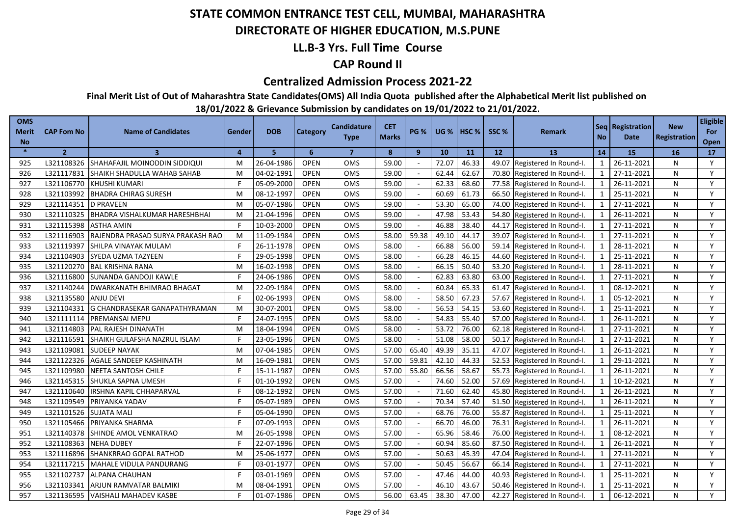### **DIRECTORATE OF HIGHER EDUCATION, M.S.PUNE**

### **LL.B-3 Yrs. Full Time Course**

### **CAP Round II**

#### **Centralized Admission Process 2021-22**

**Final Merit List of Out of Maharashtra State Candidates(OMS) All India Quota published after the Alphabetical Merit list published on** 

| <b>OMS</b><br>Merit<br><b>No</b> | <b>CAP Fom No</b>    | <b>Name of Candidates</b>         | Gender         | <b>DOB</b> | <b>Category</b> | <b>Candidature</b><br><b>Type</b> | <b>CET</b><br><b>Marks</b> | <b>PG %</b>  | <b>UG</b> % | HSC <sub>%</sub> | SSC % | <b>Remark</b>                | <b>No</b>               | Seq Registration<br>Date | <b>New</b><br>Registration | <b>Eligible</b><br>For<br>Open |
|----------------------------------|----------------------|-----------------------------------|----------------|------------|-----------------|-----------------------------------|----------------------------|--------------|-------------|------------------|-------|------------------------------|-------------------------|--------------------------|----------------------------|--------------------------------|
| $\ast$                           | $\overline{2}$       | $\overline{\mathbf{3}}$           | $\overline{a}$ | 5.         | 6               | $\overline{7}$                    | 8                          | $\mathbf{9}$ | 10          | 11               | 12    | 13                           | 14                      | 15                       | 16                         | 17                             |
| 925                              | L321108326           | SHAHAFAJIL MOINODDIN SIDDIQUI     | M              | 26-04-1986 | <b>OPEN</b>     | <b>OMS</b>                        | 59.00                      |              | 72.07       | 46.33            |       | 49.07 Registered In Round-I. | -1                      | 26-11-2021               | N                          | Y                              |
| 926                              | L321117831           | SHAIKH SHADULLA WAHAB SAHAB       | M              | 04-02-1991 | <b>OPEN</b>     | <b>OMS</b>                        | 59.00                      |              | 62.44       | 62.67            |       | 70.80 Registered In Round-I. | 1                       | 27-11-2021               | N                          | Y                              |
| 927                              | L321106770           | <b>KHUSHI KUMARI</b>              |                | 05-09-2000 | <b>OPEN</b>     | OMS                               | 59.00                      |              | 62.33       | 68.60            |       | 77.58 Registered In Round-I. | 1                       | 26-11-2021               | N                          | Y                              |
| 928                              |                      | L321103992 BHADRA CHIRAG SURESH   | M              | 08-12-1997 | <b>OPEN</b>     | <b>OMS</b>                        | 59.00                      |              | 60.69       | 61.73            |       | 66.50 Registered In Round-I. | 1                       | 25-11-2021               | N                          | Y                              |
| 929                              | L321114351 D PRAVEEN |                                   | M              | 05-07-1986 | <b>OPEN</b>     | OMS                               | 59.00                      |              | 53.30       | 65.00            |       | 74.00 Registered In Round-I. | 1                       | 27-11-2021               | N                          | Y                              |
| 930                              | L321110325           | BHADRA VISHALKUMAR HARESHBHAI     | M              | 21-04-1996 | <b>OPEN</b>     | <b>OMS</b>                        | 59.00                      |              | 47.98       | 53.43            |       | 54.80 Registered In Round-I. | 1                       | 26-11-2021               | N                          | Y                              |
| 931                              | L321115398           | <b>ASTHA AMIN</b>                 |                | 10-03-2000 | <b>OPEN</b>     | <b>OMS</b>                        | 59.00                      |              | 46.88       | 38.40            |       | 44.17 Registered In Round-I. | 1                       | 27-11-2021               | N                          | Y                              |
| 932                              | L321116903           | RAJENDRA PRASAD SURYA PRAKASH RAO | M              | 11-09-1984 | <b>OPEN</b>     | OMS                               | 58.00                      | 59.38        | 49.10       | 44.17            |       | 39.07 Registered In Round-I. | 1                       | 27-11-2021               | N                          | Y                              |
| 933                              | L321119397           | SHILPA VINAYAK MULAM              |                | 26-11-1978 | <b>OPEN</b>     | <b>OMS</b>                        | 58.00                      |              | 66.88       | 56.00            |       | 59.14 Registered In Round-I. | $\mathbf{1}$            | 28-11-2021               | N                          | Y                              |
| 934                              | L321104903           | SYEDA UZMA TAZYEEN                |                | 29-05-1998 | <b>OPEN</b>     | <b>OMS</b>                        | 58.00                      |              | 66.28       | 46.15            |       | 44.60 Registered In Round-I. | $\mathbf{1}$            | 25-11-2021               | N                          | Y                              |
| 935                              | L321120270           | <b>BAL KRISHNA RANA</b>           | M              | 16-02-1998 | <b>OPEN</b>     | OMS                               | 58.00                      |              | 66.15       | 50.40            |       | 53.20 Registered In Round-I. | $\mathbf{1}$            | 28-11-2021               | N                          | Y                              |
| 936                              | L321116800           | SUNANDA GANDOJI KAWLE             |                | 24-06-1986 | <b>OPEN</b>     | OMS                               | 58.00                      |              | 62.83       | 63.80            | 63.00 | Registered In Round-I.       | $\mathbf{1}$            | 27-11-2021               | N                          | Y                              |
| 937                              | L321140244           | <b>DWARKANATH BHIMRAO BHAGAT</b>  | M              | 22-09-1984 | <b>OPEN</b>     | OMS                               | 58.00                      |              | 60.84       | 65.33            |       | 61.47 Registered In Round-I. | $\overline{\mathbf{1}}$ | 08-12-2021               | N                          | Y                              |
| 938                              | L321135580           | <b>ANJU DEVI</b>                  |                | 02-06-1993 | <b>OPEN</b>     | OMS                               | 58.00                      |              | 58.50       | 67.23            |       | 57.67 Registered In Round-I. |                         | 05-12-2021               | N                          | Y                              |
| 939                              | L321104331           | G CHANDRASEKAR GANAPATHYRAMAN     | M              | 30-07-2001 | <b>OPEN</b>     | OMS                               | 58.00                      |              | 56.53       | 54.15            |       | 53.60 Registered In Round-I. | $\mathbf{1}$            | 25-11-2021               | N                          | Y                              |
| 940                              | L321111114           | PREMANSAI MEPU                    |                | 24-07-1995 | <b>OPEN</b>     | <b>OMS</b>                        | 58.00                      |              | 54.83       | 55.40            | 57.00 | Registered In Round-I.       | $\overline{1}$          | 26-11-2021               | N                          | Y                              |
| 941                              | L321114803           | PAL RAJESH DINANATH               | M              | 18-04-1994 | <b>OPEN</b>     | OMS                               | 58.00                      |              | 53.72       | 76.00            | 62.18 | Registered In Round-I.       | $\mathbf{1}$            | 27-11-2021               | N                          | Y                              |
| 942                              | L321116591           | SHAIKH GULAFSHA NAZRUL ISLAM      |                | 23-05-1996 | <b>OPEN</b>     | <b>OMS</b>                        | 58.00                      |              | 51.08       | 58.00            | 50.17 | Registered In Round-I.       | $\mathbf{1}$            | 27-11-2021               | N                          | Y                              |
| 943                              | L321109081           | <b>SUDEEP NAYAK</b>               | м              | 07-04-1985 | <b>OPEN</b>     | OMS                               | 57.00                      | 65.40        | 49.39       | 35.11            | 47.07 | Registered In Round-I.       | $\overline{1}$          | 26-11-2021               | N                          | Y                              |
| 944                              | L321122326           | AGALE SANDEEP KASHINATH           | M              | 16-09-1981 | <b>OPEN</b>     | OMS                               | 57.00                      | 59.81        | 42.10       | 44.33            | 52.53 | Registered In Round-I.       | $\mathbf{1}$            | 29-11-2021               | N                          | Y                              |
| 945                              | L321109980           | NEETA SANTOSH CHILE               |                | 15-11-1987 | <b>OPEN</b>     | <b>OMS</b>                        | 57.00                      | 55.80        | 66.56       | 58.67            | 55.73 | Registered In Round-I.       | $\mathbf{1}$            | 26-11-2021               | N                          | Y                              |
| 946                              | L321145315           | <b>SHUKLA SAPNA UMESH</b>         |                | 01-10-1992 | <b>OPEN</b>     | <b>OMS</b>                        | 57.00                      |              | 74.60       | 52.00            | 57.69 | Registered In Round-I.       | $\mathbf{1}$            | 10-12-2021               | N                          | Y                              |
| 947                              | L321110640           | IRSHNA KAPIL CHHAPARVAL           |                | 08-12-1992 | <b>OPEN</b>     | OMS                               | 57.00                      |              | 71.60       | 62.40            | 45.80 | Registered In Round-I.       | $\mathbf{1}$            | 26-11-2021               | N                          | Y                              |
| 948                              | L321109549           | PRIYANKA YADAV                    |                | 05-07-1989 | <b>OPEN</b>     | OMS                               | 57.00                      |              | 70.34       | 57.40            | 51.50 | Registered In Round-I.       |                         | 26-11-2021               | N                          | Y                              |
| 949                              | L321101526           | <b>SUJATA MALI</b>                |                | 05-04-1990 | <b>OPEN</b>     | OMS                               | 57.00                      |              | 68.76       | 76.00            | 55.87 | Registered In Round-I.       | $\mathbf{1}$            | 25-11-2021               | N                          | Y                              |
| 950                              | L321105466           | PRIYANKA SHARMA                   |                | 07-09-1993 | <b>OPEN</b>     | OMS                               | 57.00                      |              | 66.70       | 46.00            | 76.31 | Registered In Round-I.       | $\mathbf{1}$            | 26-11-2021               | N                          | Y                              |
| 951                              | L321140378           | SHINDE AMOL VENKATRAO             | M              | 26-05-1998 | <b>OPEN</b>     | OMS                               | 57.00                      | $\sim$       | 65.96       | 58.46            | 76.00 | Registered In Round-I.       | $\mathbf{1}$            | 08-12-2021               | N                          | Y                              |
| 952                              | L321108363           | <b>NEHA DUBEY</b>                 |                | 22-07-1996 | <b>OPEN</b>     | <b>OMS</b>                        | 57.00                      |              | 60.94       | 85.60            | 87.50 | Registered In Round-I.       | $\mathbf{1}$            | 26-11-2021               | N                          | Y                              |
| 953                              | L321116896           | <b>SHANKRRAO GOPAL RATHOD</b>     | M              | 25-06-1977 | <b>OPEN</b>     | OMS                               | 57.00                      |              | 50.63       | 45.39            | 47.04 | Registered In Round-I.       | $\mathbf{1}$            | 27-11-2021               | N                          | Y                              |
| 954                              | L321117215           | MAHALE VIDULA PANDURANG           |                | 03-01-1977 | <b>OPEN</b>     | OMS                               | 57.00                      |              | 50.45       | 56.67            | 66.14 | Registered In Round-I.       |                         | 27-11-2021               | N                          | Y                              |
| 955                              | L321102737           | ALPANA CHAUHAN                    |                | 03-01-1969 | <b>OPEN</b>     | OMS                               | 57.00                      |              | 47.46       | 44.00            | 40.93 | Registered In Round-I.       | 1                       | 25-11-2021               | N                          | Y                              |
| 956                              | L321103341           | ARJUN RAMVATAR BALMIKI            | м              | 08-04-1991 | <b>OPEN</b>     | OMS                               | 57.00                      |              | 46.10       | 43.67            | 50.46 | Registered In Round-I.       | $\mathbf{1}$            | 25-11-2021               | N                          | Y                              |
| 957                              | L321136595           | <b>VAISHALI MAHADEV KASBE</b>     |                | 01-07-1986 | <b>OPEN</b>     | OMS                               | 56.00                      | 63.45        | 38.30       | 47.00            |       | 42.27 Registered In Round-I. |                         | 06-12-2021               | N                          | Y                              |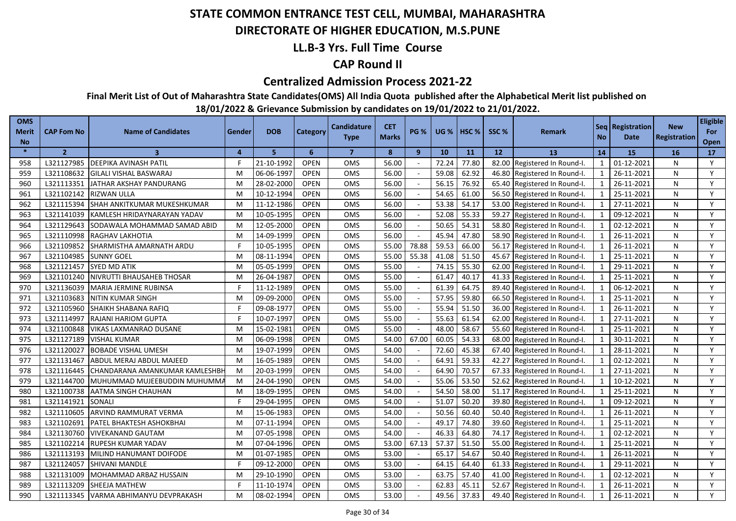### **DIRECTORATE OF HIGHER EDUCATION, M.S.PUNE**

### **LL.B-3 Yrs. Full Time Course**

### **CAP Round II**

#### **Centralized Admission Process 2021-22**

**Final Merit List of Out of Maharashtra State Candidates(OMS) All India Quota published after the Alphabetical Merit list published on** 

| <b>OMS</b><br>Merit<br><b>No</b> | <b>CAP Fom No</b> | <b>Name of Candidates</b>      | Gender   | <b>DOB</b> | Category    | Candidature<br><b>Type</b> | <b>CET</b><br><b>Marks</b> | PG %         | <b>UG %</b> | HSC <sub>%</sub> | SSC % | <b>Remark</b>                | <b>No</b>      | Seq   Registration<br>Date | <b>New</b><br>Registration | <b>Eligible</b><br>For<br>Open |
|----------------------------------|-------------------|--------------------------------|----------|------------|-------------|----------------------------|----------------------------|--------------|-------------|------------------|-------|------------------------------|----------------|----------------------------|----------------------------|--------------------------------|
| $\ast$                           | $\overline{2}$    | $\overline{\mathbf{3}}$        | $\Delta$ | 5          | 6           | $\overline{7}$             | 8                          | $\mathbf{9}$ | 10          | 11               | 12    | 13                           | 14             | 15                         | 16                         | 17                             |
| 958                              | L321127985        | <b>DEEPIKA AVINASH PATIL</b>   |          | 21-10-1992 | <b>OPEN</b> | OMS                        | 56.00                      |              | 72.24       | 77.80            |       | 82.00 Registered In Round-I. | -1             | 01-12-2021                 | N                          | Y                              |
| 959                              | L321108632        | <b>GILALI VISHAL BASWARAJ</b>  | M        | 06-06-1997 | <b>OPEN</b> | <b>OMS</b>                 | 56.00                      |              | 59.08       | 62.92            |       | 46.80 Registered In Round-I. | 1              | 26-11-2021                 | N                          | Y                              |
| 960                              | L321113351        | JATHAR AKSHAY PANDURANG        | M        | 28-02-2000 | <b>OPEN</b> | OMS                        | 56.00                      |              | 56.15       | 76.92            |       | 65.40 Registered In Round-I. | 1              | 26-11-2021                 | N                          | Y                              |
| 961                              | L321102142        | <b>RIZWAN ULLA</b>             | M        | 10-12-1994 | <b>OPEN</b> | <b>OMS</b>                 | 56.00                      |              | 54.65       | 61.00            |       | 56.50 Registered In Round-I. | 1              | 25-11-2021                 | N                          | Y                              |
| 962                              | L321115394        | SHAH ANKITKUMAR MUKESHKUMAR    | M        | 11-12-1986 | <b>OPEN</b> | OMS                        | 56.00                      |              | 53.38       | 54.17            |       | 53.00 Registered In Round-I. | 1              | 27-11-2021                 | N                          | Y                              |
| 963                              | L321141039        | KAMLESH HRIDAYNARAYAN YADAV    | M        | 10-05-1995 | <b>OPEN</b> | <b>OMS</b>                 | 56.00                      |              | 52.08       | 55.33            |       | 59.27 Registered In Round-I. | 1              | 09-12-2021                 | N                          | Y                              |
| 964                              | L321129643        | SODAWALA MOHAMMAD SAMAD ABID   | M        | 12-05-2000 | <b>OPEN</b> | <b>OMS</b>                 | 56.00                      |              | 50.65       | 54.31            |       | 58.80 Registered In Round-I. | 1              | 02-12-2021                 | N                          | Y                              |
| 965                              | L321110998        | RAGHAV LAKHOTIA                | M        | 14-09-1999 | <b>OPEN</b> | OMS                        | 56.00                      |              | 45.94       | 47.80            |       | 58.90 Registered In Round-I. | 1              | 26-11-2021                 | N                          | Y                              |
| 966                              | L321109852        | SHARMISTHA AMARNATH ARDU       |          | 10-05-1995 | <b>OPEN</b> | <b>OMS</b>                 | 55.00                      | 78.88        | 59.53       | 66.00            |       | 56.17 Registered In Round-I. | 1              | 26-11-2021                 | N                          | Y                              |
| 967                              | L321104985        | <b>SUNNY GOEL</b>              | M        | 08-11-1994 | <b>OPEN</b> | OMS                        | 55.00                      | 55.38        | 41.08       | 51.50            |       | 45.67 Registered In Round-I. | $\mathbf{1}$   | 25-11-2021                 | N                          | Y                              |
| 968                              | L321121457        | SYED MD ATIK                   | M        | 05-05-1999 | <b>OPEN</b> | OMS                        | 55.00                      |              | 74.15       | 55.30            |       | 62.00 Registered In Round-I. | $\mathbf{1}$   | 29-11-2021                 | N                          | Y                              |
| 969                              | L321101240        | NIVRUTTI BHAUSAHEB THOSAR      | M        | 26-04-1987 | <b>OPEN</b> | OMS                        | 55.00                      |              | 61.47       | 40.17            | 41.33 | Registered In Round-I.       | $\mathbf{1}$   | 25-11-2021                 | N                          | Y                              |
| 970                              | L321136039        | <b>MARIA JERMINE RUBINSA</b>   |          | 11-12-1989 | <b>OPEN</b> | OMS                        | 55.00                      |              | 61.39       | 64.75            |       | 89.40 Registered In Round-I. | $\mathbf{1}$   | 06-12-2021                 | N                          | Y                              |
| 971                              | L321103683        | <b>NITIN KUMAR SINGH</b>       | М        | 09-09-2000 | <b>OPEN</b> | OMS                        | 55.00                      |              | 57.95       | 59.80            |       | 66.50 Registered In Round-I. |                | 25-11-2021                 | N                          | Y                              |
| 972                              | L321105960        | SHAIKH SHABANA RAFIQ           |          | 09-08-1977 | <b>OPEN</b> | OMS                        | 55.00                      |              | 55.94       | 51.50            | 36.00 | Registered In Round-I.       | $\mathbf{1}$   | 26-11-2021                 | N                          | Y                              |
| 973                              | L321114997        | <b>RAJANI HARIOM GUPTA</b>     |          | 10-07-1997 | <b>OPEN</b> | <b>OMS</b>                 | 55.00                      |              | 55.63       | 61.54            | 62.00 | Registered In Round-I.       | $\overline{1}$ | 27-11-2021                 | N                          | Y                              |
| 974                              | L321100848        | VIKAS LAXMANRAO DUSANE         | M        | 15-02-1981 | <b>OPEN</b> | OMS                        | 55.00                      |              | 48.00       | 58.67            | 55.60 | Registered In Round-I.       | $\mathbf{1}$   | 25-11-2021                 | N                          | Y                              |
| 975                              | L321127189        | <b>VISHAL KUMAR</b>            | M        | 06-09-1998 | <b>OPEN</b> | <b>OMS</b>                 | 54.00                      | 67.00        | 60.05       | 54.33            | 68.00 | Registered In Round-I.       | $\mathbf{1}$   | 30-11-2021                 | N                          | Y                              |
| 976                              | L321120027        | <b>BOBADE VISHAL UMESH</b>     | м        | 19-07-1999 | <b>OPEN</b> | OMS                        | 54.00                      |              | 72.60       | 45.38            | 67.40 | Registered In Round-I.       | $\overline{1}$ | 28-11-2021                 | N                          | Y                              |
| 977                              | L321131467        | ABDUL MERAJ ABDUL MAJEED       | M        | 16-05-1989 | <b>OPEN</b> | OMS                        | 54.00                      |              | 64.91       | 59.33            | 42.27 | Registered In Round-I.       | $\mathbf{1}$   | 02-12-2021                 | N                          | Y                              |
| 978                              | L321116445        | CHANDARANA AMANKUMAR KAMLESHBH | M        | 20-03-1999 | <b>OPEN</b> | <b>OMS</b>                 | 54.00                      |              | 64.90       | 70.57            | 67.33 | Registered In Round-I.       | $\mathbf{1}$   | 27-11-2021                 | N                          | Y                              |
| 979                              | L321144700        | MUHUMMAD MUJEEBUDDIN MUHUMMA   | M        | 24-04-1990 | <b>OPEN</b> | <b>OMS</b>                 | 54.00                      |              | 55.06       | 53.50            | 52.62 | Registered In Round-I.       | $\mathbf{1}$   | 10-12-2021                 | N                          | Y                              |
| 980                              | L321100738        | AATMA SINGH CHAUHAN            | M        | 18-09-1995 | <b>OPEN</b> | <b>OMS</b>                 | 54.00                      |              | 54.50       | 58.00            | 51.17 | Registered In Round-I.       | $\mathbf{1}$   | 25-11-2021                 | N                          | Y                              |
| 981                              | L321141921        | SONALI                         |          | 29-04-1995 | <b>OPEN</b> | OMS                        | 54.00                      |              | 51.07       | 50.20            | 39.80 | Registered In Round-I.       |                | 09-12-2021                 | N                          | Y                              |
| 982                              | L321110605        | ARVIND RAMMURAT VERMA          | м        | 15-06-1983 | <b>OPEN</b> | <b>OMS</b>                 | 54.00                      |              | 50.56       | 60.40            | 50.40 | Registered In Round-I.       | $\mathbf{1}$   | 26-11-2021                 | N                          | Y                              |
| 983                              | L321102691        | PATEL BHAKTESH ASHOKBHAI       | M        | 07-11-1994 | <b>OPEN</b> | OMS                        | 54.00                      |              | 49.17       | 74.80            | 39.60 | Registered In Round-I.       | $\mathbf{1}$   | 25-11-2021                 | N                          | Y                              |
| 984                              | L321130760        | <b>VIVEKANAND GAUTAM</b>       | M        | 07-05-1998 | <b>OPEN</b> | OMS                        | 54.00                      | $\sim$       | 46.33       | 64.80            | 74.17 | Registered In Round-I.       | $\mathbf{1}$   | 02-12-2021                 | N                          | Y                              |
| 985                              | L321102214        | RUPESH KUMAR YADAV             | м        | 07-04-1996 | <b>OPEN</b> | <b>OMS</b>                 | 53.00                      | 67.13        | 57.37       | 51.50            | 55.00 | Registered In Round-I.       | $\mathbf{1}$   | 25-11-2021                 | N                          | Y                              |
| 986                              | L321113193        | MILIND HANUMANT DOIFODE        | M        | 01-07-1985 | <b>OPEN</b> | OMS                        | 53.00                      |              | 65.17       | 54.67            | 50.40 | Registered In Round-I.       | $\mathbf{1}$   | 26-11-2021                 | N                          | Y                              |
| 987                              | L321124057        | SHIVANI MANDLE                 |          | 09-12-2000 | <b>OPEN</b> | OMS                        | 53.00                      |              | 64.15       | 64.40            | 61.33 | Registered In Round-I.       |                | 29-11-2021                 | N                          | Y                              |
| 988                              | L321131009        | MOHAMMAD ARBAZ HUSSAIN         | M        | 29-10-1990 | <b>OPEN</b> | OMS                        | 53.00                      |              | 63.75       | 57.40            | 41.00 | Registered In Round-I.       | 1              | 02-12-2021                 | N                          | Y                              |
| 989                              | L321113209        | SHEEJA MATHEW                  |          | 11-10-1974 | <b>OPEN</b> | OMS                        | 53.00                      |              | 62.83       | 45.11            | 52.67 | Registered In Round-I.       |                | 26-11-2021                 | N                          | Y                              |
| 990                              | L321113345        | VARMA ABHIMANYU DEVPRAKASH     | м        | 08-02-1994 | <b>OPEN</b> | OMS                        | 53.00                      |              | 49.56       | 37.83            |       | 49.40 Registered In Round-I. |                | 26-11-2021                 | N                          | Y                              |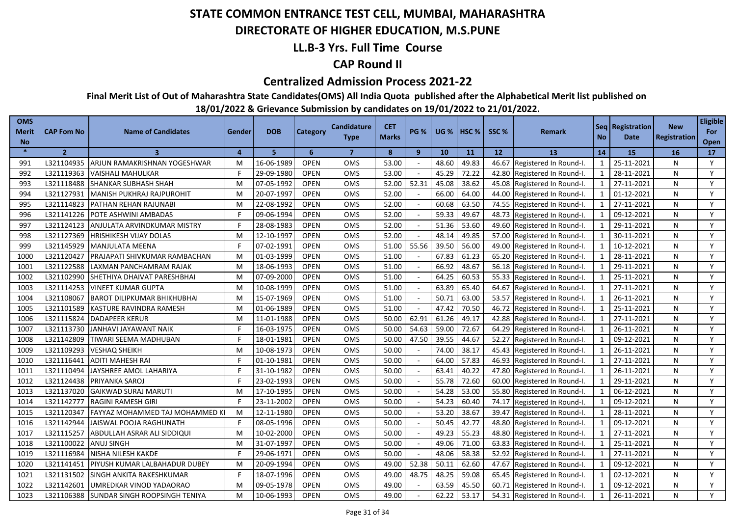### **DIRECTORATE OF HIGHER EDUCATION, M.S.PUNE**

### **LL.B-3 Yrs. Full Time Course**

### **CAP Round II**

#### **Centralized Admission Process 2021-22**

**Final Merit List of Out of Maharashtra State Candidates(OMS) All India Quota published after the Alphabetical Merit list published on** 

| <b>OMS</b><br><b>Merit</b> | CAP Fom No     | <b>Name of Candidates</b>             | Gender   | <b>DOB</b> | <b>Category</b> | <b>Candidature</b><br><b>Type</b> | <b>CET</b><br><b>Marks</b> | <b>PG %</b> |       | <b>UG %   HSC %</b> | SSC%  | Remark                       | <b>No</b>    | Seq   Registration  <br>Date | <b>New</b><br><b>Registration</b> | <b>Eligible</b><br>For |
|----------------------------|----------------|---------------------------------------|----------|------------|-----------------|-----------------------------------|----------------------------|-------------|-------|---------------------|-------|------------------------------|--------------|------------------------------|-----------------------------------|------------------------|
| <b>No</b>                  |                |                                       |          |            |                 |                                   |                            |             |       |                     |       |                              |              |                              |                                   | Open                   |
| $\ast$                     | $\overline{2}$ | $\overline{\mathbf{3}}$               | $\Delta$ | 5          | 6               | $\overline{7}$                    | 8                          | 9           | 10    | 11                  | 12    | 13                           | 14           | <b>15</b>                    | <b>16</b>                         | 17                     |
| 991                        | L321104935     | ARJUN RAMAKRISHNAN YOGESHWAR          | M        | 16-06-1989 | <b>OPEN</b>     | OMS                               | 53.00                      |             | 48.60 | 49.83               | 46.67 | Registered In Round-I.       | 1            | 25-11-2021                   | N                                 | Y                      |
| 992                        | L321119363     | <b>VAISHALI MAHULKAR</b>              | F        | 29-09-1980 | <b>OPEN</b>     | <b>OMS</b>                        | 53.00                      |             | 45.29 | 72.22               |       | 42.80 Registered In Round-I. | 1            | 28-11-2021                   | N                                 | Y                      |
| 993                        | L321118488     | <b>SHANKAR SUBHASH SHAH</b>           | M        | 07-05-1992 | <b>OPEN</b>     | OMS                               | 52.00                      | 52.31       | 45.08 | 38.62               |       | 45.08 Registered In Round-I. | $\mathbf{1}$ | 27-11-2021                   | N                                 | Y                      |
| 994                        | L321127931     | MANISH PUKHRAJ RAJPUROHIT             | M        | 20-07-1997 | <b>OPEN</b>     | OMS                               | 52.00                      |             | 66.00 | 64.00               |       | 44.00 Registered In Round-I. | $\mathbf{1}$ | 01-12-2021                   | N                                 | Y                      |
| 995                        | L321114823     | <b>PATHAN REHAN RAJUNABI</b>          | M        | 22-08-1992 | <b>OPEN</b>     | <b>OMS</b>                        | 52.00                      |             | 60.68 | 63.50               |       | 74.55 Registered In Round-I. | 1            | 27-11-2021                   | N                                 | Y                      |
| 996                        | L321141226     | POTE ASHWINI AMBADAS                  | F        | 09-06-1994 | <b>OPEN</b>     | OMS                               | 52.00                      |             | 59.33 | 49.67               |       | 48.73 Registered In Round-I. | $\mathbf{1}$ | 09-12-2021                   | N                                 | Y                      |
| 997                        | L321124123     | ANJULATA ARVINDKUMAR MISTRY           | F        | 28-08-1983 | <b>OPEN</b>     | OMS                               | 52.00                      | $\sim$      | 51.36 | 53.60               |       | 49.60 Registered In Round-I. | $\mathbf{1}$ | 29-11-2021                   | N                                 | Y                      |
| 998                        | L321127369     | <b>HRISHIKESH VIJAY DOLAS</b>         | M        | 12-10-1997 | <b>OPEN</b>     | OMS                               | 52.00                      |             | 48.14 | 49.85               |       | 57.00 Registered In Round-I. | 1            | 30-11-2021                   | N                                 | Y                      |
| 999                        | L321145929     | <b>MANJULATA MEENA</b>                |          | 07-02-199  | <b>OPEN</b>     | OMS                               | 51.00                      | 55.56       | 39.50 | 56.00               | 49.00 | Registered In Round-I.       | $\mathbf{1}$ | 10-12-2021                   | N                                 | Y                      |
| 1000                       | L321120427     | PRAJAPATI SHIVKUMAR RAMBACHAN         | M        | 01-03-1999 | <b>OPEN</b>     | OMS                               | 51.00                      |             | 67.83 | 61.23               |       | 65.20 Registered In Round-I. | $\mathbf 1$  | 28-11-2021                   | N                                 | Y                      |
| 1001                       | L321122588     | LAXMAN PANCHAMRAM RAJAK               | M        | 18-06-1993 | <b>OPEN</b>     | OMS                               | 51.00                      |             | 66.92 | 48.67               | 56.18 | Registered In Round-I.       |              | 29-11-2021                   | N                                 | Y                      |
| 1002                       | L321102990     | SHETHIYA DHAIVAT PARESHBHAI           | M        | 07-09-2000 | <b>OPEN</b>     | <b>OMS</b>                        | 51.00                      |             | 64.25 | 60.53               |       | 55.33 Registered In Round-I. | $\mathbf{1}$ | 25-11-2021                   | N                                 | Y                      |
| 1003                       | L321114253     | <b>VINEET KUMAR GUPTA</b>             | M        | 10-08-1999 | <b>OPEN</b>     | OMS                               | 51.00                      |             | 63.89 | 65.40               | 64.67 | Registered In Round-I.       |              | 27-11-2021                   | N                                 | Y                      |
| 1004                       | L321108067     | <b>BAROT DILIPKUMAR BHIKHUBHAI</b>    | M        | 15-07-1969 | <b>OPEN</b>     | <b>OMS</b>                        | 51.00                      |             | 50.71 | 63.00               | 53.57 | Registered In Round-I.       |              | 26-11-2021                   | N                                 | Y                      |
| 1005                       | L321101589     | KASTURE RAVINDRA RAMESH               | M        | 01-06-1989 | <b>OPEN</b>     | <b>OMS</b>                        | 51.00                      |             | 47.42 | 70.50               | 46.72 | Registered In Round-I.       | $\mathbf{1}$ | 25-11-2021                   | N                                 | Y                      |
| 1006                       | L321115824     | <b>DADAPEER KERUR</b>                 | M        | 11-01-1988 | <b>OPEN</b>     | OMS                               | 50.00                      | 62.91       | 61.26 | 49.17               | 42.88 | Registered In Round-I.       | $\mathbf{1}$ | 27-11-2021                   | N                                 | Y                      |
| 1007                       | L321113730     | JANHAVI JAYAWANT NAIK                 | Е        | 16-03-1975 | <b>OPEN</b>     | OMS                               | 50.00                      | 54.63       | 59.00 | 72.67               | 64.29 | Registered In Round-I.       | $\mathbf 1$  | 26-11-2021                   | N                                 | Y                      |
| 1008                       | L321142809     | TIWARI SEEMA MADHUBAN                 |          | 18-01-1981 | <b>OPEN</b>     | OMS                               | 50.00                      | 47.50       | 39.55 | 44.67               | 52.27 | Registered In Round-I.       | $\mathbf{1}$ | 09-12-2021                   | N                                 | Y                      |
| 1009                       | L321109293     | <b>VESHAQ SHEIKH</b>                  | M        | 10-08-1973 | <b>OPEN</b>     | OMS                               | 50.00                      |             | 74.00 | 38.17               | 45.43 | Registered In Round-I.       | $\mathbf{1}$ | 26-11-2021                   | N                                 | Y                      |
| 1010                       | L321116441     | <b>ADITI MAHESH RAI</b>               | F        | 01-10-1981 | <b>OPEN</b>     | <b>OMS</b>                        | 50.00                      |             | 64.00 | 57.83               | 46.93 | Registered In Round-I.       | $\mathbf{1}$ | 27-11-2021                   | N                                 | Y                      |
| 1011                       | L321110494     | JAYSHREE AMOL LAHARIYA                | F        | 31-10-1982 | <b>OPEN</b>     | OMS                               | 50.00                      |             | 63.41 | 40.22               | 47.80 | Registered In Round-I.       | $\mathbf{1}$ | 26-11-2021                   | N                                 | Y                      |
| 1012                       | L321124438     | PRIYANKA SAROJ                        |          | 23-02-1993 | <b>OPEN</b>     | <b>OMS</b>                        | 50.00                      |             | 55.78 | 72.60               | 60.00 | Registered In Round-I.       | $\mathbf{1}$ | 29-11-2021                   | N                                 | Y                      |
| 1013                       | L321137020     | <b>GAIKWAD SURAJ MARUTI</b>           | M        | 17-10-1995 | <b>OPEN</b>     | OMS                               | 50.00                      |             | 54.28 | 53.00               | 55.80 | Registered In Round-I.       | $\mathbf{1}$ | 06-12-2021                   | N                                 | Y                      |
| 1014                       | L321142777     | <b>RAGINI RAMESH GIRI</b>             |          | 23-11-2002 | <b>OPEN</b>     | OMS                               | 50.00                      |             | 54.23 | 60.40               | 74.17 | Registered In Round-I.       | $\mathbf{1}$ | 09-12-2021                   | N                                 | Y                      |
| 1015                       | L321120347     | <b>FAYYAZ MOHAMMED TAJ MOHAMMED I</b> | M        | 12-11-1980 | <b>OPEN</b>     | OMS                               | 50.00                      |             | 53.20 | 38.67               | 39.47 | Registered In Round-I.       | $\mathbf{1}$ | 28-11-2021                   | N                                 | Y                      |
| 1016                       | L321142944     | JAISWAL POOJA RAGHUNATH               | F        | 08-05-1996 | <b>OPEN</b>     | OMS                               | 50.00                      |             | 50.45 | 42.77               | 48.80 | Registered In Round-I.       | $\mathbf{1}$ | 09-12-2021                   | N                                 | Y                      |
| 1017                       | L321115257     | ABDULLAH ASRAR ALI SIDDIQUI           | M        | 10-02-2000 | <b>OPEN</b>     | <b>OMS</b>                        | 50.00                      |             | 49.23 | 55.23               | 48.80 | Registered In Round-I.       | $\mathbf{1}$ | 27-11-2021                   | N                                 | Y                      |
| 1018                       | L321100022     | ANUJ SINGH                            | M        | 31-07-1997 | <b>OPEN</b>     | OMS                               | 50.00                      |             | 49.06 | 71.00               | 63.83 | Registered In Round-I.       | $\mathbf{1}$ | 25-11-2021                   | N                                 | Y                      |
| 1019                       | L321116984     | NISHA NILESH KAKDE                    |          | 29-06-1971 | <b>OPEN</b>     | OMS                               | 50.00                      |             | 48.06 | 58.38               | 52.92 | Registered In Round-I.       | $\mathbf{1}$ | 27-11-2021                   | N                                 | Y                      |
| 1020                       | L321141451     | PIYUSH KUMAR LALBAHADUR DUBEY         | M        | 20-09-1994 | <b>OPEN</b>     | OMS                               | 49.00                      | 52.38       | 50.11 | 62.60               | 47.67 | Registered In Round-I.       | $\mathbf{1}$ | 09-12-2021                   | N                                 | Y                      |
| 1021                       | L321131502     | SINGH ANKITA RAKESHKUMAR              |          | 18-07-1996 | <b>OPEN</b>     | OMS                               | 49.00                      | 48.75       | 48.25 | 59.08               | 65.45 | Registered In Round-I.       | $\mathbf{1}$ | 02-12-2021                   | N                                 | Y                      |
| 1022                       | L321142601     | UMREDKAR VINOD YADAORAO               | м        | 09-05-1978 | <b>OPEN</b>     | <b>OMS</b>                        | 49.00                      |             | 63.59 | 45.50               | 60.71 | Registered In Round-I.       | $\mathbf{1}$ | 09-12-2021                   | N                                 | Y                      |
| 1023                       | L321106388     | <b>SUNDAR SINGH ROOPSINGH TENIYA</b>  | м        | 10-06-1993 | <b>OPEN</b>     | OMS                               | 49.00                      |             | 62.22 | 53.17               |       | 54.31 Registered In Round-I. |              | 26-11-2021                   | N                                 | Y                      |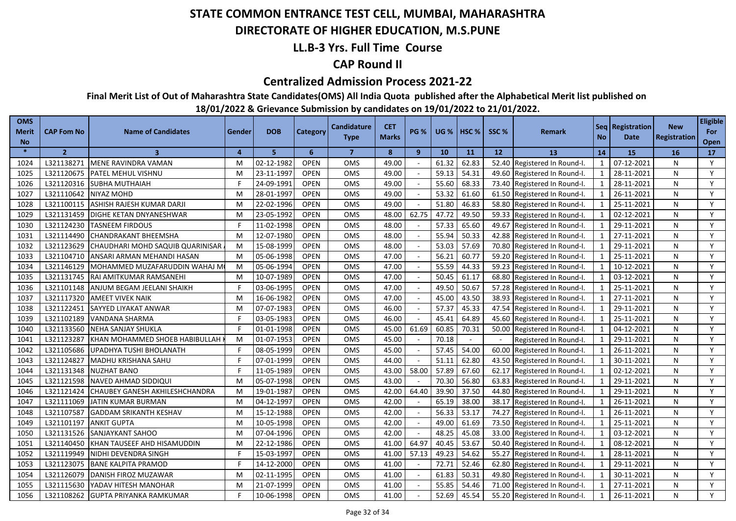### **DIRECTORATE OF HIGHER EDUCATION, M.S.PUNE**

### **LL.B-3 Yrs. Full Time Course**

### **CAP Round II**

#### **Centralized Admission Process 2021-22**

**Final Merit List of Out of Maharashtra State Candidates(OMS) All India Quota published after the Alphabetical Merit list published on** 

| <b>OMS</b><br><b>Merit</b><br><b>No</b> | <b>CAP Fom No</b> | <b>Name of Candidates</b>        | Gender         | <b>DOB</b> | Category    | <b>Candidature</b><br><b>Type</b> | <b>CET</b><br><b>Marks</b> | PG %   | <b>UG</b> % | HSC <sub>%</sub> | SSC % | <b>Remark</b>                | <b>No</b>      | Seq   Registration<br>Date | <b>New</b><br>Registration | <b>Eligible</b><br>For<br>Open |
|-----------------------------------------|-------------------|----------------------------------|----------------|------------|-------------|-----------------------------------|----------------------------|--------|-------------|------------------|-------|------------------------------|----------------|----------------------------|----------------------------|--------------------------------|
| $\ast$                                  | $\overline{2}$    | 3                                | $\overline{a}$ | 5          | 6           | $\overline{7}$                    | 8                          | 9      | 10          | 11               | 12    | <b>13</b>                    | 14             | 15                         | <b>16</b>                  | 17 <sup>2</sup>                |
| 1024                                    | L321138271        | MENE RAVINDRA VAMAN              | М              | 02-12-1982 | <b>OPEN</b> | <b>OMS</b>                        | 49.00                      |        | 61.32       | 62.83            |       | 52.40 Registered In Round-I. | 1              | 07-12-2021                 | N                          | Y                              |
| 1025                                    | L321120675        | <b>PATEL MEHUL VISHNU</b>        | M              | 23-11-1997 | <b>OPEN</b> | OMS                               | 49.00                      |        | 59.13       | 54.31            |       | 49.60 Registered In Round-I. | 1              | 28-11-2021                 | N                          | Y                              |
| 1026                                    |                   | L321120316 SUBHA MUTHAIAH        |                | 24-09-1991 | <b>OPEN</b> | <b>OMS</b>                        | 49.00                      |        | 55.60       | 68.33            |       | 73.40 Registered In Round-I. | 1              | 28-11-2021                 | N                          | Y                              |
| 1027                                    | L321110642        | NIYAZ MOHD                       | M              | 28-01-1997 | <b>OPEN</b> | OMS                               | 49.00                      |        | 53.32       | 61.60            |       | 61.50 Registered In Round-I. | 1              | 26-11-2021                 | N                          | Y                              |
| 1028                                    | L321100115        | ASHISH RAJESH KUMAR DARJI        | M              | 22-02-1996 | <b>OPEN</b> | <b>OMS</b>                        | 49.00                      |        | 51.80       | 46.83            | 58.80 | Registered In Round-I.       | 1              | 25-11-2021                 | N                          | Y                              |
| 1029                                    | L321131459        | DIGHE KETAN DNYANESHWAR          | м              | 23-05-1992 | <b>OPEN</b> | <b>OMS</b>                        | 48.00                      | 62.75  | 47.72       | 49.50            |       | 59.33 Registered In Round-I. | 1              | 02-12-2021                 | N                          | Y                              |
| 1030                                    | L321124230        | <b>TASNEEM FIRDOUS</b>           |                | 11-02-1998 | <b>OPEN</b> | OMS                               | 48.00                      |        | 57.33       | 65.60            |       | 49.67 Registered In Round-I. | 1              | 29-11-2021                 | N                          | Y                              |
| 1031                                    | L321114490        | <b>CHANDRAKANT BHEEMSHA</b>      | M              | 12-07-1980 | <b>OPEN</b> | <b>OMS</b>                        | 48.00                      |        | 55.94       | 50.33            |       | 42.88 Registered In Round-I. | 1              | 27-11-2021                 | N                          | Y                              |
| 1032                                    | L321123629        | CHAUDHARI MOHD SAQUIB QUARINISAR | M              | 15-08-1999 | <b>OPEN</b> | <b>OMS</b>                        | 48.00                      |        | 53.03       | 57.69            |       | 70.80 Registered In Round-I. | 1              | 29-11-2021                 | N                          | Y                              |
| 1033                                    | L321104710        | ANSARI ARMAN MEHANDI HASAN       | M              | 05-06-1998 | <b>OPEN</b> | OMS                               | 47.00                      |        | 56.21       | 60.77            | 59.20 | Registered In Round-I.       | 1              | 25-11-2021                 | N                          | Y                              |
| 1034                                    | L321146129        | MOHAMMED MUZAFARUDDIN WAHAJ M    | M              | 05-06-1994 | <b>OPEN</b> | OMS                               | 47.00                      |        | 55.59       | 44.33            |       | 59.23 Registered In Round-I. | 1              | 10-12-2021                 | N                          | Y                              |
| 1035                                    | L321131745        | RAI AMITKUMAR RAMSANEHI          | M              | 10-07-1989 | <b>OPEN</b> | <b>OMS</b>                        | 47.00                      |        | 50.45       | 61.17            | 68.80 | Registered In Round-I.       | $\overline{1}$ | 03-12-2021                 | N                          | Y                              |
| 1036                                    | L321101148        | ANJUM BEGAM JEELANI SHAIKH       |                | 03-06-1995 | <b>OPEN</b> | OMS                               | 47.00                      |        | 49.50       | 50.67            | 57.28 | Registered In Round-I.       |                | 25-11-2021                 | N                          | Y                              |
| 1037                                    | L321117320        | <b>AMEET VIVEK NAIK</b>          | M              | 16-06-1982 | <b>OPEN</b> | <b>OMS</b>                        | 47.00                      |        | 45.00       | 43.50            |       | 38.93 Registered In Round-I. | $\overline{1}$ | 27-11-2021                 | N                          | Y                              |
| 1038                                    | L321122451        | SAYYED LIYAKAT ANWAR             | M              | 07-07-1983 | <b>OPEN</b> | <b>OMS</b>                        | 46.00                      |        | 57.37       | 45.33            | 47.54 | Registered In Round-I.       | $\overline{1}$ | 29-11-2021                 | N                          | Y                              |
| 1039                                    | L321102189        | VANDANA SHARMA                   |                | 03-05-1983 | <b>OPEN</b> | OMS                               | 46.00                      |        | 45.41       | 64.89            | 45.60 | Registered In Round-I.       | 1              | 25-11-2021                 | N                          | Y                              |
| 1040                                    | L321133560        | NEHA SANJAY SHUKLA               |                | 01-01-1998 | <b>OPEN</b> | <b>OMS</b>                        | 45.00                      | 61.69  | 60.85       | 70.31            | 50.00 | Registered In Round-I.       | $\mathbf{1}$   | 04-12-2021                 | N                          | Y                              |
| 1041                                    | L321123287        | KHAN MOHAMMED SHOEB HABIBULLAH   | M              | 01-07-1953 | <b>OPEN</b> | OMS                               | 45.00                      |        | 70.18       |                  |       | Registered In Round-I.       | $\mathbf{1}$   | 29-11-2021                 | N                          | Y                              |
| 1042                                    | L321105686        | UPADHYA TUSHI BHOLANATH          |                | 08-05-1999 | <b>OPEN</b> | OMS                               | 45.00                      |        | 57.45       | 54.00            | 60.00 | Registered In Round-I.       | 1              | 26-11-2021                 | N                          | Y                              |
| 1043                                    | L321124827        | MADHU KRISHANA SAHU              |                | 07-01-1999 | <b>OPEN</b> | <b>OMS</b>                        | 44.00                      |        | 51.11       | 62.80            | 43.50 | Registered In Round-I.       | 1              | 30-11-2021                 | N                          | Y                              |
| 1044                                    | L321131348        | NUZHAT BANO                      |                | 11-05-1989 | <b>OPEN</b> | OMS                               | 43.00                      | 58.00  | 57.89       | 67.60            | 62.17 | Registered In Round-I.       | $\mathbf{1}$   | 02-12-2021                 | N                          | Y                              |
| 1045                                    | L321121598        | NAVED AHMAD SIDDIQUI             | M              | 05-07-1998 | <b>OPEN</b> | OMS                               | 43.00                      |        | 70.30       | 56.80            | 63.83 | Registered In Round-I.       | $\mathbf{1}$   | 29-11-2021                 | N                          | Y                              |
| 1046                                    | L321121424        | CHAUBEY GANESH AKHILESHCHANDRA   | M              | 19-01-1987 | <b>OPEN</b> | <b>OMS</b>                        | 42.00                      | 64.40  | 39.90       | 37.50            | 44.80 | Registered In Round-I.       | $\mathbf{1}$   | 29-11-2021                 | N                          | Y                              |
| 1047                                    | L321111069        | JATIN KUMAR BURMAN               | M              | 04-12-1997 | <b>OPEN</b> | OMS                               | 42.00                      |        | 65.19       | 38.00            | 38.17 | Registered In Round-I.       |                | 26-11-2021                 | N                          | Y                              |
| 1048                                    | L321107587        | <b>GADDAM SRIKANTH KESHAV</b>    | M              | 15-12-1988 | <b>OPEN</b> | OMS                               | 42.00                      |        | 56.33       | 53.17            | 74.27 | Registered In Round-I.       | $\mathbf{1}$   | 26-11-2021                 | N                          | Y                              |
| 1049                                    | L321101197        | <b>ANKIT GUPTA</b>               | м              | 10-05-1998 | <b>OPEN</b> | <b>OMS</b>                        | 42.00                      |        | 49.00       | 61.69            | 73.50 | Registered In Round-I.       | $\mathbf{1}$   | 25-11-2021                 | N                          | Y                              |
| 1050                                    | L321131526        | SANJAYKANT SAHOO                 | M              | 07-04-1996 | <b>OPEN</b> | OMS                               | 42.00                      | $\sim$ | 48.25       | 45.08            | 33.00 | Registered In Round-I.       | $\mathbf{1}$   | 03-12-2021                 | N                          | Y                              |
| 1051                                    | L321140450        | KHAN TAUSEEF AHD HISAMUDDIN      | M              | 22-12-1986 | <b>OPEN</b> | <b>OMS</b>                        | 41.00                      | 64.9   | 40.45       | 53.67            | 50.40 | Registered In Round-I.       | $\mathbf{1}$   | 08-12-2021                 | N                          | Y                              |
| 1052                                    | L321119949        | NIDHI DEVENDRA SINGH             |                | 15-03-1997 | <b>OPEN</b> | <b>OMS</b>                        | 41.00                      | 57.13  | 49.23       | 54.62            | 55.27 | Registered In Round-I.       | $\mathbf{1}$   | 28-11-2021                 | N                          | Y                              |
| 1053                                    | L321123075        | <b>BANE KALPITA PRAMOD</b>       |                | 14-12-2000 | <b>OPEN</b> | OMS                               | 41.00                      |        | 72.71       | 52.46            | 62.80 | Registered In Round-I.       |                | 29-11-2021                 | N                          | Y                              |
| 1054                                    | L321126079        | DANISH FIROZ MUZAWAR             | M              | 02-11-1995 | <b>OPEN</b> | OMS                               | 41.00                      |        | 61.83       | 50.31            | 49.80 | Registered In Round-I.       | $\mathbf{1}$   | 30-11-2021                 | N                          | Y                              |
| 1055                                    | L321115630        | YADAV HITESH MANOHAR             | м              | 21-07-1999 | <b>OPEN</b> | OMS                               | 41.00                      |        | 55.85       | 54.46            | 71.00 | Registered In Round-I.       | $\mathbf{1}$   | 27-11-2021                 | N                          | Y                              |
| 1056                                    | L321108262        | <b>GUPTA PRIYANKA RAMKUMAR</b>   |                | 10-06-1998 | <b>OPEN</b> | OMS                               | 41.00                      |        | 52.69       | 45.54            |       | 55.20 Registered In Round-I. |                | 26-11-2021                 | N                          | Y                              |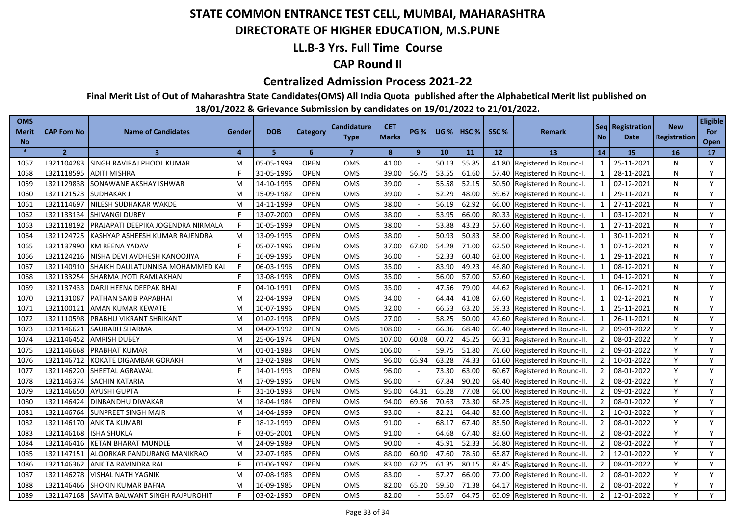### **DIRECTORATE OF HIGHER EDUCATION, M.S.PUNE**

### **LL.B-3 Yrs. Full Time Course**

### **CAP Round II**

#### **Centralized Admission Process 2021-22**

**Final Merit List of Out of Maharashtra State Candidates(OMS) All India Quota published after the Alphabetical Merit list published on** 

| <b>OMS</b><br><b>Merit</b><br><b>No</b> | <b>CAP Fom No</b> | <b>Name of Candidates</b>          | Gender         | <b>DOB</b> | Category    | <b>Candidature</b><br><b>Type</b> | <b>CET</b><br><b>Marks</b> | PG %   | <b>UG</b> % | HSC <sub>%</sub> | SSC % | <b>Remark</b>                 | <b>No</b>      | Seq   Registration<br>Date | <b>New</b><br>Registration | <b>Eligible</b><br>For<br>Open |
|-----------------------------------------|-------------------|------------------------------------|----------------|------------|-------------|-----------------------------------|----------------------------|--------|-------------|------------------|-------|-------------------------------|----------------|----------------------------|----------------------------|--------------------------------|
| $\ast$                                  | $\overline{2}$    | 3                                  | $\overline{a}$ | 5          | 6           | $\overline{7}$                    | 8                          | 9      | 10          | <b>11</b>        | 12    | <b>13</b>                     | 14             | 15                         | <b>16</b>                  | 17                             |
| 1057                                    | L321104283        | SINGH RAVIRAJ PHOOL KUMAR          | М              | 05-05-1999 | <b>OPEN</b> | <b>OMS</b>                        | 41.00                      |        | 50.13       | 55.85            |       | 41.80 Registered In Round-I.  | 1              | 25-11-2021                 | N                          | Y                              |
| 1058                                    | L321118595        | <b>ADITI MISHRA</b>                |                | 31-05-1996 | <b>OPEN</b> | OMS                               | 39.00                      | 56.75  | 53.55       | 61.60            |       | 57.40 Registered In Round-I.  | 1              | 28-11-2021                 | N                          | Y                              |
| 1059                                    |                   | L321129838 SONAWANE AKSHAY ISHWAR  | M              | 14-10-1995 | <b>OPEN</b> | <b>OMS</b>                        | 39.00                      |        | 55.58       | 52.15            |       | 50.50 Registered In Round-I.  | 1              | 02-12-2021                 | N                          | Y                              |
| 1060                                    | L321121523        | <b>SUDHAKARJ</b>                   | M              | 15-09-1982 | <b>OPEN</b> | OMS                               | 39.00                      |        | 52.29       | 48.00            |       | 59.67 Registered In Round-I.  | 1              | 29-11-2021                 | N                          | Y                              |
| 1061                                    | L321114697        | NILESH SUDHAKAR WAKDE              | M              | 14-11-1999 | <b>OPEN</b> | <b>OMS</b>                        | 38.00                      |        | 56.19       | 62.92            | 66.00 | Registered In Round-I.        | 1              | 27-11-2021                 | N                          | Y                              |
| 1062                                    | L321133134        | <b>SHIVANGI DUBEY</b>              |                | 13-07-2000 | <b>OPEN</b> | OMS                               | 38.00                      |        | 53.95       | 66.00            |       | 80.33 Registered In Round-I.  | 1              | 03-12-2021                 | N                          | Y                              |
| 1063                                    | L321118192        | PRAJAPATI DEEPIKA JOGENDRA NIRMALA |                | 10-05-1999 | <b>OPEN</b> | OMS                               | 38.00                      |        | 53.88       | 43.23            |       | 57.60 Registered In Round-I.  | $\mathbf{1}$   | 27-11-2021                 | N                          | Y                              |
| 1064                                    | L321124725        | KASHYAP ASHEESH KUMAR RAJENDRA     | M              | 13-09-1995 | <b>OPEN</b> | <b>OMS</b>                        | 38.00                      |        | 50.93       | 50.83            |       | 58.00 Registered In Round-I.  | 1              | 30-11-2021                 | N                          | Y                              |
| 1065                                    | L321137990        | <b>KM REENA YADAV</b>              |                | 05-07-1996 | <b>OPEN</b> | OMS                               | 37.00                      | 67.00  | 54.28       | 71.00            |       | 62.50 Registered In Round-I.  | 1              | 07-12-2021                 | N                          | Y                              |
| 1066                                    | L321124216        | NISHA DEVI AVDHESH KANOOJIYA       |                | 16-09-1995 | <b>OPEN</b> | OMS                               | 36.00                      |        | 52.33       | 60.40            |       | 63.00 Registered In Round-I.  | $\mathbf{1}$   | 29-11-2021                 | N                          | Y                              |
| 1067                                    | L321140910        | SHAIKH DAULATUNNISA MOHAMMED KAI   |                | 06-03-1996 | <b>OPEN</b> | <b>OMS</b>                        | 35.00                      |        | 83.90       | 49.23            | 46.80 | Registered In Round-I.        | $\overline{1}$ | 08-12-2021                 | N                          | Y                              |
| 1068                                    | L321133254        | SHARMA JYOTI RAMLAKHAN             |                | 13-08-1998 | <b>OPEN</b> | OMS                               | 35.00                      |        | 56.00       | 57.00            | 57.60 | Registered In Round-I.        | 1              | 04-12-2021                 | N                          | Y                              |
| 1069                                    | L321137433        | DARJI HEENA DEEPAK BHAI            |                | 04-10-1991 | <b>OPEN</b> | OMS                               | 35.00                      |        | 47.56       | 79.00            |       | 44.62 Registered In Round-I.  |                | 06-12-2021                 | N                          | Y                              |
| 1070                                    | L321131087        | PATHAN SAKIB PAPABHAI              | M              | 22-04-1999 | <b>OPEN</b> | OMS                               | 34.00                      |        | 64.44       | 41.08            | 67.60 | Registered In Round-I.        | $\mathbf 1$    | 02-12-2021                 | N                          | Y                              |
| 1071                                    | L321100121        | AMAN KUMAR KEWATE                  | M              | 10-07-1996 | <b>OPEN</b> | OMS                               | 32.00                      |        | 66.53       | 63.20            | 59.33 | Registered In Round-I.        | $\mathbf 1$    | 25-11-2021                 | N                          | Y                              |
| 1072                                    | L321110598        | PRABHU VIKRANT SHRIKANT            | м              | 01-02-1998 | <b>OPEN</b> | <b>OMS</b>                        | 27.00                      |        | 58.25       | 50.00            | 47.60 | Registered In Round-I.        | $\mathbf{1}$   | 26-11-2021                 | N                          | Y                              |
| 1073                                    | L321146621        | SAURABH SHARMA                     | M              | 04-09-1992 | <b>OPEN</b> | OMS                               | 108.00                     |        | 66.36       | 68.40            | 69.40 | Registered In Round-II.       | $\overline{2}$ | 09-01-2022                 | Y                          | Y                              |
| 1074                                    | L321146452        | <b>AMRISH DUBEY</b>                | M              | 25-06-1974 | <b>OPEN</b> | OMS                               | 107.00                     | 60.08  | 60.72       | 45.25            | 60.31 | Registered In Round-II.       | $\overline{2}$ | 08-01-2022                 | Y                          | Y                              |
| 1075                                    | L321146668        | <b>PRABHAT KUMAR</b>               | M              | 01-01-1983 | <b>OPEN</b> | <b>OMS</b>                        | 106.00                     |        | 59.75       | 51.80            | 76.60 | Registered In Round-II.       | $\overline{2}$ | 09-01-2022                 | Y                          | Y                              |
| 1076                                    | L321146712        | KOKATE DIGAMBAR GORAKH             | м              | 13-02-1988 | <b>OPEN</b> | OMS                               | 96.00                      | 65.94  | 63.28       | 74.33            | 61.60 | Registered In Round-II.       | $\overline{2}$ | 10-01-2022                 | Y                          | Y                              |
| 1077                                    | L321146220        | SHEETAL AGRAWAL                    |                | 14-01-1993 | <b>OPEN</b> | OMS                               | 96.00                      | $\sim$ | 73.30       | 63.00            | 60.67 | Registered In Round-II.       | $\overline{2}$ | 08-01-2022                 | Y                          | Y                              |
| 1078                                    | L321146374        | SACHIN KATARIA                     | M              | 17-09-1996 | <b>OPEN</b> | OMS                               | 96.00                      |        | 67.84       | 90.20            | 68.40 | Registered In Round-II.       | $\overline{2}$ | 08-01-2022                 | Y                          | Y                              |
| 1079                                    | L321146650        | <b>AYUSHI GUPTA</b>                |                | 31-10-1993 | <b>OPEN</b> | OMS                               | 95.00                      | 64.31  | 65.28       | 77.08            | 66.00 | Registered In Round-II.       | $\overline{2}$ | 09-01-2022                 | Y                          | Y                              |
| 1080                                    | L321146424        | DINBANDHU DIWAKAR                  | м              | 18-04-1984 | <b>OPEN</b> | <b>OMS</b>                        | 94.00                      | 69.56  | 70.63       | 73.30            | 68.25 | Registered In Round-II.       | $\overline{2}$ | 08-01-2022                 | Y                          | Y                              |
| 1081                                    | L321146764        | SUNPREET SINGH MAIR                | M              | 14-04-1999 | <b>OPEN</b> | OMS                               | 93.00                      |        | 82.21       | 64.40            | 83.60 | Registered In Round-II.       | $\overline{2}$ | 10-01-2022                 | Y                          | Y                              |
| 1082                                    | L321146170        | <b>ANKITA KUMARI</b>               |                | 18-12-1999 | <b>OPEN</b> | OMS                               | 91.00                      |        | 68.17       | 67.40            | 85.50 | Registered In Round-II.       | $\overline{2}$ | 08-01-2022                 | Y                          | Y                              |
| 1083                                    | L321146168        | ISHA SHUKLA                        |                | 03-05-2001 | <b>OPEN</b> | OMS                               | 91.00                      |        | 64.68       | 67.40            | 83.60 | Registered In Round-II.       | $\overline{2}$ | 08-01-2022                 | Y                          | Y                              |
| 1084                                    | L321146416        | <b>KETAN BHARAT MUNDLE</b>         | M              | 24-09-1989 | <b>OPEN</b> | OMS                               | 90.00                      | $\sim$ | 45.91       | 52.33            | 56.80 | Registered In Round-II.       | $\overline{2}$ | 08-01-2022                 | Y                          | Y                              |
| 1085                                    | L321147151        | ALOORKAR PANDURANG MANIKRAO        | M              | 22-07-1985 | <b>OPEN</b> | <b>OMS</b>                        | 88.00                      | 60.90  | 47.60       | 78.50            | 65.87 | Registered In Round-II.       | $\overline{2}$ | 12-01-2022                 | Y                          | Y                              |
| 1086                                    | L321146362        | ANKITA RAVINDRA RAI                |                | 01-06-1997 | <b>OPEN</b> | OMS                               | 83.00                      | 62.25  | 61.35       | 80.15            | 87.45 | Registered In Round-II.       | $\overline{2}$ | 08-01-2022                 | Y                          | Y                              |
| 1087                                    | L321146278        | <b>VISHAL NATH YAGNIK</b>          | M              | 07-08-1983 | <b>OPEN</b> | OMS                               | 83.00                      |        | 57.27       | 66.00            | 77.00 | Registered In Round-II.       | $\overline{2}$ | 08-01-2022                 | Y                          | Y                              |
| 1088                                    | L321146466        | SHOKIN KUMAR BAFNA                 | M              | 16-09-1985 | <b>OPEN</b> | <b>OMS</b>                        | 82.00                      | 65.20  | 59.50       | 71.38            | 64.17 | Registered In Round-II.       | $\overline{2}$ | 08-01-2022                 | Y                          | Y                              |
| 1089                                    | L321147168        | SAVITA BALWANT SINGH RAJPUROHIT    |                | 03-02-1990 | <b>OPEN</b> | OMS                               | 82.00                      |        | 55.67       | 64.75            |       | 65.09 Registered In Round-II. | $\overline{2}$ | 12-01-2022                 | Y                          | Y                              |